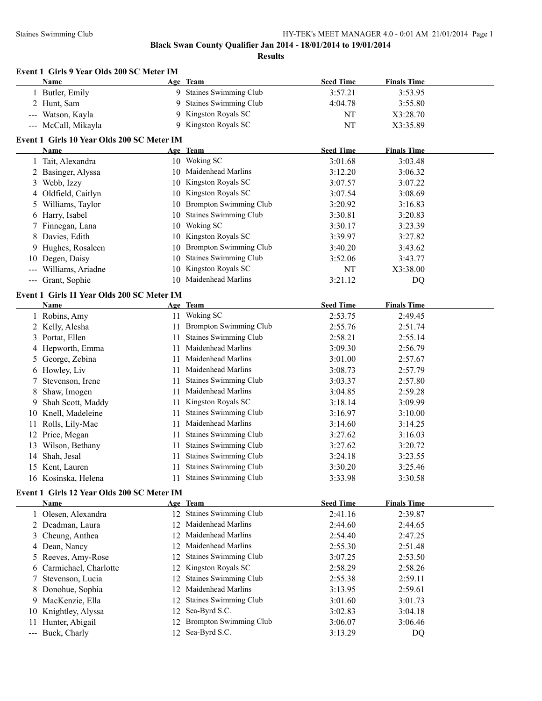|    | Event 1 Girls 9 Year Olds 200 SC Meter IM                 |     |                               |                    |                    |  |
|----|-----------------------------------------------------------|-----|-------------------------------|--------------------|--------------------|--|
|    | Name                                                      |     | Age Team                      | <b>Seed Time</b>   | <b>Finals Time</b> |  |
|    | 1 Butler, Emily                                           |     | 9 Staines Swimming Club       | 3:57.21            | 3:53.95            |  |
|    | 2 Hunt, Sam                                               |     | 9 Staines Swimming Club       | 4:04.78            | 3:55.80            |  |
|    | Watson, Kayla                                             |     | 9 Kingston Royals SC          | NT                 | X3:28.70           |  |
|    | --- McCall, Mikayla                                       |     | 9 Kingston Royals SC          | NT                 | X3:35.89           |  |
|    | Event 1 Girls 10 Year Olds 200 SC Meter IM                |     |                               |                    |                    |  |
|    | <b>Name</b>                                               |     | Age Team                      | <b>Seed Time</b>   | <b>Finals Time</b> |  |
|    | 1 Tait, Alexandra                                         |     | 10 Woking SC                  | 3:01.68            | 3:03.48            |  |
|    | 2 Basinger, Alyssa                                        |     | 10 Maidenhead Marlins         | 3:12.20            | 3:06.32            |  |
|    | 3 Webb, Izzy                                              |     | 10 Kingston Royals SC         | 3:07.57            | 3:07.22            |  |
|    | 4 Oldfield, Caitlyn                                       |     | 10 Kingston Royals SC         | 3:07.54            | 3:08.69            |  |
|    | 5 Williams, Taylor                                        |     | 10 Brompton Swimming Club     | 3:20.92            | 3:16.83            |  |
|    | 6 Harry, Isabel                                           |     | 10 Staines Swimming Club      | 3:30.81            | 3:20.83            |  |
|    | 7 Finnegan, Lana                                          |     | 10 Woking SC                  | 3:30.17            | 3:23.39            |  |
|    | 8 Davies, Edith                                           |     | 10 Kingston Royals SC         | 3:39.97            | 3:27.82            |  |
|    | Hughes, Rosaleen                                          |     | 10 Brompton Swimming Club     | 3:40.20            | 3:43.62            |  |
| 10 | Degen, Daisy                                              |     | 10 Staines Swimming Club      | 3:52.06            | 3:43.77            |  |
|    | Williams, Ariadne                                         |     | 10 Kingston Royals SC         | NT                 | X3:38.00           |  |
|    | --- Grant, Sophie                                         |     | 10 Maidenhead Marlins         | 3:21.12            | DQ                 |  |
|    | Event 1 Girls 11 Year Olds 200 SC Meter IM                |     |                               |                    |                    |  |
|    | <b>Name</b>                                               |     | Age Team                      | <b>Seed Time</b>   | <b>Finals Time</b> |  |
|    | 1 Robins, Amy                                             |     | 11 Woking SC                  | 2:53.75            | 2:49.45            |  |
|    | 2 Kelly, Alesha                                           | 11  | <b>Brompton Swimming Club</b> | 2:55.76            | 2:51.74            |  |
|    | 3 Portat, Ellen                                           | 11  | Staines Swimming Club         | 2:58.21            | 2:55.14            |  |
|    | 4 Hepworth, Emma                                          | 11  | Maidenhead Marlins            | 3:09.30            | 2:56.79            |  |
|    | 5 George, Zebina                                          | 11  | Maidenhead Marlins            | 3:01.00            | 2:57.67            |  |
|    | 6 Howley, Liv                                             | 11  | Maidenhead Marlins            | 3:08.73            | 2:57.79            |  |
| 7. | Stevenson, Irene                                          | 11  | Staines Swimming Club         | 3:03.37            | 2:57.80            |  |
| 8  | Shaw, Imogen                                              | 11  | Maidenhead Marlins            | 3:04.85            | 2:59.28            |  |
| 9  | Shah Scott, Maddy                                         | 11  | Kingston Royals SC            | 3:18.14            | 3:09.99            |  |
|    | 10 Knell, Madeleine                                       | 11  | Staines Swimming Club         | 3:16.97            | 3:10.00            |  |
| 11 | Rolls, Lily-Mae                                           | 11  | Maidenhead Marlins            | 3:14.60            | 3:14.25            |  |
|    | 12 Price, Megan                                           | 11  | Staines Swimming Club         | 3:27.62            | 3:16.03            |  |
|    | 13 Wilson, Bethany                                        | 11  | Staines Swimming Club         | 3:27.62            | 3:20.72            |  |
|    | 14 Shah, Jesal                                            | 11  | Staines Swimming Club         | 3:24.18            | 3:23.55            |  |
|    | 15 Kent, Lauren                                           | 11. | Staines Swimming Club         | 3:30.20            | 3:25.46            |  |
|    | 16 Kosinska, Helena                                       | 11  | Staines Swimming Club         | 3:33.98            | 3:30.58            |  |
|    |                                                           |     |                               |                    |                    |  |
|    | Event 1 Girls 12 Year Olds 200 SC Meter IM<br><b>Name</b> |     | Age Team                      | <b>Seed Time</b>   | <b>Finals Time</b> |  |
|    | 1 Olesen, Alexandra                                       |     | 12 Staines Swimming Club      | 2:41.16            | 2:39.87            |  |
|    | 2 Deadman, Laura                                          | 12  | Maidenhead Marlins            | 2:44.60            | 2:44.65            |  |
|    | 3 Cheung, Anthea                                          | 12  | Maidenhead Marlins            | 2:54.40            | 2:47.25            |  |
|    | 4 Dean, Nancy                                             | 12  | Maidenhead Marlins            | 2:55.30            | 2:51.48            |  |
|    | 5 Reeves, Amy-Rose                                        | 12  | Staines Swimming Club         | 3:07.25            | 2:53.50            |  |
|    | 6 Carmichael, Charlotte                                   | 12  | Kingston Royals SC            | 2:58.29            | 2:58.26            |  |
|    | Stevenson, Lucia                                          | 12  | Staines Swimming Club         | 2:55.38            | 2:59.11            |  |
|    | 8 Donohue, Sophia                                         | 12  | Maidenhead Marlins            | 3:13.95            | 2:59.61            |  |
|    | 9 MacKenzie, Ella                                         | 12  | Staines Swimming Club         | 3:01.60            | 3:01.73            |  |
|    | 10 Knightley, Alyssa                                      | 12  | Sea-Byrd S.C.                 | 3:02.83            | 3:04.18            |  |
|    | 11 Hunter, Abigail                                        | 12  | <b>Brompton Swimming Club</b> |                    |                    |  |
|    | --- Buck, Charly                                          |     | 12 Sea-Byrd S.C.              | 3:06.07<br>3:13.29 | 3:06.46<br>DQ      |  |
|    |                                                           |     |                               |                    |                    |  |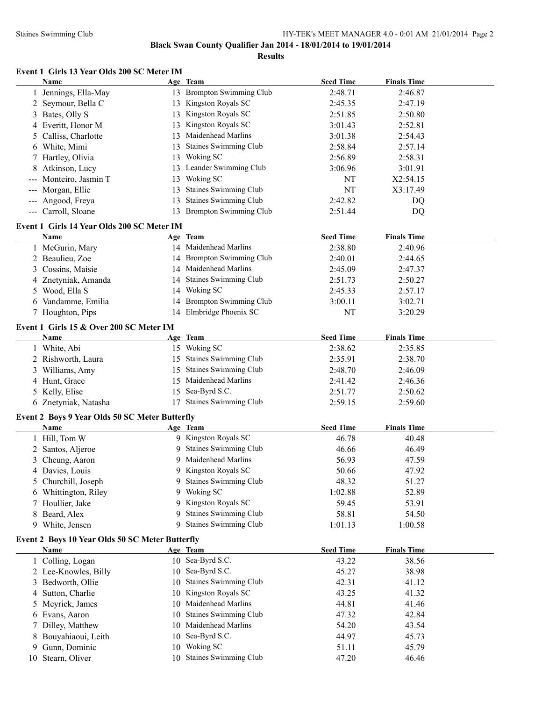**Results**

# **Event 1 Girls 13 Year Olds 200 SC Meter IM**

|    | Name                                                  |    | Age Team                     | <b>Seed Time</b> | <b>Finals Time</b> |  |
|----|-------------------------------------------------------|----|------------------------------|------------------|--------------------|--|
|    | Jennings, Ella-May                                    |    | 13 Brompton Swimming Club    | 2:48.71          | 2:46.87            |  |
|    | 2 Seymour, Bella C                                    |    | 13 Kingston Royals SC        | 2:45.35          | 2:47.19            |  |
| 3  | Bates, Olly S                                         |    | 13 Kingston Royals SC        | 2:51.85          | 2:50.80            |  |
|    | 4 Everitt, Honor M                                    |    | 13 Kingston Royals SC        | 3:01.43          | 2:52.81            |  |
| 5  | Calliss, Charlotte                                    | 13 | Maidenhead Marlins           | 3:01.38          | 2:54.43            |  |
|    | 6 White, Mimi                                         | 13 | <b>Staines Swimming Club</b> | 2:58.84          | 2:57.14            |  |
|    | 7 Hartley, Olivia                                     | 13 | Woking SC                    | 2:56.89          | 2:58.31            |  |
|    | Atkinson, Lucy                                        |    | 13 Leander Swimming Club     | 3:06.96          | 3:01.91            |  |
|    | Monteiro, Jasmin T                                    | 13 | Woking SC                    | NT               | X2:54.15           |  |
|    | Morgan, Ellie                                         | 13 | Staines Swimming Club        | NT               | X3:17.49           |  |
|    | --- Angood, Freya                                     | 13 | Staines Swimming Club        | 2:42.82          | DQ                 |  |
|    | --- Carroll, Sloane                                   |    | 13 Brompton Swimming Club    | 2:51.44          | DQ                 |  |
|    |                                                       |    |                              |                  |                    |  |
|    | Event 1 Girls 14 Year Olds 200 SC Meter IM            |    |                              |                  |                    |  |
|    | Name                                                  |    | Age Team                     | <b>Seed Time</b> | <b>Finals Time</b> |  |
|    | 1 McGurin, Mary                                       |    | 14 Maidenhead Marlins        | 2:38.80          | 2:40.96            |  |
|    | 2 Beaulieu, Zoe                                       |    | 14 Brompton Swimming Club    | 2:40.01          | 2:44.65            |  |
| 3  | Cossins, Maisie                                       |    | 14 Maidenhead Marlins        | 2:45.09          | 2:47.37            |  |
|    | 4 Znetyniak, Amanda                                   |    | 14 Staines Swimming Club     | 2:51.73          | 2:50.27            |  |
|    | 5 Wood, Ella S                                        |    | 14 Woking SC                 | 2:45.33          | 2:57.17            |  |
|    | 6 Vandamme, Emilia                                    |    | 14 Brompton Swimming Club    | 3:00.11          | 3:02.71            |  |
|    | 7 Houghton, Pips                                      |    | 14 Elmbridge Phoenix SC      | NT               | 3:20.29            |  |
|    | Event 1 Girls 15 & Over 200 SC Meter IM               |    |                              |                  |                    |  |
|    | Name                                                  |    | Age Team                     | <b>Seed Time</b> | <b>Finals Time</b> |  |
|    | 1 White, Abi                                          |    | 15 Woking SC                 | 2:38.62          | 2:35.85            |  |
|    | 2 Rishworth, Laura                                    |    | 15 Staines Swimming Club     | 2:35.91          | 2:38.70            |  |
|    | 3 Williams, Amy                                       | 15 | <b>Staines Swimming Club</b> | 2:48.70          | 2:46.09            |  |
|    | 4 Hunt, Grace                                         | 15 | Maidenhead Marlins           | 2:41.42          | 2:46.36            |  |
|    | 5 Kelly, Elise                                        | 15 | Sea-Byrd S.C.                | 2:51.77          | 2:50.62            |  |
|    | 6 Znetyniak, Natasha                                  |    | 17 Staines Swimming Club     | 2:59.15          | 2:59.60            |  |
|    |                                                       |    |                              |                  |                    |  |
|    | <b>Event 2 Boys 9 Year Olds 50 SC Meter Butterfly</b> |    |                              |                  |                    |  |
|    | <b>Name</b>                                           |    | Age Team                     | <b>Seed Time</b> | <b>Finals Time</b> |  |
|    | 1 Hill, Tom W                                         |    | 9 Kingston Royals SC         | 46.78            | 40.48              |  |
|    | 2 Santos, Aljeroe                                     |    | 9 Staines Swimming Club      | 46.66            | 46.49              |  |
|    | 3 Cheung, Aaron                                       |    | Maidenhead Marlins           | 56.93            | 47.59              |  |
|    | 4 Davies, Louis                                       |    | 9 Kingston Royals SC         | 50.66            | 47.92              |  |
|    | 5 Churchill, Joseph                                   |    | 9 Staines Swimming Club      | 48.32            | 51.27              |  |
|    | 6 Whittington, Riley                                  | 9. | Woking SC                    | 1:02.88          | 52.89              |  |
|    | 7 Houllier, Jake                                      |    | 9 Kingston Royals SC         | 59.45            | 53.91              |  |
| 8  | Beard, Alex                                           | 9  | Staines Swimming Club        | 58.81            | 54.50              |  |
|    | 9 White, Jensen                                       | 9. | <b>Staines Swimming Club</b> | 1:01.13          | 1:00.58            |  |
|    | Event 2 Boys 10 Year Olds 50 SC Meter Butterfly       |    |                              |                  |                    |  |
|    | <b>Name</b>                                           |    | Age Team                     | <b>Seed Time</b> | <b>Finals Time</b> |  |
|    | 1 Colling, Logan                                      |    | 10 Sea-Byrd S.C.             | 43.22            | 38.56              |  |
|    | 2 Lee-Knowles, Billy                                  | 10 | Sea-Byrd S.C.                | 45.27            | 38.98              |  |
|    | 3 Bedworth, Ollie                                     | 10 | <b>Staines Swimming Club</b> | 42.31            | 41.12              |  |
|    | 4 Sutton, Charlie                                     |    | Kingston Royals SC           | 43.25            | 41.32              |  |
|    |                                                       | 10 | Maidenhead Marlins           | 44.81            |                    |  |
| 5  | Meyrick, James                                        | 10 | Staines Swimming Club        |                  | 41.46              |  |
|    | 6 Evans, Aaron                                        | 10 |                              | 47.32            | 42.84              |  |
| 7  | Dilley, Matthew                                       | 10 | Maidenhead Marlins           | 54.20            | 43.54              |  |
| 8  | Bouyahiaoui, Leith                                    |    | 10 Sea-Byrd S.C.             | 44.97            | 45.73              |  |
| 9  | Gunn, Dominic                                         |    | 10 Woking SC                 | 51.11            | 45.79              |  |
| 10 | Stearn, Oliver                                        |    | 10 Staines Swimming Club     | 47.20            | 46.46              |  |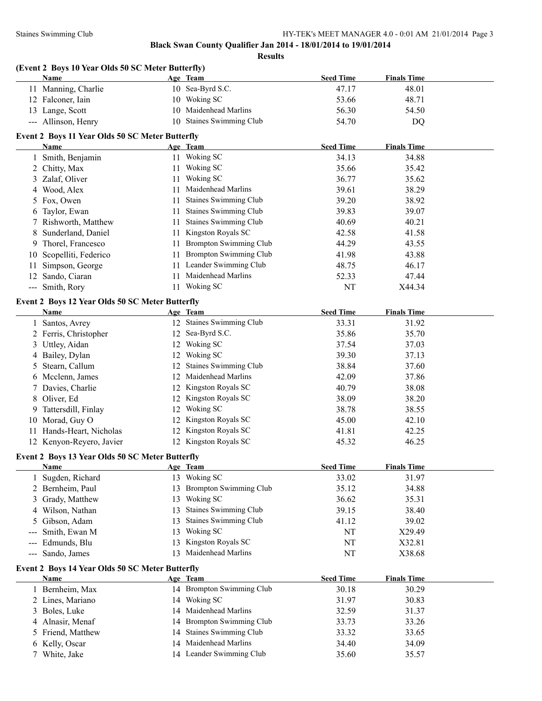|     | (Event 2 Boys 10 Year Olds 50 SC Meter Butterfly)<br>Name      |    | Age Team                     | <b>Seed Time</b> | <b>Finals Time</b> |
|-----|----------------------------------------------------------------|----|------------------------------|------------------|--------------------|
|     | 11 Manning, Charlie                                            |    | 10 Sea-Byrd S.C.             | 47.17            | 48.01              |
|     | 12 Falconer, Iain                                              |    | 10 Woking SC                 | 53.66            | 48.71              |
|     | 13 Lange, Scott                                                |    | 10 Maidenhead Marlins        | 56.30            | 54.50              |
|     | --- Allinson, Henry                                            |    | 10 Staines Swimming Club     | 54.70            | <b>DQ</b>          |
|     | Event 2 Boys 11 Year Olds 50 SC Meter Butterfly                |    |                              |                  |                    |
|     | Name                                                           |    | Age Team                     | <b>Seed Time</b> | <b>Finals Time</b> |
|     | 1 Smith, Benjamin                                              |    | 11 Woking SC                 | 34.13            | 34.88              |
|     | 2 Chitty, Max                                                  |    | 11 Woking SC                 | 35.66            | 35.42              |
|     | 3 Zalaf, Oliver                                                |    | 11 Woking SC                 | 36.77            | 35.62              |
| 4   | Wood, Alex                                                     |    | 11 Maidenhead Marlins        | 39.61            | 38.29              |
|     | 5 Fox, Owen                                                    |    | 11 Staines Swimming Club     | 39.20            | 38.92              |
|     | 6 Taylor, Ewan                                                 |    | 11 Staines Swimming Club     | 39.83            | 39.07              |
|     | 7 Rishworth, Matthew                                           |    | 11 Staines Swimming Club     | 40.69            | 40.21              |
| 8   | Sunderland, Daniel                                             |    | 11 Kingston Royals SC        | 42.58            | 41.58              |
| 9   | Thorel, Francesco                                              |    | 11 Brompton Swimming Club    | 44.29            | 43.55              |
| 10  | Scopelliti, Federico                                           |    | 11 Brompton Swimming Club    | 41.98            | 43.88              |
| 11  | Simpson, George                                                |    | 11 Leander Swimming Club     | 48.75            | 46.17              |
| 12  | Sando, Ciaran                                                  |    | 11 Maidenhead Marlins        | 52.33            | 47.44              |
|     | --- Smith, Rory                                                |    | 11 Woking SC                 | NT               | X44.34             |
|     |                                                                |    |                              |                  |                    |
|     | Event 2 Boys 12 Year Olds 50 SC Meter Butterfly<br>Name        |    | Age Team                     | <b>Seed Time</b> | <b>Finals Time</b> |
|     | 1 Santos, Avrey                                                |    | 12 Staines Swimming Club     | 33.31            | 31.92              |
|     | 2 Ferris, Christopher                                          |    | 12 Sea-Byrd S.C.             | 35.86            | 35.70              |
|     | 3 Uttley, Aidan                                                |    | 12 Woking SC                 | 37.54            | 37.03              |
|     | 4 Bailey, Dylan                                                |    | 12 Woking SC                 | 39.30            | 37.13              |
|     | 5 Stearn, Callum                                               |    | 12 Staines Swimming Club     | 38.84            | 37.60              |
|     | 6 Mcclenn, James                                               |    | 12 Maidenhead Marlins        | 42.09            | 37.86              |
|     | 7 Davies, Charlie                                              |    | 12 Kingston Royals SC        | 40.79            | 38.08              |
|     | 8 Oliver, Ed                                                   |    | 12 Kingston Royals SC        | 38.09            | 38.20              |
| 9   | Tattersdill, Finlay                                            |    | 12 Woking SC                 | 38.78            | 38.55              |
|     | 10 Morad, Guy O                                                |    | 12 Kingston Royals SC        | 45.00            | 42.10              |
|     | 11 Hands-Heart, Nicholas                                       |    | 12 Kingston Royals SC        | 41.81            | 42.25              |
|     | 12 Kenyon-Reyero, Javier                                       |    | 12 Kingston Royals SC        | 45.32            | 46.25              |
|     |                                                                |    |                              |                  |                    |
|     | Event 2 Boys 13 Year Olds 50 SC Meter Butterfly<br><b>Name</b> |    | Age Team                     | <b>Seed Time</b> | <b>Finals Time</b> |
|     | 1 Sugden, Richard                                              |    | 13 Woking SC                 | 33.02            | 31.97              |
|     | 2 Bernheim, Paul                                               |    | 13 Brompton Swimming Club    | 35.12            | 34.88              |
|     | 3 Grady, Matthew                                               |    | 13 Woking SC                 | 36.62            | 35.31              |
| 4   | Wilson, Nathan                                                 | 13 | <b>Staines Swimming Club</b> | 39.15            | 38.40              |
| 5   | Gibson, Adam                                                   | 13 | Staines Swimming Club        | 41.12            | 39.02              |
|     | Smith, Ewan M                                                  | 13 | Woking SC                    | NT               | X29.49             |
| --- | Edmunds, Blu                                                   | 13 | Kingston Royals SC           | NT               | X32.81             |
| --- | Sando, James                                                   |    | 13 Maidenhead Marlins        | NT               | X38.68             |
|     | Event 2 Boys 14 Year Olds 50 SC Meter Butterfly                |    |                              |                  |                    |
|     | <b>Name</b>                                                    |    | Age Team                     | <b>Seed Time</b> | <b>Finals Time</b> |
|     | 1 Bernheim, Max                                                |    | 14 Brompton Swimming Club    | 30.18            | 30.29              |
|     | 2 Lines, Mariano                                               |    | 14 Woking SC                 | 31.97            | 30.83              |
| 3   | Boles, Luke                                                    | 14 | Maidenhead Marlins           | 32.59            | 31.37              |
| 4   | Alnasir, Menaf                                                 |    | 14 Brompton Swimming Club    | 33.73            | 33.26              |
| 5   | Friend, Matthew                                                | 14 | Staines Swimming Club        | 33.32            | 33.65              |
|     | 6 Kelly, Oscar                                                 | 14 | Maidenhead Marlins           | 34.40            | 34.09              |
|     | 7 White, Jake                                                  |    | 14 Leander Swimming Club     | 35.60            | 35.57              |
|     |                                                                |    |                              |                  |                    |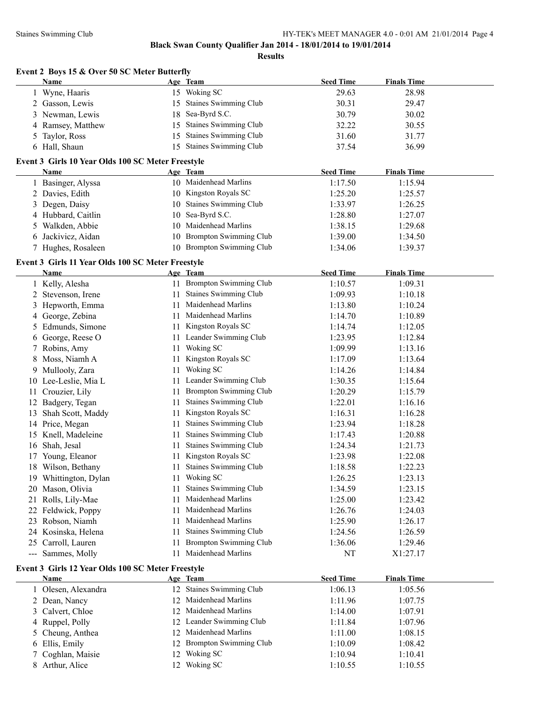|                                                                                                                                                                                                                                                                                                                                                                                              | Event 2 Boys 15 & Over 50 SC Meter Butterfly                     |    |                               |                  |                    |
|----------------------------------------------------------------------------------------------------------------------------------------------------------------------------------------------------------------------------------------------------------------------------------------------------------------------------------------------------------------------------------------------|------------------------------------------------------------------|----|-------------------------------|------------------|--------------------|
|                                                                                                                                                                                                                                                                                                                                                                                              | Name                                                             |    | Age Team                      | <b>Seed Time</b> | <b>Finals Time</b> |
|                                                                                                                                                                                                                                                                                                                                                                                              | 1 Wyne, Haaris                                                   |    | 15 Woking SC                  | 29.63            | 28.98              |
|                                                                                                                                                                                                                                                                                                                                                                                              | 2 Gasson, Lewis                                                  |    | 15 Staines Swimming Club      | 30.31            | 29.47              |
|                                                                                                                                                                                                                                                                                                                                                                                              | 3 Newman, Lewis                                                  |    | 18 Sea-Byrd S.C.              | 30.79            | 30.02              |
|                                                                                                                                                                                                                                                                                                                                                                                              | 4 Ramsey, Matthew                                                |    | 15 Staines Swimming Club      | 32.22            | 30.55              |
| 5                                                                                                                                                                                                                                                                                                                                                                                            | Taylor, Ross                                                     |    | 15 Staines Swimming Club      | 31.60            | 31.77              |
|                                                                                                                                                                                                                                                                                                                                                                                              | 6 Hall, Shaun                                                    |    | 15 Staines Swimming Club      | 37.54            | 36.99              |
|                                                                                                                                                                                                                                                                                                                                                                                              | Event 3 Girls 10 Year Olds 100 SC Meter Freestyle                |    |                               |                  |                    |
|                                                                                                                                                                                                                                                                                                                                                                                              | Name                                                             |    | Age Team                      | <b>Seed Time</b> | <b>Finals Time</b> |
|                                                                                                                                                                                                                                                                                                                                                                                              | 1 Basinger, Alyssa                                               |    | 10 Maidenhead Marlins         | 1:17.50          | 1:15.94            |
|                                                                                                                                                                                                                                                                                                                                                                                              | 2 Davies, Edith                                                  |    | 10 Kingston Royals SC         | 1:25.20          | 1:25.57            |
|                                                                                                                                                                                                                                                                                                                                                                                              | 3 Degen, Daisy                                                   |    | 10 Staines Swimming Club      | 1:33.97          | 1:26.25            |
|                                                                                                                                                                                                                                                                                                                                                                                              | 4 Hubbard, Caitlin                                               |    | 10 Sea-Byrd S.C.              | 1:28.80          | 1:27.07            |
|                                                                                                                                                                                                                                                                                                                                                                                              | 5 Walkden, Abbie                                                 |    | 10 Maidenhead Marlins         | 1:38.15          | 1:29.68            |
|                                                                                                                                                                                                                                                                                                                                                                                              | 6 Jackivicz, Aidan                                               |    | 10 Brompton Swimming Club     | 1:39.00          | 1:34.50            |
|                                                                                                                                                                                                                                                                                                                                                                                              | 7 Hughes, Rosaleen                                               |    | 10 Brompton Swimming Club     | 1:34.06          | 1:39.37            |
|                                                                                                                                                                                                                                                                                                                                                                                              | Event 3 Girls 11 Year Olds 100 SC Meter Freestyle<br><b>Name</b> |    | Age Team                      | <b>Seed Time</b> | <b>Finals Time</b> |
|                                                                                                                                                                                                                                                                                                                                                                                              | 1 Kelly, Alesha                                                  |    | 11 Brompton Swimming Club     | 1:10.57          | 1:09.31            |
|                                                                                                                                                                                                                                                                                                                                                                                              | 2 Stevenson, Irene                                               |    | 11 Staines Swimming Club      | 1:09.93          | 1:10.18            |
|                                                                                                                                                                                                                                                                                                                                                                                              | 3 Hepworth, Emma                                                 | 11 | Maidenhead Marlins            | 1:13.80          | 1:10.24            |
|                                                                                                                                                                                                                                                                                                                                                                                              | 4 George, Zebina                                                 |    | 11 Maidenhead Marlins         | 1:14.70          | 1:10.89            |
|                                                                                                                                                                                                                                                                                                                                                                                              | 5 Edmunds, Simone                                                |    | 11 Kingston Royals SC         | 1:14.74          | 1:12.05            |
|                                                                                                                                                                                                                                                                                                                                                                                              | 6 George, Reese O                                                |    | 11 Leander Swimming Club      | 1:23.95          | 1:12.84            |
|                                                                                                                                                                                                                                                                                                                                                                                              | 7 Robins, Amy                                                    |    | 11 Woking SC                  | 1:09.99          | 1:13.16            |
|                                                                                                                                                                                                                                                                                                                                                                                              | 8 Moss, Niamh A                                                  |    | 11 Kingston Royals SC         | 1:17.09          | 1:13.64            |
|                                                                                                                                                                                                                                                                                                                                                                                              | 9 Mullooly, Zara                                                 | 11 | Woking SC                     | 1:14.26          | 1:14.84            |
|                                                                                                                                                                                                                                                                                                                                                                                              | 10 Lee-Leslie, Mia L                                             |    | 11 Leander Swimming Club      | 1:30.35          | 1:15.64            |
|                                                                                                                                                                                                                                                                                                                                                                                              | 11 Crouzier, Lily                                                |    | 11 Brompton Swimming Club     | 1:20.29          | 1:15.79            |
|                                                                                                                                                                                                                                                                                                                                                                                              | 12 Badgery, Tegan                                                |    | 11 Staines Swimming Club      | 1:22.01          | 1:16.16            |
|                                                                                                                                                                                                                                                                                                                                                                                              | 13 Shah Scott, Maddy                                             |    | 11 Kingston Royals SC         | 1:16.31          | 1:16.28            |
|                                                                                                                                                                                                                                                                                                                                                                                              | 14 Price, Megan                                                  |    | 11 Staines Swimming Club      | 1:23.94          | 1:18.28            |
|                                                                                                                                                                                                                                                                                                                                                                                              | 15 Knell, Madeleine                                              |    | 11 Staines Swimming Club      | 1:17.43          | 1:20.88            |
|                                                                                                                                                                                                                                                                                                                                                                                              | 16 Shah, Jesal                                                   |    | 11 Staines Swimming Club      | 1:24.34          | 1:21.73            |
|                                                                                                                                                                                                                                                                                                                                                                                              | 17 Young, Eleanor                                                | 11 | Kingston Royals SC            | 1:23.98          | 1:22.08            |
|                                                                                                                                                                                                                                                                                                                                                                                              | 18 Wilson, Bethany                                               | 11 | Staines Swimming Club         | 1:18.58          | 1:22.23            |
|                                                                                                                                                                                                                                                                                                                                                                                              | 19 Whittington, Dylan                                            | 11 | Woking SC                     | 1:26.25          | 1:23.13            |
|                                                                                                                                                                                                                                                                                                                                                                                              | 20 Mason, Olivia                                                 | 11 | Staines Swimming Club         | 1:34.59          | 1:23.15            |
|                                                                                                                                                                                                                                                                                                                                                                                              | 21 Rolls, Lily-Mae                                               | 11 | Maidenhead Marlins            | 1:25.00          | 1:23.42            |
|                                                                                                                                                                                                                                                                                                                                                                                              | 22 Feldwick, Poppy                                               | 11 | Maidenhead Marlins            | 1:26.76          | 1:24.03            |
|                                                                                                                                                                                                                                                                                                                                                                                              | 23 Robson, Niamh                                                 | 11 | Maidenhead Marlins            | 1:25.90          | 1:26.17            |
|                                                                                                                                                                                                                                                                                                                                                                                              | 24 Kosinska, Helena                                              | 11 | <b>Staines Swimming Club</b>  | 1:24.56          | 1:26.59            |
|                                                                                                                                                                                                                                                                                                                                                                                              | 25 Carroll, Lauren                                               | 11 | <b>Brompton Swimming Club</b> | 1:36.06          | 1:29.46            |
| $\frac{1}{2} \frac{1}{2} \frac{1}{2} \frac{1}{2} \frac{1}{2} \frac{1}{2} \frac{1}{2} \frac{1}{2} \frac{1}{2} \frac{1}{2} \frac{1}{2} \frac{1}{2} \frac{1}{2} \frac{1}{2} \frac{1}{2} \frac{1}{2} \frac{1}{2} \frac{1}{2} \frac{1}{2} \frac{1}{2} \frac{1}{2} \frac{1}{2} \frac{1}{2} \frac{1}{2} \frac{1}{2} \frac{1}{2} \frac{1}{2} \frac{1}{2} \frac{1}{2} \frac{1}{2} \frac{1}{2} \frac{$ | Sammes, Molly                                                    | 11 | Maidenhead Marlins            | NT               | X1:27.17           |
|                                                                                                                                                                                                                                                                                                                                                                                              | Event 3 Girls 12 Year Olds 100 SC Meter Freestyle                |    |                               |                  |                    |
|                                                                                                                                                                                                                                                                                                                                                                                              | <b>Name</b>                                                      |    | Age Team                      | <b>Seed Time</b> | <b>Finals Time</b> |
|                                                                                                                                                                                                                                                                                                                                                                                              | 1 Olesen, Alexandra                                              |    | 12 Staines Swimming Club      | 1:06.13          | 1:05.56            |
|                                                                                                                                                                                                                                                                                                                                                                                              | 2 Dean, Nancy                                                    |    | 12 Maidenhead Marlins         | 1:11.96          | 1:07.75            |
|                                                                                                                                                                                                                                                                                                                                                                                              | 3 Calvert, Chloe                                                 |    | 12 Maidenhead Marlins         | 1:14.00          | 1:07.91            |
|                                                                                                                                                                                                                                                                                                                                                                                              | 4 Ruppel, Polly                                                  |    | 12 Leander Swimming Club      | 1:11.84          | 1:07.96            |
| 5                                                                                                                                                                                                                                                                                                                                                                                            | Cheung, Anthea                                                   |    | 12 Maidenhead Marlins         | 1:11.00          | 1:08.15            |
|                                                                                                                                                                                                                                                                                                                                                                                              | 6 Ellis, Emily                                                   |    | 12 Brompton Swimming Club     | 1:10.09          | 1:08.42            |
| $7\phantom{.0}$                                                                                                                                                                                                                                                                                                                                                                              | Coghlan, Maisie                                                  |    | 12 Woking SC                  | 1:10.94          | 1:10.41            |

8 Arthur, Alice 12 Woking SC 1:10.55 1:10.55 1:10.55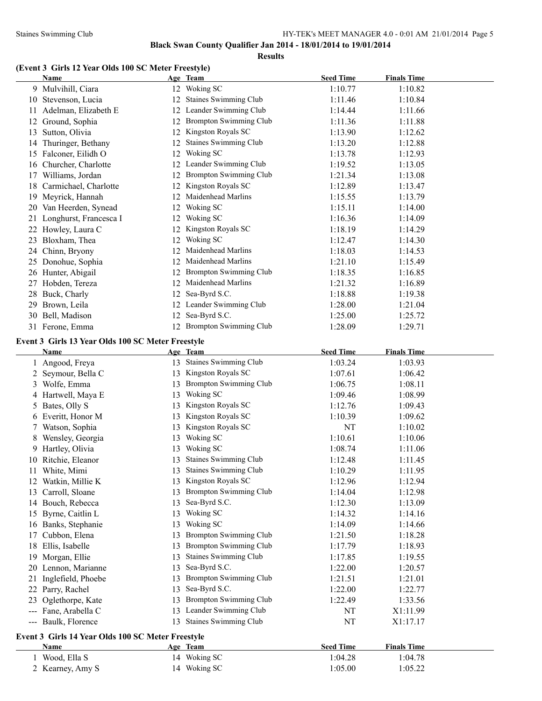#### Staines Swimming Club HY-TEK's MEET MANAGER 4.0 - 0:01 AM 21/01/2014 Page 5

**Black Swan County Qualifier Jan 2014 - 18/01/2014 to 19/01/2014**

**Results**

# **(Event 3 Girls 12 Year Olds 100 SC Meter Freestyle)**

| <b>Name</b>                                       |    | Age Team                      | <b>Seed Time</b> | <b>Finals Time</b> |
|---------------------------------------------------|----|-------------------------------|------------------|--------------------|
| 9 Mulvihill, Ciara                                |    | 12 Woking SC                  | 1:10.77          | 1:10.82            |
| 10 Stevenson, Lucia                               |    | 12 Staines Swimming Club      | 1:11.46          | 1:10.84            |
| 11 Adelman, Elizabeth E                           |    | 12 Leander Swimming Club      | 1:14.44          | 1:11.66            |
| 12 Ground, Sophia                                 |    | 12 Brompton Swimming Club     | 1:11.36          | 1:11.88            |
| 13 Sutton, Olivia                                 |    | 12 Kingston Royals SC         | 1:13.90          | 1:12.62            |
| 14 Thuringer, Bethany                             | 12 | Staines Swimming Club         | 1:13.20          | 1:12.88            |
| 15 Falconer, Eilidh O                             | 12 | Woking SC                     | 1:13.78          | 1:12.93            |
| 16 Churcher, Charlotte                            |    | 12 Leander Swimming Club      | 1:19.52          | 1:13.05            |
| 17 Williams, Jordan                               |    | 12 Brompton Swimming Club     | 1:21.34          | 1:13.08            |
| 18 Carmichael, Charlotte                          |    | 12 Kingston Royals SC         | 1:12.89          | 1:13.47            |
| 19 Meyrick, Hannah                                |    | 12 Maidenhead Marlins         | 1:15.55          | 1:13.79            |
| 20 Van Heerden, Synead                            |    | 12 Woking SC                  | 1:15.11          | 1:14.00            |
| 21 Longhurst, Francesca I                         |    | 12 Woking SC                  | 1:16.36          | 1:14.09            |
| 22 Howley, Laura C                                |    | 12 Kingston Royals SC         | 1:18.19          | 1:14.29            |
| 23 Bloxham, Thea                                  | 12 | Woking SC                     | 1:12.47          | 1:14.30            |
| 24 Chinn, Bryony                                  | 12 | Maidenhead Marlins            | 1:18.03          | 1:14.53            |
| 25 Donohue, Sophia                                |    | 12 Maidenhead Marlins         | 1:21.10          | 1:15.49            |
| 26 Hunter, Abigail                                |    | 12 Brompton Swimming Club     | 1:18.35          | 1:16.85            |
| 27 Hobden, Tereza                                 |    | 12 Maidenhead Marlins         | 1:21.32          | 1:16.89            |
| 28 Buck, Charly                                   |    | 12 Sea-Byrd S.C.              | 1:18.88          | 1:19.38            |
| 29 Brown, Leila                                   |    | 12 Leander Swimming Club      | 1:28.00          | 1:21.04            |
| 30 Bell, Madison                                  |    | 12 Sea-Byrd S.C.              | 1:25.00          | 1:25.72            |
| 31 Ferone, Emma                                   |    | 12 Brompton Swimming Club     | 1:28.09          | 1:29.71            |
|                                                   |    |                               |                  |                    |
| Event 3 Girls 13 Year Olds 100 SC Meter Freestyle |    |                               |                  |                    |
| Name                                              |    | Age Team                      | <b>Seed Time</b> | <b>Finals Time</b> |
| 1 Angood, Freya                                   |    | 13 Staines Swimming Club      | 1:03.24          | 1:03.93            |
| 2 Seymour, Bella C                                |    | 13 Kingston Royals SC         | 1:07.61          | 1:06.42            |
| 3 Wolfe, Emma                                     | 13 | <b>Brompton Swimming Club</b> | 1:06.75          | 1:08.11            |
| 4 Hartwell, Maya E                                | 13 | Woking SC                     | 1:09.46          | 1:08.99            |
| 5 Bates, Olly S                                   |    | 13 Kingston Royals SC         | 1:12.76          | 1:09.43            |
| 6 Everitt, Honor M                                |    | 13 Kingston Royals SC         | 1:10.39          | 1:09.62            |
| 7 Watson, Sophia                                  |    | 13 Kingston Royals SC         | NT               | 1:10.02            |
| 8 Wensley, Georgia                                | 13 | Woking SC                     | 1:10.61          | 1:10.06            |
| 9 Hartley, Olivia                                 |    | 13 Woking SC                  | 1:08.74          | 1:11.06            |
| 10 Ritchie, Eleanor                               |    | 13 Staines Swimming Club      | 1:12.48          | 1:11.45            |
| 11 White, Mimi                                    |    | 13 Staines Swimming Club      | 1:10.29          | 1:11.95            |
| 12 Watkin, Millie K                               |    | 13 Kingston Royals SC         | 1:12.96          | 1:12.94            |
| 13 Carroll, Sloane                                |    | 13 Brompton Swimming Club     | 1:14.04          | 1:12.98            |
| 14 Bouch, Rebecca                                 | 13 | Sea-Byrd S.C.                 | 1:12.30          | 1:13.09            |
| 15 Byrne, Caitlin L                               | 13 | Woking SC                     | 1:14.32          | 1:14.16            |
| 16 Banks, Stephanie                               | 13 | Woking SC                     | 1:14.09          | 1:14.66            |
| 17 Cubbon, Elena                                  | 13 | <b>Brompton Swimming Club</b> | 1:21.50          | 1:18.28            |
| 18 Ellis, Isabelle                                | 13 | <b>Brompton Swimming Club</b> | 1:17.79          | 1:18.93            |
| 19 Morgan, Ellie                                  | 13 | Staines Swimming Club         | 1:17.85          | 1:19.55            |
| 20 Lennon, Marianne                               |    | 13 Sea-Byrd S.C.              | 1:22.00          | 1:20.57            |
| 21 Inglefield, Phoebe                             | 13 | <b>Brompton Swimming Club</b> | 1:21.51          | 1:21.01            |
| 22 Parry, Rachel                                  | 13 | Sea-Byrd S.C.                 | 1:22.00          | 1:22.77            |
| 23 Oglethorpe, Kate                               |    | 13 Brompton Swimming Club     | 1:22.49          | 1:33.56            |
| --- Fane, Arabella C                              |    | 13 Leander Swimming Club      | NT               | X1:11.99           |
| --- Baulk, Florence                               |    | 13 Staines Swimming Club      | NT               | X1:17.17           |
|                                                   |    |                               |                  |                    |
| Event 3 Girls 14 Year Olds 100 SC Meter Freestyle |    |                               |                  | <b>Finals Time</b> |
| <b>Name</b>                                       |    | Age Team<br>14 Woking SC      | <b>Seed Time</b> |                    |
| 1 Wood, Ella S                                    |    |                               | 1:04.28          | 1:04.78            |
| 2 Kearney, Amy S                                  |    | 14 Woking SC                  | 1:05.00          | 1:05.22            |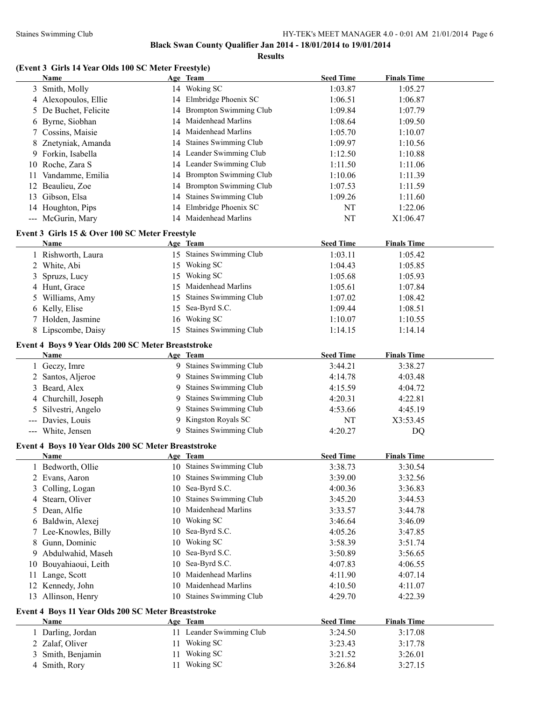**Results**

# **(Event 3 Girls 14 Year Olds 100 SC Meter Freestyle)**

|     | Name                                                   |    | Age Team                        | <b>Seed Time</b> | <b>Finals Time</b> |  |
|-----|--------------------------------------------------------|----|---------------------------------|------------------|--------------------|--|
|     | 3 Smith, Molly                                         |    | 14 Woking SC                    | 1:03.87          | 1:05.27            |  |
|     | 4 Alexopoulos, Ellie                                   |    | 14 Elmbridge Phoenix SC         | 1:06.51          | 1:06.87            |  |
|     | 5 De Buchet, Felicite                                  |    | 14 Brompton Swimming Club       | 1:09.84          | 1:07.79            |  |
|     | 6 Byrne, Siobhan                                       | 14 | Maidenhead Marlins              | 1:08.64          | 1:09.50            |  |
|     | 7 Cossins, Maisie                                      | 14 | Maidenhead Marlins              | 1:05.70          | 1:10.07            |  |
|     | 8 Znetyniak, Amanda                                    | 14 | Staines Swimming Club           | 1:09.97          | 1:10.56            |  |
|     | 9 Forkin, Isabella                                     |    | 14 Leander Swimming Club        | 1:12.50          | 1:10.88            |  |
|     | 10 Roche, Zara S                                       | 14 | Leander Swimming Club           | 1:11.50          | 1:11.06            |  |
| 11. | Vandamme, Emilia                                       | 14 | <b>Brompton Swimming Club</b>   | 1:10.06          | 1:11.39            |  |
| 12  | Beaulieu, Zoe                                          | 14 | <b>Brompton Swimming Club</b>   | 1:07.53          | 1:11.59            |  |
| 13  | Gibson, Elsa                                           | 14 | <b>Staines Swimming Club</b>    | 1:09.26          | 1:11.60            |  |
|     | 14 Houghton, Pips                                      | 14 | Elmbridge Phoenix SC            | NT               | 1:22.06            |  |
|     | --- McGurin, Mary                                      |    | 14 Maidenhead Marlins           | NT               | X1:06.47           |  |
|     |                                                        |    |                                 |                  |                    |  |
|     | Event 3 Girls 15 & Over 100 SC Meter Freestyle<br>Name |    | Age Team                        | <b>Seed Time</b> | <b>Finals Time</b> |  |
|     | 1 Rishworth, Laura                                     |    | 15 Staines Swimming Club        | 1:03.11          |                    |  |
|     |                                                        |    | Woking SC                       |                  | 1:05.42            |  |
|     | 2 White, Abi                                           | 15 |                                 | 1:04.43          | 1:05.85            |  |
| 3   | Spruzs, Lucy                                           | 15 | Woking SC<br>Maidenhead Marlins | 1:05.68          | 1:05.93            |  |
|     | 4 Hunt, Grace                                          | 15 |                                 | 1:05.61          | 1:07.84            |  |
|     | Williams, Amy                                          | 15 | <b>Staines Swimming Club</b>    | 1:07.02          | 1:08.42            |  |
|     | 6 Kelly, Elise                                         | 15 | Sea-Byrd S.C.                   | 1:09.44          | 1:08.51            |  |
|     | 7 Holden, Jasmine                                      | 16 | Woking SC                       | 1:10.07          | 1:10.55            |  |
|     | 8 Lipscombe, Daisy                                     | 15 | <b>Staines Swimming Club</b>    | 1:14.15          | 1:14.14            |  |
|     | Event 4 Boys 9 Year Olds 200 SC Meter Breaststroke     |    |                                 |                  |                    |  |
|     | Name                                                   |    | Age Team                        | <b>Seed Time</b> | <b>Finals Time</b> |  |
|     | 1 Geczy, Imre                                          |    | 9 Staines Swimming Club         | 3:44.21          | 3:38.27            |  |
|     | 2 Santos, Aljeroe                                      | 9  | Staines Swimming Club           | 4:14.78          | 4:03.48            |  |
| 3   | Beard, Alex                                            | 9  | <b>Staines Swimming Club</b>    | 4:15.59          | 4:04.72            |  |
| 4   | Churchill, Joseph                                      | 9  | Staines Swimming Club           | 4:20.31          | 4:22.81            |  |
| 5   | Silvestri, Angelo                                      | 9  | <b>Staines Swimming Club</b>    | 4:53.66          | 4:45.19            |  |
| --- | Davies, Louis                                          | 9  | Kingston Royals SC              | NT               | X3:53.45           |  |
|     | --- White, Jensen                                      | 9  | <b>Staines Swimming Club</b>    | 4:20.27          | <b>DQ</b>          |  |
|     | Event 4 Boys 10 Year Olds 200 SC Meter Breaststroke    |    |                                 |                  |                    |  |
|     | Name                                                   |    | Age Team                        | <b>Seed Time</b> | <b>Finals Time</b> |  |
|     | 1 Bedworth, Ollie                                      |    | 10 Staines Swimming Club        | 3:38.73          | 3:30.54            |  |
|     | 2 Evans, Aaron                                         |    | 10 Staines Swimming Club        | 3:39.00          | 3:32.56            |  |
| 3   | Colling, Logan                                         | 10 | Sea-Byrd S.C.                   | 4:00.36          | 3:36.83            |  |
|     | 4 Stearn, Oliver                                       | 10 | <b>Staines Swimming Club</b>    | 3:45.20          | 3:44.53            |  |
| 5.  | Dean, Alfie                                            | 10 | Maidenhead Marlins              | 3:33.57          | 3:44.78            |  |
|     | 6 Baldwin, Alexej                                      | 10 | Woking SC                       | 3:46.64          | 3:46.09            |  |
|     | 7 Lee-Knowles, Billy                                   |    | Sea-Byrd S.C.                   | 4:05.26          |                    |  |
|     | 8 Gunn, Dominic                                        | 10 | Woking SC                       |                  | 3:47.85            |  |
|     |                                                        | 10 | Sea-Byrd S.C.                   | 3:58.39          | 3:51.74            |  |
|     | 9 Abdulwahid, Maseh                                    | 10 | Sea-Byrd S.C.                   | 3:50.89          | 3:56.65            |  |
| 10  | Bouyahiaoui, Leith                                     | 10 | Maidenhead Marlins              | 4:07.83          | 4:06.55            |  |
| 11. | Lange, Scott                                           | 10 | Maidenhead Marlins              | 4:11.90          | 4:07.14            |  |
|     | 12 Kennedy, John                                       | 10 |                                 | 4:10.50          | 4:11.07            |  |
|     | 13 Allinson, Henry                                     |    | 10 Staines Swimming Club        | 4:29.70          | 4:22.39            |  |
|     | Event 4 Boys 11 Year Olds 200 SC Meter Breaststroke    |    |                                 |                  |                    |  |
|     | <b>Name</b>                                            |    | Age Team                        | <b>Seed Time</b> | <b>Finals Time</b> |  |
|     | 1 Darling, Jordan                                      |    | 11 Leander Swimming Club        | 3:24.50          | 3:17.08            |  |
|     | 2 Zalaf, Oliver                                        |    | 11 Woking SC                    | 3:23.43          | 3:17.78            |  |
| 3   | Smith, Benjamin                                        |    | 11 Woking SC                    | 3:21.52          | 3:26.01            |  |
| 4   | Smith, Rory                                            |    | 11 Woking SC                    | 3:26.84          | 3:27.15            |  |
|     |                                                        |    |                                 |                  |                    |  |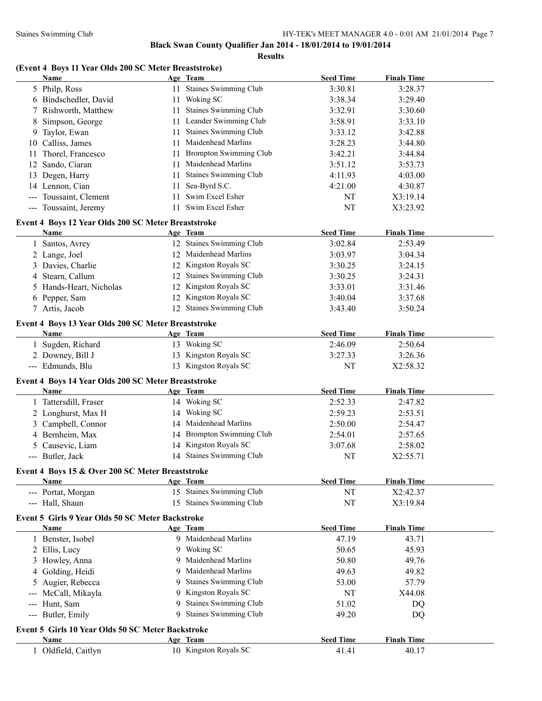|  |  | (Event 4 Boys 11 Year Olds 200 SC Meter Breaststroke) |  |
|--|--|-------------------------------------------------------|--|
|--|--|-------------------------------------------------------|--|

|                                                                                                                                                                                                                                                                                                                                                                                              | Name                                                |    | Age Team                      | <b>Seed Time</b> | <b>Finals Time</b> |  |
|----------------------------------------------------------------------------------------------------------------------------------------------------------------------------------------------------------------------------------------------------------------------------------------------------------------------------------------------------------------------------------------------|-----------------------------------------------------|----|-------------------------------|------------------|--------------------|--|
|                                                                                                                                                                                                                                                                                                                                                                                              | 5 Philp, Ross                                       |    | 11 Staines Swimming Club      | 3:30.81          | 3:28.37            |  |
|                                                                                                                                                                                                                                                                                                                                                                                              | 6 Bindschedler, David                               |    | 11 Woking SC                  | 3:38.34          | 3:29.40            |  |
| 7                                                                                                                                                                                                                                                                                                                                                                                            | Rishworth, Matthew                                  | 11 | <b>Staines Swimming Club</b>  | 3:32.91          | 3:30.60            |  |
| 8                                                                                                                                                                                                                                                                                                                                                                                            | Simpson, George                                     | 11 | Leander Swimming Club         | 3:58.91          | 3:33.10            |  |
|                                                                                                                                                                                                                                                                                                                                                                                              | 9 Taylor, Ewan                                      | 11 | Staines Swimming Club         | 3:33.12          | 3:42.88            |  |
|                                                                                                                                                                                                                                                                                                                                                                                              | 10 Calliss, James                                   | 11 | Maidenhead Marlins            | 3:28.23          | 3:44.80            |  |
| 11                                                                                                                                                                                                                                                                                                                                                                                           | Thorel, Francesco                                   | 11 | <b>Brompton Swimming Club</b> | 3:42.21          | 3:44.84            |  |
|                                                                                                                                                                                                                                                                                                                                                                                              | 12 Sando, Ciaran                                    | 11 | Maidenhead Marlins            | 3:51.12          | 3:53.73            |  |
|                                                                                                                                                                                                                                                                                                                                                                                              | 13 Degen, Harry                                     | 11 | <b>Staines Swimming Club</b>  | 4:11.93          | 4:03.00            |  |
|                                                                                                                                                                                                                                                                                                                                                                                              | 14 Lennon, Cian                                     | 11 | Sea-Byrd S.C.                 | 4:21.00          | 4:30.87            |  |
| $\frac{1}{2} \frac{1}{2} \frac{1}{2} \frac{1}{2} \frac{1}{2} \frac{1}{2} \frac{1}{2} \frac{1}{2} \frac{1}{2} \frac{1}{2} \frac{1}{2} \frac{1}{2} \frac{1}{2} \frac{1}{2} \frac{1}{2} \frac{1}{2} \frac{1}{2} \frac{1}{2} \frac{1}{2} \frac{1}{2} \frac{1}{2} \frac{1}{2} \frac{1}{2} \frac{1}{2} \frac{1}{2} \frac{1}{2} \frac{1}{2} \frac{1}{2} \frac{1}{2} \frac{1}{2} \frac{1}{2} \frac{$ | Toussaint, Clement                                  | 11 | Swim Excel Esher              | NT               | X3:19.14           |  |
|                                                                                                                                                                                                                                                                                                                                                                                              | --- Toussaint, Jeremy                               | 11 | Swim Excel Esher              | NT               | X3:23.92           |  |
|                                                                                                                                                                                                                                                                                                                                                                                              |                                                     |    |                               |                  |                    |  |
|                                                                                                                                                                                                                                                                                                                                                                                              | Event 4 Boys 12 Year Olds 200 SC Meter Breaststroke |    |                               |                  |                    |  |
|                                                                                                                                                                                                                                                                                                                                                                                              | Name                                                |    | Age Team                      | <b>Seed Time</b> | <b>Finals Time</b> |  |
| $\mathbf{1}$                                                                                                                                                                                                                                                                                                                                                                                 | Santos, Avrey                                       |    | 12 Staines Swimming Club      | 3:02.84          | 2:53.49            |  |
|                                                                                                                                                                                                                                                                                                                                                                                              | 2 Lange, Joel                                       |    | 12 Maidenhead Marlins         | 3:03.97          | 3:04.34            |  |
|                                                                                                                                                                                                                                                                                                                                                                                              | 3 Davies, Charlie                                   |    | 12 Kingston Royals SC         | 3:30.25          | 3:24.15            |  |
|                                                                                                                                                                                                                                                                                                                                                                                              | 4 Stearn, Callum                                    |    | 12 Staines Swimming Club      | 3:30.25          | 3:24.31            |  |
|                                                                                                                                                                                                                                                                                                                                                                                              | 5 Hands-Heart, Nicholas                             |    | 12 Kingston Royals SC         | 3:33.01          | 3:31.46            |  |
|                                                                                                                                                                                                                                                                                                                                                                                              | 6 Pepper, Sam                                       |    | 12 Kingston Royals SC         | 3:40.04          | 3:37.68            |  |
|                                                                                                                                                                                                                                                                                                                                                                                              | 7 Artis, Jacob                                      |    | 12 Staines Swimming Club      | 3:43.40          | 3:50.24            |  |
|                                                                                                                                                                                                                                                                                                                                                                                              | Event 4 Boys 13 Year Olds 200 SC Meter Breaststroke |    |                               |                  |                    |  |
|                                                                                                                                                                                                                                                                                                                                                                                              | <b>Name</b>                                         |    | Age Team                      | <b>Seed Time</b> | <b>Finals Time</b> |  |
| 1                                                                                                                                                                                                                                                                                                                                                                                            | Sugden, Richard                                     |    | 13 Woking SC                  | 2:46.09          | 2:50.64            |  |
|                                                                                                                                                                                                                                                                                                                                                                                              | 2 Downey, Bill J                                    |    | 13 Kingston Royals SC         | 3:27.33          | 3:26.36            |  |
|                                                                                                                                                                                                                                                                                                                                                                                              | --- Edmunds, Blu                                    |    | 13 Kingston Royals SC         | NT               | X2:58.32           |  |
|                                                                                                                                                                                                                                                                                                                                                                                              |                                                     |    |                               |                  |                    |  |
|                                                                                                                                                                                                                                                                                                                                                                                              | Event 4 Boys 14 Year Olds 200 SC Meter Breaststroke |    |                               |                  |                    |  |
|                                                                                                                                                                                                                                                                                                                                                                                              | <b>Name</b>                                         |    | Age Team                      | <b>Seed Time</b> | <b>Finals Time</b> |  |
|                                                                                                                                                                                                                                                                                                                                                                                              | 1 Tattersdill, Fraser                               |    | 14 Woking SC                  | 2:52.33          | 2:47.82            |  |
|                                                                                                                                                                                                                                                                                                                                                                                              | 2 Longhurst, Max H                                  |    | 14 Woking SC                  | 2:59.23          | 2:53.51            |  |
|                                                                                                                                                                                                                                                                                                                                                                                              | 3 Campbell, Connor                                  |    | 14 Maidenhead Marlins         | 2:50.00          | 2:54.47            |  |
|                                                                                                                                                                                                                                                                                                                                                                                              | 4 Bernheim, Max                                     |    | 14 Brompton Swimming Club     | 2:54.01          | 2:57.65            |  |
|                                                                                                                                                                                                                                                                                                                                                                                              | 5 Causevic, Liam                                    |    | 14 Kingston Royals SC         | 3:07.68          | 2:58.02            |  |
|                                                                                                                                                                                                                                                                                                                                                                                              | --- Butler, Jack                                    |    | 14 Staines Swimming Club      | NT               | X2:55.71           |  |
|                                                                                                                                                                                                                                                                                                                                                                                              | Event 4 Boys 15 & Over 200 SC Meter Breaststroke    |    |                               |                  |                    |  |
|                                                                                                                                                                                                                                                                                                                                                                                              | <b>Name</b>                                         |    | Age Team                      | <b>Seed Time</b> | <b>Finals Time</b> |  |
|                                                                                                                                                                                                                                                                                                                                                                                              | --- Portat, Morgan                                  |    | 15 Staines Swimming Club      | NT               | X2:42.37           |  |
|                                                                                                                                                                                                                                                                                                                                                                                              | --- Hall, Shaun                                     |    | 15 Staines Swimming Club      | NT               | X3:19.84           |  |
|                                                                                                                                                                                                                                                                                                                                                                                              |                                                     |    |                               |                  |                    |  |
|                                                                                                                                                                                                                                                                                                                                                                                              | Event 5 Girls 9 Year Olds 50 SC Meter Backstroke    |    |                               |                  |                    |  |
|                                                                                                                                                                                                                                                                                                                                                                                              | Name                                                |    | Age Team                      | <b>Seed Time</b> | <b>Finals Time</b> |  |
|                                                                                                                                                                                                                                                                                                                                                                                              | 1 Benster, Isobel                                   |    | 9 Maidenhead Marlins          | 47.19            | 43.71              |  |
|                                                                                                                                                                                                                                                                                                                                                                                              | 2 Ellis, Lucy                                       |    | 9 Woking SC                   | 50.65            | 45.93              |  |
|                                                                                                                                                                                                                                                                                                                                                                                              | 3 Howley, Anna                                      | 9  | Maidenhead Marlins            | 50.80            | 49.76              |  |
|                                                                                                                                                                                                                                                                                                                                                                                              | 4 Golding, Heidi                                    | 9  | Maidenhead Marlins            | 49.63            | 49.82              |  |
|                                                                                                                                                                                                                                                                                                                                                                                              | 5 Augier, Rebecca                                   | 9  | Staines Swimming Club         | 53.00            | 57.79              |  |
| $\frac{1}{2} \frac{1}{2} \frac{1}{2} \frac{1}{2} \frac{1}{2} \frac{1}{2} \frac{1}{2} \frac{1}{2} \frac{1}{2} \frac{1}{2} \frac{1}{2} \frac{1}{2} \frac{1}{2} \frac{1}{2} \frac{1}{2} \frac{1}{2} \frac{1}{2} \frac{1}{2} \frac{1}{2} \frac{1}{2} \frac{1}{2} \frac{1}{2} \frac{1}{2} \frac{1}{2} \frac{1}{2} \frac{1}{2} \frac{1}{2} \frac{1}{2} \frac{1}{2} \frac{1}{2} \frac{1}{2} \frac{$ | McCall, Mikayla                                     | 9  | Kingston Royals SC            | NT               | X44.08             |  |
|                                                                                                                                                                                                                                                                                                                                                                                              | --- Hunt, Sam                                       | 9  | Staines Swimming Club         | 51.02            | DQ                 |  |
|                                                                                                                                                                                                                                                                                                                                                                                              | --- Butler, Emily                                   | 9  | <b>Staines Swimming Club</b>  | 49.20            | DQ                 |  |
|                                                                                                                                                                                                                                                                                                                                                                                              | Event 5 Girls 10 Year Olds 50 SC Meter Backstroke   |    |                               |                  |                    |  |
|                                                                                                                                                                                                                                                                                                                                                                                              | Name                                                |    | Age Team                      | <b>Seed Time</b> | <b>Finals Time</b> |  |
|                                                                                                                                                                                                                                                                                                                                                                                              | 1 Oldfield, Caitlyn                                 |    | 10 Kingston Royals SC         | 41.41            | 40.17              |  |
|                                                                                                                                                                                                                                                                                                                                                                                              |                                                     |    |                               |                  |                    |  |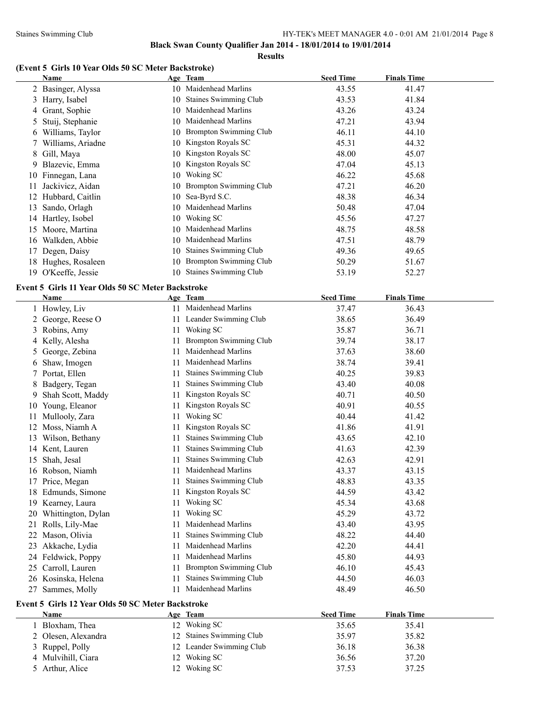**Results**

### **(Event 5 Girls 10 Year Olds 50 SC Meter Backstroke)**

|    | Name                                              |           | Age Team                                    | <b>Seed Time</b> | <b>Finals Time</b> |
|----|---------------------------------------------------|-----------|---------------------------------------------|------------------|--------------------|
|    | 2 Basinger, Alyssa                                |           | 10 Maidenhead Marlins                       | 43.55            | 41.47              |
| 3  | Harry, Isabel                                     | 10        | <b>Staines Swimming Club</b>                | 43.53            | 41.84              |
|    | 4 Grant, Sophie                                   |           | 10 Maidenhead Marlins                       | 43.26            | 43.24              |
| 5  | Stuij, Stephanie                                  |           | 10 Maidenhead Marlins                       | 47.21            | 43.94              |
| 6  | Williams, Taylor                                  |           | 10 Brompton Swimming Club                   | 46.11            | 44.10              |
| 7. | Williams, Ariadne                                 |           | 10 Kingston Royals SC                       | 45.31            | 44.32              |
| 8  | Gill, Maya                                        |           | 10 Kingston Royals SC                       | 48.00            | 45.07              |
| 9  | Blazevic, Emma                                    |           | 10 Kingston Royals SC                       | 47.04            | 45.13              |
|    | 10 Finnegan, Lana                                 |           | 10 Woking SC                                | 46.22            | 45.68              |
| 11 | Jackivicz, Aidan                                  |           | 10 Brompton Swimming Club                   | 47.21            | 46.20              |
|    | 12 Hubbard, Caitlin                               | 10        | Sea-Byrd S.C.                               | 48.38            | 46.34              |
| 13 | Sando, Orlagh                                     | 10        | Maidenhead Marlins                          | 50.48            | 47.04              |
|    | 14 Hartley, Isobel                                |           | 10 Woking SC                                | 45.56            | 47.27              |
|    | 15 Moore, Martina                                 | 10        | Maidenhead Marlins                          | 48.75            | 48.58              |
|    | 16 Walkden, Abbie                                 |           | 10 Maidenhead Marlins                       | 47.51            | 48.79              |
| 17 | Degen, Daisy                                      |           | 10 Staines Swimming Club                    | 49.36            | 49.65              |
|    | 18 Hughes, Rosaleen                               |           | 10 Brompton Swimming Club                   | 50.29            | 51.67              |
|    | 19 O'Keeffe, Jessie                               |           | 10 Staines Swimming Club                    | 53.19            | 52.27              |
|    | Event 5 Girls 11 Year Olds 50 SC Meter Backstroke |           |                                             |                  |                    |
|    | <b>Name</b>                                       |           | Age Team                                    | <b>Seed Time</b> | <b>Finals Time</b> |
|    | 1 Howley, Liv                                     |           | 11 Maidenhead Marlins                       | 37.47            | 36.43              |
| 2  | George, Reese O                                   |           | 11 Leander Swimming Club                    | 38.65            | 36.49              |
| 3  | Robins, Amy                                       |           | 11 Woking SC                                | 35.87            | 36.71              |
| 4  | Kelly, Alesha                                     | 11        | <b>Brompton Swimming Club</b>               | 39.74            | 38.17              |
| 5  | George, Zebina                                    | 11        | Maidenhead Marlins                          | 37.63            | 38.60              |
| 6  | Shaw, Imogen                                      | 11        | Maidenhead Marlins                          | 38.74            | 39.41              |
|    |                                                   |           | Staines Swimming Club                       | 40.25            |                    |
|    |                                                   |           |                                             |                  |                    |
| 7  | Portat, Ellen                                     | 11        |                                             |                  | 39.83              |
| 8  | Badgery, Tegan                                    | 11        | Staines Swimming Club                       | 43.40            | 40.08              |
| 9. | Shah Scott, Maddy                                 | 11        | Kingston Royals SC                          | 40.71            | 40.50              |
| 10 | Young, Eleanor                                    | 11        | Kingston Royals SC                          | 40.91            | 40.55              |
| 11 | Mullooly, Zara                                    | 11        | Woking SC                                   | 40.44            | 41.42              |
|    | 12 Moss, Niamh A                                  | 11        | Kingston Royals SC                          | 41.86            | 41.91              |
|    | 13 Wilson, Bethany                                | 11        | Staines Swimming Club                       | 43.65            | 42.10              |
|    | 14 Kent, Lauren                                   | 11        | Staines Swimming Club                       | 41.63            | 42.39              |
|    | 15 Shah, Jesal                                    |           | 11 Staines Swimming Club                    | 42.63            | 42.91              |
|    | 16 Robson, Niamh                                  |           | Maidenhead Marlins                          | 43.37            | 43.15              |
| 17 | Price, Megan                                      | 11        | Staines Swimming Club                       | 48.83            | 43.35              |
|    | 18 Edmunds, Simone                                | 11        | Kingston Royals SC                          | 44.59            | 43.42              |
| 19 | Kearney, Laura                                    | 11        | Woking SC                                   | 45.34            | 43.68              |
|    | 20 Whittington, Dylan                             | 11        | Woking SC                                   | 45.29            | 43.72              |
|    | 21 Rolls, Lily-Mae                                | 11        | Maidenhead Marlins                          | 43.40            | 43.95              |
|    | 22 Mason, Olivia                                  | 11        | Staines Swimming Club                       | 48.22            | 44.40              |
| 23 | Akkache, Lydia                                    | 11        | Maidenhead Marlins                          | 42.20            | 44.41              |
|    | 24 Feldwick, Poppy                                | 11        | Maidenhead Marlins                          | 45.80            | 44.93              |
|    | 25 Carroll, Lauren                                | 11        | <b>Brompton Swimming Club</b>               | 46.10            | 45.43              |
|    | 26 Kosinska, Helena<br>27 Sammes, Molly           | 11<br>11. | Staines Swimming Club<br>Maidenhead Marlins | 44.50<br>48.49   | 46.03<br>46.50     |

# **Event 5 Girls 12 Year Olds 50 SC Meter Backstroke**

| <b>Name</b>         |                | Age Team                 | <b>Seed Time</b> | <b>Finals Time</b> |  |
|---------------------|----------------|--------------------------|------------------|--------------------|--|
| Bloxham, Thea       |                | 12 Woking SC             | 35.65            | 35.41              |  |
| 2 Olesen, Alexandra |                | 12 Staines Swimming Club | 35.97            | 35.82              |  |
| 3 Ruppel, Polly     |                | 12 Leander Swimming Club | 36.18            | 36.38              |  |
| 4 Mulvihill, Ciara  | $\overline{2}$ | Woking SC                | 36.56            | 37.20              |  |
| 5 Arthur, Alice     |                | 12 Woking SC             | 37.53            | 37.25              |  |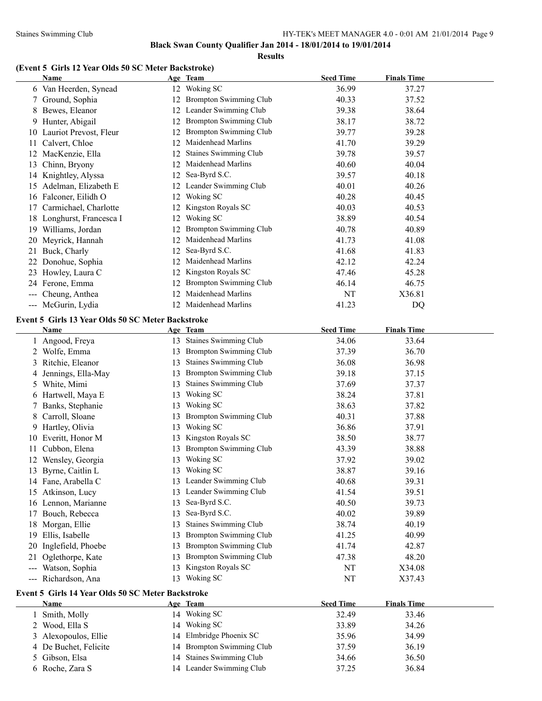#### Staines Swimming Club HY-TEK's MEET MANAGER 4.0 - 0:01 AM 21/01/2014 Page 9

**Black Swan County Qualifier Jan 2014 - 18/01/2014 to 19/01/2014**

**Results**

### **(Event 5 Girls 12 Year Olds 50 SC Meter Backstroke)**

|       | Name                                              |    | Age Team                      | <b>Seed Time</b> | <b>Finals Time</b> |
|-------|---------------------------------------------------|----|-------------------------------|------------------|--------------------|
|       | 6 Van Heerden, Synead                             |    | 12 Woking SC                  | 36.99            | 37.27              |
|       | 7 Ground, Sophia                                  |    | 12 Brompton Swimming Club     | 40.33            | 37.52              |
|       | 8 Bewes, Eleanor                                  |    | 12 Leander Swimming Club      | 39.38            | 38.64              |
| 9     | Hunter, Abigail                                   |    | 12 Brompton Swimming Club     | 38.17            | 38.72              |
|       | 10 Lauriot Prevost, Fleur                         |    | 12 Brompton Swimming Club     | 39.77            | 39.28              |
|       | 11 Calvert, Chloe                                 |    | 12 Maidenhead Marlins         | 41.70            | 39.29              |
|       | 12 MacKenzie, Ella                                |    | 12 Staines Swimming Club      | 39.78            | 39.57              |
|       | 13 Chinn, Bryony                                  |    | 12 Maidenhead Marlins         | 40.60            | 40.04              |
|       | 14 Knightley, Alyssa                              |    | 12 Sea-Byrd S.C.              | 39.57            | 40.18              |
|       | 15 Adelman, Elizabeth E                           |    | 12 Leander Swimming Club      | 40.01            | 40.26              |
|       | 16 Falconer, Eilidh O                             |    | 12 Woking SC                  | 40.28            | 40.45              |
|       | 17 Carmichael, Charlotte                          |    | 12 Kingston Royals SC         | 40.03            | 40.53              |
|       | 18 Longhurst, Francesca I                         |    | 12 Woking SC                  | 38.89            | 40.54              |
|       | 19 Williams, Jordan                               |    | 12 Brompton Swimming Club     | 40.78            | 40.89              |
|       | 20 Meyrick, Hannah                                |    | 12 Maidenhead Marlins         | 41.73            | 41.08              |
|       | 21 Buck, Charly                                   |    | 12 Sea-Byrd S.C.              | 41.68            | 41.83              |
|       | 22 Donohue, Sophia                                |    | 12 Maidenhead Marlins         | 42.12            | 42.24              |
|       | 23 Howley, Laura C                                |    | 12 Kingston Royals SC         | 47.46            | 45.28              |
|       | 24 Ferone, Emma                                   |    | 12 Brompton Swimming Club     | 46.14            | 46.75              |
|       | --- Cheung, Anthea                                |    | 12 Maidenhead Marlins         | NT               | X36.81             |
|       | --- McGurin, Lydia                                |    | 12 Maidenhead Marlins         | 41.23            | DQ                 |
|       | Event 5 Girls 13 Year Olds 50 SC Meter Backstroke |    |                               |                  |                    |
|       | Name                                              |    | Age Team                      | <b>Seed Time</b> | <b>Finals Time</b> |
|       | 1 Angood, Freya                                   |    | 13 Staines Swimming Club      | 34.06            | 33.64              |
|       | 2 Wolfe, Emma                                     |    | 13 Brompton Swimming Club     | 37.39            | 36.70              |
|       | 3 Ritchie, Eleanor                                | 13 | <b>Staines Swimming Club</b>  | 36.08            | 36.98              |
| 4     | Jennings, Ella-May                                | 13 | Brompton Swimming Club        | 39.18            | 37.15              |
|       | 5 White, Mimi                                     | 13 | Staines Swimming Club         | 37.69            | 37.37              |
|       | 6 Hartwell, Maya E                                | 13 | Woking SC                     | 38.24            | 37.81              |
| Τ     | Banks, Stephanie                                  | 13 | Woking SC                     | 38.63            | 37.82              |
|       | 8 Carroll, Sloane                                 | 13 | <b>Brompton Swimming Club</b> | 40.31            | 37.88              |
|       | 9 Hartley, Olivia                                 |    | 13 Woking SC                  | 36.86            | 37.91              |
|       | 10 Everitt, Honor M                               |    | 13 Kingston Royals SC         | 38.50            | 38.77              |
|       | 11 Cubbon, Elena                                  |    | 13 Brompton Swimming Club     | 43.39            | 38.88              |
|       | 12 Wensley, Georgia                               |    | 13 Woking SC                  | 37.92            | 39.02              |
|       | 13 Byrne, Caitlin L                               |    | 13 Woking SC                  | 38.87            | 39.16              |
|       | 14 Fane, Arabella C                               |    | 13 Leander Swimming Club      | 40.68            | 39.31              |
|       | 15 Atkinson, Lucy                                 |    | 13 Leander Swimming Club      | 41.54            | 39.51              |
|       | 16 Lennon, Marianne                               | 13 | Sea-Byrd S.C.                 | 40.50            | 39.73              |
|       | 17 Bouch, Rebecca                                 | 13 | Sea-Byrd S.C.                 | 40.02            | 39.89              |
|       | 18 Morgan, Ellie                                  | 13 | Staines Swimming Club         | 38.74            | 40.19              |
|       | 19 Ellis, Isabelle                                | 13 | <b>Brompton Swimming Club</b> | 41.25            | 40.99              |
|       | 20 Inglefield, Phoebe                             | 13 | Brompton Swimming Club        | 41.74            | 42.87              |
| 21    | Oglethorpe, Kate                                  | 13 | <b>Brompton Swimming Club</b> | 47.38            | 48.20              |
|       | --- Watson, Sophia                                |    | 13 Kingston Royals SC         | NT               | X34.08             |
| $---$ | Richardson, Ana                                   |    | 13 Woking SC                  | NT               | X37.43             |
|       |                                                   |    |                               |                  |                    |

| <b>Name</b>           | Age Team                  | <b>Seed Time</b> | <b>Finals Time</b> |  |
|-----------------------|---------------------------|------------------|--------------------|--|
| Smith, Molly          | Woking SC<br>14           | 32.49            | 33.46              |  |
| 2 Wood, Ella S        | Woking SC<br>14           | 33.89            | 34.26              |  |
| 3 Alexopoulos, Ellie  | 14 Elmbridge Phoenix SC   | 35.96            | 34.99              |  |
| 4 De Buchet, Felicite | 14 Brompton Swimming Club | 37.59            | 36.19              |  |
| 5 Gibson, Elsa        | 14 Staines Swimming Club  | 34.66            | 36.50              |  |
| 6 Roche, Zara S       | 14 Leander Swimming Club  | 37.25            | 36.84              |  |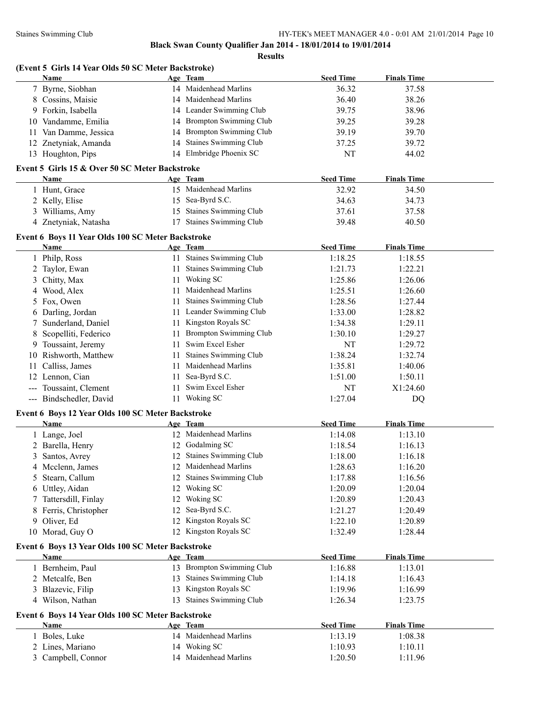|                | (Event 5 Girls 14 Year Olds 50 SC Meter Backstroke)<br>Name |    | Age Team                              | <b>Seed Time</b> | <b>Finals Time</b> |  |
|----------------|-------------------------------------------------------------|----|---------------------------------------|------------------|--------------------|--|
|                | 7 Byrne, Siobhan                                            |    | 14 Maidenhead Marlins                 | 36.32            | 37.58              |  |
|                | 8 Cossins, Maisie                                           |    | 14 Maidenhead Marlins                 | 36.40            | 38.26              |  |
|                | 9 Forkin, Isabella                                          |    | 14 Leander Swimming Club              | 39.75            | 38.96              |  |
| 10             | Vandamme, Emilia                                            |    | 14 Brompton Swimming Club             | 39.25            | 39.28              |  |
| 11             | Van Damme, Jessica                                          |    | 14 Brompton Swimming Club             | 39.19            | 39.70              |  |
| 12             | Znetyniak, Amanda                                           | 14 | <b>Staines Swimming Club</b>          | 37.25            | 39.72              |  |
|                | 13 Houghton, Pips                                           |    | 14 Elmbridge Phoenix SC               | <b>NT</b>        | 44.02              |  |
|                |                                                             |    |                                       |                  |                    |  |
|                | Event 5 Girls 15 & Over 50 SC Meter Backstroke              |    |                                       |                  |                    |  |
|                | <b>Name</b>                                                 |    | Age Team<br>15 Maidenhead Marlins     | <b>Seed Time</b> | <b>Finals Time</b> |  |
|                | 1 Hunt, Grace                                               |    |                                       | 32.92            | 34.50              |  |
|                | 2 Kelly, Elise                                              |    | 15 Sea-Byrd S.C.                      | 34.63            | 34.73              |  |
|                | 3 Williams, Amy                                             |    | 15 Staines Swimming Club              | 37.61            | 37.58              |  |
|                | 4 Znetyniak, Natasha                                        |    | 17 Staines Swimming Club              | 39.48            | 40.50              |  |
|                | Event 6 Boys 11 Year Olds 100 SC Meter Backstroke           |    |                                       |                  |                    |  |
|                | Name                                                        |    | Age Team                              | <b>Seed Time</b> | <b>Finals Time</b> |  |
|                | 1 Philp, Ross                                               |    | 11 Staines Swimming Club              | 1:18.25          | 1:18.55            |  |
| 2              | Taylor, Ewan                                                |    | 11 Staines Swimming Club              | 1:21.73          | 1:22.21            |  |
| 3              | Chitty, Max                                                 |    | 11 Woking SC                          | 1:25.86          | 1:26.06            |  |
| 4              | Wood, Alex                                                  | 11 | Maidenhead Marlins                    | 1:25.51          | 1:26.60            |  |
| 5              | Fox, Owen                                                   | 11 | <b>Staines Swimming Club</b>          | 1:28.56          | 1:27.44            |  |
| 6              | Darling, Jordan                                             |    | 11 Leander Swimming Club              | 1:33.00          | 1:28.82            |  |
| 7              | Sunderland, Daniel                                          |    | 11 Kingston Royals SC                 | 1:34.38          | 1:29.11            |  |
| 8              | Scopelliti, Federico                                        | 11 | <b>Brompton Swimming Club</b>         | 1:30.10          | 1:29.27            |  |
| 9.             | Toussaint, Jeremy                                           | 11 | Swim Excel Esher                      | NT               | 1:29.72            |  |
| 10             | Rishworth, Matthew                                          | 11 | <b>Staines Swimming Club</b>          | 1:38.24          | 1:32.74            |  |
| 11             | Calliss, James                                              | 11 | Maidenhead Marlins                    | 1:35.81          | 1:40.06            |  |
| 12             | Lennon, Cian                                                | 11 | Sea-Byrd S.C.                         | 1:51.00          | 1:50.11            |  |
|                | Toussaint, Clement                                          | 11 | Swim Excel Esher                      | NT               | X1:24.60           |  |
|                | --- Bindschedler, David                                     |    | 11 Woking SC                          | 1:27.04          | DQ                 |  |
|                | Event 6 Boys 12 Year Olds 100 SC Meter Backstroke           |    |                                       |                  |                    |  |
|                | Name                                                        |    | Age Team                              | <b>Seed Time</b> | <b>Finals Time</b> |  |
|                | 1 Lange, Joel                                               |    | 12 Maidenhead Marlins                 | 1:14.08          | 1:13.10            |  |
|                | 2 Barella, Henry                                            |    | 12 Godalming SC                       | 1:18.54          | 1:16.13            |  |
| $\mathfrak{Z}$ | Santos, Avrey                                               |    | 12 Staines Swimming Club              | 1:18.00          | 1:16.18            |  |
|                | 4 Mcclenn, James                                            |    | 12 Maidenhead Marlins                 | 1:28.63          | 1:16.20            |  |
| 5              | Stearn, Callum                                              |    | 12 Staines Swimming Club              | 1:17.88          | 1:16.56            |  |
| 6              | Uttley, Aidan                                               |    | 12 Woking SC                          | 1:20.09          | 1:20.04            |  |
| 7              | Tattersdill, Finlay                                         | 12 | Woking SC                             | 1:20.89          | 1:20.43            |  |
| 8              | Ferris, Christopher                                         | 12 | Sea-Byrd S.C.                         | 1:21.27          | 1:20.49            |  |
| 9              | Oliver, Ed                                                  | 12 | Kingston Royals SC                    | 1:22.10          | 1:20.89            |  |
|                | 10 Morad, Guy O                                             |    | 12 Kingston Royals SC                 | 1:32.49          | 1:28.44            |  |
|                | Event 6 Boys 13 Year Olds 100 SC Meter Backstroke           |    |                                       |                  |                    |  |
|                | <b>Name</b>                                                 |    | Age Team                              | <b>Seed Time</b> | <b>Finals Time</b> |  |
|                | 1 Bernheim, Paul                                            |    | 13 Brompton Swimming Club             | 1:16.88          | 1:13.01            |  |
|                | 2 Metcalfe, Ben                                             |    | 13 Staines Swimming Club              | 1:14.18          | 1:16.43            |  |
| 3              | Blazevic, Filip                                             | 13 | Kingston Royals SC                    | 1:19.96          | 1:16.99            |  |
|                | 4 Wilson, Nathan                                            | 13 | <b>Staines Swimming Club</b>          | 1:26.34          | 1:23.75            |  |
|                | Event 6 Boys 14 Year Olds 100 SC Meter Backstroke           |    |                                       |                  |                    |  |
|                |                                                             |    | Age Team                              | <b>Seed Time</b> | <b>Finals Time</b> |  |
|                | Name                                                        |    |                                       |                  |                    |  |
|                | 1 Boles, Luke                                               |    | 14 Maidenhead Marlins                 | 1:13.19          | 1:08.38            |  |
|                | 2 Lines, Mariano                                            |    | 14 Woking SC<br>14 Maidenhead Marlins | 1:10.93          | 1:10.11            |  |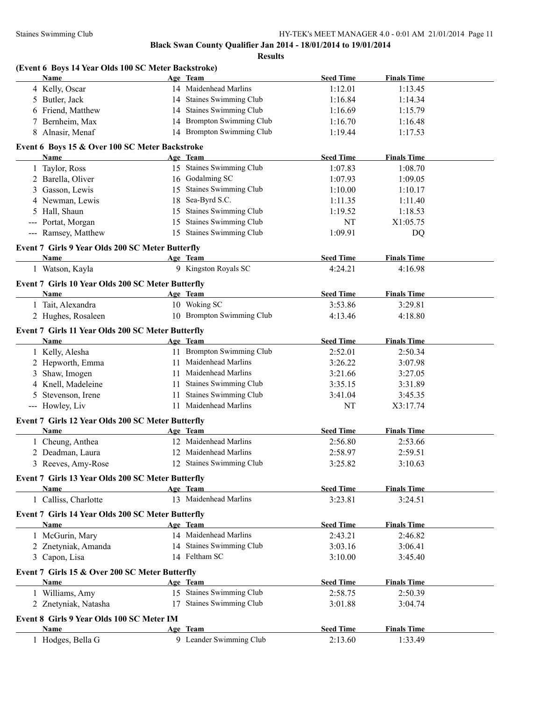| (Event 6 Boys 14 Year Olds 100 SC Meter Backstroke)<br><b>Name</b> |    | Age Team                  | <b>Seed Time</b> | <b>Finals Time</b>  |
|--------------------------------------------------------------------|----|---------------------------|------------------|---------------------|
| 4 Kelly, Oscar                                                     |    | 14 Maidenhead Marlins     | 1:12.01          | 1:13.45             |
| 5 Butler, Jack                                                     |    | 14 Staines Swimming Club  | 1:16.84          | 1:14.34             |
| 6 Friend, Matthew                                                  |    | 14 Staines Swimming Club  | 1:16.69          | 1:15.79             |
| 7 Bernheim, Max                                                    |    | 14 Brompton Swimming Club | 1:16.70          | 1:16.48             |
| 8 Alnasir, Menaf                                                   |    | 14 Brompton Swimming Club | 1:19.44          | 1:17.53             |
| Event 6 Boys 15 & Over 100 SC Meter Backstroke                     |    |                           |                  |                     |
| <b>Name</b>                                                        |    | Age Team                  | <b>Seed Time</b> | <b>Finals Time</b>  |
| 1 Taylor, Ross                                                     |    | 15 Staines Swimming Club  | 1:07.83          | 1:08.70             |
| 2 Barella, Oliver                                                  |    | 16 Godalming SC           | 1:07.93          | 1:09.05             |
| 3 Gasson, Lewis                                                    |    | 15 Staines Swimming Club  | 1:10.00          | 1:10.17             |
| 4 Newman, Lewis                                                    |    | 18 Sea-Byrd S.C.          | 1:11.35          | 1:11.40             |
| 5 Hall, Shaun                                                      |    | 15 Staines Swimming Club  | 1:19.52          | 1:18.53             |
| --- Portat, Morgan                                                 |    | 15 Staines Swimming Club  | NT               | X1:05.75            |
| --- Ramsey, Matthew                                                |    | 15 Staines Swimming Club  | 1:09.91          | DQ                  |
| Event 7 Girls 9 Year Olds 200 SC Meter Butterfly                   |    |                           |                  |                     |
| Name                                                               |    | Age Team                  | <b>Seed Time</b> | <b>Finals Time</b>  |
| 1 Watson, Kayla                                                    |    | 9 Kingston Royals SC      | 4:24.21          | 4:16.98             |
| Event 7 Girls 10 Year Olds 200 SC Meter Butterfly                  |    |                           |                  |                     |
| Name                                                               |    | Age Team                  | <b>Seed Time</b> | <b>Finals Time</b>  |
| 1 Tait, Alexandra                                                  |    | 10 Woking SC              | 3:53.86          | 3:29.81             |
| 2 Hughes, Rosaleen                                                 |    | 10 Brompton Swimming Club | 4:13.46          | 4:18.80             |
|                                                                    |    |                           |                  |                     |
| Event 7 Girls 11 Year Olds 200 SC Meter Butterfly<br>Name          |    | Age Team                  | <b>Seed Time</b> | <b>Finals Time</b>  |
| 1 Kelly, Alesha                                                    |    | 11 Brompton Swimming Club | 2:52.01          | 2:50.34             |
| 2 Hepworth, Emma                                                   |    | 11 Maidenhead Marlins     | 3:26.22          | 3:07.98             |
| 3 Shaw, Imogen                                                     |    | 11 Maidenhead Marlins     | 3:21.66          | 3:27.05             |
| 4 Knell, Madeleine                                                 |    | Staines Swimming Club     |                  | 3:31.89             |
|                                                                    | 11 | 11 Staines Swimming Club  | 3:35.15          |                     |
| Stevenson, Irene<br>5<br>--- Howley, Liv                           |    | 11 Maidenhead Marlins     | 3:41.04<br>NT    | 3:45.35<br>X3:17.74 |
|                                                                    |    |                           |                  |                     |
| Event 7 Girls 12 Year Olds 200 SC Meter Butterfly                  |    |                           |                  |                     |
| Name                                                               |    | Age Team                  | <b>Seed Time</b> | <b>Finals Time</b>  |
| 1 Cheung, Anthea                                                   |    | 12 Maidenhead Marlins     | 2:56.80          | 2:53.66             |
| 2 Deadman, Laura                                                   |    | 12 Maidenhead Marlins     | 2:58.97          | 2:59.51             |
| 3 Reeves, Amy-Rose                                                 |    | 12 Staines Swimming Club  | 3:25.82          | 3:10.63             |
| Event 7 Girls 13 Year Olds 200 SC Meter Butterfly                  |    |                           |                  |                     |
| Name                                                               |    | Age Team                  | <b>Seed Time</b> | <b>Finals Time</b>  |
| 1 Calliss, Charlotte                                               |    | 13 Maidenhead Marlins     | 3:23.81          | 3:24.51             |
| Event 7 Girls 14 Year Olds 200 SC Meter Butterfly                  |    |                           |                  |                     |
| Name                                                               |    | Age Team                  | <b>Seed Time</b> | <b>Finals Time</b>  |
| 1 McGurin, Mary                                                    |    | 14 Maidenhead Marlins     | 2:43.21          | 2:46.82             |
| 2 Znetyniak, Amanda                                                |    | 14 Staines Swimming Club  | 3:03.16          | 3:06.41             |
| 3 Capon, Lisa                                                      |    | 14 Feltham SC             | 3:10.00          | 3:45.40             |
| Event 7 Girls 15 & Over 200 SC Meter Butterfly                     |    |                           |                  |                     |
| Name                                                               |    | Age Team                  | <b>Seed Time</b> | <b>Finals Time</b>  |
| 1 Williams, Amy                                                    |    | 15 Staines Swimming Club  | 2:58.75          | 2:50.39             |
| 2 Znetyniak, Natasha                                               |    | 17 Staines Swimming Club  | 3:01.88          | 3:04.74             |
| Event 8 Girls 9 Year Olds 100 SC Meter IM                          |    |                           |                  |                     |
| <b>Name</b>                                                        |    | Age Team                  | <b>Seed Time</b> | <b>Finals Time</b>  |
| 1 Hodges, Bella G                                                  |    | 9 Leander Swimming Club   | 2:13.60          | 1:33.49             |
|                                                                    |    |                           |                  |                     |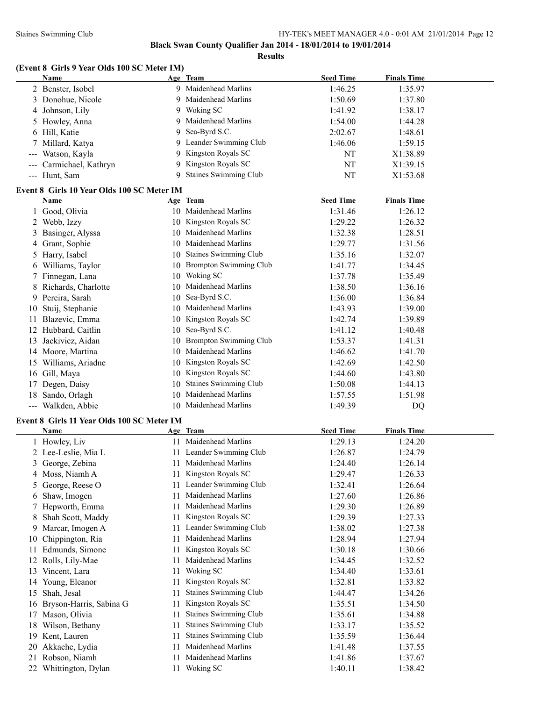#### Staines Swimming Club HY-TEK's MEET MANAGER 4.0 - 0:01 AM 21/01/2014 Page 12

**Black Swan County Qualifier Jan 2014 - 18/01/2014 to 19/01/2014**

**Results**

# **(Event 8 Girls 9 Year Olds 100 SC Meter IM)**

|     | Name                                       |    | Age Team                  | <b>Seed Time</b> | <b>Finals Time</b> |  |
|-----|--------------------------------------------|----|---------------------------|------------------|--------------------|--|
|     | 2 Benster, Isobel                          |    | 9 Maidenhead Marlins      | 1:46.25          | 1:35.97            |  |
|     | 3 Donohue, Nicole                          |    | 9 Maidenhead Marlins      | 1:50.69          | 1:37.80            |  |
| 4   | Johnson, Lily                              |    | 9 Woking SC               | 1:41.92          | 1:38.17            |  |
|     | 5 Howley, Anna                             | 9  | Maidenhead Marlins        | 1:54.00          | 1:44.28            |  |
|     | 6 Hill, Katie                              | 9  | Sea-Byrd S.C.             | 2:02.67          | 1:48.61            |  |
| 7   | Millard, Katya                             |    | 9 Leander Swimming Club   | 1:46.06          | 1:59.15            |  |
| --- | Watson, Kayla                              | 9  | Kingston Royals SC        | NT               | X1:38.89           |  |
|     | Carmichael, Kathryn                        |    | 9 Kingston Royals SC      | NT               | X1:39.15           |  |
|     | --- Hunt, Sam                              |    | 9 Staines Swimming Club   | NT               | X1:53.68           |  |
|     |                                            |    |                           |                  |                    |  |
|     | Event 8 Girls 10 Year Olds 100 SC Meter IM |    |                           |                  |                    |  |
|     | <b>Name</b>                                |    | Age Team                  | <b>Seed Time</b> | <b>Finals Time</b> |  |
|     | 1 Good, Olivia                             |    | 10 Maidenhead Marlins     | 1:31.46          | 1:26.12            |  |
|     | 2 Webb, Izzy                               |    | 10 Kingston Royals SC     | 1:29.22          | 1:26.32            |  |
|     | 3 Basinger, Alyssa                         |    | 10 Maidenhead Marlins     | 1:32.38          | 1:28.51            |  |
|     | 4 Grant, Sophie                            |    | 10 Maidenhead Marlins     | 1:29.77          | 1:31.56            |  |
|     | 5 Harry, Isabel                            |    | 10 Staines Swimming Club  | 1:35.16          | 1:32.07            |  |
|     | 6 Williams, Taylor                         |    | 10 Brompton Swimming Club | 1:41.77          | 1:34.45            |  |
|     | 7 Finnegan, Lana                           |    | 10 Woking SC              | 1:37.78          | 1:35.49            |  |
|     | 8 Richards, Charlotte                      |    | 10 Maidenhead Marlins     | 1:38.50          | 1:36.16            |  |
|     | 9 Pereira, Sarah                           |    | 10 Sea-Byrd S.C.          | 1:36.00          | 1:36.84            |  |
| 10  | Stuij, Stephanie                           |    | 10 Maidenhead Marlins     | 1:43.93          | 1:39.00            |  |
| 11  | Blazevic, Emma                             |    | 10 Kingston Royals SC     | 1:42.74          | 1:39.89            |  |
|     | 12 Hubbard, Caitlin                        |    | 10 Sea-Byrd S.C.          | 1:41.12          | 1:40.48            |  |
| 13  | Jackivicz, Aidan                           |    | 10 Brompton Swimming Club | 1:53.37          | 1:41.31            |  |
|     | 14 Moore, Martina                          |    | 10 Maidenhead Marlins     | 1:46.62          | 1:41.70            |  |
|     | 15 Williams, Ariadne                       |    | 10 Kingston Royals SC     | 1:42.69          | 1:42.50            |  |
|     | 16 Gill, Maya                              |    | 10 Kingston Royals SC     | 1:44.60          | 1:43.80            |  |
| 17  | Degen, Daisy                               |    | 10 Staines Swimming Club  | 1:50.08          | 1:44.13            |  |
|     | 18 Sando, Orlagh                           |    | 10 Maidenhead Marlins     | 1:57.55          | 1:51.98            |  |
|     | --- Walkden, Abbie                         |    | 10 Maidenhead Marlins     | 1:49.39          | DQ                 |  |
|     | Event 8 Girls 11 Year Olds 100 SC Meter IM |    |                           |                  |                    |  |
|     | Name                                       |    | Age Team                  | <b>Seed Time</b> | <b>Finals Time</b> |  |
|     | 1 Howley, Liv                              |    | 11 Maidenhead Marlins     | 1:29.13          | 1:24.20            |  |
|     | 2 Lee-Leslie, Mia L                        |    | 11 Leander Swimming Club  | 1:26.87          | 1:24.79            |  |
|     | 3 George, Zebina                           |    | 11 Maidenhead Marlins     | 1:24.40          | 1:26.14            |  |
| 4   | Moss, Niamh A                              |    | 11 Kingston Royals SC     | 1:29.47          | 1:26.33            |  |
| 5.  | George, Reese O                            |    | Leander Swimming Club     | 1:32.41          | 1:26.64            |  |
| 6   | Shaw, Imogen                               | 11 | Maidenhead Marlins        | 1:27.60          | 1:26.86            |  |
|     | Hepworth, Emma                             | 11 | Maidenhead Marlins        | 1:29.30          | 1:26.89            |  |
| 8   | Shah Scott, Maddy                          | 11 | Kingston Royals SC        | 1:29.39          | 1:27.33            |  |
| 9.  | Marcar, Imogen A                           | 11 | Leander Swimming Club     | 1:38.02          | 1:27.38            |  |
| 10  | Chippington, Ria                           | 11 | Maidenhead Marlins        | 1:28.94          | 1:27.94            |  |
| 11. | Edmunds, Simone                            | 11 | Kingston Royals SC        | 1:30.18          | 1:30.66            |  |
|     | 12 Rolls, Lily-Mae                         | 11 | Maidenhead Marlins        | 1:34.45          | 1:32.52            |  |
| 13  | Vincent, Lara                              | 11 | Woking SC                 | 1:34.40          | 1:33.61            |  |
| 14  | Young, Eleanor                             | 11 | Kingston Royals SC        | 1:32.81          | 1:33.82            |  |
| 15  | Shah, Jesal                                | 11 | Staines Swimming Club     | 1:44.47          | 1:34.26            |  |
| 16  | Bryson-Harris, Sabina G                    | 11 | Kingston Royals SC        | 1:35.51          | 1:34.50            |  |
| 17  | Mason, Olivia                              | 11 | Staines Swimming Club     | 1:35.61          | 1:34.88            |  |
| 18  | Wilson, Bethany                            | 11 | Staines Swimming Club     | 1:33.17          | 1:35.52            |  |
| 19  | Kent, Lauren                               | 11 | Staines Swimming Club     | 1:35.59          | 1:36.44            |  |
| 20  | Akkache, Lydia                             | 11 | Maidenhead Marlins        | 1:41.48          | 1:37.55            |  |
| 21  | Robson, Niamh                              | 11 | Maidenhead Marlins        | 1:41.86          | 1:37.67            |  |
|     | 22 Whittington, Dylan                      |    | 11 Woking SC              | 1:40.11          | 1:38.42            |  |
|     |                                            |    |                           |                  |                    |  |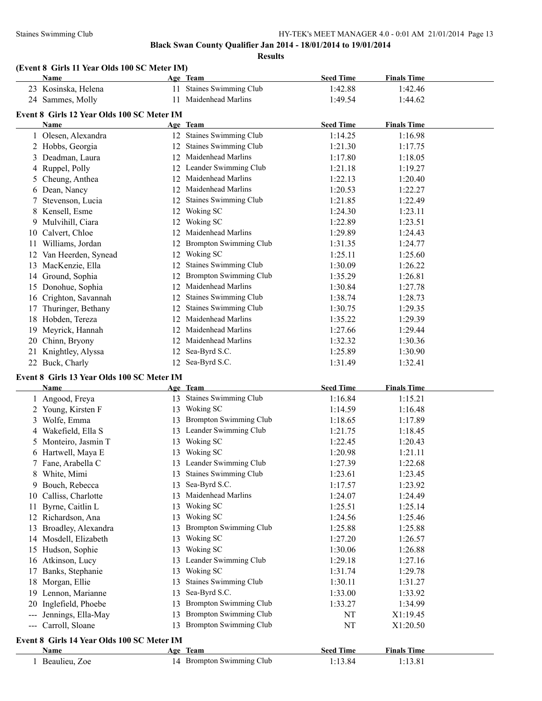**Results**

| (Event 8 Girls 11 Year Olds 100 SC Meter IM) |  |  |
|----------------------------------------------|--|--|
|----------------------------------------------|--|--|

|    | Name                                       |     | Age Team                      | <b>Seed Time</b> | <b>Finals Time</b> |  |  |  |  |
|----|--------------------------------------------|-----|-------------------------------|------------------|--------------------|--|--|--|--|
|    | 23 Kosinska, Helena                        | 11. | <b>Staines Swimming Club</b>  | 1:42.88          | 1:42.46            |  |  |  |  |
|    | 24 Sammes, Molly                           | 11  | Maidenhead Marlins            | 1:49.54          | 1:44.62            |  |  |  |  |
|    | Event 8 Girls 12 Year Olds 100 SC Meter IM |     |                               |                  |                    |  |  |  |  |
|    | Name                                       |     | Age Team                      | <b>Seed Time</b> | <b>Finals Time</b> |  |  |  |  |
|    | 1 Olesen, Alexandra                        |     | 12 Staines Swimming Club      | 1:14.25          | 1:16.98            |  |  |  |  |
|    | 2 Hobbs, Georgia                           | 12  | <b>Staines Swimming Club</b>  | 1:21.30          | 1:17.75            |  |  |  |  |
| 3  | Deadman, Laura                             |     | 12 Maidenhead Marlins         | 1:17.80          | 1:18.05            |  |  |  |  |
|    | 4 Ruppel, Polly                            |     | 12 Leander Swimming Club      | 1:21.18          | 1:19.27            |  |  |  |  |
|    | 5 Cheung, Anthea                           | 12  | Maidenhead Marlins            | 1:22.13          | 1:20.40            |  |  |  |  |
|    | 6 Dean, Nancy                              | 12  | Maidenhead Marlins            | 1:20.53          | 1:22.27            |  |  |  |  |
|    | Stevenson, Lucia                           | 12  | Staines Swimming Club         | 1:21.85          | 1:22.49            |  |  |  |  |
|    | 8 Kensell, Esme                            | 12  | Woking SC                     | 1:24.30          | 1:23.11            |  |  |  |  |
| 9. | Mulvihill, Ciara                           |     | 12 Woking SC                  | 1:22.89          | 1:23.51            |  |  |  |  |
|    | 10 Calvert, Chloe                          | 12  | Maidenhead Marlins            | 1:29.89          | 1:24.43            |  |  |  |  |
|    | 11 Williams, Jordan                        | 12  | <b>Brompton Swimming Club</b> | 1:31.35          | 1:24.77            |  |  |  |  |
|    | 12 Van Heerden, Synead                     | 12  | Woking SC                     | 1:25.11          | 1:25.60            |  |  |  |  |
| 13 | MacKenzie, Ella                            | 12  | Staines Swimming Club         | 1:30.09          | 1:26.22            |  |  |  |  |
|    | 14 Ground, Sophia                          |     | <b>Brompton Swimming Club</b> | 1:35.29          | 1:26.81            |  |  |  |  |
| 15 | Donohue, Sophia                            |     | 12 Maidenhead Marlins         | 1:30.84          | 1:27.78            |  |  |  |  |
|    | 16 Crighton, Savannah                      | 12  | Staines Swimming Club         | 1:38.74          | 1:28.73            |  |  |  |  |
| 17 | Thuringer, Bethany                         | 12  | Staines Swimming Club         | 1:30.75          | 1:29.35            |  |  |  |  |
| 18 | Hobden, Tereza                             | 12  | Maidenhead Marlins            | 1:35.22          | 1:29.39            |  |  |  |  |
| 19 | Meyrick, Hannah                            | 12  | Maidenhead Marlins            | 1:27.66          | 1:29.44            |  |  |  |  |
| 20 | Chinn, Bryony                              | 12  | Maidenhead Marlins            | 1:32.32          | 1:30.36            |  |  |  |  |
| 21 | Knightley, Alyssa                          | 12  | Sea-Byrd S.C.                 | 1:25.89          | 1:30.90            |  |  |  |  |
|    | 22 Buck, Charly                            |     | 12 Sea-Byrd S.C.              | 1:31.49          | 1:32.41            |  |  |  |  |
|    | Event 8 Girls 13 Year Olds 100 SC Meter IM |     |                               |                  |                    |  |  |  |  |
|    | Name                                       |     | Age Team                      | <b>Seed Time</b> | <b>Finals Time</b> |  |  |  |  |
|    | 1 Angood, Freya                            |     | 13 Staines Swimming Club      | 1:16.84          | 1:15.21            |  |  |  |  |
|    | 2 Young, Kirsten F                         | 13  | Woking SC                     | 1:14.59          | 1:16.48            |  |  |  |  |
| 3  | Wolfe, Emma                                | 13  | <b>Brompton Swimming Club</b> | 1:18.65          | 1:17.89            |  |  |  |  |
|    | 4 Wakefield, Ella S                        |     | 13 Leander Swimming Club      | 1:21.75          | 1:18.45            |  |  |  |  |
|    | 5 Monteiro, Jasmin T                       |     | 13 Woking SC                  | 1:22.45          | 1:20.43            |  |  |  |  |

|                                            | $\ldots$              |    |                               |         |          |  |  |  |
|--------------------------------------------|-----------------------|----|-------------------------------|---------|----------|--|--|--|
|                                            | 5 Monteiro, Jasmin T  | 13 | Woking SC                     | 1:22.45 | 1:20.43  |  |  |  |
|                                            | 6 Hartwell, Maya E    | 13 | Woking SC                     | 1:20.98 | 1:21.11  |  |  |  |
|                                            | 7 Fane, Arabella C    | 13 | Leander Swimming Club         | 1:27.39 | 1:22.68  |  |  |  |
| 8                                          | White, Mimi           | 13 | <b>Staines Swimming Club</b>  | 1:23.61 | 1:23.45  |  |  |  |
|                                            | Bouch, Rebecca        | 13 | Sea-Byrd S.C.                 | 1:17.57 | 1:23.92  |  |  |  |
| 10                                         | Calliss, Charlotte    | 13 | Maidenhead Marlins            | 1:24.07 | 1:24.49  |  |  |  |
|                                            | Byrne, Caitlin L      | 13 | Woking SC                     | 1:25.51 | 1:25.14  |  |  |  |
| 12                                         | Richardson, Ana       | 13 | Woking SC                     | 1:24.56 | 1:25.46  |  |  |  |
| 13                                         | Broadley, Alexandra   | 13 | <b>Brompton Swimming Club</b> | 1:25.88 | 1:25.88  |  |  |  |
|                                            | 14 Mosdell, Elizabeth | 13 | Woking SC                     | 1:27.20 | 1:26.57  |  |  |  |
|                                            | 15 Hudson, Sophie     | 13 | Woking SC                     | 1:30.06 | 1:26.88  |  |  |  |
| 16                                         | Atkinson, Lucy        | 13 | Leander Swimming Club         | 1:29.18 | 1:27.16  |  |  |  |
| 17                                         | Banks, Stephanie      | 13 | Woking SC                     | 1:31.74 | 1:29.78  |  |  |  |
| 18                                         | Morgan, Ellie         | 13 | <b>Staines Swimming Club</b>  | 1:30.11 | 1:31.27  |  |  |  |
| 19.                                        | Lennon, Marianne      | 13 | Sea-Byrd S.C.                 | 1:33.00 | 1:33.92  |  |  |  |
| 20.                                        | Inglefield, Phoebe    | 13 | <b>Brompton Swimming Club</b> | 1:33.27 | 1:34.99  |  |  |  |
| ---                                        | Jennings, Ella-May    | 13 | <b>Brompton Swimming Club</b> | NT      | X1:19.45 |  |  |  |
|                                            | --- Carroll, Sloane   | 13 | Brompton Swimming Club        | NT      | X1:20.50 |  |  |  |
| Event 8 Girls 14 Year Olds 100 SC Meter IM |                       |    |                               |         |          |  |  |  |

# **Age Team Seed Time Finals Time** Beaulieu, Zoe 14 Brompton Swimming Club 1:13.84 1:13.81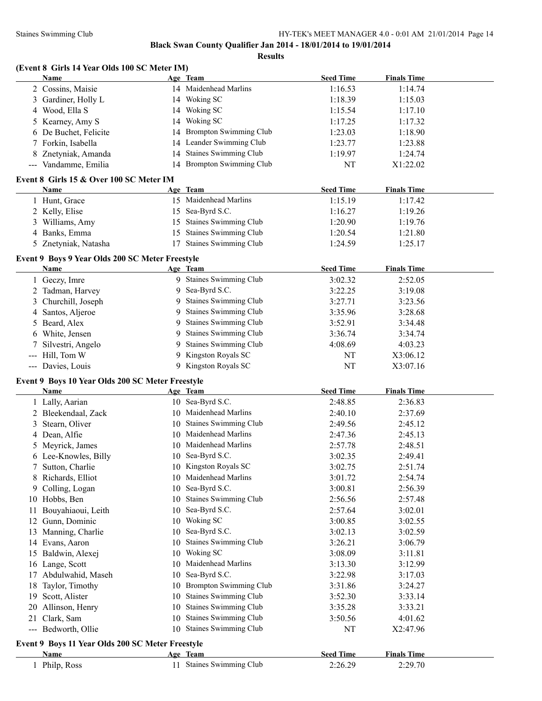| (Event 8 Girls 14 Year Olds 100 SC Meter IM) |                   |  |                 |  |  |  |  |  |
|----------------------------------------------|-------------------|--|-----------------|--|--|--|--|--|
|                                              | <b>Name</b>       |  | Age Team        |  |  |  |  |  |
|                                              | 2 Cossins, Maisie |  | 14 Maidenl      |  |  |  |  |  |
|                                              | 2.7.11.11.1       |  | 1.4 $W_{1}$ $1$ |  |  |  |  |  |

| <b>Name</b>                                      | Age Team |                           | <b>Seed Time</b> | <b>Finals Time</b> |  |
|--------------------------------------------------|----------|---------------------------|------------------|--------------------|--|
| 2 Cossins, Maisie                                |          | 14 Maidenhead Marlins     | 1:16.53          | 1:14.74            |  |
| 3 Gardiner, Holly L                              |          | 14 Woking SC              | 1:18.39          | 1:15.03            |  |
| 4 Wood, Ella S                                   |          | 14 Woking SC              | 1:15.54          | 1:17.10            |  |
| 5 Kearney, Amy S                                 |          | 14 Woking SC              | 1:17.25          | 1:17.32            |  |
| 6 De Buchet, Felicite                            |          | 14 Brompton Swimming Club | 1:23.03          | 1:18.90            |  |
| 7 Forkin, Isabella                               |          | 14 Leander Swimming Club  | 1:23.77          | 1:23.88            |  |
| 8 Znetyniak, Amanda                              |          | 14 Staines Swimming Club  | 1:19.97          | 1:24.74            |  |
| --- Vandamme, Emilia                             |          | 14 Brompton Swimming Club | NT               | X1:22.02           |  |
| Event 8 Girls 15 & Over 100 SC Meter IM          |          |                           |                  |                    |  |
| Name                                             | Age Team |                           | <b>Seed Time</b> | <b>Finals Time</b> |  |
| 1 Hunt, Grace                                    |          | 15 Maidenhead Marlins     | 1:15.19          | 1:17.42            |  |
| 2 Kelly, Elise                                   |          | 15 Sea-Byrd S.C.          | 1:16.27          | 1:19.26            |  |
| 3 Williams, Amy                                  |          | 15 Staines Swimming Club  | 1:20.90          | 1:19.76            |  |
| 4 Banks, Emma                                    |          | 15 Staines Swimming Club  | 1:20.54          | 1:21.80            |  |
| 5 Znetyniak, Natasha                             |          | 17 Staines Swimming Club  | 1:24.59          | 1:25.17            |  |
|                                                  |          |                           |                  |                    |  |
| Event 9 Boys 9 Year Olds 200 SC Meter Freestyle  |          |                           |                  |                    |  |
| <b>Name</b>                                      | Age Team |                           | <b>Seed Time</b> | <b>Finals Time</b> |  |
| 1 Geczy, Imre                                    |          | 9 Staines Swimming Club   | 3:02.32          | 2:52.05            |  |
| 2 Tadman, Harvey                                 |          | 9 Sea-Byrd S.C.           | 3:22.25          | 3:19.08            |  |
| Churchill, Joseph<br>3                           |          | 9 Staines Swimming Club   | 3:27.71          | 3:23.56            |  |
| 4 Santos, Aljeroe                                |          | 9 Staines Swimming Club   | 3:35.96          | 3:28.68            |  |
| 5 Beard, Alex                                    |          | 9 Staines Swimming Club   | 3:52.91          | 3:34.48            |  |
| 6 White, Jensen                                  |          | 9 Staines Swimming Club   | 3:36.74          | 3:34.74            |  |
| Silvestri, Angelo                                |          | 9 Staines Swimming Club   | 4:08.69          | 4:03.23            |  |
| --- Hill, Tom W                                  |          | 9 Kingston Royals SC      | NT               | X3:06.12           |  |
| --- Davies, Louis                                |          | 9 Kingston Royals SC      | NT               | X3:07.16           |  |
| Event 9 Boys 10 Year Olds 200 SC Meter Freestyle |          |                           |                  |                    |  |
| <b>Name</b>                                      | Age Team |                           | <b>Seed Time</b> | <b>Finals Time</b> |  |
| 1 Lally, Aarian                                  |          | 10 Sea-Byrd S.C.          | 2:48.85          | 2:36.83            |  |
| 2 Bleekendaal, Zack                              |          | 10 Maidenhead Marlins     | 2:40.10          | 2:37.69            |  |
| 3 Stearn, Oliver                                 |          | 10 Staines Swimming Club  | 2:49.56          | 2:45.12            |  |
| 4 Dean, Alfie                                    |          | 10 Maidenhead Marlins     | 2:47.36          | 2:45.13            |  |
| 5 Meyrick, James                                 |          | 10 Maidenhead Marlins     | 2:57.78          | 2:48.51            |  |
| 6 Lee-Knowles, Billy                             |          | 10 Sea-Byrd S.C.          | 3:02.35          | 2:49.41            |  |
| 7 Sutton, Charlie                                |          | 10 Kingston Royals SC     | 3:02.75          | 2:51.74            |  |
| 8 Richards, Elliot                               |          | 10 Maidenhead Marlins     | 3:01.72          | 2:54.74            |  |
| Colling, Logan<br>9.                             |          | 10 Sea-Byrd S.C.          | 3:00.81          | 2:56.39            |  |
| 10 Hobbs, Ben                                    |          | 10 Staines Swimming Club  | 2:56.56          | 2:57.48            |  |
| 11 Bouyahiaoui, Leith                            |          | 10 Sea-Byrd S.C.          | 2:57.64          | 3:02.01            |  |
| 12 Gunn, Dominic                                 |          | 10 Woking SC              | 3:00.85          | 3:02.55            |  |
| 13 Manning, Charlie                              |          | 10 Sea-Byrd S.C.          | 3:02.13          | 3:02.59            |  |
| 14 Evans, Aaron                                  | 10       | Staines Swimming Club     | 3:26.21          | 3:06.79            |  |
| 15 Baldwin, Alexej                               | 10       | Woking SC                 | 3:08.09          | 3:11.81            |  |
| 16 Lange, Scott                                  |          | 10 Maidenhead Marlins     | 3:13.30          | 3:12.99            |  |
| 17 Abdulwahid, Maseh                             |          | 10 Sea-Byrd S.C.          | 3:22.98          | 3:17.03            |  |
| 18 Taylor, Timothy                               |          | 10 Brompton Swimming Club | 3:31.86          | 3:24.27            |  |
| 19 Scott, Alister                                | 10       | Staines Swimming Club     | 3:52.30          | 3:33.14            |  |
| 20 Allinson, Henry                               |          | 10 Staines Swimming Club  | 3:35.28          | 3:33.21            |  |
| 21 Clark, Sam                                    |          | 10 Staines Swimming Club  | 3:50.56          | 4:01.62            |  |
| --- Bedworth, Ollie                              |          | 10 Staines Swimming Club  | NT               | X2:47.96           |  |
| Event 9 Boys 11 Year Olds 200 SC Meter Freestyle |          |                           |                  |                    |  |
| <b>Name</b>                                      | Age Team |                           | <b>Seed Time</b> | <b>Finals Time</b> |  |
| 1 Philp, Ross                                    |          | 11 Staines Swimming Club  | 2:26.29          | 2:29.70            |  |
|                                                  |          |                           |                  |                    |  |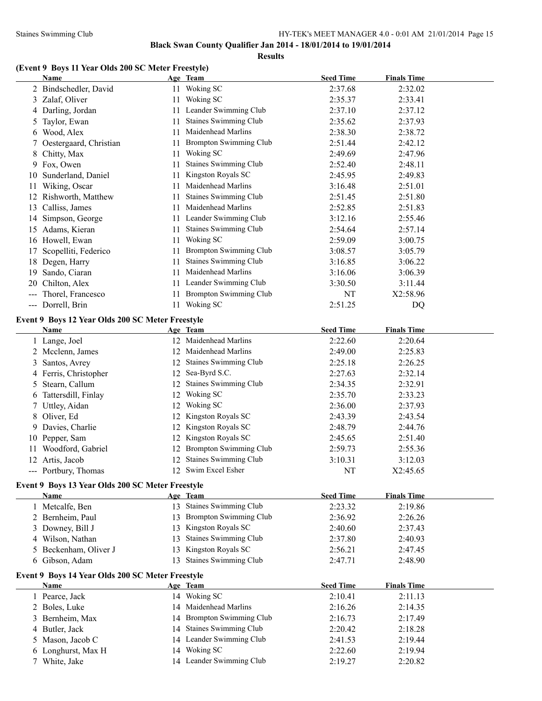**Results**

# **(Event 9 Boys 11 Year Olds 200 SC Meter Freestyle)**

|                     | Name                                             |    | Age Team                      | <b>Seed Time</b> | <b>Finals Time</b> |  |
|---------------------|--------------------------------------------------|----|-------------------------------|------------------|--------------------|--|
|                     | 2 Bindschedler, David                            |    | 11 Woking SC                  | 2:37.68          | 2:32.02            |  |
| 3                   | Zalaf, Oliver                                    | 11 | Woking SC                     | 2:35.37          | 2:33.41            |  |
|                     | 4 Darling, Jordan                                | 11 | Leander Swimming Club         | 2:37.10          | 2:37.12            |  |
| 5                   | Taylor, Ewan                                     | 11 | Staines Swimming Club         | 2:35.62          | 2:37.93            |  |
| 6                   | Wood, Alex                                       | 11 | Maidenhead Marlins            | 2:38.30          | 2:38.72            |  |
| 7                   | Oestergaard, Christian                           | 11 | <b>Brompton Swimming Club</b> | 2:51.44          | 2:42.12            |  |
| 8                   | Chitty, Max                                      | 11 | Woking SC                     | 2:49.69          | 2:47.96            |  |
|                     | 9 Fox, Owen                                      | 11 | Staines Swimming Club         | 2:52.40          | 2:48.11            |  |
|                     | 10 Sunderland, Daniel                            | 11 | Kingston Royals SC            | 2:45.95          | 2:49.83            |  |
| 11                  | Wiking, Oscar                                    | 11 | Maidenhead Marlins            | 3:16.48          | 2:51.01            |  |
|                     | 12 Rishworth, Matthew                            | 11 | <b>Staines Swimming Club</b>  | 2:51.45          | 2:51.80            |  |
|                     | 13 Calliss, James                                | 11 | Maidenhead Marlins            | 2:52.85          | 2:51.83            |  |
|                     | 14 Simpson, George                               |    | 11 Leander Swimming Club      | 3:12.16          | 2:55.46            |  |
|                     | 15 Adams, Kieran                                 | 11 | Staines Swimming Club         | 2:54.64          | 2:57.14            |  |
|                     | 16 Howell, Ewan                                  | 11 | Woking SC                     | 2:59.09          | 3:00.75            |  |
| 17                  | Scopelliti, Federico                             | 11 | <b>Brompton Swimming Club</b> | 3:08.57          | 3:05.79            |  |
|                     | 18 Degen, Harry                                  | 11 | <b>Staines Swimming Club</b>  | 3:16.85          | 3:06.22            |  |
| 19                  | Sando, Ciaran                                    | 11 | Maidenhead Marlins            | 3:16.06          | 3:06.39            |  |
| 20                  | Chilton, Alex                                    | 11 | Leander Swimming Club         | 3:30.50          | 3:11.44            |  |
| $\qquad \qquad - -$ | Thorel, Francesco                                | 11 | <b>Brompton Swimming Club</b> | NT               | X2:58.96           |  |
|                     | --- Dorrell, Brin                                |    | 11 Woking SC                  | 2:51.25          | DQ                 |  |
|                     |                                                  |    |                               |                  |                    |  |
|                     | Event 9 Boys 12 Year Olds 200 SC Meter Freestyle |    |                               |                  |                    |  |
|                     | Name                                             |    | Age Team                      | <b>Seed Time</b> | <b>Finals Time</b> |  |
|                     | 1 Lange, Joel                                    |    | 12 Maidenhead Marlins         | 2:22.60          | 2:20.64            |  |
|                     | 2 Mcclenn, James                                 | 12 | Maidenhead Marlins            | 2:49.00          | 2:25.83            |  |
| 3                   | Santos, Avrey                                    | 12 | <b>Staines Swimming Club</b>  | 2:25.18          | 2:26.25            |  |
|                     | 4 Ferris, Christopher                            |    | 12 Sea-Byrd S.C.              | 2:27.63          | 2:32.14            |  |
| 5                   | Stearn, Callum                                   | 12 | <b>Staines Swimming Club</b>  | 2:34.35          | 2:32.91            |  |
|                     | 6 Tattersdill, Finlay                            |    | 12 Woking SC                  | 2:35.70          | 2:33.23            |  |
| 7                   | Uttley, Aidan                                    |    | 12 Woking SC                  | 2:36.00          | 2:37.93            |  |
| 8                   | Oliver, Ed                                       |    | 12 Kingston Royals SC         | 2:43.39          | 2:43.54            |  |
|                     | 9 Davies, Charlie                                |    | 12 Kingston Royals SC         | 2:48.79          | 2:44.76            |  |
|                     | 10 Pepper, Sam                                   |    | 12 Kingston Royals SC         | 2:45.65          | 2:51.40            |  |
|                     | 11 Woodford, Gabriel                             |    | 12 Brompton Swimming Club     | 2:59.73          | 2:55.36            |  |
|                     | 12 Artis, Jacob                                  |    | 12 Staines Swimming Club      | 3:10.31          | 3:12.03            |  |
|                     | --- Portbury, Thomas                             |    | 12 Swim Excel Esher           | NT               | X2:45.65           |  |
|                     | Event 9 Boys 13 Year Olds 200 SC Meter Freestyle |    |                               |                  |                    |  |
|                     | Name                                             |    | Age Team                      | <b>Seed Time</b> | <b>Finals Time</b> |  |
|                     | 1 Metcalfe, Ben                                  |    | 13 Staines Swimming Club      | 2:23.32          | 2:19.86            |  |
|                     | 2 Bernheim, Paul                                 |    | 13 Brompton Swimming Club     | 2:36.92          | 2:26.26            |  |
|                     | 3 Downey, Bill J                                 |    | 13 Kingston Royals SC         | 2:40.60          | 2:37.43            |  |
|                     | 4 Wilson, Nathan                                 | 13 | Staines Swimming Club         | 2:37.80          | 2:40.93            |  |
|                     | 5 Beckenham, Oliver J                            |    | 13 Kingston Royals SC         | 2:56.21          | 2:47.45            |  |
|                     | 6 Gibson, Adam                                   | 13 | <b>Staines Swimming Club</b>  | 2:47.71          | 2:48.90            |  |
|                     |                                                  |    |                               |                  |                    |  |
|                     | Event 9 Boys 14 Year Olds 200 SC Meter Freestyle |    |                               |                  |                    |  |
|                     | Name                                             |    | Age Team                      | <b>Seed Time</b> | <b>Finals Time</b> |  |
|                     | 1 Pearce, Jack                                   |    | 14 Woking SC                  | 2:10.41          | 2:11.13            |  |
|                     | 2 Boles, Luke                                    |    | 14 Maidenhead Marlins         | 2:16.26          | 2:14.35            |  |
|                     | 3 Bernheim, Max                                  |    | 14 Brompton Swimming Club     | 2:16.73          | 2:17.49            |  |
|                     | 4 Butler, Jack                                   |    | 14 Staines Swimming Club      | 2:20.42          | 2:18.28            |  |
| 5                   | Mason, Jacob C                                   |    | 14 Leander Swimming Club      | 2:41.53          | 2:19.44            |  |
| 6                   | Longhurst, Max H                                 |    | 14 Woking SC                  | 2:22.60          | 2:19.94            |  |
|                     | 7 White, Jake                                    |    | 14 Leander Swimming Club      | 2:19.27          | 2:20.82            |  |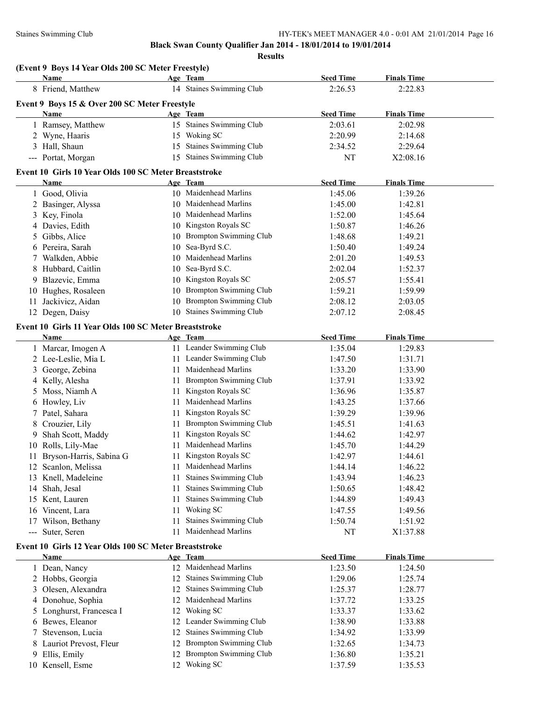|    | (Event 9 Boys 14 Year Olds 200 SC Meter Freestyle)<br>Name |    | Age Team                      | <b>Seed Time</b> | <b>Finals Time</b> |  |
|----|------------------------------------------------------------|----|-------------------------------|------------------|--------------------|--|
|    | 8 Friend, Matthew                                          |    | 14 Staines Swimming Club      | 2:26.53          | 2:22.83            |  |
|    |                                                            |    |                               |                  |                    |  |
|    | Event 9 Boys 15 & Over 200 SC Meter Freestyle<br>Name      |    | Age Team                      | <b>Seed Time</b> | <b>Finals Time</b> |  |
|    | 1 Ramsey, Matthew                                          |    | 15 Staines Swimming Club      | 2:03.61          | 2:02.98            |  |
|    | 2 Wyne, Haaris                                             |    | 15 Woking SC                  | 2:20.99          | 2:14.68            |  |
|    | 3 Hall, Shaun                                              | 15 | Staines Swimming Club         | 2:34.52          | 2:29.64            |  |
|    | --- Portat, Morgan                                         | 15 | <b>Staines Swimming Club</b>  | NT               | X2:08.16           |  |
|    |                                                            |    |                               |                  |                    |  |
|    | Event 10 Girls 10 Year Olds 100 SC Meter Breaststroke      |    |                               |                  |                    |  |
|    | Name                                                       |    | Age Team                      | <b>Seed Time</b> | <b>Finals Time</b> |  |
|    | 1 Good, Olivia                                             |    | 10 Maidenhead Marlins         | 1:45.06          | 1:39.26            |  |
|    | 2 Basinger, Alyssa                                         | 10 | Maidenhead Marlins            | 1:45.00          | 1:42.81            |  |
|    | 3 Key, Finola                                              | 10 | Maidenhead Marlins            | 1:52.00          | 1:45.64            |  |
|    | 4 Davies, Edith                                            |    | 10 Kingston Royals SC         | 1:50.87          | 1:46.26            |  |
| 5  | Gibbs, Alice                                               |    | 10 Brompton Swimming Club     | 1:48.68          | 1:49.21            |  |
|    | 6 Pereira, Sarah                                           | 10 | Sea-Byrd S.C.                 | 1:50.40          | 1:49.24            |  |
|    | 7 Walkden, Abbie                                           | 10 | Maidenhead Marlins            | 2:01.20          | 1:49.53            |  |
| 8  | Hubbard, Caitlin                                           | 10 | Sea-Byrd S.C.                 | 2:02.04          | 1:52.37            |  |
|    | 9 Blazevic, Emma                                           | 10 | Kingston Royals SC            | 2:05.57          | 1:55.41            |  |
|    | 10 Hughes, Rosaleen                                        | 10 | Brompton Swimming Club        | 1:59.21          | 1:59.99            |  |
| 11 | Jackivicz, Aidan                                           | 10 | <b>Brompton Swimming Club</b> | 2:08.12          | 2:03.05            |  |
|    | 12 Degen, Daisy                                            |    | 10 Staines Swimming Club      | 2:07.12          | 2:08.45            |  |
|    | Event 10 Girls 11 Year Olds 100 SC Meter Breaststroke      |    |                               |                  |                    |  |
|    | Name                                                       |    | Age Team                      | <b>Seed Time</b> | <b>Finals Time</b> |  |
|    | 1 Marcar, Imogen A                                         |    | 11 Leander Swimming Club      | 1:35.04          | 1:29.83            |  |
|    | 2 Lee-Leslie, Mia L                                        |    | 11 Leander Swimming Club      | 1:47.50          | 1:31.71            |  |
| 3  | George, Zebina                                             | 11 | Maidenhead Marlins            | 1:33.20          | 1:33.90            |  |
|    | 4 Kelly, Alesha                                            | 11 | <b>Brompton Swimming Club</b> | 1:37.91          | 1:33.92            |  |
| 5. | Moss, Niamh A                                              | 11 | Kingston Royals SC            | 1:36.96          | 1:35.87            |  |
|    | 6 Howley, Liv                                              | 11 | Maidenhead Marlins            | 1:43.25          | 1:37.66            |  |
| 7  | Patel, Sahara                                              | 11 | Kingston Royals SC            | 1:39.29          | 1:39.96            |  |
| 8  | Crouzier, Lily                                             | 11 | Brompton Swimming Club        | 1:45.51          | 1:41.63            |  |
| 9. | Shah Scott, Maddy                                          | 11 | Kingston Royals SC            | 1:44.62          | 1:42.97            |  |
|    | 10 Rolls, Lily-Mae                                         | 11 | Maidenhead Marlins            | 1:45.70          | 1:44.29            |  |
|    | 11 Bryson-Harris, Sabina G                                 |    | 11 Kingston Royals SC         | 1:42.97          | 1:44.61            |  |
|    | 12 Scanlon, Melissa                                        |    | 11 Maidenhead Marlins         | 1:44.14          | 1:46.22            |  |
|    | 13 Knell, Madeleine                                        | 11 | <b>Staines Swimming Club</b>  | 1:43.94          | 1:46.23            |  |
|    | 14 Shah, Jesal                                             | 11 | <b>Staines Swimming Club</b>  | 1:50.65          | 1:48.42            |  |
|    | 15 Kent, Lauren                                            | 11 | Staines Swimming Club         | 1:44.89          | 1:49.43            |  |
|    | 16 Vincent, Lara                                           | 11 | Woking SC                     | 1:47.55          | 1:49.56            |  |
|    | 17 Wilson, Bethany                                         | 11 | Staines Swimming Club         | 1:50.74          | 1:51.92            |  |
|    | --- Suter, Seren                                           | 11 | Maidenhead Marlins            | NT               | X1:37.88           |  |
|    | Event 10 Girls 12 Year Olds 100 SC Meter Breaststroke      |    |                               |                  |                    |  |
|    | <u>Name</u>                                                |    | Age Team                      | <b>Seed Time</b> | <b>Finals Time</b> |  |
|    | 1 Dean, Nancy                                              |    | 12 Maidenhead Marlins         | 1:23.50          | 1:24.50            |  |
|    | 2 Hobbs, Georgia                                           |    | 12 Staines Swimming Club      | 1:29.06          | 1:25.74            |  |
| 3  | Olesen, Alexandra                                          | 12 | <b>Staines Swimming Club</b>  | 1:25.37          | 1:28.77            |  |
|    | 4 Donohue, Sophia                                          | 12 | Maidenhead Marlins            | 1:37.72          | 1:33.25            |  |
|    | Longhurst, Francesca I                                     |    | 12 Woking SC                  |                  | 1:33.62            |  |
| 5  |                                                            |    | 12 Leander Swimming Club      | 1:33.37          | 1:33.88            |  |
|    | 6 Bewes, Eleanor                                           |    | <b>Staines Swimming Club</b>  | 1:38.90          |                    |  |
| 7  | Stevenson, Lucia                                           | 12 | 12 Brompton Swimming Club     | 1:34.92          | 1:33.99            |  |
| 8  | Lauriot Prevost, Fleur                                     |    | <b>Brompton Swimming Club</b> | 1:32.65          | 1:34.73            |  |
| 9  | Ellis, Emily                                               | 12 |                               | 1:36.80          | 1:35.21            |  |
|    | 10 Kensell, Esme                                           |    | 12 Woking SC                  | 1:37.59          | 1:35.53            |  |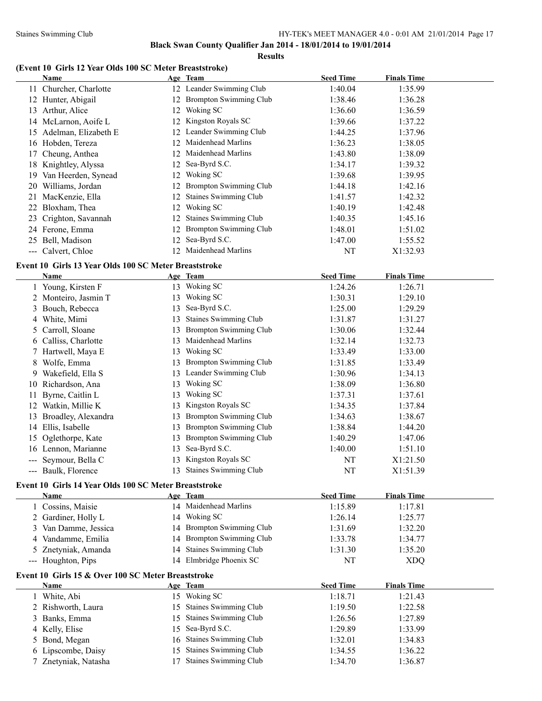$\overline{a}$ 

#### Staines Swimming Club HY-TEK's MEET MANAGER 4.0 - 0:01 AM 21/01/2014 Page 17

**Black Swan County Qualifier Jan 2014 - 18/01/2014 to 19/01/2014**

**Results**

# **(Event 10 Girls 12 Year Olds 100 SC Meter Breaststroke)**

|    | Name                   |     | Age Team                      | <b>Seed Time</b> | <b>Finals Time</b> |
|----|------------------------|-----|-------------------------------|------------------|--------------------|
|    | 11 Churcher, Charlotte |     | 12 Leander Swimming Club      | 1:40.04          | 1:35.99            |
| 12 | Hunter, Abigail        | 12. | <b>Brompton Swimming Club</b> | 1:38.46          | 1:36.28            |
| 13 | Arthur, Alice          | 12. | Woking SC                     | 1:36.60          | 1:36.59            |
|    | 14 McLarnon, Aoife L   | 12. | Kingston Royals SC            | 1:39.66          | 1:37.22            |
| 15 | Adelman, Elizabeth E   |     | 12 Leander Swimming Club      | 1:44.25          | 1:37.96            |
| 16 | Hobden, Tereza         | 12. | Maidenhead Marlins            | 1:36.23          | 1:38.05            |
|    | 17 Cheung, Anthea      | 12. | Maidenhead Marlins            | 1:43.80          | 1:38.09            |
| 18 | Knightley, Alyssa      |     | 12 Sea-Byrd S.C.              | 1:34.17          | 1:39.32            |
| 19 | Van Heerden, Synead    | 12. | Woking SC                     | 1:39.68          | 1:39.95            |
| 20 | Williams, Jordan       | 12. | <b>Brompton Swimming Club</b> | 1:44.18          | 1:42.16            |
| 21 | MacKenzie, Ella        | 12. | <b>Staines Swimming Club</b>  | 1:41.57          | 1:42.32            |
|    | 22 Bloxham, Thea       | 12. | Woking SC                     | 1:40.19          | 1:42.48            |
|    | 23 Crighton, Savannah  | 12. | <b>Staines Swimming Club</b>  | 1:40.35          | 1:45.16            |
|    | 24 Ferone, Emma        |     | <b>Brompton Swimming Club</b> | 1:48.01          | 1:51.02            |
|    | 25 Bell, Madison       | 12. | Sea-Byrd S.C.                 | 1:47.00          | 1:55.52            |
|    | --- Calvert, Chloe     | 12. | Maidenhead Marlins            | NT               | X1:32.93           |

### **Event 10 Girls 13 Year Olds 100 SC Meter Breaststroke**

|    | Name                 |    | Age Team                      | <b>Seed Time</b> | <b>Finals Time</b> |
|----|----------------------|----|-------------------------------|------------------|--------------------|
|    | Young, Kirsten F     | 13 | Woking SC                     | 1:24.26          | 1:26.71            |
|    | 2 Monteiro, Jasmin T | 13 | Woking SC                     | 1:30.31          | 1:29.10            |
| 3  | Bouch, Rebecca       | 13 | Sea-Byrd S.C.                 | 1:25.00          | 1:29.29            |
| 4  | White, Mimi          | 13 | <b>Staines Swimming Club</b>  | 1:31.87          | 1:31.27            |
|    | 5 Carroll, Sloane    | 13 | <b>Brompton Swimming Club</b> | 1:30.06          | 1:32.44            |
|    | 6 Calliss, Charlotte | 13 | Maidenhead Marlins            | 1:32.14          | 1:32.73            |
|    | Hartwell, Maya E     | 13 | Woking SC                     | 1:33.49          | 1:33.00            |
| 8  | Wolfe, Emma          | 13 | <b>Brompton Swimming Club</b> | 1:31.85          | 1:33.49            |
| 9  | Wakefield, Ella S    | 13 | Leander Swimming Club         | 1:30.96          | 1:34.13            |
| 10 | Richardson, Ana      | 13 | Woking SC                     | 1:38.09          | 1:36.80            |
| 11 | Byrne, Caitlin L     | 13 | Woking SC                     | 1:37.31          | 1:37.61            |
| 12 | Watkin, Millie K     | 13 | Kingston Royals SC            | 1:34.35          | 1:37.84            |
| 13 | Broadley, Alexandra  | 13 | <b>Brompton Swimming Club</b> | 1:34.63          | 1:38.67            |
| 14 | Ellis, Isabelle      | 13 | <b>Brompton Swimming Club</b> | 1:38.84          | 1:44.20            |
|    | 15 Oglethorpe, Kate  | 13 | <b>Brompton Swimming Club</b> | 1:40.29          | 1:47.06            |
|    | 16 Lennon, Marianne  | 13 | Sea-Byrd S.C.                 | 1:40.00          | 1:51.10            |
|    | Seymour, Bella C     | 13 | Kingston Royals SC            | NT               | X1:21.50           |
|    | Baulk, Florence      | 13 | <b>Staines Swimming Club</b>  | NT               | X1:51.39           |
|    |                      |    |                               |                  |                    |

# **Event 10 Girls 14 Year Olds 100 SC Meter Breaststroke**

| <b>Name</b>                                        |     | Age Team                     | <b>Seed Time</b> | <b>Finals Time</b> |  |
|----------------------------------------------------|-----|------------------------------|------------------|--------------------|--|
| 1 Cossins, Maisie                                  |     | 14 Maidenhead Marlins        | 1:15.89          | 1:17.81            |  |
| 2 Gardiner, Holly L                                |     | 14 Woking SC                 | 1:26.14          | 1:25.77            |  |
| 3 Van Damme, Jessica                               |     | 14 Brompton Swimming Club    | 1:31.69          | 1:32.20            |  |
| 4 Vandamme, Emilia                                 |     | 14 Brompton Swimming Club    | 1:33.78          | 1:34.77            |  |
| 5 Znetyniak, Amanda                                |     | 14 Staines Swimming Club     | 1:31.30          | 1:35.20            |  |
| --- Houghton, Pips                                 |     | 14 Elmbridge Phoenix SC      | NT               | <b>XDQ</b>         |  |
| Event 10 Girls 15 & Over 100 SC Meter Breaststroke |     |                              |                  |                    |  |
| <b>Name</b>                                        |     | Age Team                     | <b>Seed Time</b> | <b>Finals Time</b> |  |
| 1 White, Abi                                       | 15. | Woking SC                    | 1:18.71          | 1:21.43            |  |
| 2 Rishworth, Laura                                 |     | 15 Staines Swimming Club     | 1:19.50          | 1:22.58            |  |
| 3 Banks, Emma                                      | 15. | <b>Staines Swimming Club</b> | 1:26.56          | 1:27.89            |  |
| $\lambda$ IZ 11 $\Gamma$ 11                        |     | $17.0 \cdot R = 10.0$        | 1.20.00          | 1.22.00            |  |

| 3 Banks, Emma        | 15 Staines Swimming Club | 1:26.56 | 1:27.89 |
|----------------------|--------------------------|---------|---------|
| 4 Kelly, Elise       | 15 Sea-Byrd S.C.         | 1:29.89 | 1:33.99 |
| 5 Bond, Megan        | 16 Staines Swimming Club | 1:32.01 | 1:34.83 |
| 6 Lipscombe, Daisy   | 15 Staines Swimming Club | 1:34.55 | 1:36.22 |
| 7 Znetyniak, Natasha | 17 Staines Swimming Club | 1:34.70 | 1:36.87 |
|                      |                          |         |         |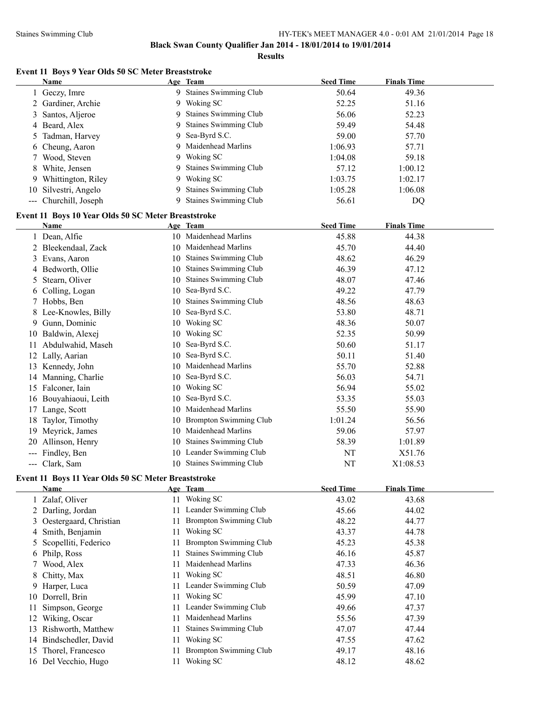**Results**

# **Event 11 Boys 9 Year Olds 50 SC Meter Breaststroke**

|     | <b>Name</b>                                         |    | Age Team                      | <b>Seed Time</b> | <b>Finals Time</b> |  |
|-----|-----------------------------------------------------|----|-------------------------------|------------------|--------------------|--|
|     | 1 Geczy, Imre                                       |    | 9 Staines Swimming Club       | 50.64            | 49.36              |  |
|     | 2 Gardiner, Archie                                  | 9  | Woking SC                     | 52.25            | 51.16              |  |
| 3   | Santos, Aljeroe                                     | 9  | Staines Swimming Club         | 56.06            | 52.23              |  |
| 4   | Beard, Alex                                         | 9  | <b>Staines Swimming Club</b>  | 59.49            | 54.48              |  |
| 5   | Tadman, Harvey                                      | 9  | Sea-Byrd S.C.                 | 59.00            | 57.70              |  |
| 6   | Cheung, Aaron                                       | 9  | Maidenhead Marlins            | 1:06.93          | 57.71              |  |
| 7   | Wood, Steven                                        | 9  | Woking SC                     | 1:04.08          | 59.18              |  |
| 8   | White, Jensen                                       | 9  | <b>Staines Swimming Club</b>  | 57.12            | 1:00.12            |  |
| 9.  | Whittington, Riley                                  | 9  | Woking SC                     | 1:03.75          | 1:02.17            |  |
|     | 10 Silvestri, Angelo                                | 9  | <b>Staines Swimming Club</b>  | 1:05.28          | 1:06.08            |  |
|     | --- Churchill, Joseph                               | 9  | <b>Staines Swimming Club</b>  | 56.61            | DQ                 |  |
|     |                                                     |    |                               |                  |                    |  |
|     | Event 11 Boys 10 Year Olds 50 SC Meter Breaststroke |    |                               |                  |                    |  |
|     | Name                                                |    | Age Team                      | <b>Seed Time</b> | <b>Finals Time</b> |  |
|     | 1 Dean, Alfie                                       |    | 10 Maidenhead Marlins         | 45.88            | 44.38              |  |
|     | 2 Bleekendaal, Zack                                 | 10 | Maidenhead Marlins            | 45.70            | 44.40              |  |
|     | 3 Evans, Aaron                                      | 10 | <b>Staines Swimming Club</b>  | 48.62            | 46.29              |  |
|     | 4 Bedworth, Ollie                                   | 10 | <b>Staines Swimming Club</b>  | 46.39            | 47.12              |  |
| 5.  | Stearn, Oliver                                      | 10 | <b>Staines Swimming Club</b>  | 48.07            | 47.46              |  |
|     | 6 Colling, Logan                                    | 10 | Sea-Byrd S.C.                 | 49.22            | 47.79              |  |
|     | 7 Hobbs, Ben                                        | 10 | <b>Staines Swimming Club</b>  | 48.56            | 48.63              |  |
|     | 8 Lee-Knowles, Billy                                | 10 | Sea-Byrd S.C.                 | 53.80            | 48.71              |  |
| 9   | Gunn, Dominic                                       | 10 | Woking SC                     | 48.36            | 50.07              |  |
|     | 10 Baldwin, Alexej                                  | 10 | Woking SC                     | 52.35            | 50.99              |  |
| 11  | Abdulwahid, Maseh                                   | 10 | Sea-Byrd S.C.                 | 50.60            | 51.17              |  |
|     | 12 Lally, Aarian                                    | 10 | Sea-Byrd S.C.                 | 50.11            | 51.40              |  |
|     | 13 Kennedy, John                                    | 10 | Maidenhead Marlins            | 55.70            | 52.88              |  |
|     | 14 Manning, Charlie                                 | 10 | Sea-Byrd S.C.                 | 56.03            | 54.71              |  |
|     | 15 Falconer, Iain                                   | 10 | Woking SC                     | 56.94            | 55.02              |  |
|     | 16 Bouyahiaoui, Leith                               | 10 | Sea-Byrd S.C.                 | 53.35            | 55.03              |  |
|     | 17 Lange, Scott                                     | 10 | Maidenhead Marlins            | 55.50            | 55.90              |  |
|     | 18 Taylor, Timothy                                  | 10 | <b>Brompton Swimming Club</b> | 1:01.24          | 56.56              |  |
|     | 19 Meyrick, James                                   | 10 | Maidenhead Marlins            | 59.06            | 57.97              |  |
|     |                                                     |    | Staines Swimming Club         |                  | 1:01.89            |  |
|     | 20 Allinson, Henry                                  | 10 |                               | 58.39            |                    |  |
| --- | Findley, Ben                                        |    | 10 Leander Swimming Club      | NT               | X51.76             |  |
|     | --- Clark, Sam                                      |    | 10 Staines Swimming Club      | NT               | X1:08.53           |  |
|     | Event 11 Boys 11 Year Olds 50 SC Meter Breaststroke |    |                               |                  |                    |  |
|     | Name                                                |    | Age Team                      | <b>Seed Time</b> | <b>Finals Time</b> |  |
|     | 1 Zalaf, Oliver                                     |    | 11 Woking SC                  | 43.02            | 43.68              |  |
|     | 2 Darling, Jordan                                   | 11 | Leander Swimming Club         | 45.66            | 44.02              |  |
| 3   | Oestergaard, Christian                              | 11 | <b>Brompton Swimming Club</b> | 48.22            | 44.77              |  |
| 4   | Smith, Benjamin                                     | 11 | Woking SC                     | 43.37            | 44.78              |  |
| 5   | Scopelliti, Federico                                | 11 | <b>Brompton Swimming Club</b> | 45.23            | 45.38              |  |
| 6   | Philp, Ross                                         | 11 | Staines Swimming Club         | 46.16            | 45.87              |  |
| 7   | Wood, Alex                                          | 11 | Maidenhead Marlins            | 47.33            | 46.36              |  |
| 8   | Chitty, Max                                         | 11 | Woking SC                     | 48.51            | 46.80              |  |
| 9   | Harper, Luca                                        | 11 | Leander Swimming Club         | 50.59            | 47.09              |  |
| 10  | Dorrell, Brin                                       | 11 | Woking SC                     | 45.99            | 47.10              |  |
| 11  | Simpson, George                                     | 11 | Leander Swimming Club         | 49.66            | 47.37              |  |
| 12  | Wiking, Oscar                                       | 11 | Maidenhead Marlins            | 55.56            | 47.39              |  |
| 13  | Rishworth, Matthew                                  | 11 | Staines Swimming Club         | 47.07            | 47.44              |  |
| 14  | Bindschedler, David                                 | 11 | Woking SC                     | 47.55            | 47.62              |  |
| 15  | Thorel, Francesco                                   | 11 | <b>Brompton Swimming Club</b> | 49.17            | 48.16              |  |
|     |                                                     |    |                               |                  |                    |  |
|     | 16 Del Vecchio, Hugo                                | 11 | Woking SC                     | 48.12            | 48.62              |  |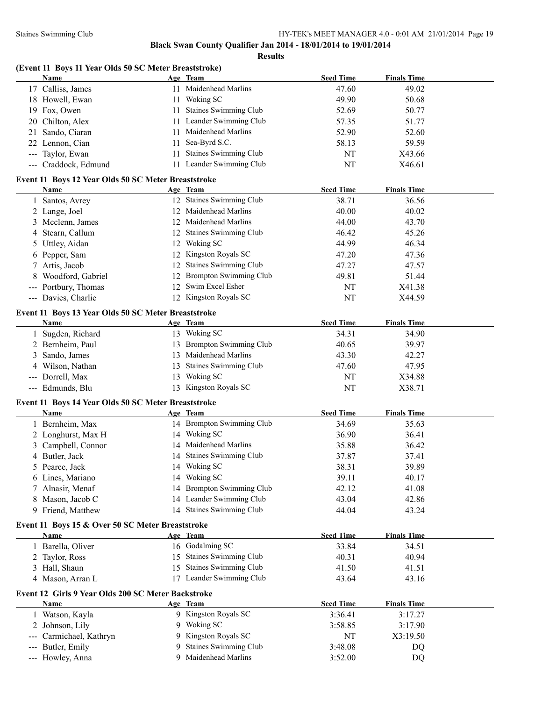|                                          | (Event 11 Boys 11 Year Olds 50 SC Meter Breaststroke)<br><b>Name</b> |     | Age Team                                    | <b>Seed Time</b>   | <b>Finals Time</b> |  |
|------------------------------------------|----------------------------------------------------------------------|-----|---------------------------------------------|--------------------|--------------------|--|
|                                          | 17 Calliss, James                                                    |     | 11 Maidenhead Marlins                       | 47.60              | 49.02              |  |
|                                          | 18 Howell, Ewan                                                      |     | 11 Woking SC                                | 49.90              | 50.68              |  |
|                                          | 19 Fox, Owen                                                         | 11. | <b>Staines Swimming Club</b>                | 52.69              | 50.77              |  |
|                                          | 20 Chilton, Alex                                                     | 11  | Leander Swimming Club                       | 57.35              | 51.77              |  |
| 21                                       | Sando, Ciaran                                                        | 11  | Maidenhead Marlins                          | 52.90              | 52.60              |  |
|                                          | 22 Lennon, Cian                                                      | 11  | Sea-Byrd S.C.                               | 58.13              | 59.59              |  |
|                                          | --- Taylor, Ewan                                                     | 11  | Staines Swimming Club                       | NT                 | X43.66             |  |
|                                          | --- Craddock, Edmund                                                 |     | 11 Leander Swimming Club                    | NT                 | X46.61             |  |
|                                          |                                                                      |     |                                             |                    |                    |  |
|                                          | Event 11 Boys 12 Year Olds 50 SC Meter Breaststroke                  |     |                                             |                    |                    |  |
|                                          | Name                                                                 |     | Age Team                                    | <b>Seed Time</b>   | <b>Finals Time</b> |  |
|                                          | 1 Santos, Avrey                                                      |     | 12 Staines Swimming Club                    | 38.71              | 36.56              |  |
|                                          | 2 Lange, Joel                                                        | 12  | Maidenhead Marlins                          | 40.00              | 40.02              |  |
| 3                                        | Mcclenn, James                                                       |     | 12 Maidenhead Marlins                       | 44.00              | 43.70              |  |
| 4                                        | Stearn, Callum                                                       |     | 12 Staines Swimming Club                    | 46.42              | 45.26              |  |
| 5                                        | Uttley, Aidan                                                        |     | 12 Woking SC                                | 44.99              | 46.34              |  |
|                                          | 6 Pepper, Sam                                                        |     | 12 Kingston Royals SC                       | 47.20              | 47.36              |  |
|                                          | 7 Artis, Jacob                                                       |     | 12 Staines Swimming Club                    | 47.27              | 47.57              |  |
|                                          | Woodford, Gabriel                                                    |     | 12 Brompton Swimming Club                   | 49.81              | 51.44              |  |
| $\hspace{0.05cm} \ldots \hspace{0.05cm}$ | Portbury, Thomas                                                     |     | 12 Swim Excel Esher                         | NT                 | X41.38             |  |
|                                          | --- Davies, Charlie                                                  |     | 12 Kingston Royals SC                       | NT                 | X44.59             |  |
|                                          | Event 11 Boys 13 Year Olds 50 SC Meter Breaststroke                  |     |                                             |                    |                    |  |
|                                          | Name                                                                 |     | Age Team                                    | <b>Seed Time</b>   | <b>Finals Time</b> |  |
|                                          | 1 Sugden, Richard                                                    |     | 13 Woking SC                                | 34.31              | 34.90              |  |
|                                          | 2 Bernheim, Paul                                                     |     | 13 Brompton Swimming Club                   | 40.65              | 39.97              |  |
| 3                                        | Sando, James                                                         |     | 13 Maidenhead Marlins                       | 43.30              | 42.27              |  |
| 4                                        | Wilson, Nathan                                                       |     | 13 Staines Swimming Club                    | 47.60              | 47.95              |  |
|                                          | --- Dorrell, Max                                                     |     | 13 Woking SC                                | NT                 | X34.88             |  |
|                                          | --- Edmunds, Blu                                                     |     | 13 Kingston Royals SC                       | NT                 | X38.71             |  |
|                                          |                                                                      |     |                                             |                    |                    |  |
|                                          | Event 11 Boys 14 Year Olds 50 SC Meter Breaststroke<br>Name          |     | Age Team                                    | <b>Seed Time</b>   | <b>Finals Time</b> |  |
|                                          | 1 Bernheim, Max                                                      |     | 14 Brompton Swimming Club                   |                    |                    |  |
|                                          |                                                                      |     |                                             | 34.69              | 35.63              |  |
|                                          | 2 Longhurst, Max H                                                   |     | 14 Woking SC                                | 36.90              | 36.41              |  |
| 3                                        | Campbell, Connor                                                     |     | 14 Maidenhead Marlins                       | 35.88              | 36.42              |  |
|                                          | 4 Butler, Jack                                                       |     | 14 Staines Swimming Club                    | 37.87              | 37.41              |  |
|                                          | 5 Pearce, Jack                                                       |     | 14 Woking SC                                | 38.31              | 39.89              |  |
| 6                                        | Lines, Mariano                                                       |     | 14 Woking SC                                | 39.11              | 40.17              |  |
|                                          | Alnasir, Menaf                                                       |     | 14 Brompton Swimming Club                   | 42.12              | 41.08              |  |
| 8                                        | Mason, Jacob C                                                       |     | 14 Leander Swimming Club                    | 43.04              | 42.86              |  |
|                                          | 9 Friend, Matthew                                                    |     | 14 Staines Swimming Club                    | 44.04              | 43.24              |  |
|                                          | Event 11 Boys 15 & Over 50 SC Meter Breaststroke                     |     |                                             |                    |                    |  |
|                                          | <u>Name</u>                                                          |     | Age Team                                    | <b>Seed Time</b>   | <b>Finals Time</b> |  |
|                                          | 1 Barella, Oliver                                                    |     | 16 Godalming SC                             | 33.84              | 34.51              |  |
|                                          | 2 Taylor, Ross                                                       |     | 15 Staines Swimming Club                    | 40.31              | 40.94              |  |
|                                          | 3 Hall, Shaun                                                        | 15  | Staines Swimming Club                       | 41.50              | 41.51              |  |
|                                          | 4 Mason, Arran L                                                     |     | 17 Leander Swimming Club                    | 43.64              | 43.16              |  |
|                                          | Event 12 Girls 9 Year Olds 200 SC Meter Backstroke                   |     |                                             |                    |                    |  |
|                                          | <b>Name</b>                                                          |     | Age Team                                    | <b>Seed Time</b>   | <b>Finals Time</b> |  |
|                                          | 1 Watson, Kayla                                                      |     | 9 Kingston Royals SC                        | 3:36.41            | 3:17.27            |  |
|                                          | 2 Johnson, Lily                                                      | 9   | Woking SC                                   | 3:58.85            | 3:17.90            |  |
|                                          | Carmichael, Kathryn                                                  |     | Kingston Royals SC                          | NT                 | X3:19.50           |  |
|                                          |                                                                      |     |                                             |                    |                    |  |
|                                          |                                                                      |     |                                             |                    |                    |  |
| ---                                      | Butler, Emily<br>--- Howley, Anna                                    | 9   | Staines Swimming Club<br>Maidenhead Marlins | 3:48.08<br>3:52.00 | DQ<br>DQ           |  |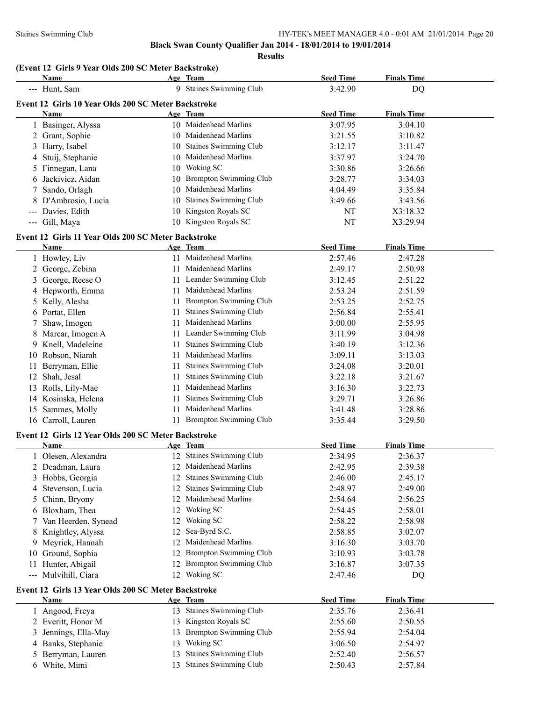**Results**

# **(Event 12 Girls 9 Year Olds 200 SC Meter Backstroke)**

|                | <b>Name</b>                                                        |     | Age Team                                               | <b>Seed Time</b> | <b>Finals Time</b> |  |
|----------------|--------------------------------------------------------------------|-----|--------------------------------------------------------|------------------|--------------------|--|
|                | --- Hunt, Sam                                                      |     | 9 Staines Swimming Club                                | 3:42.90          | DQ                 |  |
|                | Event 12 Girls 10 Year Olds 200 SC Meter Backstroke                |     |                                                        |                  |                    |  |
|                | Name                                                               |     | Age Team                                               | <b>Seed Time</b> | <b>Finals Time</b> |  |
| 1              | Basinger, Alyssa                                                   |     | 10 Maidenhead Marlins                                  | 3:07.95          | 3:04.10            |  |
|                | 2 Grant, Sophie                                                    |     | 10 Maidenhead Marlins                                  | 3:21.55          | 3:10.82            |  |
| 3              | Harry, Isabel                                                      | 10  | Staines Swimming Club                                  | 3:12.17          | 3:11.47            |  |
| 4              | Stuij, Stephanie                                                   |     | 10 Maidenhead Marlins                                  | 3:37.97          | 3:24.70            |  |
| 5.             | Finnegan, Lana                                                     | 10  | Woking SC                                              | 3:30.86          | 3:26.66            |  |
| 6              | Jackivicz, Aidan                                                   | 10  | <b>Brompton Swimming Club</b>                          | 3:28.77          | 3:34.03            |  |
| 7              | Sando, Orlagh                                                      | 10  | Maidenhead Marlins                                     | 4:04.49          | 3:35.84            |  |
| 8              | D'Ambrosio, Lucia                                                  | 10  | Staines Swimming Club                                  | 3:49.66          | 3:43.56            |  |
|                | --- Davies, Edith                                                  |     | 10 Kingston Royals SC                                  | NT               | X3:18.32           |  |
|                | --- Gill, Maya                                                     |     | 10 Kingston Royals SC                                  | NT               | X3:29.94           |  |
|                |                                                                    |     |                                                        |                  |                    |  |
|                | Event 12 Girls 11 Year Olds 200 SC Meter Backstroke<br>Name        |     | Age Team                                               | <b>Seed Time</b> | <b>Finals Time</b> |  |
|                | 1 Howley, Liv                                                      |     | 11 Maidenhead Marlins                                  | 2:57.46          | 2:47.28            |  |
| $\overline{2}$ | George, Zebina                                                     | 11  | Maidenhead Marlins                                     | 2:49.17          | 2:50.98            |  |
| 3              | George, Reese O                                                    |     | 11 Leander Swimming Club                               | 3:12.45          | 2:51.22            |  |
|                | Hepworth, Emma                                                     | 11. | Maidenhead Marlins                                     | 2:53.24          | 2:51.59            |  |
| 4              |                                                                    |     |                                                        |                  |                    |  |
| 5.             | Kelly, Alesha                                                      | 11  | Brompton Swimming Club<br><b>Staines Swimming Club</b> | 2:53.25          | 2:52.75            |  |
|                | 6 Portat, Ellen                                                    | 11  |                                                        | 2:56.84          | 2:55.41            |  |
| 7              | Shaw, Imogen                                                       | 11  | Maidenhead Marlins                                     | 3:00.00          | 2:55.95            |  |
|                | Marcar, Imogen A                                                   | 11  | Leander Swimming Club                                  | 3:11.99          | 3:04.98            |  |
| 9              | Knell, Madeleine                                                   | 11  | Staines Swimming Club                                  | 3:40.19          | 3:12.36            |  |
|                | 10 Robson, Niamh                                                   | 11  | Maidenhead Marlins                                     | 3:09.11          | 3:13.03            |  |
| 11             | Berryman, Ellie                                                    | 11  | Staines Swimming Club                                  | 3:24.08          | 3:20.01            |  |
| 12             | Shah, Jesal                                                        | 11  | Staines Swimming Club                                  | 3:22.18          | 3:21.67            |  |
|                | 13 Rolls, Lily-Mae                                                 | 11  | Maidenhead Marlins                                     | 3:16.30          | 3:22.73            |  |
|                | 14 Kosinska, Helena                                                | 11  | Staines Swimming Club                                  | 3:29.71          | 3:26.86            |  |
| 15             | Sammes, Molly                                                      | 11  | Maidenhead Marlins                                     | 3:41.48          | 3:28.86            |  |
|                | 16 Carroll, Lauren                                                 |     | 11 Brompton Swimming Club                              | 3:35.44          | 3:29.50            |  |
|                | Event 12 Girls 12 Year Olds 200 SC Meter Backstroke                |     |                                                        |                  |                    |  |
|                | Name                                                               |     | Age Team                                               | <b>Seed Time</b> | <b>Finals Time</b> |  |
|                | 1 Olesen, Alexandra                                                |     | 12 Staines Swimming Club                               | 2:34.95          | 2:36.37            |  |
|                | 2 Deadman, Laura                                                   |     | 12 Maidenhead Marlins                                  | 2:42.95          | 2:39.38            |  |
|                | 3 Hobbs, Georgia                                                   |     | 12 Staines Swimming Club                               | 2:46.00          | 2:45.17            |  |
|                | 4 Stevenson, Lucia                                                 | 12  | Staines Swimming Club                                  | 2:48.97          | 2:49.00            |  |
| 5              | Chinn, Bryony                                                      | 12  | Maidenhead Marlins                                     | 2:54.64          | 2:56.25            |  |
| 6              | Bloxham, Thea                                                      | 12  | Woking SC                                              | 2:54.45          | 2:58.01            |  |
| 7              | Van Heerden, Synead                                                | 12  | Woking SC                                              | 2:58.22          | 2:58.98            |  |
|                | 8 Knightley, Alyssa                                                | 12  | Sea-Byrd S.C.                                          | 2:58.85          | 3:02.07            |  |
| 9              | Meyrick, Hannah                                                    | 12  | Maidenhead Marlins                                     | 3:16.30          | 3:03.70            |  |
| 10             | Ground, Sophia                                                     | 12  | <b>Brompton Swimming Club</b>                          | 3:10.93          | 3:03.78            |  |
| 11.            | Hunter, Abigail                                                    | 12  | <b>Brompton Swimming Club</b>                          | 3:16.87          | 3:07.35            |  |
|                | --- Mulvihill, Ciara                                               |     | 12 Woking SC                                           | 2:47.46          | DQ                 |  |
|                |                                                                    |     |                                                        |                  |                    |  |
|                | Event 12 Girls 13 Year Olds 200 SC Meter Backstroke<br><b>Name</b> |     | Age Team                                               | <b>Seed Time</b> | <b>Finals Time</b> |  |
|                | 1 Angood, Freya                                                    |     | 13 Staines Swimming Club                               | 2:35.76          | 2:36.41            |  |
|                | 2 Everitt, Honor M                                                 | 13  | Kingston Royals SC                                     | 2:55.60          | 2:50.55            |  |
| 3              | Jennings, Ella-May                                                 | 13  | <b>Brompton Swimming Club</b>                          | 2:55.94          | 2:54.04            |  |
|                | Banks, Stephanie                                                   | 13  | Woking SC                                              | 3:06.50          | 2:54.97            |  |
| 4              |                                                                    |     | Staines Swimming Club                                  |                  |                    |  |
|                | Berryman, Lauren                                                   | 13  |                                                        | 2:52.40          | 2:56.57            |  |
|                | 6 White, Mimi                                                      | 13  | Staines Swimming Club                                  | 2:50.43          | 2:57.84            |  |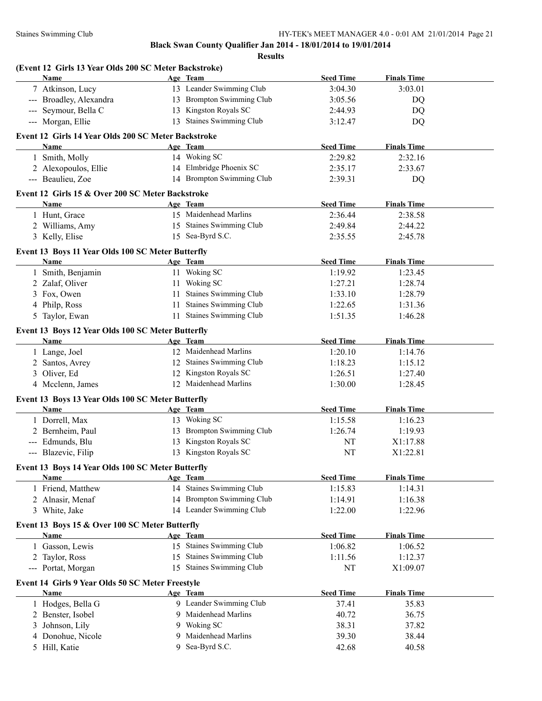|   | (Event 12 Girls 13 Year Olds 200 SC Meter Backstroke)<br>Name |   | Age Team                  | <b>Seed Time</b> | <b>Finals Time</b> |  |
|---|---------------------------------------------------------------|---|---------------------------|------------------|--------------------|--|
|   | 7 Atkinson, Lucy                                              |   | 13 Leander Swimming Club  | 3:04.30          | 3:03.01            |  |
|   | --- Broadley, Alexandra                                       |   | 13 Brompton Swimming Club | 3:05.56          | DQ                 |  |
|   | --- Seymour, Bella C                                          |   | 13 Kingston Royals SC     | 2:44.93          | <b>DQ</b>          |  |
|   | --- Morgan, Ellie                                             |   | 13 Staines Swimming Club  | 3:12.47          | <b>DQ</b>          |  |
|   | Event 12 Girls 14 Year Olds 200 SC Meter Backstroke           |   |                           |                  |                    |  |
|   | <b>Name</b>                                                   |   | Age Team                  | <b>Seed Time</b> | <b>Finals Time</b> |  |
|   | 1 Smith, Molly                                                |   | 14 Woking SC              | 2:29.82          | 2:32.16            |  |
|   | 2 Alexopoulos, Ellie                                          |   | 14 Elmbridge Phoenix SC   | 2:35.17          | 2:33.67            |  |
|   | --- Beaulieu, Zoe                                             |   | 14 Brompton Swimming Club | 2:39.31          | DQ                 |  |
|   | Event 12 Girls 15 & Over 200 SC Meter Backstroke              |   |                           |                  |                    |  |
|   | <b>Name</b>                                                   |   | Age Team                  | <b>Seed Time</b> | <b>Finals Time</b> |  |
|   | 1 Hunt, Grace                                                 |   | 15 Maidenhead Marlins     | 2:36.44          | 2:38.58            |  |
|   | 2 Williams, Amy                                               |   | 15 Staines Swimming Club  | 2:49.84          | 2:44.22            |  |
|   | 3 Kelly, Elise                                                |   | 15 Sea-Byrd S.C.          | 2:35.55          | 2:45.78            |  |
|   | Event 13 Boys 11 Year Olds 100 SC Meter Butterfly             |   |                           |                  |                    |  |
|   | Name                                                          |   | Age Team                  | <b>Seed Time</b> | <b>Finals Time</b> |  |
|   | 1 Smith, Benjamin                                             |   | 11 Woking SC              | 1:19.92          | 1:23.45            |  |
|   | 2 Zalaf, Oliver                                               |   | 11 Woking SC              | 1:27.21          | 1:28.74            |  |
|   | 3 Fox, Owen                                                   |   | 11 Staines Swimming Club  | 1:33.10          | 1:28.79            |  |
| 4 | Philp, Ross                                                   |   | 11 Staines Swimming Club  | 1:22.65          | 1:31.36            |  |
|   | 5 Taylor, Ewan                                                |   | 11 Staines Swimming Club  | 1:51.35          | 1:46.28            |  |
|   | Event 13 Boys 12 Year Olds 100 SC Meter Butterfly             |   |                           |                  |                    |  |
|   | Name                                                          |   | Age Team                  | <b>Seed Time</b> | <b>Finals Time</b> |  |
|   | 1 Lange, Joel                                                 |   | 12 Maidenhead Marlins     | 1:20.10          | 1:14.76            |  |
|   | 2 Santos, Avrey                                               |   | 12 Staines Swimming Club  | 1:18.23          | 1:15.12            |  |
|   | 3 Oliver, Ed                                                  |   | 12 Kingston Royals SC     | 1:26.51          | 1:27.40            |  |
|   | 4 Mcclenn, James                                              |   | 12 Maidenhead Marlins     | 1:30.00          | 1:28.45            |  |
|   | Event 13 Boys 13 Year Olds 100 SC Meter Butterfly             |   |                           |                  |                    |  |
|   | Name                                                          |   | Age Team                  | <b>Seed Time</b> | <b>Finals Time</b> |  |
|   | 1 Dorrell, Max                                                |   | 13 Woking SC              | 1:15.58          | 1:16.23            |  |
|   | 2 Bernheim, Paul                                              |   | 13 Brompton Swimming Club | 1:26.74          | 1:19.93            |  |
|   | --- Edmunds, Blu                                              |   | 13 Kingston Royals SC     | NT               | X1:17.88           |  |
|   | --- Blazevic, Filip                                           |   | 13 Kingston Royals SC     | NT               | X1:22.81           |  |
|   | Event 13 Boys 14 Year Olds 100 SC Meter Butterfly             |   |                           |                  |                    |  |
|   | Name                                                          |   | Age Team                  | <b>Seed Time</b> | <b>Finals Time</b> |  |
|   | 1 Friend, Matthew                                             |   | 14 Staines Swimming Club  | 1:15.83          | 1:14.31            |  |
|   | 2 Alnasir, Menaf                                              |   | 14 Brompton Swimming Club | 1:14.91          | 1:16.38            |  |
|   | 3 White, Jake                                                 |   | 14 Leander Swimming Club  | 1:22.00          | 1:22.96            |  |
|   | Event 13 Boys 15 & Over 100 SC Meter Butterfly                |   |                           |                  |                    |  |
|   | <b>Name</b>                                                   |   | Age Team                  | <b>Seed Time</b> | <b>Finals Time</b> |  |
|   | 1 Gasson, Lewis                                               |   | 15 Staines Swimming Club  | 1:06.82          | 1:06.52            |  |
|   | 2 Taylor, Ross                                                |   | 15 Staines Swimming Club  | 1:11.56          | 1:12.37            |  |
|   | --- Portat, Morgan                                            |   | 15 Staines Swimming Club  | NT               | X1:09.07           |  |
|   | Event 14 Girls 9 Year Olds 50 SC Meter Freestyle              |   |                           |                  |                    |  |
|   | Name                                                          |   | Age Team                  | <b>Seed Time</b> | <b>Finals Time</b> |  |
|   | 1 Hodges, Bella G                                             |   | 9 Leander Swimming Club   | 37.41            | 35.83              |  |
|   | 2 Benster, Isobel                                             | 9 | Maidenhead Marlins        | 40.72            | 36.75              |  |
| 3 | Johnson, Lily                                                 | 9 | Woking SC                 | 38.31            | 37.82              |  |
|   | 4 Donohue, Nicole                                             | 9 | Maidenhead Marlins        | 39.30            | 38.44              |  |
|   | 5 Hill, Katie                                                 | 9 | Sea-Byrd S.C.             | 42.68            | 40.58              |  |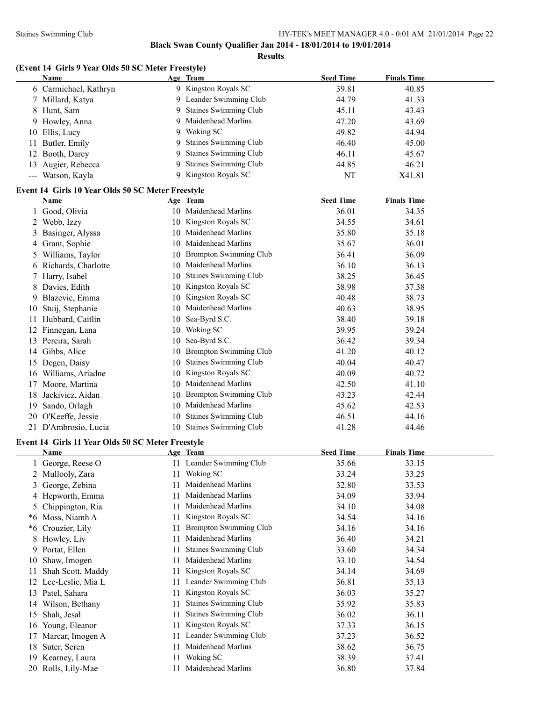**Results**

# **(Event 14 Girls 9 Year Olds 50 SC Meter Freestyle)**

|    | Name                                              |    | Age Team                      | <b>Seed Time</b> | <b>Finals Time</b> |  |
|----|---------------------------------------------------|----|-------------------------------|------------------|--------------------|--|
|    | 6 Carmichael, Kathryn                             |    | 9 Kingston Royals SC          | 39.81            | 40.85              |  |
|    | 7 Millard, Katya                                  |    | 9 Leander Swimming Club       | 44.79            | 41.33              |  |
| 8  | Hunt, Sam                                         | 9  | <b>Staines Swimming Club</b>  | 45.11            | 43.43              |  |
| 9  | Howley, Anna                                      | 9  | Maidenhead Marlins            | 47.20            | 43.69              |  |
|    | 10 Ellis, Lucy                                    | 9  | Woking SC                     | 49.82            | 44.94              |  |
| 11 | Butler, Emily                                     | 9  | Staines Swimming Club         | 46.40            | 45.00              |  |
| 12 | Booth, Darcy                                      | 9  | Staines Swimming Club         | 46.11            | 45.67              |  |
| 13 | Augier, Rebecca                                   | 9  | Staines Swimming Club         | 44.85            | 46.21              |  |
|    | --- Watson, Kayla                                 | 9  | Kingston Royals SC            | NT               | X41.81             |  |
|    | Event 14 Girls 10 Year Olds 50 SC Meter Freestyle |    |                               |                  |                    |  |
|    | Name                                              |    | Age Team                      | <b>Seed Time</b> | <b>Finals Time</b> |  |
|    | 1 Good, Olivia                                    |    | 10 Maidenhead Marlins         | 36.01            | 34.35              |  |
|    | 2 Webb, Izzy                                      |    | 10 Kingston Royals SC         | 34.55            | 34.61              |  |
| 3  | Basinger, Alyssa                                  | 10 | Maidenhead Marlins            | 35.80            | 35.18              |  |
|    | 4 Grant, Sophie                                   |    | 10 Maidenhead Marlins         | 35.67            | 36.01              |  |
| 5  | Williams, Taylor                                  |    | 10 Brompton Swimming Club     | 36.41            | 36.09              |  |
|    | 6 Richards, Charlotte                             | 10 | Maidenhead Marlins            | 36.10            | 36.13              |  |
| 7  | Harry, Isabel                                     | 10 | Staines Swimming Club         | 38.25            | 36.45              |  |
|    | 8 Davies, Edith                                   | 10 | Kingston Royals SC            | 38.98            | 37.38              |  |
| 9. | Blazevic, Emma                                    | 10 | Kingston Royals SC            | 40.48            | 38.73              |  |
| 10 | Stuij, Stephanie                                  | 10 | Maidenhead Marlins            | 40.63            | 38.95              |  |
| 11 | Hubbard, Caitlin                                  | 10 | Sea-Byrd S.C.                 | 38.40            | 39.18              |  |
|    | 12 Finnegan, Lana                                 | 10 | Woking SC                     | 39.95            | 39.24              |  |
|    | 13 Pereira, Sarah                                 | 10 | Sea-Byrd S.C.                 | 36.42            | 39.34              |  |
|    | 14 Gibbs, Alice                                   | 10 | <b>Brompton Swimming Club</b> | 41.20            | 40.12              |  |
| 15 | Degen, Daisy                                      | 10 | Staines Swimming Club         | 40.04            | 40.47              |  |
| 16 | Williams, Ariadne                                 | 10 | Kingston Royals SC            | 40.09            | 40.72              |  |
| 17 | Moore, Martina                                    | 10 | Maidenhead Marlins            | 42.50            | 41.10              |  |
| 18 | Jackivicz, Aidan                                  | 10 | <b>Brompton Swimming Club</b> | 43.23            | 42.44              |  |
| 19 | Sando, Orlagh                                     | 10 | Maidenhead Marlins            | 45.62            | 42.53              |  |
|    | 20 O'Keeffe, Jessie                               | 10 | Staines Swimming Club         | 46.51            | 44.16              |  |
|    | 21 D'Ambrosio, Lucia                              | 10 | Staines Swimming Club         | 41.28            | 44.46              |  |
|    |                                                   |    |                               |                  |                    |  |

### **Event 14 Girls 11 Year Olds 50 SC Meter Freestyle**

|    | <b>Name</b>        |    | Age Team                      | <b>Seed Time</b> | <b>Finals Time</b> |
|----|--------------------|----|-------------------------------|------------------|--------------------|
|    | 1 George, Reese O  |    | Leander Swimming Club         | 35.66            | 33.15              |
|    | 2 Mullooly, Zara   |    | Woking SC                     | 33.24            | 33.25              |
| 3  | George, Zebina     |    | Maidenhead Marlins            | 32.80            | 33.53              |
|    | 4 Hepworth, Emma   |    | Maidenhead Marlins            | 34.09            | 33.94              |
|    | 5 Chippington, Ria |    | Maidenhead Marlins            | 34.10            | 34.08              |
| *6 | Moss, Niamh A      |    | Kingston Royals SC            | 34.54            | 34.16              |
| *6 | Crouzier, Lily     |    | <b>Brompton Swimming Club</b> | 34.16            | 34.16              |
|    | 8 Howley, Liv      |    | Maidenhead Marlins            | 36.40            | 34.21              |
|    | 9 Portat, Ellen    | 11 | <b>Staines Swimming Club</b>  | 33.60            | 34.34              |
| 10 | Shaw, Imogen       |    | Maidenhead Marlins            | 33.10            | 34.54              |
| 11 | Shah Scott, Maddy  |    | Kingston Royals SC            | 34.14            | 34.69              |
| 12 | Lee-Leslie, Mia L  |    | Leander Swimming Club         | 36.81            | 35.13              |
| 13 | Patel, Sahara      |    | Kingston Royals SC            | 36.03            | 35.27              |
| 14 | Wilson, Bethany    | 11 | <b>Staines Swimming Club</b>  | 35.92            | 35.83              |
| 15 | Shah, Jesal        |    | <b>Staines Swimming Club</b>  | 36.02            | 36.11              |
| 16 | Young, Eleanor     |    | Kingston Royals SC            | 37.33            | 36.15              |
| 17 | Marcar, Imogen A   |    | Leander Swimming Club         | 37.23            | 36.52              |
| 18 | Suter, Seren       |    | Maidenhead Marlins            | 38.62            | 36.75              |
| 19 | Kearney, Laura     |    | Woking SC                     | 38.39            | 37.41              |
| 20 | Rolls, Lily-Mae    |    | Maidenhead Marlins            | 36.80            | 37.84              |
|    |                    |    |                               |                  |                    |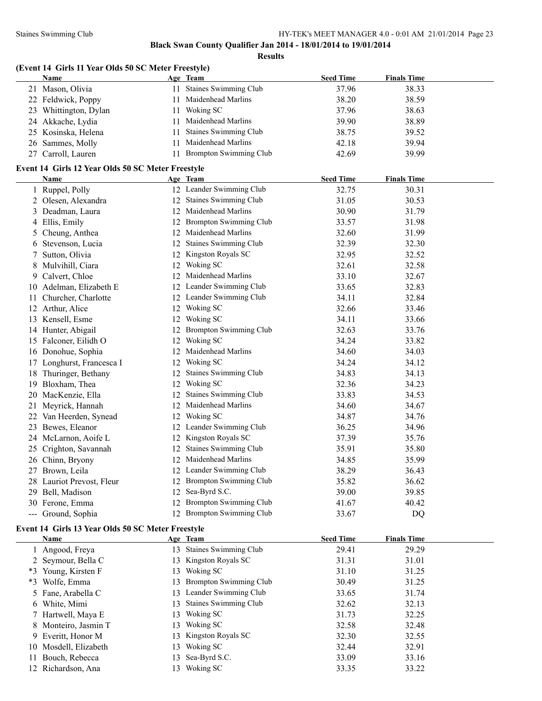**Results**

|  |  |  |  | (Event 14 Girls 11 Year Olds 50 SC Meter Freestyle) |
|--|--|--|--|-----------------------------------------------------|
|--|--|--|--|-----------------------------------------------------|

| Name                                                      | Age Team                  | <b>Seed Time</b> | <b>Finals Time</b> |  |
|-----------------------------------------------------------|---------------------------|------------------|--------------------|--|
| 21 Mason, Olivia                                          | 11 Staines Swimming Club  | 37.96            | 38.33              |  |
| 22 Feldwick, Poppy                                        | 11 Maidenhead Marlins     | 38.20            | 38.59              |  |
| 23 Whittington, Dylan                                     | 11 Woking SC              | 37.96            | 38.63              |  |
| 24 Akkache, Lydia                                         | 11 Maidenhead Marlins     | 39.90            | 38.89              |  |
| 25 Kosinska, Helena                                       | 11 Staines Swimming Club  | 38.75            | 39.52              |  |
| 26 Sammes, Molly                                          | 11 Maidenhead Marlins     | 42.18            | 39.94              |  |
| 27 Carroll, Lauren                                        | 11 Brompton Swimming Club | 42.69            | 39.99              |  |
|                                                           |                           |                  |                    |  |
| Event 14 Girls 12 Year Olds 50 SC Meter Freestyle<br>Name | Age Team                  | <b>Seed Time</b> | <b>Finals Time</b> |  |
| 1 Ruppel, Polly                                           | 12 Leander Swimming Club  | 32.75            | 30.31              |  |
| 2 Olesen, Alexandra                                       | 12 Staines Swimming Club  | 31.05            | 30.53              |  |
| 3 Deadman, Laura                                          | 12 Maidenhead Marlins     | 30.90            | 31.79              |  |
| 4 Ellis, Emily                                            | 12 Brompton Swimming Club | 33.57            | 31.98              |  |
| 5 Cheung, Anthea                                          | 12 Maidenhead Marlins     | 32.60            | 31.99              |  |
| 6 Stevenson, Lucia                                        | 12 Staines Swimming Club  | 32.39            | 32.30              |  |
| 7 Sutton, Olivia                                          | 12 Kingston Royals SC     | 32.95            | 32.52              |  |
| 8 Mulvihill, Ciara                                        | 12 Woking SC              | 32.61            | 32.58              |  |
| 9 Calvert, Chloe                                          | 12 Maidenhead Marlins     | 33.10            | 32.67              |  |
| 10 Adelman, Elizabeth E                                   | 12 Leander Swimming Club  | 33.65            | 32.83              |  |
| 11 Churcher, Charlotte                                    | 12 Leander Swimming Club  | 34.11            | 32.84              |  |
| 12 Arthur, Alice                                          | 12 Woking SC              | 32.66            | 33.46              |  |
| 13 Kensell, Esme                                          | 12 Woking SC              | 34.11            | 33.66              |  |
| 14 Hunter, Abigail                                        | 12 Brompton Swimming Club | 32.63            | 33.76              |  |
| 15 Falconer, Eilidh O                                     | 12 Woking SC              | 34.24            | 33.82              |  |
| 16 Donohue, Sophia                                        | 12 Maidenhead Marlins     | 34.60            | 34.03              |  |
| 17 Longhurst, Francesca I                                 | 12 Woking SC              | 34.24            | 34.12              |  |
| 18 Thuringer, Bethany                                     | 12 Staines Swimming Club  | 34.83            | 34.13              |  |
| 19 Bloxham, Thea                                          | 12 Woking SC              | 32.36            | 34.23              |  |
| 20 MacKenzie, Ella                                        | 12 Staines Swimming Club  | 33.83            | 34.53              |  |
| 21 Meyrick, Hannah                                        | 12 Maidenhead Marlins     | 34.60            | 34.67              |  |
| 22 Van Heerden, Synead                                    | 12 Woking SC              | 34.87            | 34.76              |  |
| 23 Bewes, Eleanor                                         | 12 Leander Swimming Club  | 36.25            | 34.96              |  |
| 24 McLarnon, Aoife L                                      | 12 Kingston Royals SC     | 37.39            | 35.76              |  |
| 25 Crighton, Savannah                                     | 12 Staines Swimming Club  | 35.91            | 35.80              |  |
| 26 Chinn, Bryony                                          | 12 Maidenhead Marlins     | 34.85            | 35.99              |  |
| 27 Brown, Leila                                           | 12 Leander Swimming Club  | 38.29            | 36.43              |  |
| 28 Lauriot Prevost, Fleur                                 | 12 Brompton Swimming Club | 35.82            | 36.62              |  |
| 29 Bell, Madison                                          | 12 Sea-Byrd S.C.          | 39.00            | 39.85              |  |
| 30 Ferone, Emma                                           | 12 Brompton Swimming Club | 41.67            | 40.42              |  |
|                                                           |                           |                  |                    |  |

#### **Event 14 Girls 13 Year Olds 50 SC Meter Freestyle**

| <b>Name</b>           |    | Age Team                     | <b>Seed Time</b> | <b>Finals Time</b> |
|-----------------------|----|------------------------------|------------------|--------------------|
| Angood, Freya         | 13 | <b>Staines Swimming Club</b> | 29.41            | 29.29              |
| 2 Seymour, Bella C    | 13 | Kingston Royals SC           | 31.31            | 31.01              |
| *3 Young, Kirsten F   | 13 | Woking SC                    | 31.10            | 31.25              |
| *3 Wolfe, Emma        | 13 | Brompton Swimming Club       | 30.49            | 31.25              |
| 5 Fane, Arabella C    |    | 13 Leander Swimming Club     | 33.65            | 31.74              |
| 6 White, Mimi         | 13 | Staines Swimming Club        | 32.62            | 32.13              |
| 7 Hartwell, Maya E    | 13 | Woking SC                    | 31.73            | 32.25              |
| 8 Monteiro, Jasmin T  | 13 | Woking SC                    | 32.58            | 32.48              |
| 9 Everitt, Honor M    |    | 13 Kingston Royals SC        | 32.30            | 32.55              |
| 10 Mosdell, Elizabeth | 13 | Woking SC                    | 32.44            | 32.91              |
| Bouch, Rebecca        | 13 | Sea-Byrd S.C.                | 33.09            | 33.16              |
| 12 Richardson, Ana    | 13 | Woking SC                    | 33.35            | 33.22              |

--- Ground, Sophia 12 Brompton Swimming Club 33.67 DQ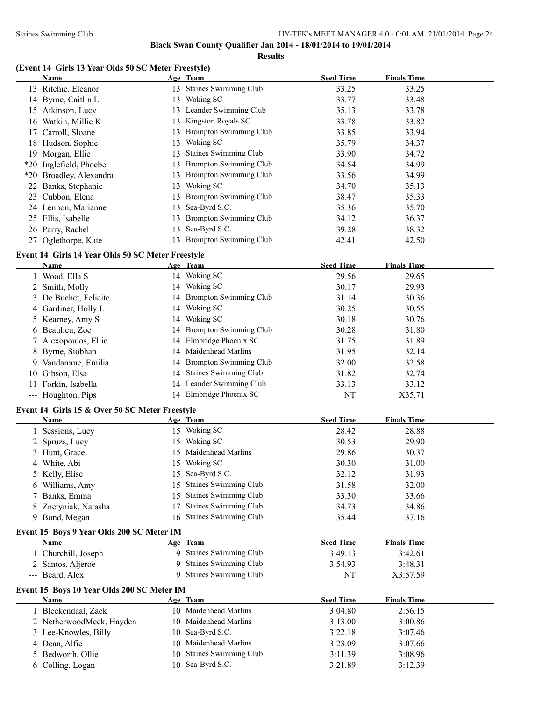**Results**

# **(Event 14 Girls 13 Year Olds 50 SC Meter Freestyle)**

|    | Name                    |     | Age Team                      | <b>Seed Time</b> | <b>Finals Time</b> |
|----|-------------------------|-----|-------------------------------|------------------|--------------------|
|    | 13 Ritchie, Eleanor     | 13  | <b>Staines Swimming Club</b>  | 33.25            | 33.25              |
|    | 14 Byrne, Caitlin L     | 13  | Woking SC                     | 33.77            | 33.48              |
| 15 | Atkinson, Lucy          |     | 13 Leander Swimming Club      | 35.13            | 33.78              |
|    | 16 Watkin, Millie K     | 13. | Kingston Royals SC            | 33.78            | 33.82              |
|    | 17 Carroll, Sloane      | 13. | Brompton Swimming Club        | 33.85            | 33.94              |
|    | 18 Hudson, Sophie       | 13. | Woking SC                     | 35.79            | 34.37              |
|    | 19 Morgan, Ellie        | 13  | <b>Staines Swimming Club</b>  | 33.90            | 34.72              |
|    | *20 Inglefield, Phoebe  | 13. | <b>Brompton Swimming Club</b> | 34.54            | 34.99              |
|    | *20 Broadley, Alexandra | 13. | Brompton Swimming Club        | 33.56            | 34.99              |
|    | 22 Banks, Stephanie     | 13. | Woking SC                     | 34.70            | 35.13              |
|    | 23 Cubbon, Elena        | 13. | Brompton Swimming Club        | 38.47            | 35.33              |
|    | 24 Lennon, Marianne     | 13. | Sea-Byrd S.C.                 | 35.36            | 35.70              |
|    | 25 Ellis, Isabelle      | 13  | <b>Brompton Swimming Club</b> | 34.12            | 36.37              |
|    | 26 Parry, Rachel        | 13. | Sea-Byrd S.C.                 | 39.28            | 38.32              |
|    | 27 Oglethorpe, Kate     | 13  | <b>Brompton Swimming Club</b> | 42.41            | 42.50              |

# **Event 14 Girls 14 Year Olds 50 SC Meter Freestyle**

| Name                  |    | Age Team                  | <b>Seed Time</b> | <b>Finals Time</b> |
|-----------------------|----|---------------------------|------------------|--------------------|
| 1 Wood, Ella S        |    | 14 Woking SC              | 29.56            | 29.65              |
| 2 Smith, Molly        |    | 14 Woking SC              | 30.17            | 29.93              |
| 3 De Buchet, Felicite |    | 14 Brompton Swimming Club | 31.14            | 30.36              |
| 4 Gardiner, Holly L   | 14 | Woking SC                 | 30.25            | 30.55              |
| 5 Kearney, Amy S      | 14 | Woking SC                 | 30.18            | 30.76              |
| 6 Beaulieu, Zoe       |    | 14 Brompton Swimming Club | 30.28            | 31.80              |
| 7 Alexopoulos, Ellie  |    | 14 Elmbridge Phoenix SC   | 31.75            | 31.89              |
| 8 Byrne, Siobhan      |    | 14 Maidenhead Marlins     | 31.95            | 32.14              |
| 9 Vandamme, Emilia    |    | 14 Brompton Swimming Club | 32.00            | 32.58              |
| 10 Gibson, Elsa       |    | 14 Staines Swimming Club  | 31.82            | 32.74              |
| 11 Forkin, Isabella   |    | 14 Leander Swimming Club  | 33.13            | 33.12              |
| --- Houghton, Pips    |    | 14 Elmbridge Phoenix SC   | NT               | X35.71             |

# **Event 14 Girls 15 & Over 50 SC Meter Freestyle**

| Name                 |     | Age Team                 | <b>Seed Time</b> | <b>Finals Time</b> |  |
|----------------------|-----|--------------------------|------------------|--------------------|--|
| Sessions, Lucy       | 15  | Woking SC                | 28.42            | 28.88              |  |
| 2 Spruzs, Lucy       | 15  | Woking SC                | 30.53            | 29.90              |  |
| 3 Hunt, Grace        |     | 15 Maidenhead Marlins    | 29.86            | 30.37              |  |
| 4 White, Abi         | 15. | Woking SC                | 30.30            | 31.00              |  |
| 5 Kelly, Elise       |     | 15 Sea-Byrd S.C.         | 32.12            | 31.93              |  |
| 6 Williams, Amy      |     | 15 Staines Swimming Club | 31.58            | 32.00              |  |
| 7 Banks, Emma        |     | 15 Staines Swimming Club | 33.30            | 33.66              |  |
| 8 Znetyniak, Natasha |     | Staines Swimming Club    | 34.73            | 34.86              |  |
| 9 Bond, Megan        |     | 16 Staines Swimming Club | 35.44            | 37.16              |  |

# **Event 15 Boys 9 Year Olds 200 SC Meter IM**

| <b>Name</b>       | Age Team                | <b>Seed Time</b> | <b>Finals Time</b> |  |
|-------------------|-------------------------|------------------|--------------------|--|
| Churchill, Joseph | 9 Staines Swimming Club | 3:49.13          | 3:42.61            |  |
| 2 Santos, Aljeroe | 9 Staines Swimming Club | 3:54.93          | 3:48.31            |  |
| --- Beard, Alex   | 9 Staines Swimming Club | NT               | X3:57.59           |  |

# **Event 15 Boys 10 Year Olds 200 SC Meter IM**

| Name                     | Age Team                 | <b>Seed Time</b> | <b>Finals Time</b> |
|--------------------------|--------------------------|------------------|--------------------|
| Bleekendaal, Zack        | 10 Maidenhead Marlins    | 3:04.80          | 2:56.15            |
| 2 NetherwoodMeek, Hayden | 10 Maidenhead Marlins    | 3:13.00          | 3:00.86            |
| 3 Lee-Knowles, Billy     | 10 Sea-Byrd S.C.         | 3:22.18          | 3:07.46            |
| 4 Dean, Alfie            | 10 Maidenhead Marlins    | 3:23.09          | 3:07.66            |
| 5 Bedworth, Ollie        | 10 Staines Swimming Club | 3:11.39          | 3:08.96            |
| 6 Colling, Logan         | 10 Sea-Byrd S.C.         | 3:21.89          | 3:12.39            |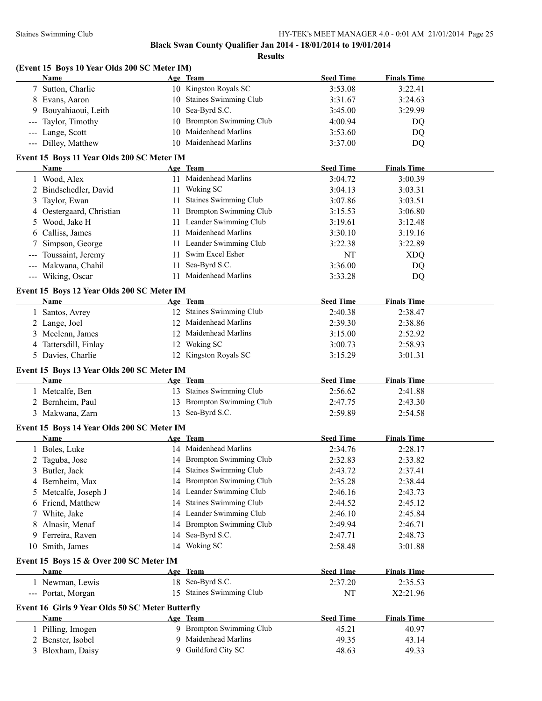|       | (Event 15 Boys 10 Year Olds 200 SC Meter IM)<br>Name |          | Age Team                      | <b>Seed Time</b> | <b>Finals Time</b> |  |
|-------|------------------------------------------------------|----------|-------------------------------|------------------|--------------------|--|
|       | 7 Sutton, Charlie                                    |          | 10 Kingston Royals SC         | 3:53.08          | 3:22.41            |  |
|       | 8 Evans, Aaron                                       |          | 10 Staines Swimming Club      | 3:31.67          | 3:24.63            |  |
|       | 9 Bouyahiaoui, Leith                                 | 10       | Sea-Byrd S.C.                 | 3:45.00          | 3:29.99            |  |
| $---$ | Taylor, Timothy                                      | 10       | <b>Brompton Swimming Club</b> | 4:00.94          | DQ                 |  |
|       | --- Lange, Scott                                     | 10       | Maidenhead Marlins            | 3:53.60          | DQ                 |  |
|       | --- Dilley, Matthew                                  |          | 10 Maidenhead Marlins         | 3:37.00          | DQ                 |  |
|       | Event 15 Boys 11 Year Olds 200 SC Meter IM           |          |                               |                  |                    |  |
|       | Name                                                 |          | Age Team                      | <b>Seed Time</b> | <b>Finals Time</b> |  |
|       | 1 Wood, Alex                                         |          | 11 Maidenhead Marlins         | 3:04.72          | 3:00.39            |  |
|       | 2 Bindschedler, David                                |          | 11 Woking SC                  | 3:04.13          | 3:03.31            |  |
| 3     | Taylor, Ewan                                         | 11       | <b>Staines Swimming Club</b>  | 3:07.86          | 3:03.51            |  |
| 4     | Oestergaard, Christian                               |          | 11 Brompton Swimming Club     | 3:15.53          | 3:06.80            |  |
| 5     | Wood, Jake H                                         |          | 11 Leander Swimming Club      | 3:19.61          | 3:12.48            |  |
|       | 6 Calliss, James                                     |          | 11 Maidenhead Marlins         | 3:30.10          | 3:19.16            |  |
|       | Simpson, George                                      |          | 11 Leander Swimming Club      | 3:22.38          | 3:22.89            |  |
|       |                                                      |          | Swim Excel Esher              |                  |                    |  |
|       | Toussaint, Jeremy<br>--- Makwana, Chahil             | 11<br>11 | Sea-Byrd S.C.                 | NT               | <b>XDQ</b>         |  |
|       |                                                      |          |                               | 3:36.00          | DQ                 |  |
|       | --- Wiking, Oscar                                    |          | 11 Maidenhead Marlins         | 3:33.28          | <b>DQ</b>          |  |
|       | Event 15 Boys 12 Year Olds 200 SC Meter IM           |          |                               |                  |                    |  |
|       | Name                                                 |          | Age Team                      | <b>Seed Time</b> | <b>Finals Time</b> |  |
|       | 1 Santos, Avrey                                      |          | 12 Staines Swimming Club      | 2:40.38          | 2:38.47            |  |
|       | 2 Lange, Joel                                        |          | 12 Maidenhead Marlins         | 2:39.30          | 2:38.86            |  |
|       | 3 Mcclenn, James                                     |          | 12 Maidenhead Marlins         | 3:15.00          | 2:52.92            |  |
|       | 4 Tattersdill, Finlay                                |          | 12 Woking SC                  | 3:00.73          | 2:58.93            |  |
|       | 5 Davies, Charlie                                    |          | 12 Kingston Royals SC         | 3:15.29          | 3:01.31            |  |
|       | Event 15 Boys 13 Year Olds 200 SC Meter IM           |          |                               |                  |                    |  |
|       | Name                                                 |          | Age Team                      | <b>Seed Time</b> | <b>Finals Time</b> |  |
|       | 1 Metcalfe, Ben                                      |          | 13 Staines Swimming Club      | 2:56.62          | 2:41.88            |  |
|       | 2 Bernheim, Paul                                     |          | 13 Brompton Swimming Club     | 2:47.75          | 2:43.30            |  |
|       | 3 Makwana, Zarn                                      |          | 13 Sea-Byrd S.C.              | 2:59.89          | 2:54.58            |  |
|       | Event 15 Boys 14 Year Olds 200 SC Meter IM           |          |                               |                  |                    |  |
|       | Name                                                 |          | Age Team                      | <b>Seed Time</b> | <b>Finals Time</b> |  |
|       | 1 Boles, Luke                                        |          | 14 Maidenhead Marlins         | 2:34.76          | 2:28.17            |  |
|       |                                                      |          |                               |                  |                    |  |
|       |                                                      |          |                               |                  |                    |  |
|       | 2 Taguba, Jose                                       |          | 14 Brompton Swimming Club     | 2:32.83          | 2:33.82            |  |
| 3     | Butler, Jack                                         |          | 14 Staines Swimming Club      | 2:43.72          | 2:37.41            |  |
| 4     | Bernheim, Max                                        |          | 14 Brompton Swimming Club     | 2:35.28          | 2:38.44            |  |
|       | 5 Metcalfe, Joseph J                                 |          | 14 Leander Swimming Club      | 2:46.16          | 2:43.73            |  |
|       | 6 Friend, Matthew                                    |          | 14 Staines Swimming Club      | 2:44.52          | 2:45.12            |  |
| 7     | White, Jake                                          |          | 14 Leander Swimming Club      | 2:46.10          | 2:45.84            |  |
| 8     | Alnasir, Menaf                                       |          | 14 Brompton Swimming Club     | 2:49.94          | 2:46.71            |  |
| 9.    | Ferreira, Raven                                      | 14       | Sea-Byrd S.C.                 | 2:47.71          | 2:48.73            |  |
| 10    | Smith, James                                         |          | 14 Woking SC                  | 2:58.48          | 3:01.88            |  |
|       | Event 15 Boys 15 & Over 200 SC Meter IM              |          |                               |                  |                    |  |
|       | Name                                                 |          | Age Team                      | <b>Seed Time</b> | <b>Finals Time</b> |  |
|       | 1 Newman, Lewis                                      |          | 18 Sea-Byrd S.C.              | 2:37.20          | 2:35.53            |  |
|       | --- Portat, Morgan                                   |          | 15 Staines Swimming Club      | NT               | X2:21.96           |  |
|       | Event 16 Girls 9 Year Olds 50 SC Meter Butterfly     |          |                               |                  |                    |  |
|       | Name                                                 |          | Age Team                      | <b>Seed Time</b> | <b>Finals Time</b> |  |
|       | 1 Pilling, Imogen                                    |          | 9 Brompton Swimming Club      | 45.21            | 40.97              |  |
|       | 2 Benster, Isobel                                    | 9        | Maidenhead Marlins            | 49.35            | 43.14              |  |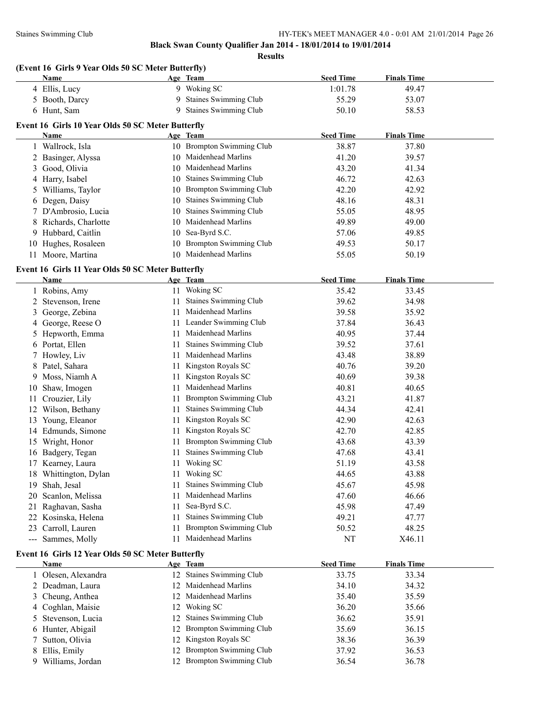**Results**

#### **(Event 16 Girls 9 Year Olds 50 SC Meter Butterfly)**

| 9 Woking SC<br>4 Ellis, Lucy<br>1:01.78<br>49.47<br>Staines Swimming Club<br>5 Booth, Darcy<br>55.29<br>53.07<br>9.<br><b>Staines Swimming Club</b><br>6 Hunt, Sam<br>50.10<br>9.<br>58.53<br>Event 16 Girls 10 Year Olds 50 SC Meter Butterfly<br><b>Seed Time</b><br><b>Finals Time</b><br>Name<br>Age Team<br>10 Brompton Swimming Club<br>38.87<br>37.80<br>1 Wallrock, Isla<br>10 Maidenhead Marlins<br>2 Basinger, Alyssa<br>41.20<br>39.57<br>10 Maidenhead Marlins<br>Good, Olivia<br>43.20<br>41.34<br>3<br>Staines Swimming Club<br>4 Harry, Isabel<br>46.72<br>42.63<br>10<br>10 Brompton Swimming Club<br>42.92<br>5 Williams, Taylor<br>42.20<br><b>Staines Swimming Club</b><br>6 Degen, Daisy<br>48.16<br>48.31<br>10<br>Staines Swimming Club<br>7 D'Ambrosio, Lucia<br>55.05<br>48.95<br>10<br>10 Maidenhead Marlins<br>8 Richards, Charlotte<br>49.89<br>49.00<br>9 Hubbard, Caitlin<br>10 Sea-Byrd S.C.<br>57.06<br>49.85<br>10 Brompton Swimming Club<br>50.17<br>Hughes, Rosaleen<br>49.53<br>10<br>10 Maidenhead Marlins<br>11 Moore, Martina<br>55.05<br>50.19<br>Event 16 Girls 11 Year Olds 50 SC Meter Butterfly<br><b>Seed Time</b><br><b>Finals Time</b><br>Name<br>Age Team<br>11 Woking SC<br>1 Robins, Amy<br>35.42<br>33.45<br>2 Stevenson, Irene<br>Staines Swimming Club<br>39.62<br>34.98<br>11<br>Maidenhead Marlins<br>George, Zebina<br>39.58<br>35.92<br>11<br>3<br>11 Leander Swimming Club<br>4 George, Reese O<br>37.84<br>36.43<br>Maidenhead Marlins<br>5 Hepworth, Emma<br>40.95<br>37.44<br>11<br><b>Staines Swimming Club</b><br>6 Portat, Ellen<br>39.52<br>37.61<br>11<br>Maidenhead Marlins<br>38.89<br>Howley, Liv<br>43.48<br>11<br>7<br>Kingston Royals SC<br>40.76<br>39.20<br>Patel, Sahara<br>11<br>8<br>Kingston Royals SC<br>Moss, Niamh A<br>40.69<br>39.38<br>11<br>9<br>Maidenhead Marlins<br>Shaw, Imogen<br>40.81<br>40.65<br>11<br>10<br><b>Brompton Swimming Club</b><br>Crouzier, Lily<br>43.21<br>41.87<br>11<br>11<br><b>Staines Swimming Club</b><br>12 Wilson, Bethany<br>44.34<br>42.41<br>11<br>Kingston Royals SC<br>13 Young, Eleanor<br>42.90<br>42.63<br>11<br>Kingston Royals SC<br>42.70<br>14 Edmunds, Simone<br>42.85<br>11<br><b>Brompton Swimming Club</b><br>15 Wright, Honor<br>43.68<br>43.39<br>11<br>Staines Swimming Club<br>16 Badgery, Tegan<br>47.68<br>43.41<br>11<br>11 Woking SC<br>17 Kearney, Laura<br>51.19<br>43.58<br>11 Woking SC<br>18 Whittington, Dylan<br>44.65<br>43.88<br><b>Staines Swimming Club</b><br>Shah, Jesal<br>45.67<br>45.98<br>19<br>11<br>Maidenhead Marlins<br>Scanlon, Melissa<br>47.60<br>46.66<br>20<br>11<br>Sea-Byrd S.C.<br>Raghavan, Sasha<br>45.98<br>47.49<br>11<br>21<br>Staines Swimming Club<br>Kosinska, Helena<br>49.21<br>47.77<br>22<br>11<br><b>Brompton Swimming Club</b><br>Carroll, Lauren<br>48.25<br>50.52<br>11<br>23<br>Maidenhead Marlins<br>--- Sammes, Molly<br>NT<br>11<br>X46.11<br>Event 16 Girls 12 Year Olds 50 SC Meter Butterfly<br><b>Seed Time</b><br>Name<br><b>Finals Time</b><br>Age Team<br>12 Staines Swimming Club<br>33.75<br>33.34<br>1 Olesen, Alexandra<br>Maidenhead Marlins<br>2 Deadman, Laura<br>34.10<br>34.32<br>12<br>Cheung, Anthea<br>12 Maidenhead Marlins<br>35.40<br>35.59<br>3<br>4 Coghlan, Maisie<br>12 Woking SC | Name | Age Team | <b>Seed Time</b> | <b>Finals Time</b> |  |
|--------------------------------------------------------------------------------------------------------------------------------------------------------------------------------------------------------------------------------------------------------------------------------------------------------------------------------------------------------------------------------------------------------------------------------------------------------------------------------------------------------------------------------------------------------------------------------------------------------------------------------------------------------------------------------------------------------------------------------------------------------------------------------------------------------------------------------------------------------------------------------------------------------------------------------------------------------------------------------------------------------------------------------------------------------------------------------------------------------------------------------------------------------------------------------------------------------------------------------------------------------------------------------------------------------------------------------------------------------------------------------------------------------------------------------------------------------------------------------------------------------------------------------------------------------------------------------------------------------------------------------------------------------------------------------------------------------------------------------------------------------------------------------------------------------------------------------------------------------------------------------------------------------------------------------------------------------------------------------------------------------------------------------------------------------------------------------------------------------------------------------------------------------------------------------------------------------------------------------------------------------------------------------------------------------------------------------------------------------------------------------------------------------------------------------------------------------------------------------------------------------------------------------------------------------------------------------------------------------------------------------------------------------------------------------------------------------------------------------------------------------------------------------------------------------------------------------------------------------------------------------------------------------------------------------------------------------------------------------------------------------------------------------------------------------------------------------------------------------------------------------------------------------------------------------------------------------------------------------------------------------------------------------------------------------|------|----------|------------------|--------------------|--|
|                                                                                                                                                                                                                                                                                                                                                                                                                                                                                                                                                                                                                                                                                                                                                                                                                                                                                                                                                                                                                                                                                                                                                                                                                                                                                                                                                                                                                                                                                                                                                                                                                                                                                                                                                                                                                                                                                                                                                                                                                                                                                                                                                                                                                                                                                                                                                                                                                                                                                                                                                                                                                                                                                                                                                                                                                                                                                                                                                                                                                                                                                                                                                                                                                                                                                                        |      |          |                  |                    |  |
|                                                                                                                                                                                                                                                                                                                                                                                                                                                                                                                                                                                                                                                                                                                                                                                                                                                                                                                                                                                                                                                                                                                                                                                                                                                                                                                                                                                                                                                                                                                                                                                                                                                                                                                                                                                                                                                                                                                                                                                                                                                                                                                                                                                                                                                                                                                                                                                                                                                                                                                                                                                                                                                                                                                                                                                                                                                                                                                                                                                                                                                                                                                                                                                                                                                                                                        |      |          |                  |                    |  |
|                                                                                                                                                                                                                                                                                                                                                                                                                                                                                                                                                                                                                                                                                                                                                                                                                                                                                                                                                                                                                                                                                                                                                                                                                                                                                                                                                                                                                                                                                                                                                                                                                                                                                                                                                                                                                                                                                                                                                                                                                                                                                                                                                                                                                                                                                                                                                                                                                                                                                                                                                                                                                                                                                                                                                                                                                                                                                                                                                                                                                                                                                                                                                                                                                                                                                                        |      |          |                  |                    |  |
|                                                                                                                                                                                                                                                                                                                                                                                                                                                                                                                                                                                                                                                                                                                                                                                                                                                                                                                                                                                                                                                                                                                                                                                                                                                                                                                                                                                                                                                                                                                                                                                                                                                                                                                                                                                                                                                                                                                                                                                                                                                                                                                                                                                                                                                                                                                                                                                                                                                                                                                                                                                                                                                                                                                                                                                                                                                                                                                                                                                                                                                                                                                                                                                                                                                                                                        |      |          |                  |                    |  |
|                                                                                                                                                                                                                                                                                                                                                                                                                                                                                                                                                                                                                                                                                                                                                                                                                                                                                                                                                                                                                                                                                                                                                                                                                                                                                                                                                                                                                                                                                                                                                                                                                                                                                                                                                                                                                                                                                                                                                                                                                                                                                                                                                                                                                                                                                                                                                                                                                                                                                                                                                                                                                                                                                                                                                                                                                                                                                                                                                                                                                                                                                                                                                                                                                                                                                                        |      |          |                  |                    |  |
|                                                                                                                                                                                                                                                                                                                                                                                                                                                                                                                                                                                                                                                                                                                                                                                                                                                                                                                                                                                                                                                                                                                                                                                                                                                                                                                                                                                                                                                                                                                                                                                                                                                                                                                                                                                                                                                                                                                                                                                                                                                                                                                                                                                                                                                                                                                                                                                                                                                                                                                                                                                                                                                                                                                                                                                                                                                                                                                                                                                                                                                                                                                                                                                                                                                                                                        |      |          |                  |                    |  |
|                                                                                                                                                                                                                                                                                                                                                                                                                                                                                                                                                                                                                                                                                                                                                                                                                                                                                                                                                                                                                                                                                                                                                                                                                                                                                                                                                                                                                                                                                                                                                                                                                                                                                                                                                                                                                                                                                                                                                                                                                                                                                                                                                                                                                                                                                                                                                                                                                                                                                                                                                                                                                                                                                                                                                                                                                                                                                                                                                                                                                                                                                                                                                                                                                                                                                                        |      |          |                  |                    |  |
|                                                                                                                                                                                                                                                                                                                                                                                                                                                                                                                                                                                                                                                                                                                                                                                                                                                                                                                                                                                                                                                                                                                                                                                                                                                                                                                                                                                                                                                                                                                                                                                                                                                                                                                                                                                                                                                                                                                                                                                                                                                                                                                                                                                                                                                                                                                                                                                                                                                                                                                                                                                                                                                                                                                                                                                                                                                                                                                                                                                                                                                                                                                                                                                                                                                                                                        |      |          |                  |                    |  |
|                                                                                                                                                                                                                                                                                                                                                                                                                                                                                                                                                                                                                                                                                                                                                                                                                                                                                                                                                                                                                                                                                                                                                                                                                                                                                                                                                                                                                                                                                                                                                                                                                                                                                                                                                                                                                                                                                                                                                                                                                                                                                                                                                                                                                                                                                                                                                                                                                                                                                                                                                                                                                                                                                                                                                                                                                                                                                                                                                                                                                                                                                                                                                                                                                                                                                                        |      |          |                  |                    |  |
|                                                                                                                                                                                                                                                                                                                                                                                                                                                                                                                                                                                                                                                                                                                                                                                                                                                                                                                                                                                                                                                                                                                                                                                                                                                                                                                                                                                                                                                                                                                                                                                                                                                                                                                                                                                                                                                                                                                                                                                                                                                                                                                                                                                                                                                                                                                                                                                                                                                                                                                                                                                                                                                                                                                                                                                                                                                                                                                                                                                                                                                                                                                                                                                                                                                                                                        |      |          |                  |                    |  |
|                                                                                                                                                                                                                                                                                                                                                                                                                                                                                                                                                                                                                                                                                                                                                                                                                                                                                                                                                                                                                                                                                                                                                                                                                                                                                                                                                                                                                                                                                                                                                                                                                                                                                                                                                                                                                                                                                                                                                                                                                                                                                                                                                                                                                                                                                                                                                                                                                                                                                                                                                                                                                                                                                                                                                                                                                                                                                                                                                                                                                                                                                                                                                                                                                                                                                                        |      |          |                  |                    |  |
|                                                                                                                                                                                                                                                                                                                                                                                                                                                                                                                                                                                                                                                                                                                                                                                                                                                                                                                                                                                                                                                                                                                                                                                                                                                                                                                                                                                                                                                                                                                                                                                                                                                                                                                                                                                                                                                                                                                                                                                                                                                                                                                                                                                                                                                                                                                                                                                                                                                                                                                                                                                                                                                                                                                                                                                                                                                                                                                                                                                                                                                                                                                                                                                                                                                                                                        |      |          |                  |                    |  |
|                                                                                                                                                                                                                                                                                                                                                                                                                                                                                                                                                                                                                                                                                                                                                                                                                                                                                                                                                                                                                                                                                                                                                                                                                                                                                                                                                                                                                                                                                                                                                                                                                                                                                                                                                                                                                                                                                                                                                                                                                                                                                                                                                                                                                                                                                                                                                                                                                                                                                                                                                                                                                                                                                                                                                                                                                                                                                                                                                                                                                                                                                                                                                                                                                                                                                                        |      |          |                  |                    |  |
|                                                                                                                                                                                                                                                                                                                                                                                                                                                                                                                                                                                                                                                                                                                                                                                                                                                                                                                                                                                                                                                                                                                                                                                                                                                                                                                                                                                                                                                                                                                                                                                                                                                                                                                                                                                                                                                                                                                                                                                                                                                                                                                                                                                                                                                                                                                                                                                                                                                                                                                                                                                                                                                                                                                                                                                                                                                                                                                                                                                                                                                                                                                                                                                                                                                                                                        |      |          |                  |                    |  |
|                                                                                                                                                                                                                                                                                                                                                                                                                                                                                                                                                                                                                                                                                                                                                                                                                                                                                                                                                                                                                                                                                                                                                                                                                                                                                                                                                                                                                                                                                                                                                                                                                                                                                                                                                                                                                                                                                                                                                                                                                                                                                                                                                                                                                                                                                                                                                                                                                                                                                                                                                                                                                                                                                                                                                                                                                                                                                                                                                                                                                                                                                                                                                                                                                                                                                                        |      |          |                  |                    |  |
|                                                                                                                                                                                                                                                                                                                                                                                                                                                                                                                                                                                                                                                                                                                                                                                                                                                                                                                                                                                                                                                                                                                                                                                                                                                                                                                                                                                                                                                                                                                                                                                                                                                                                                                                                                                                                                                                                                                                                                                                                                                                                                                                                                                                                                                                                                                                                                                                                                                                                                                                                                                                                                                                                                                                                                                                                                                                                                                                                                                                                                                                                                                                                                                                                                                                                                        |      |          |                  |                    |  |
|                                                                                                                                                                                                                                                                                                                                                                                                                                                                                                                                                                                                                                                                                                                                                                                                                                                                                                                                                                                                                                                                                                                                                                                                                                                                                                                                                                                                                                                                                                                                                                                                                                                                                                                                                                                                                                                                                                                                                                                                                                                                                                                                                                                                                                                                                                                                                                                                                                                                                                                                                                                                                                                                                                                                                                                                                                                                                                                                                                                                                                                                                                                                                                                                                                                                                                        |      |          |                  |                    |  |
|                                                                                                                                                                                                                                                                                                                                                                                                                                                                                                                                                                                                                                                                                                                                                                                                                                                                                                                                                                                                                                                                                                                                                                                                                                                                                                                                                                                                                                                                                                                                                                                                                                                                                                                                                                                                                                                                                                                                                                                                                                                                                                                                                                                                                                                                                                                                                                                                                                                                                                                                                                                                                                                                                                                                                                                                                                                                                                                                                                                                                                                                                                                                                                                                                                                                                                        |      |          |                  |                    |  |
|                                                                                                                                                                                                                                                                                                                                                                                                                                                                                                                                                                                                                                                                                                                                                                                                                                                                                                                                                                                                                                                                                                                                                                                                                                                                                                                                                                                                                                                                                                                                                                                                                                                                                                                                                                                                                                                                                                                                                                                                                                                                                                                                                                                                                                                                                                                                                                                                                                                                                                                                                                                                                                                                                                                                                                                                                                                                                                                                                                                                                                                                                                                                                                                                                                                                                                        |      |          |                  |                    |  |
|                                                                                                                                                                                                                                                                                                                                                                                                                                                                                                                                                                                                                                                                                                                                                                                                                                                                                                                                                                                                                                                                                                                                                                                                                                                                                                                                                                                                                                                                                                                                                                                                                                                                                                                                                                                                                                                                                                                                                                                                                                                                                                                                                                                                                                                                                                                                                                                                                                                                                                                                                                                                                                                                                                                                                                                                                                                                                                                                                                                                                                                                                                                                                                                                                                                                                                        |      |          |                  |                    |  |
|                                                                                                                                                                                                                                                                                                                                                                                                                                                                                                                                                                                                                                                                                                                                                                                                                                                                                                                                                                                                                                                                                                                                                                                                                                                                                                                                                                                                                                                                                                                                                                                                                                                                                                                                                                                                                                                                                                                                                                                                                                                                                                                                                                                                                                                                                                                                                                                                                                                                                                                                                                                                                                                                                                                                                                                                                                                                                                                                                                                                                                                                                                                                                                                                                                                                                                        |      |          |                  |                    |  |
|                                                                                                                                                                                                                                                                                                                                                                                                                                                                                                                                                                                                                                                                                                                                                                                                                                                                                                                                                                                                                                                                                                                                                                                                                                                                                                                                                                                                                                                                                                                                                                                                                                                                                                                                                                                                                                                                                                                                                                                                                                                                                                                                                                                                                                                                                                                                                                                                                                                                                                                                                                                                                                                                                                                                                                                                                                                                                                                                                                                                                                                                                                                                                                                                                                                                                                        |      |          |                  |                    |  |
|                                                                                                                                                                                                                                                                                                                                                                                                                                                                                                                                                                                                                                                                                                                                                                                                                                                                                                                                                                                                                                                                                                                                                                                                                                                                                                                                                                                                                                                                                                                                                                                                                                                                                                                                                                                                                                                                                                                                                                                                                                                                                                                                                                                                                                                                                                                                                                                                                                                                                                                                                                                                                                                                                                                                                                                                                                                                                                                                                                                                                                                                                                                                                                                                                                                                                                        |      |          |                  |                    |  |
|                                                                                                                                                                                                                                                                                                                                                                                                                                                                                                                                                                                                                                                                                                                                                                                                                                                                                                                                                                                                                                                                                                                                                                                                                                                                                                                                                                                                                                                                                                                                                                                                                                                                                                                                                                                                                                                                                                                                                                                                                                                                                                                                                                                                                                                                                                                                                                                                                                                                                                                                                                                                                                                                                                                                                                                                                                                                                                                                                                                                                                                                                                                                                                                                                                                                                                        |      |          |                  |                    |  |
|                                                                                                                                                                                                                                                                                                                                                                                                                                                                                                                                                                                                                                                                                                                                                                                                                                                                                                                                                                                                                                                                                                                                                                                                                                                                                                                                                                                                                                                                                                                                                                                                                                                                                                                                                                                                                                                                                                                                                                                                                                                                                                                                                                                                                                                                                                                                                                                                                                                                                                                                                                                                                                                                                                                                                                                                                                                                                                                                                                                                                                                                                                                                                                                                                                                                                                        |      |          |                  |                    |  |
|                                                                                                                                                                                                                                                                                                                                                                                                                                                                                                                                                                                                                                                                                                                                                                                                                                                                                                                                                                                                                                                                                                                                                                                                                                                                                                                                                                                                                                                                                                                                                                                                                                                                                                                                                                                                                                                                                                                                                                                                                                                                                                                                                                                                                                                                                                                                                                                                                                                                                                                                                                                                                                                                                                                                                                                                                                                                                                                                                                                                                                                                                                                                                                                                                                                                                                        |      |          |                  |                    |  |
|                                                                                                                                                                                                                                                                                                                                                                                                                                                                                                                                                                                                                                                                                                                                                                                                                                                                                                                                                                                                                                                                                                                                                                                                                                                                                                                                                                                                                                                                                                                                                                                                                                                                                                                                                                                                                                                                                                                                                                                                                                                                                                                                                                                                                                                                                                                                                                                                                                                                                                                                                                                                                                                                                                                                                                                                                                                                                                                                                                                                                                                                                                                                                                                                                                                                                                        |      |          |                  |                    |  |
|                                                                                                                                                                                                                                                                                                                                                                                                                                                                                                                                                                                                                                                                                                                                                                                                                                                                                                                                                                                                                                                                                                                                                                                                                                                                                                                                                                                                                                                                                                                                                                                                                                                                                                                                                                                                                                                                                                                                                                                                                                                                                                                                                                                                                                                                                                                                                                                                                                                                                                                                                                                                                                                                                                                                                                                                                                                                                                                                                                                                                                                                                                                                                                                                                                                                                                        |      |          |                  |                    |  |
|                                                                                                                                                                                                                                                                                                                                                                                                                                                                                                                                                                                                                                                                                                                                                                                                                                                                                                                                                                                                                                                                                                                                                                                                                                                                                                                                                                                                                                                                                                                                                                                                                                                                                                                                                                                                                                                                                                                                                                                                                                                                                                                                                                                                                                                                                                                                                                                                                                                                                                                                                                                                                                                                                                                                                                                                                                                                                                                                                                                                                                                                                                                                                                                                                                                                                                        |      |          |                  |                    |  |
|                                                                                                                                                                                                                                                                                                                                                                                                                                                                                                                                                                                                                                                                                                                                                                                                                                                                                                                                                                                                                                                                                                                                                                                                                                                                                                                                                                                                                                                                                                                                                                                                                                                                                                                                                                                                                                                                                                                                                                                                                                                                                                                                                                                                                                                                                                                                                                                                                                                                                                                                                                                                                                                                                                                                                                                                                                                                                                                                                                                                                                                                                                                                                                                                                                                                                                        |      |          |                  |                    |  |
|                                                                                                                                                                                                                                                                                                                                                                                                                                                                                                                                                                                                                                                                                                                                                                                                                                                                                                                                                                                                                                                                                                                                                                                                                                                                                                                                                                                                                                                                                                                                                                                                                                                                                                                                                                                                                                                                                                                                                                                                                                                                                                                                                                                                                                                                                                                                                                                                                                                                                                                                                                                                                                                                                                                                                                                                                                                                                                                                                                                                                                                                                                                                                                                                                                                                                                        |      |          |                  |                    |  |
|                                                                                                                                                                                                                                                                                                                                                                                                                                                                                                                                                                                                                                                                                                                                                                                                                                                                                                                                                                                                                                                                                                                                                                                                                                                                                                                                                                                                                                                                                                                                                                                                                                                                                                                                                                                                                                                                                                                                                                                                                                                                                                                                                                                                                                                                                                                                                                                                                                                                                                                                                                                                                                                                                                                                                                                                                                                                                                                                                                                                                                                                                                                                                                                                                                                                                                        |      |          |                  |                    |  |
|                                                                                                                                                                                                                                                                                                                                                                                                                                                                                                                                                                                                                                                                                                                                                                                                                                                                                                                                                                                                                                                                                                                                                                                                                                                                                                                                                                                                                                                                                                                                                                                                                                                                                                                                                                                                                                                                                                                                                                                                                                                                                                                                                                                                                                                                                                                                                                                                                                                                                                                                                                                                                                                                                                                                                                                                                                                                                                                                                                                                                                                                                                                                                                                                                                                                                                        |      |          |                  |                    |  |
|                                                                                                                                                                                                                                                                                                                                                                                                                                                                                                                                                                                                                                                                                                                                                                                                                                                                                                                                                                                                                                                                                                                                                                                                                                                                                                                                                                                                                                                                                                                                                                                                                                                                                                                                                                                                                                                                                                                                                                                                                                                                                                                                                                                                                                                                                                                                                                                                                                                                                                                                                                                                                                                                                                                                                                                                                                                                                                                                                                                                                                                                                                                                                                                                                                                                                                        |      |          |                  |                    |  |
|                                                                                                                                                                                                                                                                                                                                                                                                                                                                                                                                                                                                                                                                                                                                                                                                                                                                                                                                                                                                                                                                                                                                                                                                                                                                                                                                                                                                                                                                                                                                                                                                                                                                                                                                                                                                                                                                                                                                                                                                                                                                                                                                                                                                                                                                                                                                                                                                                                                                                                                                                                                                                                                                                                                                                                                                                                                                                                                                                                                                                                                                                                                                                                                                                                                                                                        |      |          |                  |                    |  |
|                                                                                                                                                                                                                                                                                                                                                                                                                                                                                                                                                                                                                                                                                                                                                                                                                                                                                                                                                                                                                                                                                                                                                                                                                                                                                                                                                                                                                                                                                                                                                                                                                                                                                                                                                                                                                                                                                                                                                                                                                                                                                                                                                                                                                                                                                                                                                                                                                                                                                                                                                                                                                                                                                                                                                                                                                                                                                                                                                                                                                                                                                                                                                                                                                                                                                                        |      |          |                  |                    |  |
|                                                                                                                                                                                                                                                                                                                                                                                                                                                                                                                                                                                                                                                                                                                                                                                                                                                                                                                                                                                                                                                                                                                                                                                                                                                                                                                                                                                                                                                                                                                                                                                                                                                                                                                                                                                                                                                                                                                                                                                                                                                                                                                                                                                                                                                                                                                                                                                                                                                                                                                                                                                                                                                                                                                                                                                                                                                                                                                                                                                                                                                                                                                                                                                                                                                                                                        |      |          |                  |                    |  |
|                                                                                                                                                                                                                                                                                                                                                                                                                                                                                                                                                                                                                                                                                                                                                                                                                                                                                                                                                                                                                                                                                                                                                                                                                                                                                                                                                                                                                                                                                                                                                                                                                                                                                                                                                                                                                                                                                                                                                                                                                                                                                                                                                                                                                                                                                                                                                                                                                                                                                                                                                                                                                                                                                                                                                                                                                                                                                                                                                                                                                                                                                                                                                                                                                                                                                                        |      |          |                  |                    |  |
|                                                                                                                                                                                                                                                                                                                                                                                                                                                                                                                                                                                                                                                                                                                                                                                                                                                                                                                                                                                                                                                                                                                                                                                                                                                                                                                                                                                                                                                                                                                                                                                                                                                                                                                                                                                                                                                                                                                                                                                                                                                                                                                                                                                                                                                                                                                                                                                                                                                                                                                                                                                                                                                                                                                                                                                                                                                                                                                                                                                                                                                                                                                                                                                                                                                                                                        |      |          |                  |                    |  |
|                                                                                                                                                                                                                                                                                                                                                                                                                                                                                                                                                                                                                                                                                                                                                                                                                                                                                                                                                                                                                                                                                                                                                                                                                                                                                                                                                                                                                                                                                                                                                                                                                                                                                                                                                                                                                                                                                                                                                                                                                                                                                                                                                                                                                                                                                                                                                                                                                                                                                                                                                                                                                                                                                                                                                                                                                                                                                                                                                                                                                                                                                                                                                                                                                                                                                                        |      |          |                  |                    |  |
|                                                                                                                                                                                                                                                                                                                                                                                                                                                                                                                                                                                                                                                                                                                                                                                                                                                                                                                                                                                                                                                                                                                                                                                                                                                                                                                                                                                                                                                                                                                                                                                                                                                                                                                                                                                                                                                                                                                                                                                                                                                                                                                                                                                                                                                                                                                                                                                                                                                                                                                                                                                                                                                                                                                                                                                                                                                                                                                                                                                                                                                                                                                                                                                                                                                                                                        |      |          |                  |                    |  |
|                                                                                                                                                                                                                                                                                                                                                                                                                                                                                                                                                                                                                                                                                                                                                                                                                                                                                                                                                                                                                                                                                                                                                                                                                                                                                                                                                                                                                                                                                                                                                                                                                                                                                                                                                                                                                                                                                                                                                                                                                                                                                                                                                                                                                                                                                                                                                                                                                                                                                                                                                                                                                                                                                                                                                                                                                                                                                                                                                                                                                                                                                                                                                                                                                                                                                                        |      |          |                  |                    |  |
|                                                                                                                                                                                                                                                                                                                                                                                                                                                                                                                                                                                                                                                                                                                                                                                                                                                                                                                                                                                                                                                                                                                                                                                                                                                                                                                                                                                                                                                                                                                                                                                                                                                                                                                                                                                                                                                                                                                                                                                                                                                                                                                                                                                                                                                                                                                                                                                                                                                                                                                                                                                                                                                                                                                                                                                                                                                                                                                                                                                                                                                                                                                                                                                                                                                                                                        |      |          |                  |                    |  |
|                                                                                                                                                                                                                                                                                                                                                                                                                                                                                                                                                                                                                                                                                                                                                                                                                                                                                                                                                                                                                                                                                                                                                                                                                                                                                                                                                                                                                                                                                                                                                                                                                                                                                                                                                                                                                                                                                                                                                                                                                                                                                                                                                                                                                                                                                                                                                                                                                                                                                                                                                                                                                                                                                                                                                                                                                                                                                                                                                                                                                                                                                                                                                                                                                                                                                                        |      |          |                  |                    |  |
|                                                                                                                                                                                                                                                                                                                                                                                                                                                                                                                                                                                                                                                                                                                                                                                                                                                                                                                                                                                                                                                                                                                                                                                                                                                                                                                                                                                                                                                                                                                                                                                                                                                                                                                                                                                                                                                                                                                                                                                                                                                                                                                                                                                                                                                                                                                                                                                                                                                                                                                                                                                                                                                                                                                                                                                                                                                                                                                                                                                                                                                                                                                                                                                                                                                                                                        |      |          |                  |                    |  |
|                                                                                                                                                                                                                                                                                                                                                                                                                                                                                                                                                                                                                                                                                                                                                                                                                                                                                                                                                                                                                                                                                                                                                                                                                                                                                                                                                                                                                                                                                                                                                                                                                                                                                                                                                                                                                                                                                                                                                                                                                                                                                                                                                                                                                                                                                                                                                                                                                                                                                                                                                                                                                                                                                                                                                                                                                                                                                                                                                                                                                                                                                                                                                                                                                                                                                                        |      |          |                  |                    |  |
|                                                                                                                                                                                                                                                                                                                                                                                                                                                                                                                                                                                                                                                                                                                                                                                                                                                                                                                                                                                                                                                                                                                                                                                                                                                                                                                                                                                                                                                                                                                                                                                                                                                                                                                                                                                                                                                                                                                                                                                                                                                                                                                                                                                                                                                                                                                                                                                                                                                                                                                                                                                                                                                                                                                                                                                                                                                                                                                                                                                                                                                                                                                                                                                                                                                                                                        |      |          |                  |                    |  |
|                                                                                                                                                                                                                                                                                                                                                                                                                                                                                                                                                                                                                                                                                                                                                                                                                                                                                                                                                                                                                                                                                                                                                                                                                                                                                                                                                                                                                                                                                                                                                                                                                                                                                                                                                                                                                                                                                                                                                                                                                                                                                                                                                                                                                                                                                                                                                                                                                                                                                                                                                                                                                                                                                                                                                                                                                                                                                                                                                                                                                                                                                                                                                                                                                                                                                                        |      |          | 36.20            | 35.66              |  |

 Stevenson, Lucia 12 Staines Swimming Club 36.62 35.91 Hunter, Abigail 12 Brompton Swimming Club 35.69 36.15 7 Sutton, Olivia 12 Kingston Royals SC 38.36 36.39 Ellis, Emily 12 Brompton Swimming Club 37.92 36.53 Williams, Jordan 12 Brompton Swimming Club 36.54 36.78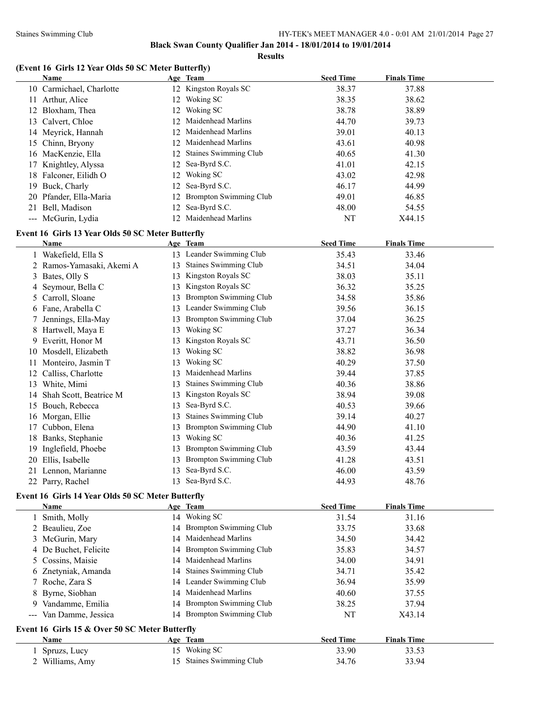#### Staines Swimming Club HY-TEK's MEET MANAGER 4.0 - 0:01 AM 21/01/2014 Page 27

**Black Swan County Qualifier Jan 2014 - 18/01/2014 to 19/01/2014**

**Results**

### **(Event 16 Girls 12 Year Olds 50 SC Meter Butterfly)**

|    | Name                     |    | Age Team                  | <b>Seed Time</b> | <b>Finals Time</b> |
|----|--------------------------|----|---------------------------|------------------|--------------------|
|    | 10 Carmichael, Charlotte |    | 12 Kingston Royals SC     | 38.37            | 37.88              |
| 11 | Arthur, Alice            | 12 | Woking SC                 | 38.35            | 38.62              |
|    | 12 Bloxham, Thea         |    | 12 Woking SC              | 38.78            | 38.89              |
|    | 13 Calvert, Chloe        |    | 12 Maidenhead Marlins     | 44.70            | 39.73              |
|    | 14 Meyrick, Hannah       |    | 12 Maidenhead Marlins     | 39.01            | 40.13              |
|    | 15 Chinn, Bryony         |    | 12 Maidenhead Marlins     | 43.61            | 40.98              |
|    | 16 MacKenzie, Ella       |    | 12 Staines Swimming Club  | 40.65            | 41.30              |
|    | 17 Knightley, Alyssa     |    | 12 Sea-Byrd S.C.          | 41.01            | 42.15              |
|    | 18 Falconer, Eilidh O    |    | 12 Woking SC              | 43.02            | 42.98              |
|    | 19 Buck, Charly          |    | 12 Sea-Byrd S.C.          | 46.17            | 44.99              |
|    | 20 Pfander, Ella-Maria   |    | 12 Brompton Swimming Club | 49.01            | 46.85              |
| 21 | Bell, Madison            |    | 12 Sea-Byrd S.C.          | 48.00            | 54.55              |
|    | --- McGurin, Lydia       |    | 12 Maidenhead Marlins     | NT               | X44.15             |

# **Event 16 Girls 13 Year Olds 50 SC Meter Butterfly**

|    | Name                      |    | Age Team                      | <b>Seed Time</b> | <b>Finals Time</b> |
|----|---------------------------|----|-------------------------------|------------------|--------------------|
|    | 1 Wakefield, Ella S       | 13 | Leander Swimming Club         | 35.43            | 33.46              |
|    | 2 Ramos-Yamasaki, Akemi A | 13 | <b>Staines Swimming Club</b>  | 34.51            | 34.04              |
|    | 3 Bates, Olly S           | 13 | Kingston Royals SC            | 38.03            | 35.11              |
|    | 4 Seymour, Bella C        | 13 | Kingston Royals SC            | 36.32            | 35.25              |
|    | 5 Carroll, Sloane         | 13 | <b>Brompton Swimming Club</b> | 34.58            | 35.86              |
|    | 6 Fane, Arabella C        | 13 | Leander Swimming Club         | 39.56            | 36.15              |
|    | Jennings, Ella-May        | 13 | <b>Brompton Swimming Club</b> | 37.04            | 36.25              |
|    | 8 Hartwell, Maya E        | 13 | Woking SC                     | 37.27            | 36.34              |
| 9. | Everitt, Honor M          | 13 | Kingston Royals SC            | 43.71            | 36.50              |
| 10 | Mosdell, Elizabeth        | 13 | Woking SC                     | 38.82            | 36.98              |
|    | Monteiro, Jasmin T        | 13 | Woking SC                     | 40.29            | 37.50              |
| 12 | Calliss, Charlotte        | 13 | Maidenhead Marlins            | 39.44            | 37.85              |
| 13 | White, Mimi               | 13 | <b>Staines Swimming Club</b>  | 40.36            | 38.86              |
| 14 | Shah Scott, Beatrice M    | 13 | Kingston Royals SC            | 38.94            | 39.08              |
| 15 | Bouch, Rebecca            | 13 | Sea-Byrd S.C.                 | 40.53            | 39.66              |
|    | 16 Morgan, Ellie          | 13 | <b>Staines Swimming Club</b>  | 39.14            | 40.27              |
| 17 | Cubbon, Elena             | 13 | Brompton Swimming Club        | 44.90            | 41.10              |
| 18 | Banks, Stephanie          | 13 | Woking SC                     | 40.36            | 41.25              |
| 19 | Inglefield, Phoebe        | 13 | <b>Brompton Swimming Club</b> | 43.59            | 43.44              |
| 20 | Ellis, Isabelle           | 13 | <b>Brompton Swimming Club</b> | 41.28            | 43.51              |
|    | 21 Lennon, Marianne       | 13 | Sea-Byrd S.C.                 | 46.00            | 43.59              |
| 22 | Parry, Rachel             | 13 | Sea-Byrd S.C.                 | 44.93            | 48.76              |

# **Event 16 Girls 14 Year Olds 50 SC Meter Butterfly**

|    | Name                                           |    | Age Team                  | <b>Seed Time</b> | <b>Finals Time</b> |  |
|----|------------------------------------------------|----|---------------------------|------------------|--------------------|--|
|    | 1 Smith, Molly                                 |    | 14 Woking SC              | 31.54            | 31.16              |  |
|    | 2 Beaulieu, Zoe                                |    | 14 Brompton Swimming Club | 33.75            | 33.68              |  |
|    | 3 McGurin, Mary                                |    | 14 Maidenhead Marlins     | 34.50            | 34.42              |  |
|    | 4 De Buchet, Felicite                          |    | 14 Brompton Swimming Club | 35.83            | 34.57              |  |
|    | 5 Cossins, Maisie                              |    | 14 Maidenhead Marlins     | 34.00            | 34.91              |  |
|    | 6 Znetyniak, Amanda                            |    | 14 Staines Swimming Club  | 34.71            | 35.42              |  |
|    | 7 Roche, Zara S                                |    | 14 Leander Swimming Club  | 36.94            | 35.99              |  |
|    | 8 Byrne, Siobhan                               |    | 14 Maidenhead Marlins     | 40.60            | 37.55              |  |
| 9. | Vandamme, Emilia                               |    | 14 Brompton Swimming Club | 38.25            | 37.94              |  |
|    | --- Van Damme, Jessica                         |    | 14 Brompton Swimming Club | NT               | X43.14             |  |
|    | Event 16 Girls 15 & Over 50 SC Meter Butterfly |    |                           |                  |                    |  |
|    | Name                                           |    | Age Team                  | <b>Seed Time</b> | <b>Finals Time</b> |  |
|    | 1 Spruzs, Lucy                                 | 15 | Woking SC                 | 33.90            | 33.53              |  |
|    | 2 Williams, Amy                                |    | 15 Staines Swimming Club  | 34.76            | 33.94              |  |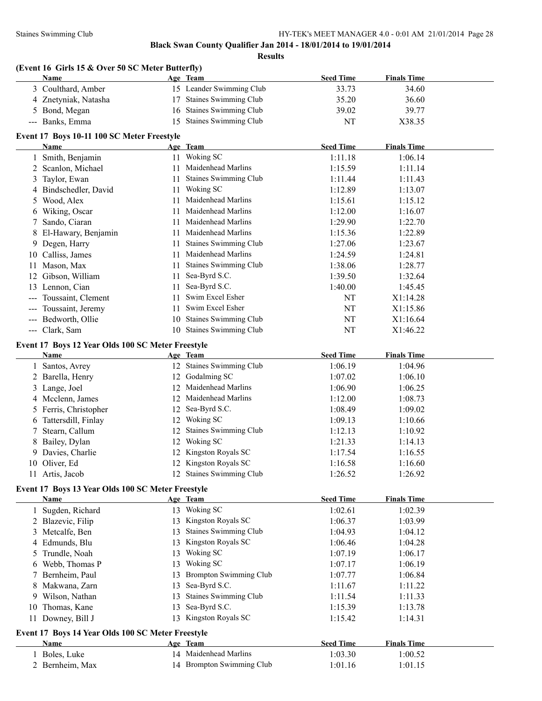| Name                | (Event 16 Girls 15 & Over 50 SC Meter Butterfly)  |     | Age Team                  | <b>Seed Time</b> | <b>Finals Time</b> |  |
|---------------------|---------------------------------------------------|-----|---------------------------|------------------|--------------------|--|
|                     | 3 Coulthard, Amber                                |     | 15 Leander Swimming Club  | 33.73            | 34.60              |  |
|                     | 4 Znetyniak, Natasha                              |     | 17 Staines Swimming Club  | 35.20            | 36.60              |  |
| 5 Bond, Megan       |                                                   |     | 16 Staines Swimming Club  | 39.02            | 39.77              |  |
| --- Banks, Emma     |                                                   |     | 15 Staines Swimming Club  | NT               | X38.35             |  |
|                     | Event 17 Boys 10-11 100 SC Meter Freestyle        |     |                           |                  |                    |  |
| Name                |                                                   |     | Age Team                  | <b>Seed Time</b> | <b>Finals Time</b> |  |
| 1                   | Smith, Benjamin                                   |     | 11 Woking SC              | 1:11.18          | 1:06.14            |  |
| 2 Scanlon, Michael  |                                                   |     | 11 Maidenhead Marlins     | 1:15.59          | 1:11.14            |  |
| Taylor, Ewan<br>3   |                                                   |     | 11 Staines Swimming Club  | 1:11.44          | 1:11.43            |  |
|                     | 4 Bindschedler, David                             |     | 11 Woking SC              | 1:12.89          | 1:13.07            |  |
| Wood, Alex<br>5     |                                                   |     | 11 Maidenhead Marlins     | 1:15.61          | 1:15.12            |  |
| 6 Wiking, Oscar     |                                                   | 11. | Maidenhead Marlins        | 1:12.00          | 1:16.07            |  |
| 7 Sando, Ciaran     |                                                   |     | 11 Maidenhead Marlins     | 1:29.90          | 1:22.70            |  |
|                     | 8 El-Hawary, Benjamin                             |     | 11 Maidenhead Marlins     | 1:15.36          | 1:22.89            |  |
| 9 Degen, Harry      |                                                   |     | 11 Staines Swimming Club  | 1:27.06          | 1:23.67            |  |
| 10 Calliss, James   |                                                   |     | 11 Maidenhead Marlins     | 1:24.59          | 1:24.81            |  |
| Mason, Max<br>11    |                                                   |     | 11 Staines Swimming Club  | 1:38.06          | 1:28.77            |  |
| 12 Gibson, William  |                                                   | 11  | Sea-Byrd S.C.             | 1:39.50          | 1:32.64            |  |
| 13 Lennon, Cian     |                                                   | 11  | Sea-Byrd S.C.             | 1:40.00          | 1:45.45            |  |
| $\qquad \qquad -$   | Toussaint, Clement                                | 11. | Swim Excel Esher          | NT               | X1:14.28           |  |
|                     | Toussaint, Jeremy                                 |     | 11 Swim Excel Esher       | NT               | X1:15.86           |  |
| ---                 | Bedworth, Ollie                                   |     | 10 Staines Swimming Club  | NT               | X1:16.64           |  |
| --- Clark, Sam      |                                                   |     | 10 Staines Swimming Club  | NT               | X1:46.22           |  |
| Name                | Event 17 Boys 12 Year Olds 100 SC Meter Freestyle |     | Age Team                  | <b>Seed Time</b> | <b>Finals Time</b> |  |
| Santos, Avrey<br>1  |                                                   |     | 12 Staines Swimming Club  | 1:06.19          | 1:04.96            |  |
| 2 Barella, Henry    |                                                   |     | 12 Godalming SC           | 1:07.02          | 1:06.10            |  |
| Lange, Joel<br>3    |                                                   |     | 12 Maidenhead Marlins     | 1:06.90          | 1:06.25            |  |
| 4 Mcclenn, James    |                                                   |     | 12 Maidenhead Marlins     | 1:12.00          | 1:08.73            |  |
| 5                   | Ferris, Christopher                               |     | 12 Sea-Byrd S.C.          | 1:08.49          | 1:09.02            |  |
| 6                   | Tattersdill, Finlay                               |     | 12 Woking SC              | 1:09.13          | 1:10.66            |  |
| Stearn, Callum<br>7 |                                                   |     | 12 Staines Swimming Club  | 1:12.13          | 1:10.92            |  |
| Bailey, Dylan<br>8  |                                                   |     | 12 Woking SC              | 1:21.33          | 1:14.13            |  |
| 9 Davies, Charlie   |                                                   |     | 12 Kingston Royals SC     | 1:17.54          | 1:16.55            |  |
| 10 Oliver, Ed       |                                                   |     | 12 Kingston Royals SC     | 1:16.58          | 1:16.60            |  |
| 11 Artis, Jacob     |                                                   |     | 12 Staines Swimming Club  | 1:26.52          | 1:26.92            |  |
|                     | Event 17 Boys 13 Year Olds 100 SC Meter Freestyle |     |                           |                  |                    |  |
| Name                |                                                   |     | Age Team                  | <b>Seed Time</b> | <b>Finals Time</b> |  |
| 1                   | Sugden, Richard                                   |     | 13 Woking SC              | 1:02.61          | 1:02.39            |  |
| 2 Blazevic, Filip   |                                                   |     | 13 Kingston Royals SC     | 1:06.37          | 1:03.99            |  |
| 3 Metcalfe, Ben     |                                                   |     | 13 Staines Swimming Club  | 1:04.93          | 1:04.12            |  |
| 4 Edmunds, Blu      |                                                   |     | 13 Kingston Royals SC     | 1:06.46          | 1:04.28            |  |
| Trundle, Noah<br>5  |                                                   |     | 13 Woking SC              | 1:07.19          | 1:06.17            |  |
| 6 Webb, Thomas P    |                                                   |     | 13 Woking SC              | 1:07.17          | 1:06.19            |  |
| 7 Bernheim, Paul    |                                                   |     | 13 Brompton Swimming Club | 1:07.77          | 1:06.84            |  |
| 8 Makwana, Zarn     |                                                   |     | 13 Sea-Byrd S.C.          | 1:11.67          | 1:11.22            |  |
| 9 Wilson, Nathan    |                                                   |     | 13 Staines Swimming Club  | 1:11.54          | 1:11.33            |  |
| 10 Thomas, Kane     |                                                   |     | 13 Sea-Byrd S.C.          | 1:15.39          | 1:13.78            |  |
| 11 Downey, Bill J   |                                                   |     | 13 Kingston Royals SC     | 1:15.42          | 1:14.31            |  |
|                     | Event 17 Boys 14 Year Olds 100 SC Meter Freestyle |     |                           |                  |                    |  |
| <b>Name</b>         |                                                   |     | Age Team                  | <b>Seed Time</b> | <b>Finals Time</b> |  |
| 1 Boles, Luke       |                                                   |     | 14 Maidenhead Marlins     | 1:03.30          | 1:00.52            |  |
| 2 Bernheim, Max     |                                                   |     | 14 Brompton Swimming Club | 1:01.16          | 1:01.15            |  |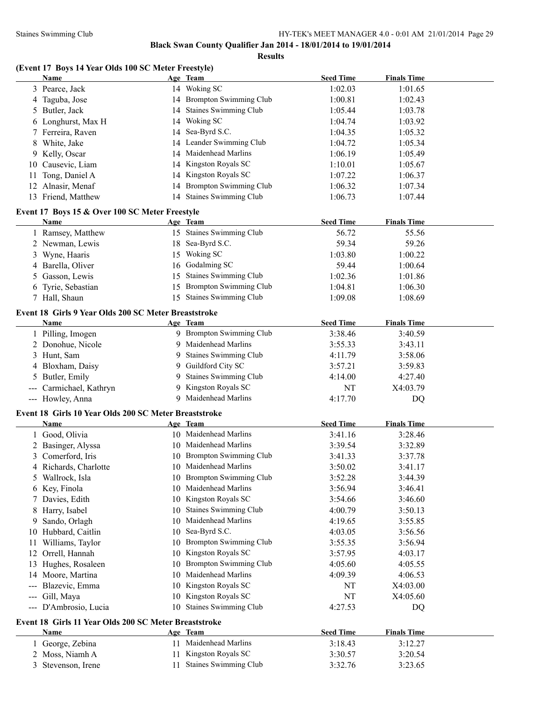**Results**

# **(Event 17 Boys 14 Year Olds 100 SC Meter Freestyle)**

|     | <b>Name</b>                                           |    | Age Team                      | <b>Seed Time</b> | <b>Finals Time</b> |  |
|-----|-------------------------------------------------------|----|-------------------------------|------------------|--------------------|--|
|     | 3 Pearce, Jack                                        |    | 14 Woking SC                  | 1:02.03          | 1:01.65            |  |
| 4   | Taguba, Jose                                          |    | 14 Brompton Swimming Club     | 1:00.81          | 1:02.43            |  |
| 5   | Butler, Jack                                          | 14 | <b>Staines Swimming Club</b>  | 1:05.44          | 1:03.78            |  |
| 6   | Longhurst, Max H                                      | 14 | Woking SC                     | 1:04.74          | 1:03.92            |  |
|     | Ferreira, Raven                                       | 14 | Sea-Byrd S.C.                 | 1:04.35          | 1:05.32            |  |
| 8   | White, Jake                                           | 14 | Leander Swimming Club         | 1:04.72          | 1:05.34            |  |
| 9.  | Kelly, Oscar                                          | 14 | Maidenhead Marlins            | 1:06.19          | 1:05.49            |  |
| 10  | Causevic, Liam                                        | 14 | Kingston Royals SC            | 1:10.01          | 1:05.67            |  |
| 11  | Tong, Daniel A                                        | 14 | Kingston Royals SC            | 1:07.22          | 1:06.37            |  |
| 12  | Alnasir, Menaf                                        | 14 | <b>Brompton Swimming Club</b> | 1:06.32          | 1:07.34            |  |
|     | 13 Friend, Matthew                                    |    | 14 Staines Swimming Club      | 1:06.73          | 1:07.44            |  |
|     |                                                       |    |                               |                  |                    |  |
|     | Event 17 Boys 15 & Over 100 SC Meter Freestyle        |    |                               |                  |                    |  |
|     | Name                                                  |    | Age Team                      | <b>Seed Time</b> | <b>Finals Time</b> |  |
|     | 1 Ramsey, Matthew                                     |    | 15 Staines Swimming Club      | 56.72            | 55.56              |  |
|     | 2 Newman, Lewis                                       |    | 18 Sea-Byrd S.C.              | 59.34            | 59.26              |  |
| 3   | Wyne, Haaris                                          |    | 15 Woking SC                  | 1:03.80          | 1:00.22            |  |
| 4   | Barella, Oliver                                       |    | 16 Godalming SC               | 59.44            | 1:00.64            |  |
| 5   | Gasson, Lewis                                         | 15 | <b>Staines Swimming Club</b>  | 1:02.36          | 1:01.86            |  |
| 6   | Tyrie, Sebastian                                      | 15 | <b>Brompton Swimming Club</b> | 1:04.81          | 1:06.30            |  |
|     | 7 Hall, Shaun                                         | 15 | <b>Staines Swimming Club</b>  | 1:09.08          | 1:08.69            |  |
|     | Event 18 Girls 9 Year Olds 200 SC Meter Breaststroke  |    |                               |                  |                    |  |
|     | Name                                                  |    | Age Team                      | <b>Seed Time</b> | <b>Finals Time</b> |  |
|     | 1 Pilling, Imogen                                     |    | 9 Brompton Swimming Club      | 3:38.46          | 3:40.59            |  |
|     | 2 Donohue, Nicole                                     |    | 9 Maidenhead Marlins          | 3:55.33          | 3:43.11            |  |
|     | 3 Hunt, Sam                                           | 9  | <b>Staines Swimming Club</b>  | 4:11.79          | 3:58.06            |  |
| 4   | Bloxham, Daisy                                        | 9. | Guildford City SC             | 3:57.21          | 3:59.83            |  |
| 5   | Butler, Emily                                         | 9  | <b>Staines Swimming Club</b>  | 4:14.00          | 4:27.40            |  |
|     | Carmichael, Kathryn                                   | 9  | Kingston Royals SC            | NT               | X4:03.79           |  |
|     | --- Howley, Anna                                      |    | 9 Maidenhead Marlins          | 4:17.70          | DQ                 |  |
|     |                                                       |    |                               |                  |                    |  |
|     | Event 18 Girls 10 Year Olds 200 SC Meter Breaststroke |    |                               |                  |                    |  |
|     | Name                                                  |    | Age Team                      | <b>Seed Time</b> | <b>Finals Time</b> |  |
|     | 1 Good, Olivia                                        |    | 10 Maidenhead Marlins         | 3:41.16          | 3:28.46            |  |
|     | 2 Basinger, Alyssa                                    |    | 10 Maidenhead Marlins         | 3:39.54          | 3:32.89            |  |
|     | 3 Comerford, Iris                                     |    | 10 Brompton Swimming Club     | 3:41.33          | 3:37.78            |  |
|     | 4 Richards, Charlotte                                 |    | 10 Maidenhead Marlins         | 3:50.02          | 3:41.17            |  |
| 5   | Wallrock, Isla                                        |    | 10 Brompton Swimming Club     | 3:52.28          | 3:44.39            |  |
| 6   | Key, Finola                                           | 10 | Maidenhead Marlins            | 3:56.94          | 3:46.41            |  |
| 7   | Davies, Edith                                         | 10 | Kingston Royals SC            | 3:54.66          | 3:46.60            |  |
| 8   | Harry, Isabel                                         | 10 | Staines Swimming Club         | 4:00.79          | 3:50.13            |  |
| 9   | Sando, Orlagh                                         | 10 | Maidenhead Marlins            | 4:19.65          | 3:55.85            |  |
| 10  | Hubbard, Caitlin                                      | 10 | Sea-Byrd S.C.                 | 4:03.05          | 3:56.56            |  |
| 11  | Williams, Taylor                                      | 10 | <b>Brompton Swimming Club</b> | 3:55.35          | 3:56.94            |  |
| 12  | Orrell, Hannah                                        | 10 | Kingston Royals SC            | 3:57.95          | 4:03.17            |  |
| 13  | Hughes, Rosaleen                                      | 10 | <b>Brompton Swimming Club</b> | 4:05.60          | 4:05.55            |  |
| 14  | Moore, Martina                                        | 10 | Maidenhead Marlins            | 4:09.39          | 4:06.53            |  |
| --- | Blazevic, Emma                                        | 10 | Kingston Royals SC            | NT               | X4:03.00           |  |
| --- | Gill, Maya                                            | 10 | Kingston Royals SC            | NT               | X4:05.60           |  |
| --- | D'Ambrosio, Lucia                                     | 10 | <b>Staines Swimming Club</b>  | 4:27.53          | DQ                 |  |
|     | Event 18 Girls 11 Year Olds 200 SC Meter Breaststroke |    |                               |                  |                    |  |
|     | Name                                                  |    | Age Team                      | <b>Seed Time</b> | <b>Finals Time</b> |  |
|     | George, Zebina                                        | 11 | Maidenhead Marlins            | 3:18.43          | 3:12.27            |  |
| 2   | Moss, Niamh A                                         | 11 | Kingston Royals SC            | 3:30.57          | 3:20.54            |  |
| 3   | Stevenson, Irene                                      |    | <b>Staines Swimming Club</b>  | 3:32.76          | 3:23.65            |  |
|     |                                                       |    |                               |                  |                    |  |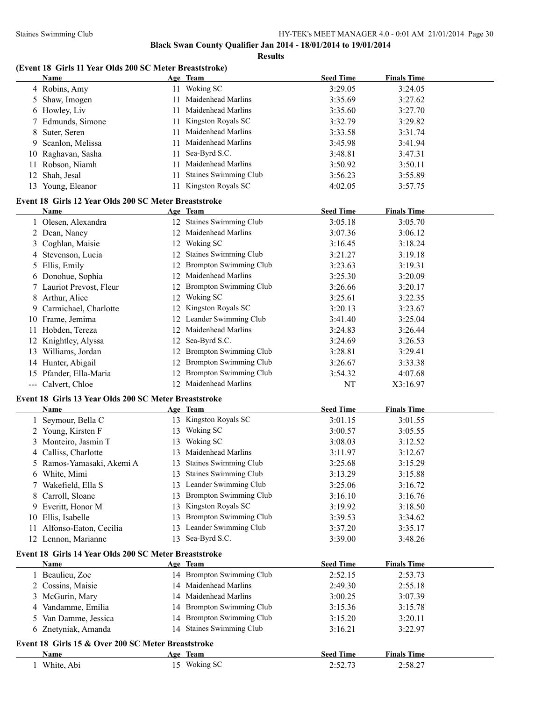**Results**

# **(Event 18 Girls 11 Year Olds 200 SC Meter Breaststroke)**

|    | Name                                                  |    | Age Team                      | <b>Seed Time</b> | <b>Finals Time</b> |  |
|----|-------------------------------------------------------|----|-------------------------------|------------------|--------------------|--|
|    | 4 Robins, Amy                                         |    | 11 Woking SC                  | 3:29.05          | 3:24.05            |  |
|    | 5 Shaw, Imogen                                        | 11 | Maidenhead Marlins            | 3:35.69          | 3:27.62            |  |
|    | 6 Howley, Liv                                         | 11 | Maidenhead Marlins            | 3:35.60          | 3:27.70            |  |
|    | 7 Edmunds, Simone                                     | 11 | Kingston Royals SC            | 3:32.79          | 3:29.82            |  |
| 8  | Suter, Seren                                          | 11 | Maidenhead Marlins            | 3:33.58          | 3:31.74            |  |
|    | 9 Scanlon, Melissa                                    | 11 | Maidenhead Marlins            | 3:45.98          | 3:41.94            |  |
|    | 10 Raghavan, Sasha                                    | 11 | Sea-Byrd S.C.                 | 3:48.81          | 3:47.31            |  |
| 11 | Robson, Niamh                                         | 11 | Maidenhead Marlins            | 3:50.92          | 3:50.11            |  |
| 12 | Shah, Jesal                                           | 11 | Staines Swimming Club         | 3:56.23          | 3:55.89            |  |
|    | 13 Young, Eleanor                                     | 11 | Kingston Royals SC            | 4:02.05          | 3:57.75            |  |
|    |                                                       |    |                               |                  |                    |  |
|    | Event 18 Girls 12 Year Olds 200 SC Meter Breaststroke |    |                               |                  |                    |  |
|    | Name                                                  |    | Age Team                      | <b>Seed Time</b> | <b>Finals Time</b> |  |
|    | 1 Olesen, Alexandra                                   |    | 12 Staines Swimming Club      | 3:05.18          | 3:05.70            |  |
|    | 2 Dean, Nancy                                         |    | 12 Maidenhead Marlins         | 3:07.36          | 3:06.12            |  |
|    | 3 Coghlan, Maisie                                     |    | 12 Woking SC                  | 3:16.45          | 3:18.24            |  |
|    | 4 Stevenson, Lucia                                    | 12 | Staines Swimming Club         | 3:21.27          | 3:19.18            |  |
|    | 5 Ellis, Emily                                        |    | 12 Brompton Swimming Club     | 3:23.63          | 3:19.31            |  |
|    | 6 Donohue, Sophia                                     | 12 | Maidenhead Marlins            | 3:25.30          | 3:20.09            |  |
|    | 7 Lauriot Prevost, Fleur                              | 12 | <b>Brompton Swimming Club</b> | 3:26.66          | 3:20.17            |  |
| 8  | Arthur, Alice                                         | 12 | Woking SC                     | 3:25.61          | 3:22.35            |  |
|    | 9 Carmichael, Charlotte                               | 12 | Kingston Royals SC            | 3:20.13          | 3:23.67            |  |
|    | 10 Frame, Jemima                                      |    | Leander Swimming Club         | 3:41.40          | 3:25.04            |  |
|    | 11 Hobden, Tereza                                     | 12 | Maidenhead Marlins            | 3:24.83          | 3:26.44            |  |
|    | 12 Knightley, Alyssa                                  | 12 | Sea-Byrd S.C.                 | 3:24.69          | 3:26.53            |  |
|    | 13 Williams, Jordan                                   | 12 | Brompton Swimming Club        | 3:28.81          | 3:29.41            |  |
|    | 14 Hunter, Abigail                                    | 12 | <b>Brompton Swimming Club</b> | 3:26.67          | 3:33.38            |  |
|    | 15 Pfander, Ella-Maria                                | 12 | <b>Brompton Swimming Club</b> | 3:54.32          | 4:07.68            |  |
|    | --- Calvert, Chloe                                    |    | 12 Maidenhead Marlins         | NT               | X3:16.97           |  |
|    |                                                       |    |                               |                  |                    |  |
|    | Event 18 Girls 13 Year Olds 200 SC Meter Breaststroke |    |                               |                  |                    |  |
|    | Name                                                  |    | Age Team                      | <b>Seed Time</b> | <b>Finals Time</b> |  |
|    | Seymour, Bella C                                      |    | 13 Kingston Royals SC         | 3:01.15          | 3:01.55            |  |
|    | 2 Young, Kirsten F                                    |    | 13 Woking SC                  | 3:00.57          | 3:05.55            |  |
|    | 3 Monteiro, Jasmin T                                  | 13 | Woking SC                     | 3:08.03          | 3:12.52            |  |
|    | 4 Calliss, Charlotte                                  | 13 | Maidenhead Marlins            | 3:11.97          | 3:12.67            |  |
|    | 5 Ramos-Yamasaki, Akemi A                             |    | 13 Staines Swimming Club      | 3:25.68          | 3:15.29            |  |
|    | 6 White, Mimi                                         |    | 13 Staines Swimming Club      | 3:13.29          | 3:15.88            |  |
|    | 7 Wakefield, Ella S                                   |    | 13 Leander Swimming Club      | 3:25.06          | 3:16.72            |  |
| 8  | Carroll, Sloane                                       | 13 | <b>Brompton Swimming Club</b> | 3:16.10          | 3:16.76            |  |
|    | 9 Everitt, Honor M                                    | 13 | Kingston Royals SC            | 3:19.92          | 3:18.50            |  |
| 10 | Ellis, Isabelle                                       | 13 | <b>Brompton Swimming Club</b> | 3:39.53          | 3:34.62            |  |
| 11 | Alfonso-Eaton, Cecilia                                |    | 13 Leander Swimming Club      | 3:37.20          | 3:35.17            |  |
|    | 12 Lennon, Marianne                                   | 13 | Sea-Byrd S.C.                 | 3:39.00          | 3:48.26            |  |
|    | Event 18 Girls 14 Year Olds 200 SC Meter Breaststroke |    |                               |                  |                    |  |
|    | Name                                                  |    | Age Team                      | <b>Seed Time</b> | <b>Finals Time</b> |  |
|    | 1 Beaulieu, Zoe                                       |    | 14 Brompton Swimming Club     | 2:52.15          | 2:53.73            |  |
|    | 2 Cossins, Maisie                                     |    | 14 Maidenhead Marlins         | 2:49.30          | 2:55.18            |  |
|    | 3 McGurin, Mary                                       |    | 14 Maidenhead Marlins         | 3:00.25          | 3:07.39            |  |
|    | 4 Vandamme, Emilia                                    |    | 14 Brompton Swimming Club     | 3:15.36          | 3:15.78            |  |
|    | 5 Van Damme, Jessica                                  |    | 14 Brompton Swimming Club     | 3:15.20          | 3:20.11            |  |
|    | 6 Znetyniak, Amanda                                   |    | 14 Staines Swimming Club      | 3:16.21          | 3:22.97            |  |
|    |                                                       |    |                               |                  |                    |  |
|    | Event 18 Girls 15 & Over 200 SC Meter Breaststroke    |    |                               |                  |                    |  |
|    | Name                                                  |    | Age Team                      | <b>Seed Time</b> | <b>Finals Time</b> |  |
|    | White, Abi                                            |    | 15 Woking SC                  | 2:52.73          | 2:58.27            |  |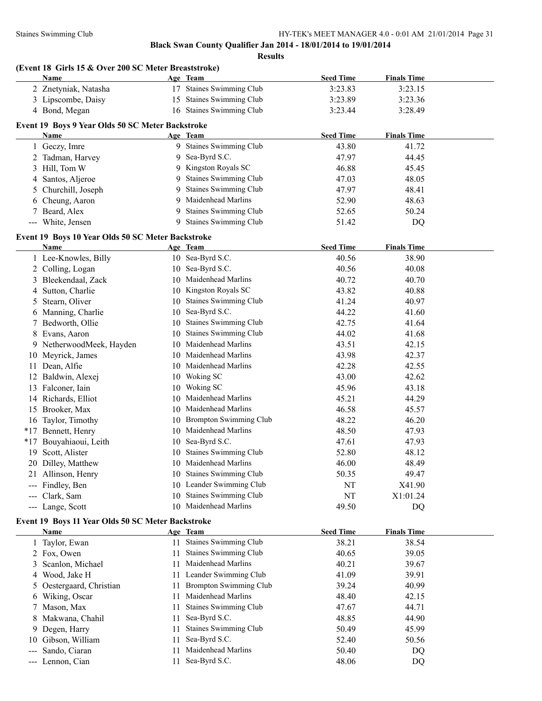**Results**

|  |  |  | (Event 18 Girls 15 & Over 200 SC Meter Breaststroke) |
|--|--|--|------------------------------------------------------|
|--|--|--|------------------------------------------------------|

| 17 Staines Swimming Club<br>2 Znetyniak, Natasha<br>3:23.83<br>3:23.15<br>15 Staines Swimming Club<br>3 Lipscombe, Daisy<br>3:23.89<br>3:23.36<br>16 Staines Swimming Club<br>4 Bond, Megan<br>3:23.44<br>3:28.49<br>Event 19 Boys 9 Year Olds 50 SC Meter Backstroke<br><b>Seed Time</b><br><b>Finals Time</b><br>Age Team<br>Name<br>9 Staines Swimming Club<br>1 Geczy, Imre<br>43.80<br>41.72<br>9 Sea-Byrd S.C.<br>2 Tadman, Harvey<br>47.97<br>44.45<br>9 Kingston Royals SC<br>3 Hill, Tom W<br>46.88<br>45.45<br>9 Staines Swimming Club<br>47.03<br>48.05<br>4 Santos, Aljeroe<br>9 Staines Swimming Club<br>47.97<br>48.41<br>5 Churchill, Joseph<br>9 Maidenhead Marlins<br>52.90<br>48.63<br>6 Cheung, Aaron<br><b>Staines Swimming Club</b><br>7 Beard, Alex<br>9<br>52.65<br>50.24<br>9 Staines Swimming Club<br>--- White, Jensen<br>51.42<br>DQ<br>Event 19 Boys 10 Year Olds 50 SC Meter Backstroke<br><b>Seed Time</b><br><b>Finals Time</b><br>Name<br>Age Team<br>10 Sea-Byrd S.C.<br>1 Lee-Knowles, Billy<br>40.56<br>38.90<br>10 Sea-Byrd S.C.<br>2 Colling, Logan<br>40.56<br>40.08<br>10 Maidenhead Marlins<br>40.72<br>40.70<br>3 Bleekendaal, Zack<br>10 Kingston Royals SC<br>43.82<br>4 Sutton, Charlie<br>40.88<br>5 Stearn, Oliver<br>10 Staines Swimming Club<br>41.24<br>40.97<br>10 Sea-Byrd S.C.<br>44.22<br>6 Manning, Charlie<br>41.60<br>7 Bedworth, Ollie<br>10 Staines Swimming Club<br>42.75<br>41.64<br>10 Staines Swimming Club<br>44.02<br>8 Evans, Aaron<br>41.68<br>10 Maidenhead Marlins<br>9 NetherwoodMeek, Hayden<br>43.51<br>42.15<br>10 Maidenhead Marlins<br>43.98<br>42.37<br>10 Meyrick, James<br>10 Maidenhead Marlins<br>11 Dean, Alfie<br>42.28<br>42.55<br>10 Woking SC<br>12 Baldwin, Alexej<br>43.00<br>42.62<br>10 Woking SC<br>45.96<br>13 Falconer, Iain<br>43.18<br>10 Maidenhead Marlins<br>14 Richards, Elliot<br>45.21<br>44.29<br>10 Maidenhead Marlins<br>15 Brooker, Max<br>46.58<br>45.57<br>16 Taylor, Timothy<br>10 Brompton Swimming Club<br>48.22<br>46.20<br>10 Maidenhead Marlins<br>*17 Bennett, Henry<br>48.50<br>47.93<br>*17 Bouyahiaoui, Leith<br>10 Sea-Byrd S.C.<br>47.93<br>47.61<br>10 Staines Swimming Club<br>19 Scott, Alister<br>48.12<br>52.80<br>10 Maidenhead Marlins<br>48.49<br>20 Dilley, Matthew<br>46.00<br>10 Staines Swimming Club<br>49.47<br>21 Allinson, Henry<br>50.35<br>10 Leander Swimming Club<br>Findley, Ben<br>NT<br>X41.90<br>Staines Swimming Club<br>Clark, Sam<br>NT<br>X1:01.24<br>10<br>10 Maidenhead Marlins<br>--- Lange, Scott<br>49.50<br>DQ<br>Event 19 Boys 11 Year Olds 50 SC Meter Backstroke<br><b>Seed Time</b><br><b>Finals Time</b><br>Age Team<br>Name<br>11 Staines Swimming Club<br>1 Taylor, Ewan<br>38.21<br>38.54<br>Staines Swimming Club<br>40.65<br>2 Fox, Owen<br>39.05<br>11<br>Maidenhead Marlins<br>Scanlon, Michael<br>40.21<br>39.67<br>11<br>3<br>Leander Swimming Club<br>Wood, Jake H<br>41.09<br>39.91<br>11-<br>4<br><b>Brompton Swimming Club</b><br>Oestergaard, Christian<br>39.24<br>40.99<br>11<br>5<br>Wiking, Oscar<br>Maidenhead Marlins<br>42.15<br>48.40<br>11<br>6<br>Staines Swimming Club<br>7 Mason, Max<br>44.71<br>47.67<br>11<br>8 Makwana, Chahil<br>Sea-Byrd S.C.<br>44.90<br>48.85<br>11<br>Staines Swimming Club<br>Degen, Harry<br>45.99<br>50.49<br>9<br>11<br>Sea-Byrd S.C.<br>10 Gibson, William<br>50.56<br>52.40<br>11 | Name | Age Team | <b>Seed Time</b> | <b>Finals Time</b> |  |
|--------------------------------------------------------------------------------------------------------------------------------------------------------------------------------------------------------------------------------------------------------------------------------------------------------------------------------------------------------------------------------------------------------------------------------------------------------------------------------------------------------------------------------------------------------------------------------------------------------------------------------------------------------------------------------------------------------------------------------------------------------------------------------------------------------------------------------------------------------------------------------------------------------------------------------------------------------------------------------------------------------------------------------------------------------------------------------------------------------------------------------------------------------------------------------------------------------------------------------------------------------------------------------------------------------------------------------------------------------------------------------------------------------------------------------------------------------------------------------------------------------------------------------------------------------------------------------------------------------------------------------------------------------------------------------------------------------------------------------------------------------------------------------------------------------------------------------------------------------------------------------------------------------------------------------------------------------------------------------------------------------------------------------------------------------------------------------------------------------------------------------------------------------------------------------------------------------------------------------------------------------------------------------------------------------------------------------------------------------------------------------------------------------------------------------------------------------------------------------------------------------------------------------------------------------------------------------------------------------------------------------------------------------------------------------------------------------------------------------------------------------------------------------------------------------------------------------------------------------------------------------------------------------------------------------------------------------------------------------------------------------------------------------------------------------------------------------------------------------------------------------------------------------------------------------------------------------------------------------------------------------------------------------------------------------------------------------------------------------------------------------------------------------|------|----------|------------------|--------------------|--|
|                                                                                                                                                                                                                                                                                                                                                                                                                                                                                                                                                                                                                                                                                                                                                                                                                                                                                                                                                                                                                                                                                                                                                                                                                                                                                                                                                                                                                                                                                                                                                                                                                                                                                                                                                                                                                                                                                                                                                                                                                                                                                                                                                                                                                                                                                                                                                                                                                                                                                                                                                                                                                                                                                                                                                                                                                                                                                                                                                                                                                                                                                                                                                                                                                                                                                                                                                                                                        |      |          |                  |                    |  |
|                                                                                                                                                                                                                                                                                                                                                                                                                                                                                                                                                                                                                                                                                                                                                                                                                                                                                                                                                                                                                                                                                                                                                                                                                                                                                                                                                                                                                                                                                                                                                                                                                                                                                                                                                                                                                                                                                                                                                                                                                                                                                                                                                                                                                                                                                                                                                                                                                                                                                                                                                                                                                                                                                                                                                                                                                                                                                                                                                                                                                                                                                                                                                                                                                                                                                                                                                                                                        |      |          |                  |                    |  |
|                                                                                                                                                                                                                                                                                                                                                                                                                                                                                                                                                                                                                                                                                                                                                                                                                                                                                                                                                                                                                                                                                                                                                                                                                                                                                                                                                                                                                                                                                                                                                                                                                                                                                                                                                                                                                                                                                                                                                                                                                                                                                                                                                                                                                                                                                                                                                                                                                                                                                                                                                                                                                                                                                                                                                                                                                                                                                                                                                                                                                                                                                                                                                                                                                                                                                                                                                                                                        |      |          |                  |                    |  |
|                                                                                                                                                                                                                                                                                                                                                                                                                                                                                                                                                                                                                                                                                                                                                                                                                                                                                                                                                                                                                                                                                                                                                                                                                                                                                                                                                                                                                                                                                                                                                                                                                                                                                                                                                                                                                                                                                                                                                                                                                                                                                                                                                                                                                                                                                                                                                                                                                                                                                                                                                                                                                                                                                                                                                                                                                                                                                                                                                                                                                                                                                                                                                                                                                                                                                                                                                                                                        |      |          |                  |                    |  |
|                                                                                                                                                                                                                                                                                                                                                                                                                                                                                                                                                                                                                                                                                                                                                                                                                                                                                                                                                                                                                                                                                                                                                                                                                                                                                                                                                                                                                                                                                                                                                                                                                                                                                                                                                                                                                                                                                                                                                                                                                                                                                                                                                                                                                                                                                                                                                                                                                                                                                                                                                                                                                                                                                                                                                                                                                                                                                                                                                                                                                                                                                                                                                                                                                                                                                                                                                                                                        |      |          |                  |                    |  |
|                                                                                                                                                                                                                                                                                                                                                                                                                                                                                                                                                                                                                                                                                                                                                                                                                                                                                                                                                                                                                                                                                                                                                                                                                                                                                                                                                                                                                                                                                                                                                                                                                                                                                                                                                                                                                                                                                                                                                                                                                                                                                                                                                                                                                                                                                                                                                                                                                                                                                                                                                                                                                                                                                                                                                                                                                                                                                                                                                                                                                                                                                                                                                                                                                                                                                                                                                                                                        |      |          |                  |                    |  |
|                                                                                                                                                                                                                                                                                                                                                                                                                                                                                                                                                                                                                                                                                                                                                                                                                                                                                                                                                                                                                                                                                                                                                                                                                                                                                                                                                                                                                                                                                                                                                                                                                                                                                                                                                                                                                                                                                                                                                                                                                                                                                                                                                                                                                                                                                                                                                                                                                                                                                                                                                                                                                                                                                                                                                                                                                                                                                                                                                                                                                                                                                                                                                                                                                                                                                                                                                                                                        |      |          |                  |                    |  |
|                                                                                                                                                                                                                                                                                                                                                                                                                                                                                                                                                                                                                                                                                                                                                                                                                                                                                                                                                                                                                                                                                                                                                                                                                                                                                                                                                                                                                                                                                                                                                                                                                                                                                                                                                                                                                                                                                                                                                                                                                                                                                                                                                                                                                                                                                                                                                                                                                                                                                                                                                                                                                                                                                                                                                                                                                                                                                                                                                                                                                                                                                                                                                                                                                                                                                                                                                                                                        |      |          |                  |                    |  |
|                                                                                                                                                                                                                                                                                                                                                                                                                                                                                                                                                                                                                                                                                                                                                                                                                                                                                                                                                                                                                                                                                                                                                                                                                                                                                                                                                                                                                                                                                                                                                                                                                                                                                                                                                                                                                                                                                                                                                                                                                                                                                                                                                                                                                                                                                                                                                                                                                                                                                                                                                                                                                                                                                                                                                                                                                                                                                                                                                                                                                                                                                                                                                                                                                                                                                                                                                                                                        |      |          |                  |                    |  |
|                                                                                                                                                                                                                                                                                                                                                                                                                                                                                                                                                                                                                                                                                                                                                                                                                                                                                                                                                                                                                                                                                                                                                                                                                                                                                                                                                                                                                                                                                                                                                                                                                                                                                                                                                                                                                                                                                                                                                                                                                                                                                                                                                                                                                                                                                                                                                                                                                                                                                                                                                                                                                                                                                                                                                                                                                                                                                                                                                                                                                                                                                                                                                                                                                                                                                                                                                                                                        |      |          |                  |                    |  |
|                                                                                                                                                                                                                                                                                                                                                                                                                                                                                                                                                                                                                                                                                                                                                                                                                                                                                                                                                                                                                                                                                                                                                                                                                                                                                                                                                                                                                                                                                                                                                                                                                                                                                                                                                                                                                                                                                                                                                                                                                                                                                                                                                                                                                                                                                                                                                                                                                                                                                                                                                                                                                                                                                                                                                                                                                                                                                                                                                                                                                                                                                                                                                                                                                                                                                                                                                                                                        |      |          |                  |                    |  |
|                                                                                                                                                                                                                                                                                                                                                                                                                                                                                                                                                                                                                                                                                                                                                                                                                                                                                                                                                                                                                                                                                                                                                                                                                                                                                                                                                                                                                                                                                                                                                                                                                                                                                                                                                                                                                                                                                                                                                                                                                                                                                                                                                                                                                                                                                                                                                                                                                                                                                                                                                                                                                                                                                                                                                                                                                                                                                                                                                                                                                                                                                                                                                                                                                                                                                                                                                                                                        |      |          |                  |                    |  |
|                                                                                                                                                                                                                                                                                                                                                                                                                                                                                                                                                                                                                                                                                                                                                                                                                                                                                                                                                                                                                                                                                                                                                                                                                                                                                                                                                                                                                                                                                                                                                                                                                                                                                                                                                                                                                                                                                                                                                                                                                                                                                                                                                                                                                                                                                                                                                                                                                                                                                                                                                                                                                                                                                                                                                                                                                                                                                                                                                                                                                                                                                                                                                                                                                                                                                                                                                                                                        |      |          |                  |                    |  |
|                                                                                                                                                                                                                                                                                                                                                                                                                                                                                                                                                                                                                                                                                                                                                                                                                                                                                                                                                                                                                                                                                                                                                                                                                                                                                                                                                                                                                                                                                                                                                                                                                                                                                                                                                                                                                                                                                                                                                                                                                                                                                                                                                                                                                                                                                                                                                                                                                                                                                                                                                                                                                                                                                                                                                                                                                                                                                                                                                                                                                                                                                                                                                                                                                                                                                                                                                                                                        |      |          |                  |                    |  |
|                                                                                                                                                                                                                                                                                                                                                                                                                                                                                                                                                                                                                                                                                                                                                                                                                                                                                                                                                                                                                                                                                                                                                                                                                                                                                                                                                                                                                                                                                                                                                                                                                                                                                                                                                                                                                                                                                                                                                                                                                                                                                                                                                                                                                                                                                                                                                                                                                                                                                                                                                                                                                                                                                                                                                                                                                                                                                                                                                                                                                                                                                                                                                                                                                                                                                                                                                                                                        |      |          |                  |                    |  |
|                                                                                                                                                                                                                                                                                                                                                                                                                                                                                                                                                                                                                                                                                                                                                                                                                                                                                                                                                                                                                                                                                                                                                                                                                                                                                                                                                                                                                                                                                                                                                                                                                                                                                                                                                                                                                                                                                                                                                                                                                                                                                                                                                                                                                                                                                                                                                                                                                                                                                                                                                                                                                                                                                                                                                                                                                                                                                                                                                                                                                                                                                                                                                                                                                                                                                                                                                                                                        |      |          |                  |                    |  |
|                                                                                                                                                                                                                                                                                                                                                                                                                                                                                                                                                                                                                                                                                                                                                                                                                                                                                                                                                                                                                                                                                                                                                                                                                                                                                                                                                                                                                                                                                                                                                                                                                                                                                                                                                                                                                                                                                                                                                                                                                                                                                                                                                                                                                                                                                                                                                                                                                                                                                                                                                                                                                                                                                                                                                                                                                                                                                                                                                                                                                                                                                                                                                                                                                                                                                                                                                                                                        |      |          |                  |                    |  |
|                                                                                                                                                                                                                                                                                                                                                                                                                                                                                                                                                                                                                                                                                                                                                                                                                                                                                                                                                                                                                                                                                                                                                                                                                                                                                                                                                                                                                                                                                                                                                                                                                                                                                                                                                                                                                                                                                                                                                                                                                                                                                                                                                                                                                                                                                                                                                                                                                                                                                                                                                                                                                                                                                                                                                                                                                                                                                                                                                                                                                                                                                                                                                                                                                                                                                                                                                                                                        |      |          |                  |                    |  |
|                                                                                                                                                                                                                                                                                                                                                                                                                                                                                                                                                                                                                                                                                                                                                                                                                                                                                                                                                                                                                                                                                                                                                                                                                                                                                                                                                                                                                                                                                                                                                                                                                                                                                                                                                                                                                                                                                                                                                                                                                                                                                                                                                                                                                                                                                                                                                                                                                                                                                                                                                                                                                                                                                                                                                                                                                                                                                                                                                                                                                                                                                                                                                                                                                                                                                                                                                                                                        |      |          |                  |                    |  |
|                                                                                                                                                                                                                                                                                                                                                                                                                                                                                                                                                                                                                                                                                                                                                                                                                                                                                                                                                                                                                                                                                                                                                                                                                                                                                                                                                                                                                                                                                                                                                                                                                                                                                                                                                                                                                                                                                                                                                                                                                                                                                                                                                                                                                                                                                                                                                                                                                                                                                                                                                                                                                                                                                                                                                                                                                                                                                                                                                                                                                                                                                                                                                                                                                                                                                                                                                                                                        |      |          |                  |                    |  |
|                                                                                                                                                                                                                                                                                                                                                                                                                                                                                                                                                                                                                                                                                                                                                                                                                                                                                                                                                                                                                                                                                                                                                                                                                                                                                                                                                                                                                                                                                                                                                                                                                                                                                                                                                                                                                                                                                                                                                                                                                                                                                                                                                                                                                                                                                                                                                                                                                                                                                                                                                                                                                                                                                                                                                                                                                                                                                                                                                                                                                                                                                                                                                                                                                                                                                                                                                                                                        |      |          |                  |                    |  |
|                                                                                                                                                                                                                                                                                                                                                                                                                                                                                                                                                                                                                                                                                                                                                                                                                                                                                                                                                                                                                                                                                                                                                                                                                                                                                                                                                                                                                                                                                                                                                                                                                                                                                                                                                                                                                                                                                                                                                                                                                                                                                                                                                                                                                                                                                                                                                                                                                                                                                                                                                                                                                                                                                                                                                                                                                                                                                                                                                                                                                                                                                                                                                                                                                                                                                                                                                                                                        |      |          |                  |                    |  |
|                                                                                                                                                                                                                                                                                                                                                                                                                                                                                                                                                                                                                                                                                                                                                                                                                                                                                                                                                                                                                                                                                                                                                                                                                                                                                                                                                                                                                                                                                                                                                                                                                                                                                                                                                                                                                                                                                                                                                                                                                                                                                                                                                                                                                                                                                                                                                                                                                                                                                                                                                                                                                                                                                                                                                                                                                                                                                                                                                                                                                                                                                                                                                                                                                                                                                                                                                                                                        |      |          |                  |                    |  |
|                                                                                                                                                                                                                                                                                                                                                                                                                                                                                                                                                                                                                                                                                                                                                                                                                                                                                                                                                                                                                                                                                                                                                                                                                                                                                                                                                                                                                                                                                                                                                                                                                                                                                                                                                                                                                                                                                                                                                                                                                                                                                                                                                                                                                                                                                                                                                                                                                                                                                                                                                                                                                                                                                                                                                                                                                                                                                                                                                                                                                                                                                                                                                                                                                                                                                                                                                                                                        |      |          |                  |                    |  |
|                                                                                                                                                                                                                                                                                                                                                                                                                                                                                                                                                                                                                                                                                                                                                                                                                                                                                                                                                                                                                                                                                                                                                                                                                                                                                                                                                                                                                                                                                                                                                                                                                                                                                                                                                                                                                                                                                                                                                                                                                                                                                                                                                                                                                                                                                                                                                                                                                                                                                                                                                                                                                                                                                                                                                                                                                                                                                                                                                                                                                                                                                                                                                                                                                                                                                                                                                                                                        |      |          |                  |                    |  |
|                                                                                                                                                                                                                                                                                                                                                                                                                                                                                                                                                                                                                                                                                                                                                                                                                                                                                                                                                                                                                                                                                                                                                                                                                                                                                                                                                                                                                                                                                                                                                                                                                                                                                                                                                                                                                                                                                                                                                                                                                                                                                                                                                                                                                                                                                                                                                                                                                                                                                                                                                                                                                                                                                                                                                                                                                                                                                                                                                                                                                                                                                                                                                                                                                                                                                                                                                                                                        |      |          |                  |                    |  |
|                                                                                                                                                                                                                                                                                                                                                                                                                                                                                                                                                                                                                                                                                                                                                                                                                                                                                                                                                                                                                                                                                                                                                                                                                                                                                                                                                                                                                                                                                                                                                                                                                                                                                                                                                                                                                                                                                                                                                                                                                                                                                                                                                                                                                                                                                                                                                                                                                                                                                                                                                                                                                                                                                                                                                                                                                                                                                                                                                                                                                                                                                                                                                                                                                                                                                                                                                                                                        |      |          |                  |                    |  |
|                                                                                                                                                                                                                                                                                                                                                                                                                                                                                                                                                                                                                                                                                                                                                                                                                                                                                                                                                                                                                                                                                                                                                                                                                                                                                                                                                                                                                                                                                                                                                                                                                                                                                                                                                                                                                                                                                                                                                                                                                                                                                                                                                                                                                                                                                                                                                                                                                                                                                                                                                                                                                                                                                                                                                                                                                                                                                                                                                                                                                                                                                                                                                                                                                                                                                                                                                                                                        |      |          |                  |                    |  |
|                                                                                                                                                                                                                                                                                                                                                                                                                                                                                                                                                                                                                                                                                                                                                                                                                                                                                                                                                                                                                                                                                                                                                                                                                                                                                                                                                                                                                                                                                                                                                                                                                                                                                                                                                                                                                                                                                                                                                                                                                                                                                                                                                                                                                                                                                                                                                                                                                                                                                                                                                                                                                                                                                                                                                                                                                                                                                                                                                                                                                                                                                                                                                                                                                                                                                                                                                                                                        |      |          |                  |                    |  |
|                                                                                                                                                                                                                                                                                                                                                                                                                                                                                                                                                                                                                                                                                                                                                                                                                                                                                                                                                                                                                                                                                                                                                                                                                                                                                                                                                                                                                                                                                                                                                                                                                                                                                                                                                                                                                                                                                                                                                                                                                                                                                                                                                                                                                                                                                                                                                                                                                                                                                                                                                                                                                                                                                                                                                                                                                                                                                                                                                                                                                                                                                                                                                                                                                                                                                                                                                                                                        |      |          |                  |                    |  |
|                                                                                                                                                                                                                                                                                                                                                                                                                                                                                                                                                                                                                                                                                                                                                                                                                                                                                                                                                                                                                                                                                                                                                                                                                                                                                                                                                                                                                                                                                                                                                                                                                                                                                                                                                                                                                                                                                                                                                                                                                                                                                                                                                                                                                                                                                                                                                                                                                                                                                                                                                                                                                                                                                                                                                                                                                                                                                                                                                                                                                                                                                                                                                                                                                                                                                                                                                                                                        |      |          |                  |                    |  |
|                                                                                                                                                                                                                                                                                                                                                                                                                                                                                                                                                                                                                                                                                                                                                                                                                                                                                                                                                                                                                                                                                                                                                                                                                                                                                                                                                                                                                                                                                                                                                                                                                                                                                                                                                                                                                                                                                                                                                                                                                                                                                                                                                                                                                                                                                                                                                                                                                                                                                                                                                                                                                                                                                                                                                                                                                                                                                                                                                                                                                                                                                                                                                                                                                                                                                                                                                                                                        |      |          |                  |                    |  |
|                                                                                                                                                                                                                                                                                                                                                                                                                                                                                                                                                                                                                                                                                                                                                                                                                                                                                                                                                                                                                                                                                                                                                                                                                                                                                                                                                                                                                                                                                                                                                                                                                                                                                                                                                                                                                                                                                                                                                                                                                                                                                                                                                                                                                                                                                                                                                                                                                                                                                                                                                                                                                                                                                                                                                                                                                                                                                                                                                                                                                                                                                                                                                                                                                                                                                                                                                                                                        |      |          |                  |                    |  |
|                                                                                                                                                                                                                                                                                                                                                                                                                                                                                                                                                                                                                                                                                                                                                                                                                                                                                                                                                                                                                                                                                                                                                                                                                                                                                                                                                                                                                                                                                                                                                                                                                                                                                                                                                                                                                                                                                                                                                                                                                                                                                                                                                                                                                                                                                                                                                                                                                                                                                                                                                                                                                                                                                                                                                                                                                                                                                                                                                                                                                                                                                                                                                                                                                                                                                                                                                                                                        |      |          |                  |                    |  |
|                                                                                                                                                                                                                                                                                                                                                                                                                                                                                                                                                                                                                                                                                                                                                                                                                                                                                                                                                                                                                                                                                                                                                                                                                                                                                                                                                                                                                                                                                                                                                                                                                                                                                                                                                                                                                                                                                                                                                                                                                                                                                                                                                                                                                                                                                                                                                                                                                                                                                                                                                                                                                                                                                                                                                                                                                                                                                                                                                                                                                                                                                                                                                                                                                                                                                                                                                                                                        |      |          |                  |                    |  |
|                                                                                                                                                                                                                                                                                                                                                                                                                                                                                                                                                                                                                                                                                                                                                                                                                                                                                                                                                                                                                                                                                                                                                                                                                                                                                                                                                                                                                                                                                                                                                                                                                                                                                                                                                                                                                                                                                                                                                                                                                                                                                                                                                                                                                                                                                                                                                                                                                                                                                                                                                                                                                                                                                                                                                                                                                                                                                                                                                                                                                                                                                                                                                                                                                                                                                                                                                                                                        |      |          |                  |                    |  |
|                                                                                                                                                                                                                                                                                                                                                                                                                                                                                                                                                                                                                                                                                                                                                                                                                                                                                                                                                                                                                                                                                                                                                                                                                                                                                                                                                                                                                                                                                                                                                                                                                                                                                                                                                                                                                                                                                                                                                                                                                                                                                                                                                                                                                                                                                                                                                                                                                                                                                                                                                                                                                                                                                                                                                                                                                                                                                                                                                                                                                                                                                                                                                                                                                                                                                                                                                                                                        |      |          |                  |                    |  |
|                                                                                                                                                                                                                                                                                                                                                                                                                                                                                                                                                                                                                                                                                                                                                                                                                                                                                                                                                                                                                                                                                                                                                                                                                                                                                                                                                                                                                                                                                                                                                                                                                                                                                                                                                                                                                                                                                                                                                                                                                                                                                                                                                                                                                                                                                                                                                                                                                                                                                                                                                                                                                                                                                                                                                                                                                                                                                                                                                                                                                                                                                                                                                                                                                                                                                                                                                                                                        |      |          |                  |                    |  |
|                                                                                                                                                                                                                                                                                                                                                                                                                                                                                                                                                                                                                                                                                                                                                                                                                                                                                                                                                                                                                                                                                                                                                                                                                                                                                                                                                                                                                                                                                                                                                                                                                                                                                                                                                                                                                                                                                                                                                                                                                                                                                                                                                                                                                                                                                                                                                                                                                                                                                                                                                                                                                                                                                                                                                                                                                                                                                                                                                                                                                                                                                                                                                                                                                                                                                                                                                                                                        |      |          |                  |                    |  |
|                                                                                                                                                                                                                                                                                                                                                                                                                                                                                                                                                                                                                                                                                                                                                                                                                                                                                                                                                                                                                                                                                                                                                                                                                                                                                                                                                                                                                                                                                                                                                                                                                                                                                                                                                                                                                                                                                                                                                                                                                                                                                                                                                                                                                                                                                                                                                                                                                                                                                                                                                                                                                                                                                                                                                                                                                                                                                                                                                                                                                                                                                                                                                                                                                                                                                                                                                                                                        |      |          |                  |                    |  |
|                                                                                                                                                                                                                                                                                                                                                                                                                                                                                                                                                                                                                                                                                                                                                                                                                                                                                                                                                                                                                                                                                                                                                                                                                                                                                                                                                                                                                                                                                                                                                                                                                                                                                                                                                                                                                                                                                                                                                                                                                                                                                                                                                                                                                                                                                                                                                                                                                                                                                                                                                                                                                                                                                                                                                                                                                                                                                                                                                                                                                                                                                                                                                                                                                                                                                                                                                                                                        |      |          |                  |                    |  |
|                                                                                                                                                                                                                                                                                                                                                                                                                                                                                                                                                                                                                                                                                                                                                                                                                                                                                                                                                                                                                                                                                                                                                                                                                                                                                                                                                                                                                                                                                                                                                                                                                                                                                                                                                                                                                                                                                                                                                                                                                                                                                                                                                                                                                                                                                                                                                                                                                                                                                                                                                                                                                                                                                                                                                                                                                                                                                                                                                                                                                                                                                                                                                                                                                                                                                                                                                                                                        |      |          |                  |                    |  |
|                                                                                                                                                                                                                                                                                                                                                                                                                                                                                                                                                                                                                                                                                                                                                                                                                                                                                                                                                                                                                                                                                                                                                                                                                                                                                                                                                                                                                                                                                                                                                                                                                                                                                                                                                                                                                                                                                                                                                                                                                                                                                                                                                                                                                                                                                                                                                                                                                                                                                                                                                                                                                                                                                                                                                                                                                                                                                                                                                                                                                                                                                                                                                                                                                                                                                                                                                                                                        |      |          |                  |                    |  |
|                                                                                                                                                                                                                                                                                                                                                                                                                                                                                                                                                                                                                                                                                                                                                                                                                                                                                                                                                                                                                                                                                                                                                                                                                                                                                                                                                                                                                                                                                                                                                                                                                                                                                                                                                                                                                                                                                                                                                                                                                                                                                                                                                                                                                                                                                                                                                                                                                                                                                                                                                                                                                                                                                                                                                                                                                                                                                                                                                                                                                                                                                                                                                                                                                                                                                                                                                                                                        |      |          |                  |                    |  |
|                                                                                                                                                                                                                                                                                                                                                                                                                                                                                                                                                                                                                                                                                                                                                                                                                                                                                                                                                                                                                                                                                                                                                                                                                                                                                                                                                                                                                                                                                                                                                                                                                                                                                                                                                                                                                                                                                                                                                                                                                                                                                                                                                                                                                                                                                                                                                                                                                                                                                                                                                                                                                                                                                                                                                                                                                                                                                                                                                                                                                                                                                                                                                                                                                                                                                                                                                                                                        |      |          |                  |                    |  |
|                                                                                                                                                                                                                                                                                                                                                                                                                                                                                                                                                                                                                                                                                                                                                                                                                                                                                                                                                                                                                                                                                                                                                                                                                                                                                                                                                                                                                                                                                                                                                                                                                                                                                                                                                                                                                                                                                                                                                                                                                                                                                                                                                                                                                                                                                                                                                                                                                                                                                                                                                                                                                                                                                                                                                                                                                                                                                                                                                                                                                                                                                                                                                                                                                                                                                                                                                                                                        |      |          |                  |                    |  |
|                                                                                                                                                                                                                                                                                                                                                                                                                                                                                                                                                                                                                                                                                                                                                                                                                                                                                                                                                                                                                                                                                                                                                                                                                                                                                                                                                                                                                                                                                                                                                                                                                                                                                                                                                                                                                                                                                                                                                                                                                                                                                                                                                                                                                                                                                                                                                                                                                                                                                                                                                                                                                                                                                                                                                                                                                                                                                                                                                                                                                                                                                                                                                                                                                                                                                                                                                                                                        |      |          |                  |                    |  |
|                                                                                                                                                                                                                                                                                                                                                                                                                                                                                                                                                                                                                                                                                                                                                                                                                                                                                                                                                                                                                                                                                                                                                                                                                                                                                                                                                                                                                                                                                                                                                                                                                                                                                                                                                                                                                                                                                                                                                                                                                                                                                                                                                                                                                                                                                                                                                                                                                                                                                                                                                                                                                                                                                                                                                                                                                                                                                                                                                                                                                                                                                                                                                                                                                                                                                                                                                                                                        |      |          |                  |                    |  |
|                                                                                                                                                                                                                                                                                                                                                                                                                                                                                                                                                                                                                                                                                                                                                                                                                                                                                                                                                                                                                                                                                                                                                                                                                                                                                                                                                                                                                                                                                                                                                                                                                                                                                                                                                                                                                                                                                                                                                                                                                                                                                                                                                                                                                                                                                                                                                                                                                                                                                                                                                                                                                                                                                                                                                                                                                                                                                                                                                                                                                                                                                                                                                                                                                                                                                                                                                                                                        |      |          |                  |                    |  |
|                                                                                                                                                                                                                                                                                                                                                                                                                                                                                                                                                                                                                                                                                                                                                                                                                                                                                                                                                                                                                                                                                                                                                                                                                                                                                                                                                                                                                                                                                                                                                                                                                                                                                                                                                                                                                                                                                                                                                                                                                                                                                                                                                                                                                                                                                                                                                                                                                                                                                                                                                                                                                                                                                                                                                                                                                                                                                                                                                                                                                                                                                                                                                                                                                                                                                                                                                                                                        |      |          |                  |                    |  |
|                                                                                                                                                                                                                                                                                                                                                                                                                                                                                                                                                                                                                                                                                                                                                                                                                                                                                                                                                                                                                                                                                                                                                                                                                                                                                                                                                                                                                                                                                                                                                                                                                                                                                                                                                                                                                                                                                                                                                                                                                                                                                                                                                                                                                                                                                                                                                                                                                                                                                                                                                                                                                                                                                                                                                                                                                                                                                                                                                                                                                                                                                                                                                                                                                                                                                                                                                                                                        |      |          |                  |                    |  |
|                                                                                                                                                                                                                                                                                                                                                                                                                                                                                                                                                                                                                                                                                                                                                                                                                                                                                                                                                                                                                                                                                                                                                                                                                                                                                                                                                                                                                                                                                                                                                                                                                                                                                                                                                                                                                                                                                                                                                                                                                                                                                                                                                                                                                                                                                                                                                                                                                                                                                                                                                                                                                                                                                                                                                                                                                                                                                                                                                                                                                                                                                                                                                                                                                                                                                                                                                                                                        |      |          |                  |                    |  |

--- Sando, Ciaran 11 Maidenhead Marlins 50.40 DQ --- Lennon, Cian 11 Sea-Byrd S.C. 48.06 DQ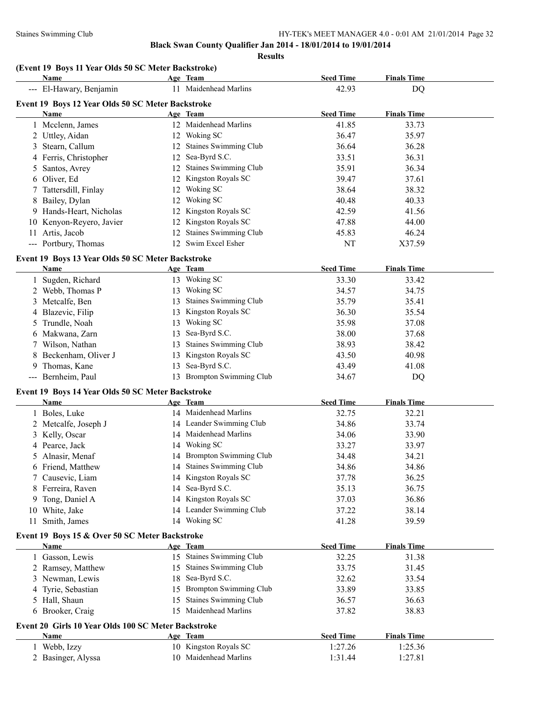|  |  |  |  |  | (Event 19 Boys 11 Year Olds 50 SC Meter Backstroke) |  |
|--|--|--|--|--|-----------------------------------------------------|--|
|  |  |  |  |  |                                                     |  |

|    | Name                                                        |    | Age Team                     | <b>Seed Time</b> | <b>Finals Time</b> |
|----|-------------------------------------------------------------|----|------------------------------|------------------|--------------------|
|    | --- El-Hawary, Benjamin                                     |    | 11 Maidenhead Marlins        | 42.93            | DQ                 |
|    | Event 19 Boys 12 Year Olds 50 SC Meter Backstroke           |    |                              |                  |                    |
|    | Name                                                        |    | Age Team                     | <b>Seed Time</b> | <b>Finals Time</b> |
|    | 1 Mcclenn, James                                            |    | 12 Maidenhead Marlins        | 41.85            | 33.73              |
|    | 2 Uttley, Aidan                                             |    | 12 Woking SC                 | 36.47            | 35.97              |
|    | 3 Stearn, Callum                                            |    | 12 Staines Swimming Club     | 36.64            | 36.28              |
|    | 4 Ferris, Christopher                                       |    | 12 Sea-Byrd S.C.             | 33.51            | 36.31              |
| 5  | Santos, Avrey                                               |    | 12 Staines Swimming Club     | 35.91            | 36.34              |
| 6  | Oliver, Ed                                                  |    | 12 Kingston Royals SC        | 39.47            | 37.61              |
| 7  | Tattersdill, Finlay                                         |    | 12 Woking SC                 | 38.64            | 38.32              |
| 8  | Bailey, Dylan                                               |    | 12 Woking SC                 | 40.48            | 40.33              |
|    | 9 Hands-Heart, Nicholas                                     |    | 12 Kingston Royals SC        | 42.59            | 41.56              |
|    | 10 Kenyon-Reyero, Javier                                    |    | 12 Kingston Royals SC        | 47.88            | 44.00              |
|    | 11 Artis, Jacob                                             |    | 12 Staines Swimming Club     | 45.83            | 46.24              |
|    | --- Portbury, Thomas                                        |    | 12 Swim Excel Esher          | NT               | X37.59             |
|    |                                                             |    |                              |                  |                    |
|    | Event 19 Boys 13 Year Olds 50 SC Meter Backstroke           |    |                              |                  |                    |
|    | Name                                                        |    | Age Team                     | <b>Seed Time</b> | <b>Finals Time</b> |
|    | 1 Sugden, Richard                                           |    | 13 Woking SC<br>13 Woking SC | 33.30            | 33.42              |
|    | 2 Webb, Thomas P                                            |    |                              | 34.57            | 34.75              |
|    | 3 Metcalfe, Ben                                             | 13 | <b>Staines Swimming Club</b> | 35.79            | 35.41              |
| 4  | Blazevic, Filip                                             | 13 | Kingston Royals SC           | 36.30            | 35.54              |
| 5  | Trundle, Noah                                               | 13 | Woking SC                    | 35.98            | 37.08              |
|    | 6 Makwana, Zarn                                             | 13 | Sea-Byrd S.C.                | 38.00            | 37.68              |
|    | 7 Wilson, Nathan                                            | 13 | <b>Staines Swimming Club</b> | 38.93            | 38.42              |
| 8  | Beckenham, Oliver J                                         | 13 | Kingston Royals SC           | 43.50            | 40.98              |
| 9  | Thomas, Kane                                                | 13 | Sea-Byrd S.C.                | 43.49            | 41.08              |
|    | --- Bernheim, Paul                                          |    | 13 Brompton Swimming Club    | 34.67            | DQ                 |
|    | Event 19 Boys 14 Year Olds 50 SC Meter Backstroke           |    |                              |                  |                    |
|    | Name                                                        |    | Age Team                     | <b>Seed Time</b> | <b>Finals Time</b> |
|    | 1 Boles, Luke                                               |    | 14 Maidenhead Marlins        | 32.75            | 32.21              |
|    | 2 Metcalfe, Joseph J                                        |    | 14 Leander Swimming Club     | 34.86            | 33.74              |
|    | 3 Kelly, Oscar                                              |    | 14 Maidenhead Marlins        | 34.06            | 33.90              |
| 4  | Pearce, Jack                                                |    | 14 Woking SC                 | 33.27            | 33.97              |
| 5. | Alnasir, Menaf                                              |    | 14 Brompton Swimming Club    | 34.48            | 34.21              |
|    | 6 Friend, Matthew                                           |    | 14 Staines Swimming Club     | 34.86            | 34.86              |
|    | 7 Causevic, Liam                                            |    | 14 Kingston Royals SC        | 37.78            | 36.25              |
| 8  | Ferreira, Raven                                             |    | 14 Sea-Byrd S.C.             | 35.13            | 36.75              |
|    | 9 Tong, Daniel A                                            |    | 14 Kingston Royals SC        | 37.03            | 36.86              |
|    | 10 White, Jake                                              |    | 14 Leander Swimming Club     | 37.22            | 38.14              |
| 11 | Smith, James                                                |    | 14 Woking SC                 | 41.28            | 39.59              |
|    | Event 19 Boys 15 & Over 50 SC Meter Backstroke              |    |                              |                  |                    |
|    | Name                                                        |    | Age Team                     | <b>Seed Time</b> | <b>Finals Time</b> |
|    | 1 Gasson, Lewis                                             |    | 15 Staines Swimming Club     | 32.25            | 31.38              |
|    | 2 Ramsey, Matthew                                           | 15 | Staines Swimming Club        | 33.75            | 31.45              |
|    | 3 Newman, Lewis                                             | 18 | Sea-Byrd S.C.                | 32.62            | 33.54              |
| 4  | Tyrie, Sebastian                                            | 15 | Brompton Swimming Club       | 33.89            | 33.85              |
|    | 5 Hall, Shaun                                               | 15 | Staines Swimming Club        | 36.57            | 36.63              |
|    | 6 Brooker, Craig                                            | 15 | Maidenhead Marlins           | 37.82            | 38.83              |
|    |                                                             |    |                              |                  |                    |
|    | Event 20 Girls 10 Year Olds 100 SC Meter Backstroke<br>Name |    | Age Team                     | <b>Seed Time</b> | <b>Finals Time</b> |
|    | 1 Webb, Izzy                                                |    | 10 Kingston Royals SC        | 1:27.26          | 1:25.36            |
|    |                                                             |    | 10 Maidenhead Marlins        | 1:31.44          |                    |
|    | 2 Basinger, Alyssa                                          |    |                              |                  | 1:27.81            |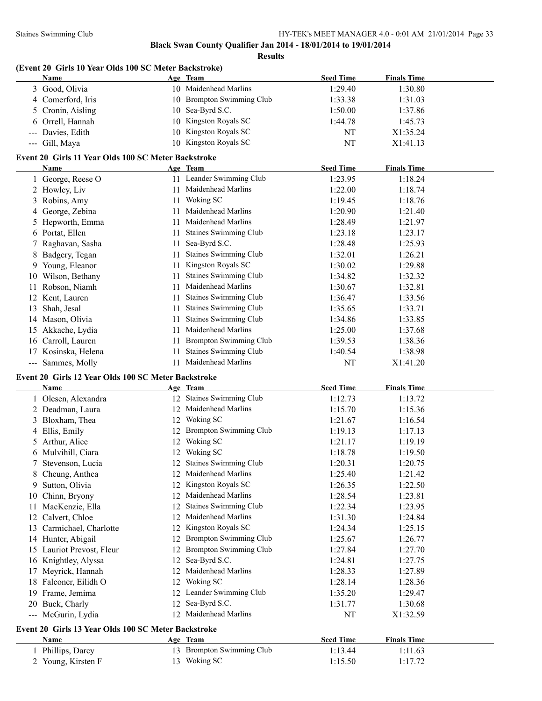| Name                                  | (Event 20 Girls 10 Year Olds 100 SC Meter Backstroke) |    | Age Team                              | <b>Seed Time</b>            | <b>Finals Time</b>            |  |
|---------------------------------------|-------------------------------------------------------|----|---------------------------------------|-----------------------------|-------------------------------|--|
| 3 Good, Olivia                        |                                                       |    | 10 Maidenhead Marlins                 | 1:29.40                     | 1:30.80                       |  |
|                                       | 4 Comerford, Iris                                     |    | 10 Brompton Swimming Club             | 1:33.38                     | 1:31.03                       |  |
|                                       | 5 Cronin, Aisling                                     |    | 10 Sea-Byrd S.C.                      | 1:50.00                     | 1:37.86                       |  |
|                                       | 6 Orrell, Hannah                                      |    | 10 Kingston Royals SC                 | 1:44.78                     | 1:45.73                       |  |
|                                       | Davies, Edith                                         |    | 10 Kingston Royals SC                 | NT                          | X1:35.24                      |  |
| Gill, Maya<br>$\qquad \qquad - -$     |                                                       |    | 10 Kingston Royals SC                 | NT                          | X1:41.13                      |  |
|                                       |                                                       |    |                                       |                             |                               |  |
| Name                                  | Event 20 Girls 11 Year Olds 100 SC Meter Backstroke   |    | Age Team                              | <b>Seed Time</b>            | <b>Finals Time</b>            |  |
|                                       | 1 George, Reese O                                     |    | 11 Leander Swimming Club              | 1:23.95                     | 1:18.24                       |  |
| 2 Howley, Liv                         |                                                       |    | 11 Maidenhead Marlins                 | 1:22.00                     | 1:18.74                       |  |
|                                       |                                                       |    | 11 Woking SC                          |                             |                               |  |
| 3 Robins, Amy                         |                                                       |    | 11 Maidenhead Marlins                 | 1:19.45                     | 1:18.76                       |  |
|                                       | 4 George, Zebina                                      |    |                                       | 1:20.90                     | 1:21.40                       |  |
|                                       | 5 Hepworth, Emma                                      |    | 11 Maidenhead Marlins                 | 1:28.49                     | 1:21.97                       |  |
| 6 Portat, Ellen                       |                                                       |    | 11 Staines Swimming Club              | 1:23.18                     | 1:23.17                       |  |
|                                       | 7 Raghavan, Sasha                                     |    | 11 Sea-Byrd S.C.                      | 1:28.48                     | 1:25.93                       |  |
|                                       | 8 Badgery, Tegan                                      |    | 11 Staines Swimming Club              | 1:32.01                     | 1:26.21                       |  |
|                                       | 9 Young, Eleanor                                      |    | 11 Kingston Royals SC                 | 1:30.02                     | 1:29.88                       |  |
|                                       | 10 Wilson, Bethany                                    |    | 11 Staines Swimming Club              | 1:34.82                     | 1:32.32                       |  |
| 11 Robson, Niamh                      |                                                       |    | 11 Maidenhead Marlins                 | 1:30.67                     | 1:32.81                       |  |
| 12 Kent, Lauren                       |                                                       |    | 11 Staines Swimming Club              | 1:36.47                     | 1:33.56                       |  |
| Shah, Jesal<br>13                     |                                                       |    | 11 Staines Swimming Club              | 1:35.65                     | 1:33.71                       |  |
| 14 Mason, Olivia                      |                                                       |    | 11 Staines Swimming Club              | 1:34.86                     | 1:33.85                       |  |
| 15 Akkache, Lydia                     |                                                       |    | 11 Maidenhead Marlins                 | 1:25.00                     | 1:37.68                       |  |
| 16 Carroll, Lauren                    |                                                       |    | 11 Brompton Swimming Club             | 1:39.53                     | 1:38.36                       |  |
|                                       | 17 Kosinska, Helena                                   | 11 | <b>Staines Swimming Club</b>          | 1:40.54                     | 1:38.98                       |  |
| --- Sammes, Molly                     |                                                       |    | 11 Maidenhead Marlins                 | NT                          | X1:41.20                      |  |
|                                       | Event 20 Girls 12 Year Olds 100 SC Meter Backstroke   |    |                                       |                             |                               |  |
| Name                                  |                                                       |    | Age Team                              | <b>Seed Time</b>            | <b>Finals Time</b>            |  |
|                                       | 1 Olesen, Alexandra                                   |    | 12 Staines Swimming Club              | 1:12.73                     | 1:13.72                       |  |
|                                       | 2 Deadman, Laura                                      |    | 12 Maidenhead Marlins                 | 1:15.70                     | 1:15.36                       |  |
|                                       | 3 Bloxham, Thea                                       |    | 12 Woking SC                          | 1:21.67                     | 1:16.54                       |  |
| 4 Ellis, Emily                        |                                                       |    | 12 Brompton Swimming Club             | 1:19.13                     | 1:17.13                       |  |
| 5 Arthur, Alice                       |                                                       |    | 12 Woking SC                          | 1:21.17                     | 1:19.19                       |  |
|                                       | 6 Mulvihill, Ciara                                    |    | 12 Woking SC                          | 1:18.78                     | 1:19.50                       |  |
| 7                                     | Stevenson, Lucia                                      |    | 12 Staines Swimming Club              | 1:20.31                     | 1:20.75                       |  |
| 8                                     | Cheung, Anthea                                        |    | 12 Maidenhead Marlins                 | 1:25.40                     | 1:21.42                       |  |
| 9                                     | Sutton, Olivia                                        |    | 12 Kingston Royals SC                 | 1:26.35                     | 1:22.50                       |  |
|                                       | 10 Chinn, Bryony                                      |    | 12 Maidenhead Marlins                 | 1:28.54                     | 1:23.81                       |  |
|                                       |                                                       |    |                                       |                             |                               |  |
| 11                                    | MacKenzie, Ella                                       |    | 12 Staines Swimming Club              | 1:22.34                     | 1:23.95                       |  |
| 12 Calvert, Chloe                     |                                                       |    | 12 Maidenhead Marlins                 | 1:31.30                     | 1:24.84                       |  |
|                                       | 13 Carmichael, Charlotte                              |    | 12 Kingston Royals SC                 | 1:24.34                     | 1:25.15                       |  |
| 14 Hunter, Abigail                    |                                                       |    | 12 Brompton Swimming Club             | 1:25.67                     | 1:26.77                       |  |
|                                       | 15 Lauriot Prevost, Fleur                             |    | 12 Brompton Swimming Club             | 1:27.84                     | 1:27.70                       |  |
|                                       | 16 Knightley, Alyssa                                  |    | 12 Sea-Byrd S.C.                      | 1:24.81                     | 1:27.75                       |  |
|                                       | 17 Meyrick, Hannah                                    |    | 12 Maidenhead Marlins                 | 1:28.33                     | 1:27.89                       |  |
|                                       | 18 Falconer, Eilidh O                                 |    | 12 Woking SC                          | 1:28.14                     | 1:28.36                       |  |
| 19 Frame, Jemima                      |                                                       |    | 12 Leander Swimming Club              | 1:35.20                     | 1:29.47                       |  |
|                                       |                                                       |    | 12 Sea-Byrd S.C.                      | 1:31.77                     |                               |  |
| 20 Buck, Charly<br>--- McGurin, Lydia |                                                       |    | 12 Maidenhead Marlins                 | NT                          | 1:30.68                       |  |
|                                       |                                                       |    |                                       |                             | X1:32.59                      |  |
|                                       | Event 20 Girls 13 Year Olds 100 SC Meter Backstroke   |    |                                       |                             |                               |  |
| Name                                  | 1 Phillips, Darcy                                     |    | Age Team<br>13 Brompton Swimming Club | <b>Seed Time</b><br>1:13.44 | <b>Finals Time</b><br>1:11.63 |  |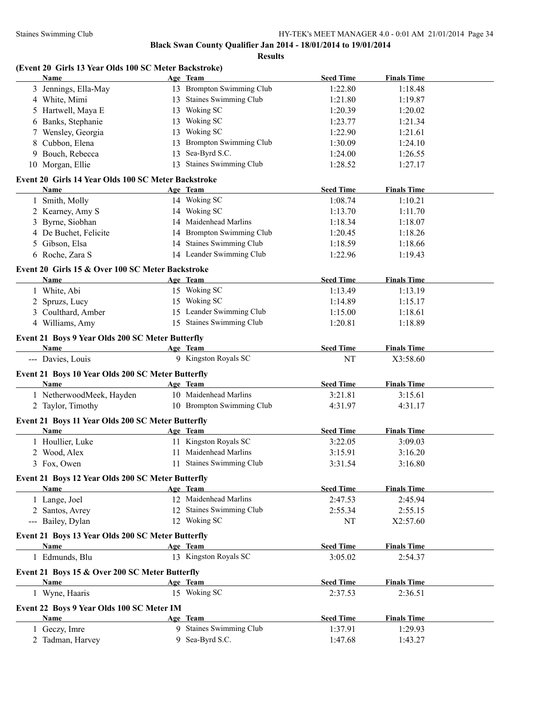#### **Black Swan County Qualifier Jan 2014 - 18/01/2014 to 19/01/2014**

**Results**

| (Event 20 Girls 13 Year Olds 100 SC Meter Backstroke) |     |                           |                  |                    |  |  |  |  |  |  |
|-------------------------------------------------------|-----|---------------------------|------------------|--------------------|--|--|--|--|--|--|
| <b>Name</b>                                           |     | Age Team                  | <b>Seed Time</b> | <b>Finals Time</b> |  |  |  |  |  |  |
| 3 Jennings, Ella-May                                  |     | 13 Brompton Swimming Club | 1:22.80          | 1:18.48            |  |  |  |  |  |  |
| 4 White, Mimi                                         |     | 13 Staines Swimming Club  | 1:21.80          | 1:19.87            |  |  |  |  |  |  |
| 5 Hartwell, Maya E                                    |     | 13 Woking SC              | 1:20.39          | 1:20.02            |  |  |  |  |  |  |
| 6 Banks, Stephanie                                    | 13. | Woking SC                 | 1:23.77          | 1:21.34            |  |  |  |  |  |  |
| $7 \, \text{W}$ will $\Omega$ and $\Omega$            |     | $12$ Welling CC           | 1.22.00          | 1.21.71            |  |  |  |  |  |  |

| o Daliks, Stephanie                                       | $13$ wormg be             | 1.23.11          | 1.21.34            |  |
|-----------------------------------------------------------|---------------------------|------------------|--------------------|--|
| 7 Wensley, Georgia                                        | 13 Woking SC              | 1:22.90          | 1:21.61            |  |
| 8 Cubbon, Elena                                           | 13 Brompton Swimming Club | 1:30.09          | 1:24.10            |  |
| 9 Bouch, Rebecca                                          | 13 Sea-Byrd S.C.          | 1:24.00          | 1:26.55            |  |
| 10 Morgan, Ellie                                          | 13 Staines Swimming Club  | 1:28.52          | 1:27.17            |  |
|                                                           |                           |                  |                    |  |
| Event 20 Girls 14 Year Olds 100 SC Meter Backstroke       |                           |                  |                    |  |
| Name                                                      | Age Team                  | <b>Seed Time</b> | <b>Finals Time</b> |  |
| 1 Smith, Molly                                            | 14 Woking SC              | 1:08.74          | 1:10.21            |  |
| 2 Kearney, Amy S                                          | 14 Woking SC              | 1:13.70          | 1:11.70            |  |
| 3 Byrne, Siobhan                                          | 14 Maidenhead Marlins     | 1:18.34          | 1:18.07            |  |
| 4 De Buchet, Felicite                                     | 14 Brompton Swimming Club | 1:20.45          | 1:18.26            |  |
| 5 Gibson, Elsa                                            | 14 Staines Swimming Club  | 1:18.59          | 1:18.66            |  |
| 6 Roche, Zara S                                           | 14 Leander Swimming Club  | 1:22.96          | 1:19.43            |  |
| Event 20 Girls 15 & Over 100 SC Meter Backstroke          |                           |                  |                    |  |
| <b>Name</b>                                               | Age Team                  | <b>Seed Time</b> | <b>Finals Time</b> |  |
| 1 White, Abi                                              | 15 Woking SC              | 1:13.49          | 1:13.19            |  |
| 2 Spruzs, Lucy                                            | 15 Woking SC              | 1:14.89          | 1:15.17            |  |
| 3 Coulthard, Amber                                        | 15 Leander Swimming Club  | 1:15.00          | 1:18.61            |  |
| 4 Williams, Amy                                           | 15 Staines Swimming Club  | 1:20.81          | 1:18.89            |  |
| Event 21 Boys 9 Year Olds 200 SC Meter Butterfly          |                           |                  |                    |  |
| Name                                                      | Age Team                  | <b>Seed Time</b> | <b>Finals Time</b> |  |
| --- Davies, Louis                                         | 9 Kingston Royals SC      | NT               | X3:58.60           |  |
|                                                           |                           |                  |                    |  |
| Event 21 Boys 10 Year Olds 200 SC Meter Butterfly         |                           |                  |                    |  |
| Name                                                      | Age Team                  | <b>Seed Time</b> | <b>Finals Time</b> |  |
| 1 NetherwoodMeek, Hayden                                  | 10 Maidenhead Marlins     | 3:21.81          | 3:15.61            |  |
| 2 Taylor, Timothy                                         | 10 Brompton Swimming Club | 4:31.97          | 4:31.17            |  |
| Event 21 Boys 11 Year Olds 200 SC Meter Butterfly         |                           |                  |                    |  |
| Name                                                      | Age Team                  | <b>Seed Time</b> | <b>Finals Time</b> |  |
| 1 Houllier, Luke                                          | 11 Kingston Royals SC     | 3:22.05          | 3:09.03            |  |
| 2 Wood, Alex                                              | 11 Maidenhead Marlins     | 3:15.91          | 3:16.20            |  |
| 3 Fox, Owen                                               | 11 Staines Swimming Club  | 3:31.54          | 3:16.80            |  |
|                                                           |                           |                  |                    |  |
| Event 21 Boys 12 Year Olds 200 SC Meter Butterfly<br>Name | Age Team                  | <b>Seed Time</b> | <b>Finals Time</b> |  |
| 1 Lange, Joel                                             | 12 Maidenhead Marlins     | 2:47.53          | 2:45.94            |  |
| 2 Santos, Avrey                                           | 12 Staines Swimming Club  | 2:55.34          | 2:55.15            |  |
| --- Bailey, Dylan                                         | 12 Woking SC              | NT               | X2:57.60           |  |
|                                                           |                           |                  |                    |  |
| Event 21 Boys 13 Year Olds 200 SC Meter Butterfly         |                           |                  |                    |  |
| <b>Name</b>                                               | Age Team                  | <b>Seed Time</b> | <b>Finals Time</b> |  |
| 1 Edmunds, Blu                                            | 13 Kingston Royals SC     | 3:05.02          | 2:54.37            |  |
| Event 21 Boys 15 & Over 200 SC Meter Butterfly            |                           |                  |                    |  |
| Name                                                      | Age Team                  | <b>Seed Time</b> | <b>Finals Time</b> |  |
| 1 Wyne, Haaris                                            | 15 Woking SC              | 2:37.53          | 2:36.51            |  |
|                                                           |                           |                  |                    |  |
| Event 22 Boys 9 Year Olds 100 SC Meter IM                 |                           |                  |                    |  |
| <b>Name</b>                                               | Age Team                  | <b>Seed Time</b> | <b>Finals Time</b> |  |
| 1 Geczy, Imre                                             | 9 Staines Swimming Club   | 1:37.91          | 1:29.93            |  |

2 Tadman, Harvey 9 Sea-Byrd S.C. 1:47.68 1:43.27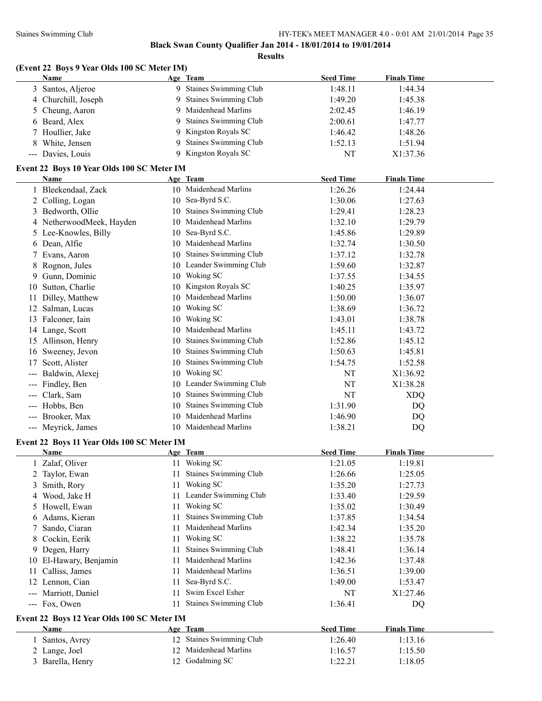**(Event 22 Boys 9 Year Olds 100 SC Meter IM)**

# **Black Swan County Qualifier Jan 2014 - 18/01/2014 to 19/01/2014**

|                         | Name                                       |          | Age Team                            | <b>Seed Time</b> | <b>Finals Time</b> |  |
|-------------------------|--------------------------------------------|----------|-------------------------------------|------------------|--------------------|--|
|                         | 3 Santos, Aljeroe                          |          | 9 Staines Swimming Club             | 1:48.11          | 1:44.34            |  |
|                         | 4 Churchill, Joseph                        | 9        | <b>Staines Swimming Club</b>        | 1:49.20          | 1:45.38            |  |
|                         | 5 Cheung, Aaron                            | 9        | Maidenhead Marlins                  | 2:02.45          | 1:46.19            |  |
|                         | 6 Beard, Alex                              | 9        | <b>Staines Swimming Club</b>        | 2:00.61          | 1:47.77            |  |
|                         | 7 Houllier, Jake                           | 9        | Kingston Royals SC                  | 1:46.42          | 1:48.26            |  |
| 8                       | White, Jensen                              | 9        | Staines Swimming Club               | 1:52.13          | 1:51.94            |  |
|                         | --- Davies, Louis                          | 9        | Kingston Royals SC                  | NT               | X1:37.36           |  |
|                         |                                            |          |                                     |                  |                    |  |
|                         | Event 22 Boys 10 Year Olds 100 SC Meter IM |          |                                     |                  | <b>Finals Time</b> |  |
|                         | Name                                       |          | Age Team<br>10 Maidenhead Marlins   | <b>Seed Time</b> | 1:24.44            |  |
|                         | 1 Bleekendaal, Zack                        |          | 10 Sea-Byrd S.C.                    | 1:26.26          |                    |  |
|                         | 2 Colling, Logan                           |          | <b>Staines Swimming Club</b>        | 1:30.06          | 1:27.63<br>1:28.23 |  |
|                         | 3 Bedworth, Ollie                          | 10<br>10 | Maidenhead Marlins                  | 1:29.41          |                    |  |
|                         | 4 NetherwoodMeek, Hayden                   |          |                                     | 1:32.10          | 1:29.79            |  |
|                         | 5 Lee-Knowles, Billy                       | 10       | Sea-Byrd S.C.<br>Maidenhead Marlins | 1:45.86          | 1:29.89            |  |
|                         | 6 Dean, Alfie                              | 10       |                                     | 1:32.74          | 1:30.50            |  |
|                         | 7 Evans, Aaron                             | 10       | <b>Staines Swimming Club</b>        | 1:37.12          | 1:32.78            |  |
|                         | 8 Rognon, Jules                            |          | 10 Leander Swimming Club            | 1:59.60          | 1:32.87            |  |
|                         | 9 Gunn, Dominic                            |          | 10 Woking SC                        | 1:37.55          | 1:34.55            |  |
|                         | 10 Sutton, Charlie                         |          | 10 Kingston Royals SC               | 1:40.25          | 1:35.97            |  |
| 11                      | Dilley, Matthew                            |          | 10 Maidenhead Marlins               | 1:50.00          | 1:36.07            |  |
| 12                      | Salman, Lucas                              |          | 10 Woking SC                        | 1:38.69          | 1:36.72            |  |
|                         | 13 Falconer, Iain                          |          | 10 Woking SC                        | 1:43.01          | 1:38.78            |  |
|                         | 14 Lange, Scott                            | 10       | Maidenhead Marlins                  | 1:45.11          | 1:43.72            |  |
|                         | 15 Allinson, Henry                         | 10       | <b>Staines Swimming Club</b>        | 1:52.86          | 1:45.12            |  |
|                         | 16 Sweeney, Jevon                          | 10       | <b>Staines Swimming Club</b>        | 1:50.63          | 1:45.81            |  |
| 17                      | Scott, Alister                             | 10       | <b>Staines Swimming Club</b>        | 1:54.75          | 1:52.58            |  |
|                         | Baldwin, Alexej                            | 10       | Woking SC                           | NT               | X1:36.92           |  |
| ---                     | Findley, Ben                               |          | 10 Leander Swimming Club            | NT               | X1:38.28           |  |
| ---                     | Clark, Sam                                 | 10       | Staines Swimming Club               | NT               | <b>XDQ</b>         |  |
| ---                     | Hobbs, Ben                                 | 10       | Staines Swimming Club               | 1:31.90          | DQ                 |  |
| ---                     | Brooker, Max                               | 10       | Maidenhead Marlins                  | 1:46.90          | DQ                 |  |
|                         | --- Meyrick, James                         |          | 10 Maidenhead Marlins               | 1:38.21          | DQ                 |  |
|                         | Event 22 Boys 11 Year Olds 100 SC Meter IM |          |                                     |                  |                    |  |
|                         | <b>Name</b>                                |          | Age Team                            | <b>Seed Time</b> | <b>Finals Time</b> |  |
|                         | 1 Zalaf, Oliver                            |          | 11 Woking SC                        | 1:21.05          | 1:19.81            |  |
| $\overline{\mathbf{c}}$ | Taylor, Ewan                               |          | 11 Staines Swimming Club            | 1:26.66          | 1:25.05            |  |
| 3                       | Smith, Rory                                |          | 11 Woking SC                        | 1:35.20          | 1:27.73            |  |
| 4                       | Wood, Jake H                               | 11       | Leander Swimming Club               | 1:33.40          | 1:29.59            |  |
|                         | 5 Howell, Ewan                             | 11       | Woking SC                           | 1:35.02          | 1:30.49            |  |
| 6                       | Adams, Kieran                              | 11       | Staines Swimming Club               | 1:37.85          | 1:34.54            |  |
| 7.                      | Sando, Ciaran                              | 11       | Maidenhead Marlins                  | 1:42.34          | 1:35.20            |  |
| 8                       | Cockin, Eerik                              | 11       | Woking SC                           | 1:38.22          | 1:35.78            |  |
|                         | 9 Degen, Harry                             | 11       | Staines Swimming Club               | 1:48.41          | 1:36.14            |  |
|                         | 10 El-Hawary, Benjamin                     | 11       | Maidenhead Marlins                  | 1:42.36          | 1:37.48            |  |
| 11                      | Calliss, James                             | 11.      | Maidenhead Marlins                  | 1:36.51          | 1:39.00            |  |
|                         | 12 Lennon, Cian                            | 11       | Sea-Byrd S.C.                       | 1:49.00          | 1:53.47            |  |
|                         | --- Marriott, Daniel                       | 11       | Swim Excel Esher                    | NT               | X1:27.46           |  |
|                         | --- Fox, Owen                              | 11       | Staines Swimming Club               | 1:36.41          | DQ                 |  |
|                         |                                            |          |                                     |                  |                    |  |
|                         | Event 22 Boys 12 Year Olds 100 SC Meter IM |          |                                     |                  |                    |  |
|                         | Name                                       |          | Age Team                            | <b>Seed Time</b> | <b>Finals Time</b> |  |
| 1                       | Santos, Avrey                              |          | 12 Staines Swimming Club            | 1:26.40          | 1:13.16            |  |
|                         | 2 Lange, Joel                              |          | 12 Maidenhead Marlins               | 1:16.57          | 1:15.50            |  |
|                         |                                            |          |                                     |                  |                    |  |
|                         | 3 Barella, Henry                           |          | 12 Godalming SC                     | 1:22.21          | 1:18.05            |  |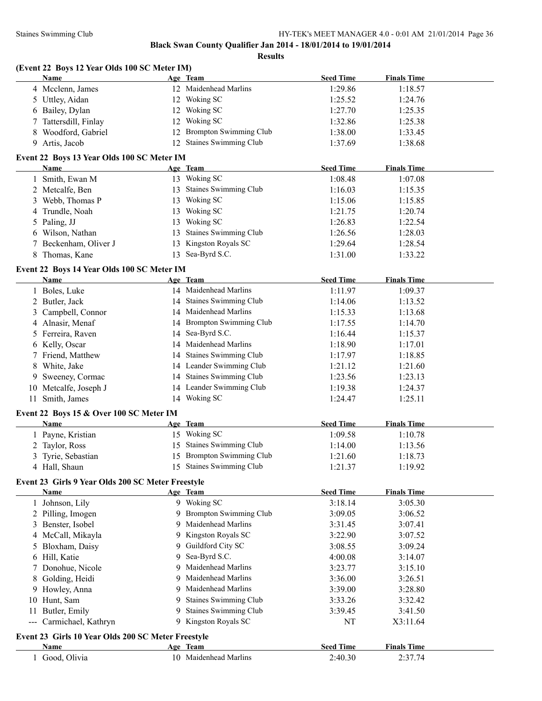### **Black Swan County Qualifier Jan 2014 - 18/01/2014 to 19/01/2014**

**Results**

| Name             | Age Team              | <b>Seed Time</b> | <b>Finals Time</b> |
|------------------|-----------------------|------------------|--------------------|
| 4 Mcclenn, James | 12 Maidenhead Marlins | 1:29.86          | 1:18.57            |
| 5 Uttley, Aidan  | 12 Woking SC          | 1:25.52          | 1:24.76            |
|                  |                       |                  |                    |

**(Event 22 Boys 12 Year Olds 100 SC Meter IM)**

| 5 Uttley, Aidan       | 12 Woking SC              | 1:25.52 | 1:24.76 |
|-----------------------|---------------------------|---------|---------|
| 6 Bailey, Dylan       | 12 Woking SC              | 1:27.70 | 1:25.35 |
| 7 Tattersdill, Finlay | 12 Woking SC              | 1:32.86 | 1:25.38 |
| 8 Woodford, Gabriel   | 12 Brompton Swimming Club | 1:38.00 | 1:33.45 |
| 9 Artis, Jacob        | 12 Staines Swimming Club  | 1:37.69 | 1:38.68 |

#### **Event 22 Boys 13 Year Olds 100 SC Meter IM**

| <b>Name</b>           |     | Age Team                     | <b>Seed Time</b> | <b>Finals Time</b> |
|-----------------------|-----|------------------------------|------------------|--------------------|
| 1 Smith, Ewan M       | 13  | Woking SC                    | 1:08.48          | 1:07.08            |
| 2 Metcalfe, Ben       | 13  | <b>Staines Swimming Club</b> | 1:16.03          | 1:15.35            |
| 3 Webb, Thomas P      | 13. | Woking SC                    | 1:15.06          | 1:15.85            |
| 4 Trundle, Noah       | 13  | Woking SC                    | 1:21.75          | 1:20.74            |
| 5 Paling, JJ          | 13  | Woking SC                    | 1:26.83          | 1:22.54            |
| 6 Wilson, Nathan      | 13. | Staines Swimming Club        | 1:26.56          | 1:28.03            |
| 7 Beckenham, Oliver J |     | 13 Kingston Royals SC        | 1:29.64          | 1:28.54            |
| 8 Thomas, Kane        |     | 13 Sea-Byrd S.C.             | 1:31.00          | 1:33.22            |

#### **Event 22 Boys 14 Year Olds 100 SC Meter IM**

| <b>Name</b>           |    | Age Team                  | <b>Seed Time</b> | <b>Finals Time</b> |  |
|-----------------------|----|---------------------------|------------------|--------------------|--|
| 1 Boles, Luke         |    | 14 Maidenhead Marlins     | 1:11.97          | 1:09.37            |  |
| 2 Butler, Jack        |    | 14 Staines Swimming Club  | 1:14.06          | 1:13.52            |  |
| 3 Campbell, Connor    |    | 14 Maidenhead Marlins     | 1:15.33          | 1:13.68            |  |
| 4 Alnasir, Menaf      |    | 14 Brompton Swimming Club | 1:17.55          | 1:14.70            |  |
| 5 Ferreira, Raven     |    | 14 Sea-Byrd S.C.          | 1:16.44          | 1:15.37            |  |
| 6 Kelly, Oscar        |    | 14 Maidenhead Marlins     | 1:18.90          | 1:17.01            |  |
| 7 Friend, Matthew     |    | 14 Staines Swimming Club  | 1:17.97          | 1:18.85            |  |
| 8 White, Jake         |    | 14 Leander Swimming Club  | 1:21.12          | 1:21.60            |  |
| 9 Sweeney, Cormac     |    | 14 Staines Swimming Club  | 1:23.56          | 1:23.13            |  |
| 10 Metcalfe, Joseph J |    | 14 Leander Swimming Club  | 1:19.38          | 1:24.37            |  |
| 11 Smith, James       | 14 | Woking SC                 | 1:24.47          | 1:25.11            |  |

## **Event 22 Boys 15 & Over 100 SC Meter IM**

| Name               | Age Team                  | <b>Seed Time</b> | <b>Finals Time</b> |  |
|--------------------|---------------------------|------------------|--------------------|--|
| Payne, Kristian    | 15 Woking SC              | 1:09.58          | 1:10.78            |  |
| 2 Taylor, Ross     | 15 Staines Swimming Club  | 1:14.00          | 1:13.56            |  |
| 3 Tyrie, Sebastian | 15 Brompton Swimming Club | 1:21.60          | 1:18.73            |  |
| Hall, Shaun        | 15 Staines Swimming Club  | 1:21.37          | 1:19.92            |  |

# **Event 23 Girls 9 Year Olds 200 SC Meter Freestyle**

|     | <b>Name</b>                                        |     | Age Team                     | <b>Seed Time</b> | <b>Finals Time</b> |  |
|-----|----------------------------------------------------|-----|------------------------------|------------------|--------------------|--|
|     | 1 Johnson, Lily                                    |     | 9 Woking SC                  | 3:18.14          | 3:05.30            |  |
|     | 2 Pilling, Imogen                                  |     | 9 Brompton Swimming Club     | 3:09.05          | 3:06.52            |  |
|     | 3 Benster, Isobel                                  |     | 9 Maidenhead Marlins         | 3:31.45          | 3:07.41            |  |
|     | 4 McCall, Mikayla                                  |     | 9 Kingston Royals SC         | 3:22.90          | 3:07.52            |  |
|     | 5 Bloxham, Daisy                                   |     | 9 Guildford City SC          | 3:08.55          | 3:09.24            |  |
|     | 6 Hill, Katie                                      |     | 9 Sea-Byrd S.C.              | 4:00.08          | 3:14.07            |  |
|     | 7 Donohue, Nicole                                  |     | 9 Maidenhead Marlins         | 3:23.77          | 3:15.10            |  |
|     | 8 Golding, Heidi                                   | 9.  | Maidenhead Marlins           | 3:36.00          | 3:26.51            |  |
|     | 9 Howley, Anna                                     |     | 9 Maidenhead Marlins         | 3:39.00          | 3:28.80            |  |
|     | 10 Hunt, Sam                                       | 9.  | <b>Staines Swimming Club</b> | 3:33.26          | 3:32.42            |  |
| 11. | Butler, Emily                                      | 9   | Staines Swimming Club        | 3:39.45          | 3:41.50            |  |
|     | --- Carmichael, Kathryn                            | 9   | Kingston Royals SC           | NT               | X3:11.64           |  |
|     | Event 23 Girls 10 Year Olds 200 SC Meter Freestyle |     |                              |                  |                    |  |
|     | <b>Name</b>                                        |     | Age Team                     | <b>Seed Time</b> | <b>Finals Time</b> |  |
|     | Good, Olivia                                       | 10. | Maidenhead Marlins           | 2:40.30          | 2:37.74            |  |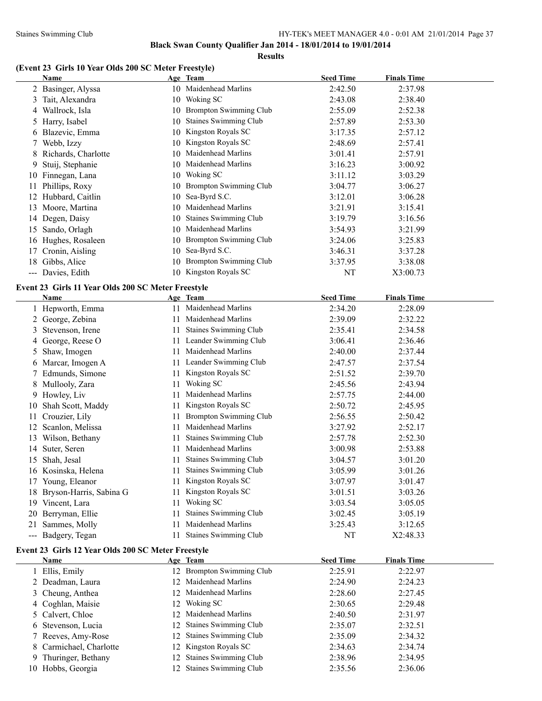**Results**

# **(Event 23 Girls 10 Year Olds 200 SC Meter Freestyle)**

|    | Name                                               |    | Age Team                      | <b>Seed Time</b> | <b>Finals Time</b> |  |
|----|----------------------------------------------------|----|-------------------------------|------------------|--------------------|--|
|    | 2 Basinger, Alyssa                                 |    | 10 Maidenhead Marlins         | 2:42.50          | 2:37.98            |  |
|    | 3 Tait, Alexandra                                  |    | 10 Woking SC                  | 2:43.08          | 2:38.40            |  |
|    | 4 Wallrock, Isla                                   |    | 10 Brompton Swimming Club     | 2:55.09          | 2:52.38            |  |
|    | 5 Harry, Isabel                                    |    | 10 Staines Swimming Club      | 2:57.89          | 2:53.30            |  |
|    | 6 Blazevic, Emma                                   |    | 10 Kingston Royals SC         | 3:17.35          | 2:57.12            |  |
| 7. | Webb, Izzy                                         |    | 10 Kingston Royals SC         | 2:48.69          | 2:57.41            |  |
| 8  | Richards, Charlotte                                |    | 10 Maidenhead Marlins         | 3:01.41          | 2:57.91            |  |
| 9  | Stuij, Stephanie                                   |    | 10 Maidenhead Marlins         | 3:16.23          | 3:00.92            |  |
|    | 10 Finnegan, Lana                                  |    | 10 Woking SC                  | 3:11.12          | 3:03.29            |  |
| 11 | Phillips, Roxy                                     |    | 10 Brompton Swimming Club     | 3:04.77          | 3:06.27            |  |
|    | 12 Hubbard, Caitlin                                |    | 10 Sea-Byrd S.C.              | 3:12.01          | 3:06.28            |  |
|    | 13 Moore, Martina                                  |    | 10 Maidenhead Marlins         | 3:21.91          | 3:15.41            |  |
|    | 14 Degen, Daisy                                    |    | 10 Staines Swimming Club      | 3:19.79          | 3:16.56            |  |
|    | 15 Sando, Orlagh                                   |    | 10 Maidenhead Marlins         | 3:54.93          | 3:21.99            |  |
|    | 16 Hughes, Rosaleen                                |    | 10 Brompton Swimming Club     | 3:24.06          | 3:25.83            |  |
|    | 17 Cronin, Aisling                                 |    | 10 Sea-Byrd S.C.              | 3:46.31          | 3:37.28            |  |
|    | 18 Gibbs, Alice                                    |    | 10 Brompton Swimming Club     | 3:37.95          | 3:38.08            |  |
|    | --- Davies, Edith                                  |    | 10 Kingston Royals SC         | NT               | X3:00.73           |  |
|    |                                                    |    |                               |                  |                    |  |
|    | Event 23 Girls 11 Year Olds 200 SC Meter Freestyle |    |                               |                  |                    |  |
|    | Name                                               |    | Age Team                      | <b>Seed Time</b> | <b>Finals Time</b> |  |
|    | 1 Hepworth, Emma                                   |    | 11 Maidenhead Marlins         | 2:34.20          | 2:28.09            |  |
|    | 2 George, Zebina                                   |    | 11 Maidenhead Marlins         | 2:39.09          | 2:32.22            |  |
|    | 3 Stevenson, Irene                                 | 11 | Staines Swimming Club         | 2:35.41          | 2:34.58            |  |
|    | 4 George, Reese O                                  | 11 | Leander Swimming Club         | 3:06.41          | 2:36.46            |  |
|    | 5 Shaw, Imogen                                     | 11 | Maidenhead Marlins            | 2:40.00          | 2:37.44            |  |
|    | 6 Marcar, Imogen A                                 |    | 11 Leander Swimming Club      | 2:47.57          | 2:37.54            |  |
|    | 7 Edmunds, Simone                                  | 11 | Kingston Royals SC            | 2:51.52          | 2:39.70            |  |
|    | 8 Mullooly, Zara                                   | 11 | Woking SC                     | 2:45.56          | 2:43.94            |  |
|    | 9 Howley, Liv                                      | 11 | Maidenhead Marlins            | 2:57.75          | 2:44.00            |  |
| 10 | Shah Scott, Maddy                                  | 11 | Kingston Royals SC            | 2:50.72          | 2:45.95            |  |
| 11 | Crouzier, Lily                                     | 11 | <b>Brompton Swimming Club</b> | 2:56.55          | 2:50.42            |  |
|    | 12 Scanlon, Melissa                                | 11 | Maidenhead Marlins            | 3:27.92          | 2:52.17            |  |
|    | 13 Wilson, Bethany                                 | 11 | Staines Swimming Club         | 2:57.78          | 2:52.30            |  |
|    | 14 Suter, Seren                                    | 11 | Maidenhead Marlins            | 3:00.98          | 2:53.88            |  |
|    | 15 Shah, Jesal                                     | 11 | <b>Staines Swimming Club</b>  | 3:04.57          | 3:01.20            |  |
|    | 16 Kosinska, Helena                                |    | 11 Staines Swimming Club      | 3:05.99          | 3:01.26            |  |
|    | 17 Young, Eleanor                                  |    | 11 Kingston Royals SC         | 3:07.97          | 3:01.47            |  |
|    | 18 Bryson-Harris, Sabina G                         | 11 | Kingston Royals SC            | 3:01.51          | 3:03.26            |  |
|    | 19 Vincent, Lara                                   | 11 | Woking SC                     | 3:03.54          | 3:05.05            |  |
|    | 20 Berryman, Ellie                                 | 11 | Staines Swimming Club         | 3:02.45          | 3:05.19            |  |
|    | 21 Sammes, Molly                                   | 11 | Maidenhead Marlins            | 3:25.43          | 3:12.65            |  |
|    | --- Badgery, Tegan                                 | 11 | <b>Staines Swimming Club</b>  | NT               | X2:48.33           |  |
|    | Event 23 Girls 12 Year Olds 200 SC Meter Freestyle |    |                               |                  |                    |  |
|    | Name                                               |    | Age Team                      | <b>Seed Time</b> | <b>Finals Time</b> |  |
|    | 1 Ellis, Emily                                     |    | 12 Brompton Swimming Club     | 2:25.91          | 2:22.97            |  |
|    | 2 Deadman, Laura                                   |    | 12 Maidenhead Marlins         | 2:24.90          | 2:24.23            |  |
|    | 3 Cheung, Anthea                                   |    | 12 Maidenhead Marlins         | 2:28.60          | 2:27.45            |  |
|    | 4 Coghlan, Maisie                                  |    | 12 Woking SC                  | 2:30.65          | 2:29.48            |  |
|    | 5 Calvert, Chloe                                   | 12 | Maidenhead Marlins            | 2:40.50          | 2:31.97            |  |
|    | 6 Stevenson, Lucia                                 | 12 | Staines Swimming Club         | 2:35.07          | 2:32.51            |  |
|    | 7 Reeves, Amy-Rose                                 | 12 | Staines Swimming Club         | 2:35.09          | 2:34.32            |  |
|    | 8 Carmichael, Charlotte                            | 12 | Kingston Royals SC            | 2:34.63          | 2:34.74            |  |
|    | 9 Thuringer, Bethany                               | 12 | Staines Swimming Club         | 2:38.96          | 2:34.95            |  |
|    | 10 Hobbs, Georgia                                  |    | 12 Staines Swimming Club      | 2:35.56          | 2:36.06            |  |
|    |                                                    |    |                               |                  |                    |  |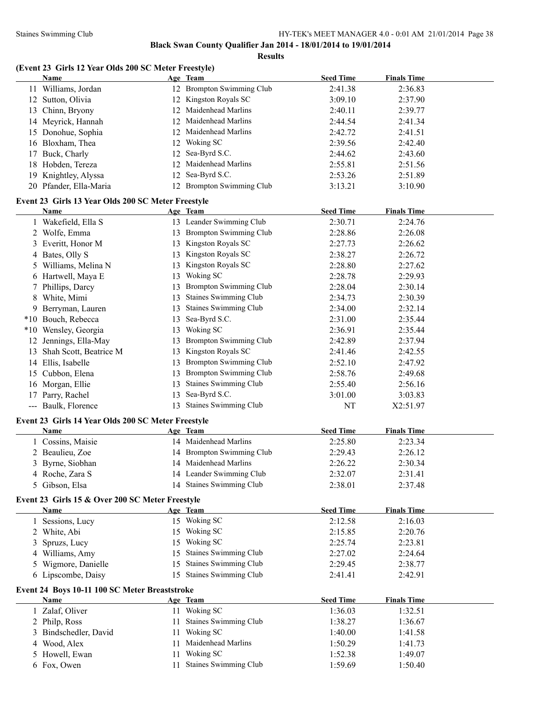|  |  | (Event 23 Girls 12 Year Olds 200 SC Meter Freestyle) |  |  |
|--|--|------------------------------------------------------|--|--|
|--|--|------------------------------------------------------|--|--|

|    | Name                                                       |    | Age Team                      | <b>Seed Time</b> | <b>Finals Time</b> |  |
|----|------------------------------------------------------------|----|-------------------------------|------------------|--------------------|--|
|    | 11 Williams, Jordan                                        |    | 12 Brompton Swimming Club     | 2:41.38          | 2:36.83            |  |
|    | 12 Sutton, Olivia                                          |    | 12 Kingston Royals SC         | 3:09.10          | 2:37.90            |  |
|    | 13 Chinn, Bryony                                           |    | 12 Maidenhead Marlins         | 2:40.11          | 2:39.77            |  |
|    | 14 Meyrick, Hannah                                         | 12 | Maidenhead Marlins            | 2:44.54          | 2:41.34            |  |
|    | 15 Donohue, Sophia                                         |    | 12 Maidenhead Marlins         | 2:42.72          | 2:41.51            |  |
|    | 16 Bloxham, Thea                                           | 12 | Woking SC                     | 2:39.56          | 2:42.40            |  |
|    | 17 Buck, Charly                                            | 12 | Sea-Byrd S.C.                 | 2:44.62          | 2:43.60            |  |
|    | 18 Hobden, Tereza                                          | 12 | Maidenhead Marlins            | 2:55.81          | 2:51.56            |  |
| 19 | Knightley, Alyssa                                          | 12 | Sea-Byrd S.C.                 | 2:53.26          | 2:51.89            |  |
|    | 20 Pfander, Ella-Maria                                     |    | 12 Brompton Swimming Club     | 3:13.21          | 3:10.90            |  |
|    |                                                            |    |                               |                  |                    |  |
|    | Event 23 Girls 13 Year Olds 200 SC Meter Freestyle         |    |                               |                  |                    |  |
|    | Name                                                       |    | Age Team                      | <b>Seed Time</b> | <b>Finals Time</b> |  |
|    | 1 Wakefield, Ella S                                        |    | 13 Leander Swimming Club      | 2:30.71          | 2:24.76            |  |
|    | 2 Wolfe, Emma                                              |    | 13 Brompton Swimming Club     | 2:28.86          | 2:26.08            |  |
|    | 3 Everitt, Honor M                                         |    | 13 Kingston Royals SC         | 2:27.73          | 2:26.62            |  |
|    | 4 Bates, Olly S                                            | 13 | Kingston Royals SC            | 2:38.27          | 2:26.72            |  |
|    | 5 Williams, Melina N                                       | 13 | Kingston Royals SC            | 2:28.80          | 2:27.62            |  |
|    | 6 Hartwell, Maya E                                         | 13 | Woking SC                     | 2:28.78          | 2:29.93            |  |
|    | 7 Phillips, Darcy                                          | 13 | <b>Brompton Swimming Club</b> | 2:28.04          | 2:30.14            |  |
| 8  | White, Mimi                                                | 13 | <b>Staines Swimming Club</b>  | 2:34.73          | 2:30.39            |  |
|    | 9 Berryman, Lauren                                         | 13 | Staines Swimming Club         | 2:34.00          | 2:32.14            |  |
|    | *10 Bouch, Rebecca                                         | 13 | Sea-Byrd S.C.                 | 2:31.00          | 2:35.44            |  |
|    | *10 Wensley, Georgia                                       | 13 | Woking SC                     | 2:36.91          | 2:35.44            |  |
|    | 12 Jennings, Ella-May                                      | 13 | <b>Brompton Swimming Club</b> | 2:42.89          | 2:37.94            |  |
|    | 13 Shah Scott, Beatrice M                                  | 13 | Kingston Royals SC            | 2:41.46          | 2:42.55            |  |
|    | 14 Ellis, Isabelle                                         |    | 13 Brompton Swimming Club     | 2:52.10          | 2:47.92            |  |
|    | 15 Cubbon, Elena                                           | 13 | <b>Brompton Swimming Club</b> | 2:58.76          | 2:49.68            |  |
|    | 16 Morgan, Ellie                                           | 13 | <b>Staines Swimming Club</b>  | 2:55.40          | 2:56.16            |  |
| 17 | Parry, Rachel                                              | 13 | Sea-Byrd S.C.                 | 3:01.00          | 3:03.83            |  |
|    | --- Baulk, Florence                                        |    | 13 Staines Swimming Club      | NT               | X2:51.97           |  |
|    |                                                            |    |                               |                  |                    |  |
|    | Event 23 Girls 14 Year Olds 200 SC Meter Freestyle<br>Name |    | Age Team                      | <b>Seed Time</b> | <b>Finals Time</b> |  |
|    | 1 Cossins, Maisie                                          |    | 14 Maidenhead Marlins         | 2:25.80          | 2:23.34            |  |
|    | 2 Beaulieu, Zoe                                            |    | 14 Brompton Swimming Club     | 2:29.43          | 2:26.12            |  |
|    |                                                            |    | 14 Maidenhead Marlins         |                  |                    |  |
|    | 3 Byrne, Siobhan                                           |    |                               | 2:26.22          | 2:30.34            |  |
|    | 4 Roche, Zara S                                            |    | 14 Leander Swimming Club      | 2:32.07          | 2:31.41            |  |
|    | 5 Gibson, Elsa                                             |    | 14 Staines Swimming Club      | 2:38.01          | 2:37.48            |  |
|    | Event 23 Girls 15 & Over 200 SC Meter Freestyle            |    |                               |                  |                    |  |
|    | <b>Name</b>                                                |    | Age Team                      | <b>Seed Time</b> | <b>Finals Time</b> |  |
|    | 1 Sessions, Lucy                                           |    | 15 Woking SC                  | 2:12.58          | 2:16.03            |  |
|    | 2 White, Abi                                               |    | 15 Woking SC                  | 2:15.85          | 2:20.76            |  |
|    | Spruzs, Lucy                                               | 15 | Woking SC                     | 2:25.74          | 2:23.81            |  |
|    | 4 Williams, Amy                                            | 15 | <b>Staines Swimming Club</b>  | 2:27.02          | 2:24.64            |  |
|    | 5 Wigmore, Danielle                                        | 15 | Staines Swimming Club         | 2:29.45          | 2:38.77            |  |
|    | 6 Lipscombe, Daisy                                         |    | 15 Staines Swimming Club      | 2:41.41          | 2:42.91            |  |
|    | Event 24 Boys 10-11 100 SC Meter Breaststroke              |    |                               |                  |                    |  |
|    | <b>Name</b>                                                |    | Age Team                      | <b>Seed Time</b> | <b>Finals Time</b> |  |
|    | 1 Zalaf, Oliver                                            |    | 11 Woking SC                  | 1:36.03          | 1:32.51            |  |
|    | 2 Philp, Ross                                              | 11 | Staines Swimming Club         | 1:38.27          | 1:36.67            |  |
|    | Bindschedler, David                                        | 11 | Woking SC                     | 1:40.00          | 1:41.58            |  |
| 4  | Wood, Alex                                                 | 11 | Maidenhead Marlins            | 1:50.29          | 1:41.73            |  |
|    | 5 Howell, Ewan                                             | 11 | Woking SC                     | 1:52.38          | 1:49.07            |  |
|    | 6 Fox, Owen                                                | 11 | Staines Swimming Club         | 1:59.69          | 1:50.40            |  |
|    |                                                            |    |                               |                  |                    |  |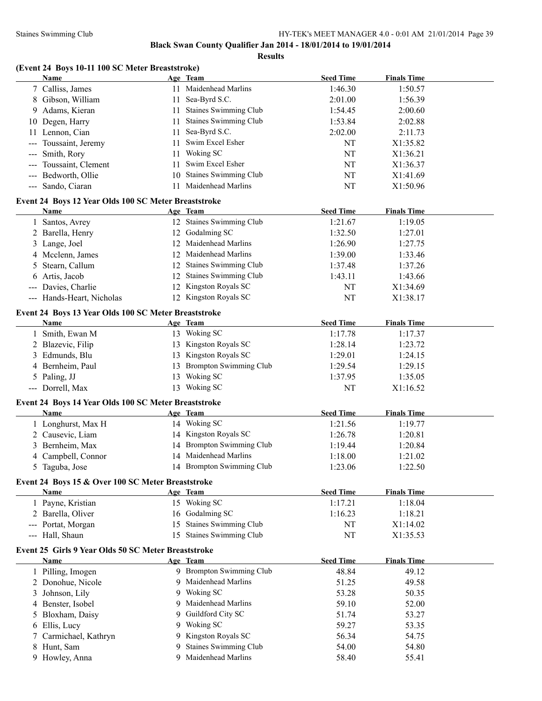|                                                      | Black Swan County Qualifier Jan 2014 - 18/01/2014 to 19/01/2014<br><b>Results</b> |                  |                    |
|------------------------------------------------------|-----------------------------------------------------------------------------------|------------------|--------------------|
| (Event 24 Boys 10-11 100 SC Meter Breaststroke)      |                                                                                   |                  |                    |
| Name                                                 | Age Team                                                                          | <b>Seed Time</b> | <b>Finals Time</b> |
| 7 Calliss, James                                     | 11 Maidenhead Marlins                                                             | 1:46.30          | 1:50.57            |
| 8 Gibson, William                                    | 11 Sea-Byrd S.C.                                                                  | 2:01.00          | 1:56.39            |
| 9 Adams, Kieran                                      | 11 Staines Swimming Club                                                          | 1:54.45          | 2:00.60            |
| 10 Degen, Harry                                      | 11 Staines Swimming Club                                                          | 1:53.84          | 2:02.88            |
| 11 Lennon, Cian                                      | 11 Sea-Byrd S.C.                                                                  | 2:02.00          | 2:11.73            |
| --- Toussaint, Jeremy                                | 11 Swim Excel Esher                                                               | NT               | X1:35.82           |
| --- Smith, Rory                                      | 11 Woking SC                                                                      | NT               | X1:36.21           |
| --- Toussaint, Clement                               | 11 Swim Excel Esher                                                               | NT               | X1:36.37           |
| --- Bedworth, Ollie                                  | 10 Staines Swimming Club                                                          | NT               | X1:41.69           |
| --- Sando, Ciaran                                    | 11 Maidenhead Marlins                                                             | NT               | X1:50.96           |
| Event 24 Boys 12 Year Olds 100 SC Meter Breaststroke |                                                                                   |                  |                    |
| <b>Name</b>                                          | Age Team                                                                          | <b>Seed Time</b> | <b>Finals Time</b> |
| 1 Santos, Avrey                                      | 12 Staines Swimming Club                                                          | 1:21.67          | 1:19.05            |
| 2 Barella, Henry                                     | 12 Godalming SC                                                                   | 1:32.50          | 1:27.01            |
| 3 Lange, Joel                                        | 12 Maidenhead Marlins                                                             | 1:26.90          | 1:27.75            |
| 4 Mcclenn, James                                     | 12 Maidenhead Marlins                                                             | 1:39.00          | 1:33.46            |
| 5 Stearn, Callum                                     | 12 Staines Swimming Club                                                          | 1:37.48          | 1:37.26            |
| 6 Artis, Jacob                                       | 12 Staines Swimming Club                                                          | 1:43.11          | 1:43.66            |
| --- Davies, Charlie                                  | 12 Kingston Royals SC                                                             | NT               | X1:34.69           |
| --- Hands-Heart, Nicholas                            | 12 Kingston Royals SC                                                             | <b>NT</b>        | X1:38.17           |
| Event 24 Boys 13 Year Olds 100 SC Meter Breaststroke |                                                                                   |                  |                    |
| Name                                                 | Age Team                                                                          | <b>Seed Time</b> | <b>Finals Time</b> |
| 1 Smith, Ewan M                                      | 13 Woking SC                                                                      | 1:17.78          | 1:17.37            |
| 2 Blazevic, Filip                                    | 13 Kingston Royals SC                                                             | 1:28.14          | 1:23.72            |
| 3 Edmunds, Blu                                       | 13 Kingston Royals SC                                                             | 1:29.01          | 1:24.15            |
| 4 Bernheim, Paul                                     | 13 Brompton Swimming Club                                                         | 1:29.54          | 1:29.15            |
| 5 Paling, JJ                                         | 13 Woking SC                                                                      | 1:37.95          | 1:35.05            |
| --- Dorrell, Max                                     | 13 Woking SC                                                                      | NT               | X1:16.52           |
| Event 24 Boys 14 Year Olds 100 SC Meter Breaststroke |                                                                                   |                  |                    |
| Name                                                 | Age Team                                                                          | <b>Seed Time</b> | <b>Finals Time</b> |
| 1 Longhurst, Max H                                   | 14 Woking SC                                                                      | 1:21.56          | 1:19.77            |
| 2 Causevic, Liam                                     | 14 Kingston Royals SC                                                             | 1:26.78          | 1:20.81            |
| $2.71 \pm .16$                                       | $11.7$ $12.7$ $13.7$                                                              | 1.10.11          | 1.20.04            |

# 2 Causevic, Liam 14 Kingston Royals SC 1:26.78 1:20.81 3 Bernheim, Max 14 Brompton Swimming Club 1:19.44 1:20.84 4 Campbell, Connor 14 Maidenhead Marlins 1:18.00 1:21.02 5 Taguba, Jose 14 Brompton Swimming Club 1:23.06 1:22.50 **Event 24 Boys 15 & Over 100 SC Meter Breaststroke Name Age Team Seed Time Finals Time** 1 Payne, Kristian 15 Woking SC 1:17.21 1:18.04

| 2 Barella, Oliver                                   | 16 Godalming SC          | 1:16.23 | 1:18.21  |  |
|-----------------------------------------------------|--------------------------|---------|----------|--|
| --- Portat, Morgan                                  | 15 Staines Swimming Club | NT      | X1:14.02 |  |
| --- Hall, Shaun                                     | 15 Staines Swimming Club | NT      | X1:35.53 |  |
| Event 25 Girls 9 Year Olds 50 SC Meter Breaststroke |                          |         |          |  |

| Name                  | Age Team                 | <b>Seed Time</b> | <b>Finals Time</b> |  |
|-----------------------|--------------------------|------------------|--------------------|--|
| Pilling, Imogen       | 9 Brompton Swimming Club | 48.84            | 49.12              |  |
| 2 Donohue, Nicole     | 9 Maidenhead Marlins     | 51.25            | 49.58              |  |
| 3 Johnson, Lily       | 9 Woking SC              | 53.28            | 50.35              |  |
| 4 Benster, Isobel     | 9 Maidenhead Marlins     | 59.10            | 52.00              |  |
| 5 Bloxham, Daisy      | 9 Guildford City SC      | 51.74            | 53.27              |  |
| 6 Ellis, Lucy         | 9 Woking SC              | 59.27            | 53.35              |  |
| 7 Carmichael, Kathryn | 9 Kingston Royals SC     | 56.34            | 54.75              |  |
| 8 Hunt, Sam           | 9 Staines Swimming Club  | 54.00            | 54.80              |  |
| 9 Howley, Anna        | 9 Maidenhead Marlins     | 58.40            | 55.41              |  |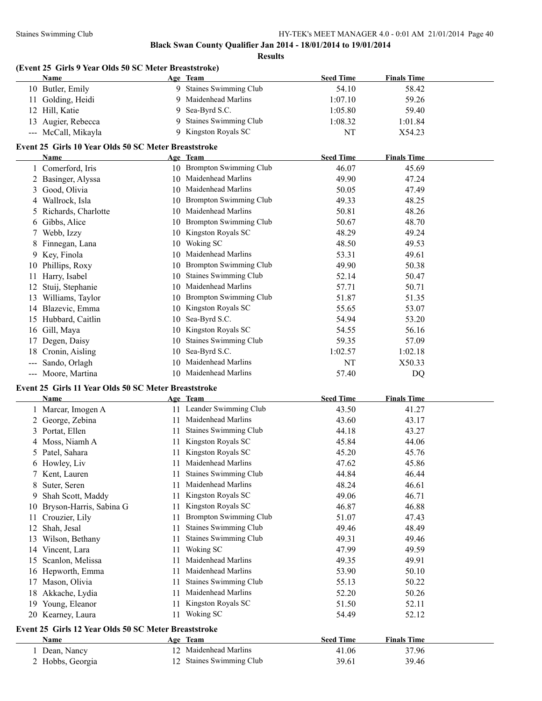**Results**

# **(Event 25 Girls 9 Year Olds 50 SC Meter Breaststroke)**

| Name                | Age Team                     | <b>Seed Time</b> | <b>Finals Time</b> |  |
|---------------------|------------------------------|------------------|--------------------|--|
| 10 Butler, Emily    | <b>Staines Swimming Club</b> | 54.10            | 58.42              |  |
| 11 Golding, Heidi   | Maidenhead Marlins           | 1:07.10          | 59.26              |  |
| 12 Hill, Katie      | 9 Sea-Byrd S.C.              | 1:05.80          | 59.40              |  |
| 13 Augier, Rebecca  | 9 Staines Swimming Club      | 1:08.32          | 1:01.84            |  |
| --- McCall, Mikayla | Kingston Royals SC           | NT               | X54.23             |  |

# **Event 25 Girls 10 Year Olds 50 SC Meter Breaststroke**

|     | Name                  |    | Age Team                      | <b>Seed Time</b> | <b>Finals Time</b> |
|-----|-----------------------|----|-------------------------------|------------------|--------------------|
|     | Comerford, Iris       |    | 10 Brompton Swimming Club     | 46.07            | 45.69              |
|     | 2 Basinger, Alyssa    | 10 | Maidenhead Marlins            | 49.90            | 47.24              |
| 3   | Good, Olivia          | 10 | Maidenhead Marlins            | 50.05            | 47.49              |
|     | Wallrock, Isla        | 10 | <b>Brompton Swimming Club</b> | 49.33            | 48.25              |
|     | 5 Richards, Charlotte | 10 | Maidenhead Marlins            | 50.81            | 48.26              |
|     | 6 Gibbs, Alice        | 10 | Brompton Swimming Club        | 50.67            | 48.70              |
|     | Webb, Izzy            | 10 | Kingston Royals SC            | 48.29            | 49.24              |
|     | 8 Finnegan, Lana      | 10 | Woking SC                     | 48.50            | 49.53              |
|     | 9 Key, Finola         | 10 | Maidenhead Marlins            | 53.31            | 49.61              |
|     | 10 Phillips, Roxy     | 10 | Brompton Swimming Club        | 49.90            | 50.38              |
|     | Harry, Isabel         | 10 | <b>Staines Swimming Club</b>  | 52.14            | 50.47              |
|     | Stuij, Stephanie      | 10 | Maidenhead Marlins            | 57.71            | 50.71              |
| 13  | Williams, Taylor      | 10 | <b>Brompton Swimming Club</b> | 51.87            | 51.35              |
| 14  | Blazevic, Emma        | 10 | Kingston Royals SC            | 55.65            | 53.07              |
| 15  | Hubbard, Caitlin      | 10 | Sea-Byrd S.C.                 | 54.94            | 53.20              |
| 16  | Gill, Maya            | 10 | Kingston Royals SC            | 54.55            | 56.16              |
|     | Degen, Daisy          | 10 | <b>Staines Swimming Club</b>  | 59.35            | 57.09              |
| 18  | Cronin, Aisling       | 10 | Sea-Byrd S.C.                 | 1:02.57          | 1:02.18            |
|     | Sando, Orlagh         | 10 | Maidenhead Marlins            | NT               | X50.33             |
| --- | Moore, Martina        | 10 | Maidenhead Marlins            | 57.40            | DQ                 |

#### **Event 25 Girls 11 Year Olds 50 SC Meter Breaststroke**

|    | <b>Name</b>                                          |    | Age Team                      | <b>Seed Time</b> | <b>Finals Time</b> |  |  |  |  |
|----|------------------------------------------------------|----|-------------------------------|------------------|--------------------|--|--|--|--|
|    | Marcar, Imogen A                                     | 11 | Leander Swimming Club         | 43.50            | 41.27              |  |  |  |  |
|    | George, Zebina                                       | 11 | Maidenhead Marlins            | 43.60            | 43.17              |  |  |  |  |
| 3  | Portat, Ellen                                        | 11 | Staines Swimming Club         | 44.18            | 43.27              |  |  |  |  |
| 4  | Moss, Niamh A                                        | 11 | Kingston Royals SC            | 45.84            | 44.06              |  |  |  |  |
| 5  | Patel, Sahara                                        | 11 | Kingston Royals SC            | 45.20            | 45.76              |  |  |  |  |
| b  | Howley, Liv                                          | 11 | Maidenhead Marlins            | 47.62            | 45.86              |  |  |  |  |
|    | Kent, Lauren                                         | 11 | Staines Swimming Club         | 44.84            | 46.44              |  |  |  |  |
| 8  | Suter, Seren                                         | 11 | Maidenhead Marlins            | 48.24            | 46.61              |  |  |  |  |
| 9  | Shah Scott, Maddy                                    | 11 | Kingston Royals SC            | 49.06            | 46.71              |  |  |  |  |
| 10 | Bryson-Harris, Sabina G                              | 11 | Kingston Royals SC            | 46.87            | 46.88              |  |  |  |  |
| 11 | Crouzier, Lily                                       | 11 | <b>Brompton Swimming Club</b> | 51.07            | 47.43              |  |  |  |  |
| 12 | Shah, Jesal                                          | 11 | Staines Swimming Club         | 49.46            | 48.49              |  |  |  |  |
| 13 | Wilson, Bethany                                      | 11 | Staines Swimming Club         | 49.31            | 49.46              |  |  |  |  |
| 14 | Vincent, Lara                                        | 11 | Woking SC                     | 47.99            | 49.59              |  |  |  |  |
| 15 | Scanlon, Melissa                                     | 11 | Maidenhead Marlins            | 49.35            | 49.91              |  |  |  |  |
| 16 | Hepworth, Emma                                       | 11 | Maidenhead Marlins            | 53.90            | 50.10              |  |  |  |  |
| 17 | Mason, Olivia                                        | 11 | <b>Staines Swimming Club</b>  | 55.13            | 50.22              |  |  |  |  |
| 18 | Akkache, Lydia                                       | 11 | Maidenhead Marlins            | 52.20            | 50.26              |  |  |  |  |
| 19 | Young, Eleanor                                       | 11 | Kingston Royals SC            | 51.50            | 52.11              |  |  |  |  |
|    | 20 Kearney, Laura                                    | 11 | Woking SC                     | 54.49            | 52.12              |  |  |  |  |
|    | Event 25 Girls 12 Year Olds 50 SC Meter Breaststroke |    |                               |                  |                    |  |  |  |  |
|    | Name                                                 |    | Age Team                      | <b>Seed Time</b> | <b>Finals Time</b> |  |  |  |  |
|    | Dean, Nancy                                          | 12 | Maidenhead Marlins            | 41.06            | 37.96              |  |  |  |  |
|    | 2 Hobbs, Georgia                                     | 12 | <b>Staines Swimming Club</b>  | 39.61            | 39.46              |  |  |  |  |
|    |                                                      |    |                               |                  |                    |  |  |  |  |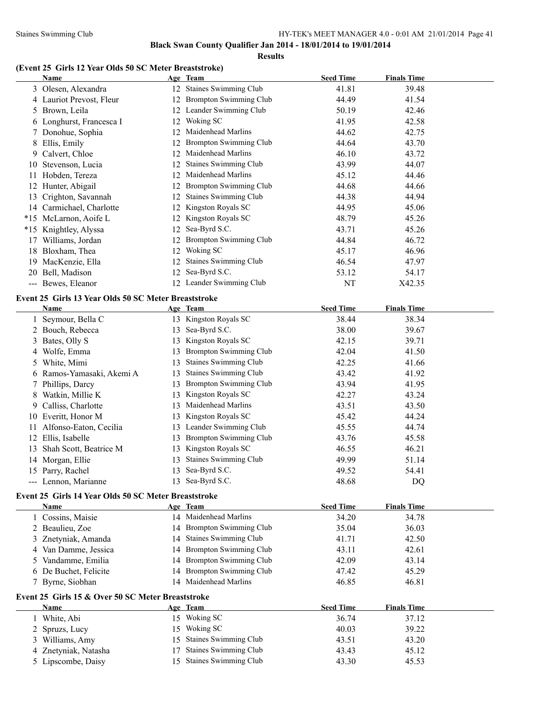#### Staines Swimming Club HY-TEK's MEET MANAGER 4.0 - 0:01 AM 21/01/2014 Page 41

**Black Swan County Qualifier Jan 2014 - 18/01/2014 to 19/01/2014**

**Results**

# **(Event 25 Girls 12 Year Olds 50 SC Meter Breaststroke)**

|    | $\mathbf{u}$ is the text of $\mathbf{v}$ of $\mathbf{v}$ in the present $\mathbf{v}$<br><b>Name</b> |    | Age Team                      | <b>Seed Time</b> | <b>Finals Time</b> |  |
|----|-----------------------------------------------------------------------------------------------------|----|-------------------------------|------------------|--------------------|--|
|    | 3 Olesen, Alexandra                                                                                 |    | 12 Staines Swimming Club      | 41.81            | 39.48              |  |
|    | 4 Lauriot Prevost, Fleur                                                                            |    | 12 Brompton Swimming Club     | 44.49            | 41.54              |  |
|    | 5 Brown, Leila                                                                                      |    | 12 Leander Swimming Club      | 50.19            | 42.46              |  |
|    | 6 Longhurst, Francesca I                                                                            |    | 12 Woking SC                  | 41.95            | 42.58              |  |
|    | 7 Donohue, Sophia                                                                                   |    | 12 Maidenhead Marlins         | 44.62            | 42.75              |  |
| 8  | Ellis, Emily                                                                                        |    | 12 Brompton Swimming Club     | 44.64            | 43.70              |  |
|    | 9 Calvert, Chloe                                                                                    |    | 12 Maidenhead Marlins         | 46.10            | 43.72              |  |
| 10 | Stevenson, Lucia                                                                                    |    | 12 Staines Swimming Club      | 43.99            | 44.07              |  |
|    | 11 Hobden, Tereza                                                                                   |    | 12 Maidenhead Marlins         | 45.12            | 44.46              |  |
|    | 12 Hunter, Abigail                                                                                  |    | 12 Brompton Swimming Club     | 44.68            | 44.66              |  |
|    | 13 Crighton, Savannah                                                                               |    | 12 Staines Swimming Club      | 44.38            | 44.94              |  |
|    | 14 Carmichael, Charlotte                                                                            |    | 12 Kingston Royals SC         | 44.95            | 45.06              |  |
|    | *15 McLarnon, Aoife L                                                                               |    | 12 Kingston Royals SC         | 48.79            | 45.26              |  |
|    | *15 Knightley, Alyssa                                                                               |    | 12 Sea-Byrd S.C.              | 43.71            | 45.26              |  |
|    | 17 Williams, Jordan                                                                                 |    | 12 Brompton Swimming Club     | 44.84            | 46.72              |  |
| 18 | Bloxham, Thea                                                                                       |    | 12 Woking SC                  | 45.17            | 46.96              |  |
|    | 19 MacKenzie, Ella                                                                                  |    | 12 Staines Swimming Club      | 46.54            | 47.97              |  |
|    | 20 Bell, Madison                                                                                    |    | 12 Sea-Byrd S.C.              | 53.12            | 54.17              |  |
|    | --- Bewes, Eleanor                                                                                  |    | 12 Leander Swimming Club      | NT               | X42.35             |  |
|    | Event 25 Girls 13 Year Olds 50 SC Meter Breaststroke                                                |    |                               |                  |                    |  |
|    | <b>Name</b>                                                                                         |    | Age Team                      | <b>Seed Time</b> | <b>Finals Time</b> |  |
|    | 1 Seymour, Bella C                                                                                  |    | 13 Kingston Royals SC         | 38.44            | 38.34              |  |
| 2  | Bouch, Rebecca                                                                                      | 13 | Sea-Byrd S.C.                 | 38.00            | 39.67              |  |
| 3  | Bates, Olly S                                                                                       | 13 | Kingston Royals SC            | 42.15            | 39.71              |  |
| 4  | Wolfe, Emma                                                                                         | 13 | <b>Brompton Swimming Club</b> | 42.04            | 41.50              |  |
| 5  | White, Mimi                                                                                         | 13 | Staines Swimming Club         | 42.25            | 41.66              |  |
| 6  | Ramos-Yamasaki, Akemi A                                                                             | 13 | Staines Swimming Club         | 43.42            | 41.92              |  |
|    | Phillips, Darcy                                                                                     | 13 | <b>Brompton Swimming Club</b> | 43.94            | 41.95              |  |
| 8  | Watkin, Millie K                                                                                    | 13 | Kingston Royals SC            | 42.27            | 43.24              |  |
| 9  | Calliss, Charlotte                                                                                  | 13 | Maidenhead Marlins            | 43.51            | 43.50              |  |
|    | 10 Everitt, Honor M                                                                                 |    | 13 Kingston Royals SC         | 45.42            | 44.24              |  |
|    | 11 Alfonso-Eaton, Cecilia                                                                           |    | 13 Leander Swimming Club      | 45.55            | 44.74              |  |
|    | 12 Ellis, Isabelle                                                                                  |    | 13 Brompton Swimming Club     | 43.76            | 45.58              |  |
| 13 | Shah Scott, Beatrice M                                                                              | 13 | Kingston Royals SC            | 46.55            | 46.21              |  |
|    | 14 Morgan, Ellie                                                                                    |    | 13 Staines Swimming Club      | 49.99            | 51.14              |  |
|    | 15 Parry, Rachel                                                                                    |    | 13 Sea-Byrd S.C.              | 49.52            | 54.41              |  |
|    | --- Lennon, Marianne                                                                                |    | 13 Sea-Byrd S.C.              | 48.68            | <b>DQ</b>          |  |
|    | Event 25 Girls 14 Year Olds 50 SC Meter Breaststroke                                                |    |                               |                  |                    |  |
|    | Name                                                                                                |    | Age Team                      | <b>Seed Time</b> | <b>Finals Time</b> |  |
|    | 1 Cossins, Maisie                                                                                   |    | 14 Maidenhead Marlins         | 34.20            | 34.78              |  |
|    | 2 Beaulieu, Zoe                                                                                     | 14 | <b>Brompton Swimming Club</b> | 35.04            | 36.03              |  |
|    | Znetyniak, Amanda                                                                                   | 14 | Staines Swimming Club         | 41.71            | 42.50              |  |
| 4  | Van Damme, Jessica                                                                                  | 14 | <b>Brompton Swimming Club</b> | 43.11            | 42.61              |  |
| 5. | Vandamme, Emilia                                                                                    | 14 | <b>Brompton Swimming Club</b> | 42.09            | 43.14              |  |
| 6  | De Buchet, Felicite                                                                                 | 14 | <b>Brompton Swimming Club</b> | 47.42            | 45.29              |  |
|    | 7 Byrne, Siobhan                                                                                    |    | 14 Maidenhead Marlins         | 46.85            | 46.81              |  |
|    |                                                                                                     |    |                               |                  |                    |  |

# **Event 25 Girls 15 & Over 50 SC Meter Breaststroke**

| Name                 | Age Team                 | <b>Seed Time</b> | <b>Finals Time</b> |  |
|----------------------|--------------------------|------------------|--------------------|--|
| White, Abi           | 15 Woking SC             | 36.74            | 37.12              |  |
| 2 Spruzs, Lucy       | 15 Woking SC             | 40.03            | 39.22              |  |
| 3 Williams, Amy      | 15 Staines Swimming Club | 43.51            | 43.20              |  |
| 4 Znetyniak, Natasha | 17 Staines Swimming Club | 43.43            | 45.12              |  |
| 5 Lipscombe, Daisy   | 15 Staines Swimming Club | 43.30            | 45.53              |  |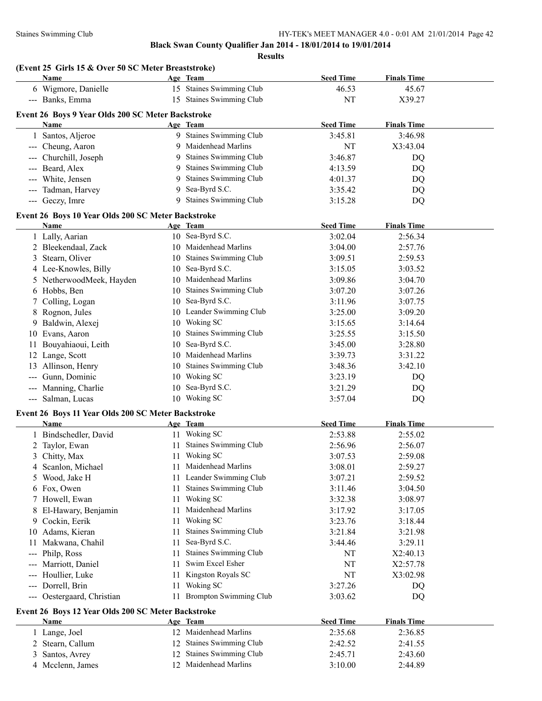|                     | (Event 25 Girls 15 & Over 50 SC Meter Breaststroke)<br>Name |          | Age Team                                          | <b>Seed Time</b>   | <b>Finals Time</b> |  |
|---------------------|-------------------------------------------------------------|----------|---------------------------------------------------|--------------------|--------------------|--|
|                     | 6 Wigmore, Danielle                                         |          | 15 Staines Swimming Club                          | 46.53              | 45.67              |  |
|                     | --- Banks, Emma                                             |          | 15 Staines Swimming Club                          | NT                 | X39.27             |  |
|                     | Event 26 Boys 9 Year Olds 200 SC Meter Backstroke           |          |                                                   |                    |                    |  |
|                     | Name                                                        |          | Age Team                                          | <b>Seed Time</b>   | <b>Finals Time</b> |  |
|                     | 1 Santos, Aljeroe                                           |          | 9 Staines Swimming Club                           | 3:45.81            | 3:46.98            |  |
|                     | --- Cheung, Aaron                                           | 9        | Maidenhead Marlins                                | NT                 | X3:43.04           |  |
|                     | --- Churchill, Joseph                                       | 9        | Staines Swimming Club                             | 3:46.87            | DQ                 |  |
|                     | --- Beard, Alex                                             | 9        | Staines Swimming Club                             | 4:13.59            | DQ                 |  |
|                     | --- White, Jensen                                           | 9        | Staines Swimming Club                             | 4:01.37            | DQ                 |  |
|                     | --- Tadman, Harvey                                          | 9        | Sea-Byrd S.C.                                     | 3:35.42            | DQ                 |  |
|                     | --- Geczy, Imre                                             | 9        | Staines Swimming Club                             | 3:15.28            | DQ                 |  |
|                     |                                                             |          |                                                   |                    |                    |  |
|                     | Event 26 Boys 10 Year Olds 200 SC Meter Backstroke          |          |                                                   |                    |                    |  |
|                     | Name                                                        |          | Age Team                                          | <b>Seed Time</b>   | <b>Finals Time</b> |  |
|                     | 1 Lally, Aarian                                             |          | 10 Sea-Byrd S.C.                                  | 3:02.04            | 2:56.34            |  |
|                     | 2 Bleekendaal, Zack                                         |          | 10 Maidenhead Marlins                             | 3:04.00            | 2:57.76            |  |
| 3                   | Stearn, Oliver                                              |          | 10 Staines Swimming Club                          | 3:09.51            | 2:59.53            |  |
|                     | 4 Lee-Knowles, Billy                                        | 10       | Sea-Byrd S.C.                                     | 3:15.05            | 3:03.52            |  |
|                     | 5 NetherwoodMeek, Hayden                                    |          | 10 Maidenhead Marlins                             | 3:09.86            | 3:04.70            |  |
|                     | 6 Hobbs, Ben                                                | 10       | <b>Staines Swimming Club</b>                      | 3:07.20            | 3:07.26            |  |
| $\overline{7}$      | Colling, Logan                                              |          | 10 Sea-Byrd S.C.                                  | 3:11.96            | 3:07.75            |  |
| 8                   | Rognon, Jules                                               |          | 10 Leander Swimming Club                          | 3:25.00            | 3:09.20            |  |
| 9                   | Baldwin, Alexej                                             |          | 10 Woking SC                                      | 3:15.65            | 3:14.64            |  |
| 10                  | Evans, Aaron                                                | 10       | <b>Staines Swimming Club</b>                      | 3:25.55            | 3:15.50            |  |
| 11                  | Bouyahiaoui, Leith                                          | 10       | Sea-Byrd S.C.                                     | 3:45.00            | 3:28.80            |  |
|                     | 12 Lange, Scott                                             | 10       | Maidenhead Marlins                                | 3:39.73            | 3:31.22            |  |
|                     | 13 Allinson, Henry                                          | 10       | Staines Swimming Club                             | 3:48.36            | 3:42.10            |  |
|                     | Gunn, Dominic                                               |          | 10 Woking SC                                      | 3:23.19            | DQ                 |  |
| $\qquad \qquad - -$ | Manning, Charlie                                            |          | 10 Sea-Byrd S.C.                                  | 3:21.29            | DQ                 |  |
| $---$               | Salman, Lucas                                               |          | 10 Woking SC                                      | 3:57.04            | DQ                 |  |
|                     | Event 26 Boys 11 Year Olds 200 SC Meter Backstroke          |          |                                                   |                    |                    |  |
|                     | Name                                                        |          | Age Team                                          | <b>Seed Time</b>   | <b>Finals Time</b> |  |
|                     | 1 Bindschedler, David                                       |          | 11 Woking SC                                      | 2:53.88            | 2:55.02            |  |
|                     | 2 Taylor, Ewan                                              |          | 11 Staines Swimming Club                          | 2:56.96            | 2:56.07            |  |
|                     | 3 Chitty, Max                                               |          | 11 Woking SC                                      | 3:07.53            | 2:59.08            |  |
|                     | 4 Scanlon, Michael                                          |          | 11 Maidenhead Marlins                             | 3:08.01            | 2:59.27            |  |
| 5                   | Wood, Jake H                                                |          | 11 Leander Swimming Club                          | 3:07.21            | 2:59.52            |  |
|                     | 6 Fox, Owen                                                 |          | 11 Staines Swimming Club                          | 3:11.46            | 3:04.50            |  |
|                     | 7 Howell, Ewan                                              |          | 11 Woking SC                                      | 3:32.38            | 3:08.97            |  |
|                     | El-Hawary, Benjamin                                         |          | 11 Maidenhead Marlins                             | 3:17.92            | 3:17.05            |  |
|                     | 9 Cockin, Eerik                                             | 11       | Woking SC                                         | 3:23.76            | 3:18.44            |  |
| 10                  | Adams, Kieran                                               | 11       | Staines Swimming Club                             | 3:21.84            | 3:21.98            |  |
| 11                  | Makwana, Chahil                                             | 11       | Sea-Byrd S.C.                                     | 3:44.46            | 3:29.11            |  |
| ---                 | Philp, Ross                                                 | 11       | Staines Swimming Club                             | NT                 | X2:40.13           |  |
|                     | Marriott, Daniel                                            | 11       | Swim Excel Esher                                  | NT                 | X2:57.78           |  |
|                     | Houllier, Luke                                              | 11       | Kingston Royals SC                                | NT                 | X3:02.98           |  |
| ---                 | Dorrell, Brin                                               | 11       | Woking SC                                         | 3:27.26            | DQ                 |  |
| ---                 | Oestergaard, Christian                                      |          | 11 Brompton Swimming Club                         | 3:03.62            | DQ                 |  |
|                     |                                                             |          |                                                   |                    |                    |  |
|                     | Event 26 Boys 12 Year Olds 200 SC Meter Backstroke          |          |                                                   |                    |                    |  |
|                     |                                                             |          |                                                   | <b>Seed Time</b>   | <b>Finals Time</b> |  |
|                     | <b>Name</b>                                                 | Age Team |                                                   |                    |                    |  |
|                     | 1 Lange, Joel                                               |          | 12 Maidenhead Marlins                             | 2:35.68            | 2:36.85            |  |
| 2                   | Stearn, Callum                                              |          | 12 Staines Swimming Club                          | 2:42.52            | 2:41.55            |  |
| 3<br>4              | Santos, Avrey<br>Mcclenn, James                             |          | 12 Staines Swimming Club<br>12 Maidenhead Marlins | 2:45.71<br>3:10.00 | 2:43.60<br>2:44.89 |  |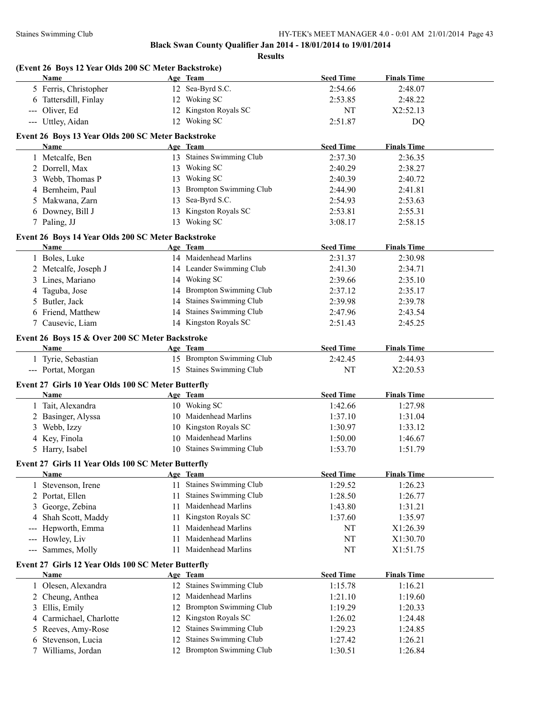|                                                           | (Event 26 Boys 12 Year Olds 200 SC Meter Backstroke)<br><b>Name</b> |     | Age Team                              | <b>Seed Time</b> | <b>Finals Time</b> |  |
|-----------------------------------------------------------|---------------------------------------------------------------------|-----|---------------------------------------|------------------|--------------------|--|
|                                                           | 5 Ferris, Christopher                                               |     | 12 Sea-Byrd S.C.                      | 2:54.66          | 2:48.07            |  |
|                                                           | 6 Tattersdill, Finlay                                               |     | 12 Woking SC                          | 2:53.85          | 2:48.22            |  |
|                                                           | --- Oliver, Ed                                                      |     | 12 Kingston Royals SC                 | NT               | X2:52.13           |  |
|                                                           | --- Uttley, Aidan                                                   |     | 12 Woking SC                          | 2:51.87          | DQ                 |  |
|                                                           |                                                                     |     |                                       |                  |                    |  |
|                                                           | Event 26 Boys 13 Year Olds 200 SC Meter Backstroke<br>Name          |     | Age Team                              | <b>Seed Time</b> | <b>Finals Time</b> |  |
|                                                           |                                                                     |     | 13 Staines Swimming Club              |                  |                    |  |
|                                                           | 1 Metcalfe, Ben                                                     |     |                                       | 2:37.30          | 2:36.35            |  |
|                                                           | 2 Dorrell, Max                                                      |     | 13 Woking SC                          | 2:40.29          | 2:38.27            |  |
|                                                           | 3 Webb, Thomas P                                                    |     | 13 Woking SC                          | 2:40.39          | 2:40.72            |  |
|                                                           | 4 Bernheim, Paul                                                    |     | 13 Brompton Swimming Club             | 2:44.90          | 2:41.81            |  |
| 5.                                                        | Makwana, Zarn                                                       |     | 13 Sea-Byrd S.C.                      | 2:54.93          | 2:53.63            |  |
|                                                           | 6 Downey, Bill J                                                    |     | 13 Kingston Royals SC                 | 2:53.81          | 2:55.31            |  |
|                                                           | 7 Paling, JJ                                                        |     | 13 Woking SC                          | 3:08.17          | 2:58.15            |  |
|                                                           | Event 26 Boys 14 Year Olds 200 SC Meter Backstroke                  |     |                                       |                  |                    |  |
|                                                           | <b>Name</b>                                                         |     | Age Team                              | <b>Seed Time</b> | <b>Finals Time</b> |  |
|                                                           | 1 Boles, Luke                                                       |     | 14 Maidenhead Marlins                 | 2:31.37          | 2:30.98            |  |
|                                                           | 2 Metcalfe, Joseph J                                                |     | 14 Leander Swimming Club              | 2:41.30          | 2:34.71            |  |
|                                                           | 3 Lines, Mariano                                                    |     | 14 Woking SC                          | 2:39.66          | 2:35.10            |  |
|                                                           | 4 Taguba, Jose                                                      |     | 14 Brompton Swimming Club             | 2:37.12          | 2:35.17            |  |
|                                                           | 5 Butler, Jack                                                      |     | 14 Staines Swimming Club              | 2:39.98          | 2:39.78            |  |
|                                                           | 6 Friend, Matthew                                                   |     | 14 Staines Swimming Club              | 2:47.96          | 2:43.54            |  |
|                                                           | 7 Causevic, Liam                                                    |     | 14 Kingston Royals SC                 | 2:51.43          | 2:45.25            |  |
|                                                           |                                                                     |     |                                       |                  |                    |  |
|                                                           | Event 26 Boys 15 & Over 200 SC Meter Backstroke                     |     |                                       | <b>Seed Time</b> |                    |  |
|                                                           | Name<br>1 Tyrie, Sebastian                                          |     | Age Team<br>15 Brompton Swimming Club |                  | <b>Finals Time</b> |  |
|                                                           |                                                                     |     | 15 Staines Swimming Club              | 2:42.45          | 2:44.93            |  |
|                                                           | --- Portat, Morgan                                                  |     |                                       | NT               | X2:20.53           |  |
|                                                           | Event 27 Girls 10 Year Olds 100 SC Meter Butterfly                  |     |                                       |                  |                    |  |
|                                                           | Name                                                                |     | Age Team                              | <b>Seed Time</b> | <b>Finals Time</b> |  |
|                                                           | 1 Tait, Alexandra                                                   |     | 10 Woking SC                          | 1:42.66          | 1:27.98            |  |
|                                                           | 2 Basinger, Alyssa                                                  |     | 10 Maidenhead Marlins                 | 1:37.10          | 1:31.04            |  |
|                                                           | 3 Webb, Izzy                                                        |     | 10 Kingston Royals SC                 | 1:30.97          | 1:33.12            |  |
|                                                           | 4 Key, Finola                                                       |     | 10 Maidenhead Marlins                 | 1:50.00          | 1:46.67            |  |
|                                                           | 5 Harry, Isabel                                                     |     | 10 Staines Swimming Club              | 1:53.70          | 1:51.79            |  |
|                                                           | Event 27 Girls 11 Year Olds 100 SC Meter Butterfly                  |     |                                       |                  |                    |  |
|                                                           | <b>Name</b>                                                         |     | Age Team                              | <b>Seed Time</b> | <b>Finals Time</b> |  |
|                                                           | 1 Stevenson, Irene                                                  |     | 11 Staines Swimming Club              | 1:29.52          | 1:26.23            |  |
| 2                                                         | Portat, Ellen                                                       | 11  | Staines Swimming Club                 | 1:28.50          | 1:26.77            |  |
| 3                                                         | George, Zebina                                                      | 11  | Maidenhead Marlins                    | 1:43.80          | 1:31.21            |  |
|                                                           |                                                                     |     | Kingston Royals SC                    |                  | 1:35.97            |  |
| 4                                                         | Shah Scott, Maddy                                                   | 11  | Maidenhead Marlins                    | 1:37.60          |                    |  |
|                                                           | Hepworth, Emma                                                      | 11  |                                       | NT               | X1:26.39           |  |
| $\hspace{0.05cm}$ - $\hspace{0.05cm}$ - $\hspace{0.05cm}$ | Howley, Liv                                                         | 11  | Maidenhead Marlins                    | NT               | X1:30.70           |  |
| $\hspace{0.05cm} \ldots \hspace{0.05cm}$                  | Sammes, Molly                                                       | 11. | Maidenhead Marlins                    | NT               | X1:51.75           |  |
|                                                           | Event 27 Girls 12 Year Olds 100 SC Meter Butterfly                  |     |                                       |                  |                    |  |
|                                                           | Name                                                                |     | Age Team                              | <b>Seed Time</b> | <b>Finals Time</b> |  |
|                                                           | 1 Olesen, Alexandra                                                 |     | 12 Staines Swimming Club              | 1:15.78          | 1:16.21            |  |
| 2                                                         | Cheung, Anthea                                                      | 12  | Maidenhead Marlins                    | 1:21.10          | 1:19.60            |  |
| 3                                                         | Ellis, Emily                                                        | 12  | <b>Brompton Swimming Club</b>         | 1:19.29          | 1:20.33            |  |
| 4                                                         | Carmichael, Charlotte                                               | 12  | Kingston Royals SC                    | 1:26.02          | 1:24.48            |  |
| 5                                                         | Reeves, Amy-Rose                                                    | 12  | Staines Swimming Club                 | 1:29.23          | 1:24.85            |  |
| 6                                                         | Stevenson, Lucia                                                    | 12  | Staines Swimming Club                 | 1:27.42          | 1:26.21            |  |
|                                                           |                                                                     |     | 12 Brompton Swimming Club             | 1:30.51          | 1:26.84            |  |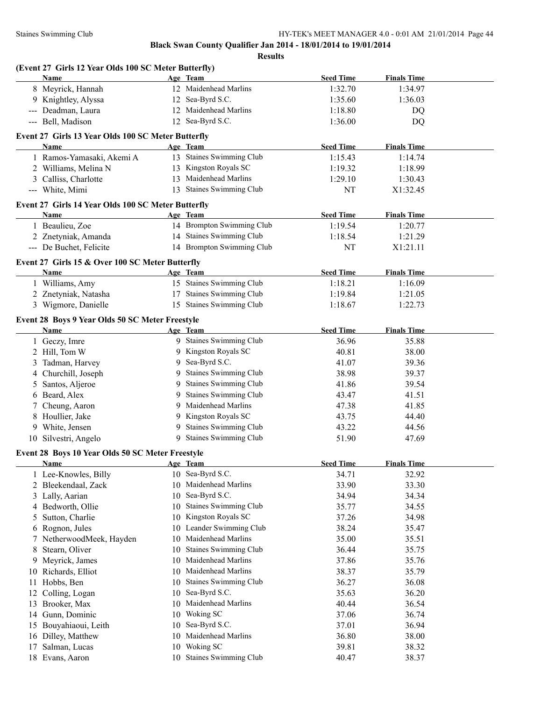| Name        | (Event 27 Girls 12 Year Olds 100 SC Meter Butterfly) |    | Age Team                     | <b>Seed Time</b> | <b>Finals Time</b> |  |
|-------------|------------------------------------------------------|----|------------------------------|------------------|--------------------|--|
|             | 8 Meyrick, Hannah                                    |    | 12 Maidenhead Marlins        | 1:32.70          | 1:34.97            |  |
|             | 9 Knightley, Alyssa                                  |    | 12 Sea-Byrd S.C.             | 1:35.60          | 1:36.03            |  |
|             | --- Deadman, Laura                                   |    | 12 Maidenhead Marlins        | 1:18.80          | DQ                 |  |
|             | --- Bell, Madison                                    |    | 12 Sea-Byrd S.C.             | 1:36.00          | DQ                 |  |
|             | Event 27 Girls 13 Year Olds 100 SC Meter Butterfly   |    |                              |                  |                    |  |
| Name        |                                                      |    | Age Team                     | <b>Seed Time</b> | <b>Finals Time</b> |  |
|             | 1 Ramos-Yamasaki, Akemi A                            |    | 13 Staines Swimming Club     | 1:15.43          | 1:14.74            |  |
|             | 2 Williams, Melina N                                 |    | 13 Kingston Royals SC        | 1:19.32          | 1:18.99            |  |
|             | 3 Calliss, Charlotte                                 |    | 13 Maidenhead Marlins        | 1:29.10          | 1:30.43            |  |
|             | --- White, Mimi                                      |    | 13 Staines Swimming Club     | NT               | X1:32.45           |  |
|             | Event 27 Girls 14 Year Olds 100 SC Meter Butterfly   |    |                              |                  |                    |  |
| Name        |                                                      |    | Age Team                     | <b>Seed Time</b> | <b>Finals Time</b> |  |
|             | 1 Beaulieu, Zoe                                      |    | 14 Brompton Swimming Club    | 1:19.54          | 1:20.77            |  |
|             | 2 Znetyniak, Amanda                                  |    | 14 Staines Swimming Club     | 1:18.54          | 1:21.29            |  |
|             | --- De Buchet, Felicite                              |    | 14 Brompton Swimming Club    | NT               | X1:21.11           |  |
|             | Event 27 Girls 15 & Over 100 SC Meter Butterfly      |    |                              |                  |                    |  |
| <b>Name</b> |                                                      |    | Age Team                     | <b>Seed Time</b> | <b>Finals Time</b> |  |
|             | 1 Williams, Amy                                      |    | 15 Staines Swimming Club     | 1:18.21          | 1:16.09            |  |
|             | 2 Znetyniak, Natasha                                 |    | 17 Staines Swimming Club     | 1:19.84          | 1:21.05            |  |
|             | 3 Wigmore, Danielle                                  |    | 15 Staines Swimming Club     | 1:18.67          | 1:22.73            |  |
|             | Event 28 Boys 9 Year Olds 50 SC Meter Freestyle      |    |                              |                  |                    |  |
| <b>Name</b> |                                                      |    | Age Team                     | <b>Seed Time</b> | <b>Finals Time</b> |  |
|             | 1 Geczy, Imre                                        |    | 9 Staines Swimming Club      | 36.96            | 35.88              |  |
|             | 2 Hill, Tom W                                        | 9  | Kingston Royals SC           | 40.81            | 38.00              |  |
|             | 3 Tadman, Harvey                                     | 9  | Sea-Byrd S.C.                | 41.07            | 39.36              |  |
|             | 4 Churchill, Joseph                                  | 9  | <b>Staines Swimming Club</b> | 38.98            | 39.37              |  |
|             | 5 Santos, Aljeroe                                    | 9  | Staines Swimming Club        | 41.86            | 39.54              |  |
|             | 6 Beard, Alex                                        | 9  | Staines Swimming Club        | 43.47            | 41.51              |  |
|             | 7 Cheung, Aaron                                      | 9  | Maidenhead Marlins           | 47.38            | 41.85              |  |
|             | 8 Houllier, Jake                                     | 9  | Kingston Royals SC           | 43.75            | 44.40              |  |
|             | 9 White, Jensen                                      | 9  | <b>Staines Swimming Club</b> | 43.22            | 44.56              |  |
|             | 10 Silvestri, Angelo                                 |    | 9 Staines Swimming Club      | 51.90            | 47.69              |  |
|             | Event 28 Boys 10 Year Olds 50 SC Meter Freestyle     |    |                              |                  |                    |  |
| <b>Name</b> |                                                      |    | Age Team                     | <b>Seed Time</b> | <b>Finals Time</b> |  |
|             | 1 Lee-Knowles, Billy                                 |    | 10 Sea-Byrd S.C.             | 34.71            | 32.92              |  |
|             | 2 Bleekendaal, Zack                                  | 10 | Maidenhead Marlins           | 33.90            | 33.30              |  |
|             | 3 Lally, Aarian                                      | 10 | Sea-Byrd S.C.                | 34.94            | 34.34              |  |
|             | 4 Bedworth, Ollie                                    | 10 | <b>Staines Swimming Club</b> | 35.77            | 34.55              |  |
| 5           | Sutton, Charlie                                      | 10 | Kingston Royals SC           | 37.26            | 34.98              |  |
| 6           | Rognon, Jules                                        | 10 | Leander Swimming Club        | 38.24            | 35.47              |  |
|             | 7 NetherwoodMeek, Hayden                             | 10 | Maidenhead Marlins           | 35.00            | 35.51              |  |
| 8           | Stearn, Oliver                                       | 10 | Staines Swimming Club        | 36.44            | 35.75              |  |
|             | 9 Meyrick, James                                     | 10 | Maidenhead Marlins           | 37.86            | 35.76              |  |
|             | 10 Richards, Elliot                                  | 10 | Maidenhead Marlins           | 38.37            | 35.79              |  |
| 11          | Hobbs, Ben                                           | 10 | Staines Swimming Club        | 36.27            | 36.08              |  |
| 12          | Colling, Logan                                       | 10 | Sea-Byrd S.C.                | 35.63            | 36.20              |  |
|             | 13 Brooker, Max                                      | 10 | Maidenhead Marlins           | 40.44            | 36.54              |  |
| 14          | Gunn, Dominic                                        | 10 | Woking SC                    | 37.06            | 36.74              |  |
| 15          | Bouyahiaoui, Leith                                   | 10 | Sea-Byrd S.C.                | 37.01            | 36.94              |  |
| 16          | Dilley, Matthew                                      | 10 | Maidenhead Marlins           | 36.80            | 38.00              |  |
| 17          | Salman, Lucas                                        | 10 | Woking SC                    | 39.81            | 38.32              |  |
|             | 18 Evans, Aaron                                      |    | 10 Staines Swimming Club     | 40.47            | 38.37              |  |
|             |                                                      |    |                              |                  |                    |  |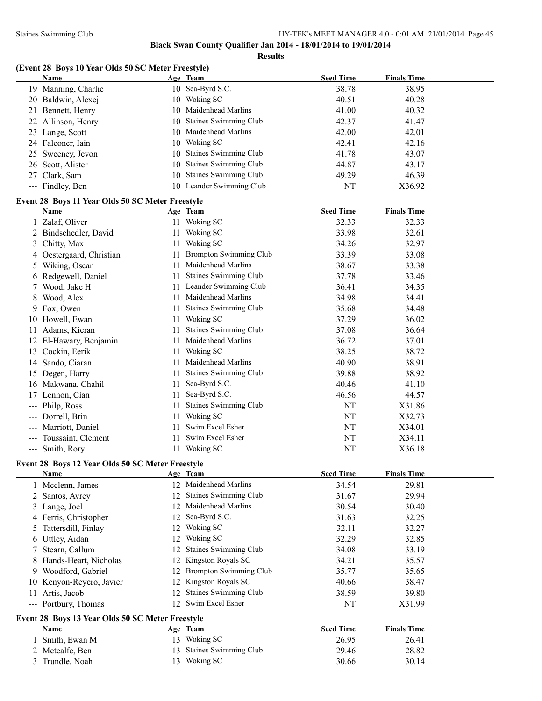#### Staines Swimming Club HY-TEK's MEET MANAGER 4.0 - 0:01 AM 21/01/2014 Page 45

**Black Swan County Qualifier Jan 2014 - 18/01/2014 to 19/01/2014**

**Results**

# **(Event 28 Boys 10 Year Olds 50 SC Meter Freestyle)**

|                     | <b>Name</b>                                      |     | Age Team                      | <b>Seed Time</b> | <b>Finals Time</b> |  |
|---------------------|--------------------------------------------------|-----|-------------------------------|------------------|--------------------|--|
|                     | 19 Manning, Charlie                              |     | 10 Sea-Byrd S.C.              | 38.78            | 38.95              |  |
|                     | 20 Baldwin, Alexej                               |     | 10 Woking SC                  | 40.51            | 40.28              |  |
|                     | 21 Bennett, Henry                                |     | 10 Maidenhead Marlins         | 41.00            | 40.32              |  |
| 22                  | Allinson, Henry                                  | 10  | Staines Swimming Club         | 42.37            | 41.47              |  |
|                     | 23 Lange, Scott                                  |     | 10 Maidenhead Marlins         | 42.00            | 42.01              |  |
|                     | 24 Falconer, Iain                                |     | 10 Woking SC                  | 42.41            | 42.16              |  |
|                     | 25 Sweeney, Jevon                                | 10  | <b>Staines Swimming Club</b>  | 41.78            | 43.07              |  |
|                     | 26 Scott, Alister                                | 10  | Staines Swimming Club         | 44.87            | 43.17              |  |
|                     | Clark, Sam                                       |     | 10 Staines Swimming Club      |                  |                    |  |
| 27                  |                                                  |     |                               | 49.29            | 46.39              |  |
|                     | --- Findley, Ben                                 |     | 10 Leander Swimming Club      | NT               | X36.92             |  |
|                     | Event 28 Boys 11 Year Olds 50 SC Meter Freestyle |     |                               |                  |                    |  |
|                     | Name                                             |     | Age Team                      | <b>Seed Time</b> | <b>Finals Time</b> |  |
|                     | 1 Zalaf, Oliver                                  |     | 11 Woking SC                  | 32.33            | 32.33              |  |
|                     | 2 Bindschedler, David                            |     | 11 Woking SC                  | 33.98            | 32.61              |  |
| 3                   | Chitty, Max                                      |     | 11 Woking SC                  | 34.26            | 32.97              |  |
| 4                   | Oestergaard, Christian                           | 11  | <b>Brompton Swimming Club</b> | 33.39            | 33.08              |  |
|                     | 5 Wiking, Oscar                                  | 11  | Maidenhead Marlins            | 38.67            | 33.38              |  |
|                     | 6 Redgewell, Daniel                              | 11  | Staines Swimming Club         | 37.78            | 33.46              |  |
|                     | Wood, Jake H                                     | 11. | Leander Swimming Club         | 36.41            | 34.35              |  |
|                     | 8 Wood, Alex                                     | 11  | Maidenhead Marlins            | 34.98            | 34.41              |  |
|                     | 9 Fox, Owen                                      | 11  | Staines Swimming Club         | 35.68            | 34.48              |  |
|                     | 10 Howell, Ewan                                  | 11  | Woking SC                     | 37.29            | 36.02              |  |
|                     |                                                  |     | Staines Swimming Club         |                  |                    |  |
|                     | 11 Adams, Kieran                                 | 11  |                               | 37.08            | 36.64              |  |
|                     | 12 El-Hawary, Benjamin                           | 11  | Maidenhead Marlins            | 36.72            | 37.01              |  |
|                     | 13 Cockin, Eerik                                 | 11  | Woking SC                     | 38.25            | 38.72              |  |
|                     | 14 Sando, Ciaran                                 | 11  | Maidenhead Marlins            | 40.90            | 38.91              |  |
|                     | 15 Degen, Harry                                  | 11  | Staines Swimming Club         | 39.88            | 38.92              |  |
|                     | 16 Makwana, Chahil                               | 11  | Sea-Byrd S.C.                 | 40.46            | 41.10              |  |
|                     | 17 Lennon, Cian                                  | 11  | Sea-Byrd S.C.                 | 46.56            | 44.57              |  |
|                     | --- Philp, Ross                                  | 11  | Staines Swimming Club         | NT               | X31.86             |  |
|                     | Dorrell, Brin                                    | 11  | Woking SC                     | NT               | X32.73             |  |
|                     | Marriott, Daniel                                 | 11  | Swim Excel Esher              | NT               | X34.01             |  |
| $\qquad \qquad - -$ | Toussaint, Clement                               | 11  | Swim Excel Esher              | NT               | X34.11             |  |
|                     | --- Smith, Rory                                  |     | 11 Woking SC                  | NT               | X36.18             |  |
|                     | Event 28 Boys 12 Year Olds 50 SC Meter Freestyle |     |                               |                  |                    |  |
|                     | Name                                             |     | Age Team                      | <b>Seed Time</b> | <b>Finals Time</b> |  |
|                     | 1 Mcclenn, James                                 |     | 12 Maidenhead Marlins         | 34.54            | 29.81              |  |
|                     |                                                  |     | Staines Swimming Club         |                  | 29.94              |  |
|                     | 2 Santos, Avrey                                  | 12  |                               | 31.67            |                    |  |
|                     | 3 Lange, Joel                                    | 12  | Maidenhead Marlins            | 30.54            | 30.40              |  |
|                     | 4 Ferris, Christopher                            | 12  | Sea-Byrd S.C.                 | 31.63            | 32.25              |  |
|                     | 5 Tattersdill, Finlay                            | 12  | Woking SC                     | 32.11            | 32.27              |  |
|                     | 6 Uttley, Aidan                                  | 12  | Woking SC                     | 32.29            | 32.85              |  |
| 7                   | Stearn, Callum                                   | 12  | <b>Staines Swimming Club</b>  | 34.08            | 33.19              |  |
|                     | 8 Hands-Heart, Nicholas                          | 12  | Kingston Royals SC            | 34.21            | 35.57              |  |
|                     | 9 Woodford, Gabriel                              | 12  | <b>Brompton Swimming Club</b> | 35.77            | 35.65              |  |
|                     | 10 Kenyon-Reyero, Javier                         | 12  | Kingston Royals SC            | 40.66            | 38.47              |  |
| 11                  | Artis, Jacob                                     | 12  | Staines Swimming Club         | 38.59            | 39.80              |  |
|                     | --- Portbury, Thomas                             |     | 12 Swim Excel Esher           | NT               | X31.99             |  |
|                     | Event 28 Boys 13 Year Olds 50 SC Meter Freestyle |     |                               |                  |                    |  |
|                     | <b>Name</b>                                      |     | Age Team                      | <b>Seed Time</b> | <b>Finals Time</b> |  |
|                     | 1 Smith, Ewan M                                  |     | 13 Woking SC                  | 26.95            | 26.41              |  |
|                     | 2 Metcalfe, Ben                                  |     | 13 Staines Swimming Club      | 29.46            | 28.82              |  |
|                     | 3 Trundle, Noah                                  |     | 13 Woking SC                  | 30.66            | 30.14              |  |
|                     |                                                  |     |                               |                  |                    |  |